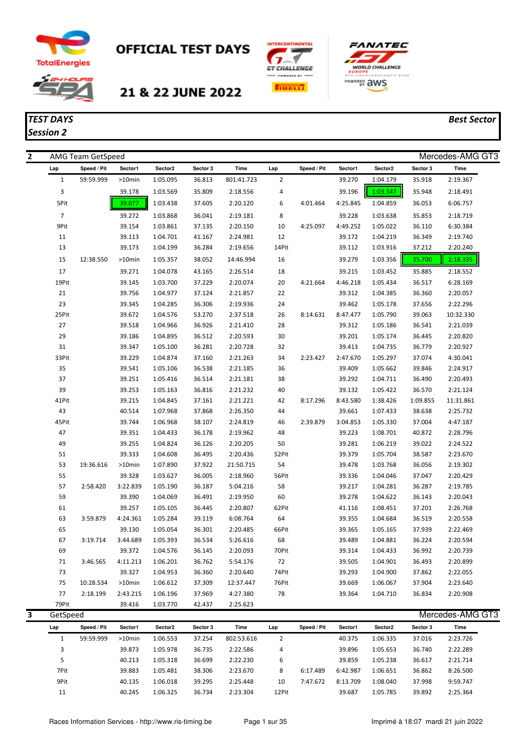

*Session 2*

## **OFFICIAL TEST DAYS**



## 21 & 22 JUNE 2022





## *TEST DAYS Best Sector*

| 2 |                | <b>AMG Team GetSpeed</b> |                     |                      |                  |                      |                |             |                  |                      |                  | Mercedes-AMG GT3     |
|---|----------------|--------------------------|---------------------|----------------------|------------------|----------------------|----------------|-------------|------------------|----------------------|------------------|----------------------|
|   | Lap            | Speed / Pit              | Sector1             | Sector2              | Sector 3         | Time                 | Lap            | Speed / Pit | Sector1          | Sector2              | Sector 3         | Time                 |
|   | $\mathbf{1}$   | 59:59.999                | $>10$ min           | 1:05.095             | 36.813           | 801:41.723           | $\overline{2}$ |             | 39.270           | 1:04.179             | 35.918           | 2:19.367             |
|   | 3              |                          | 39.178              | 1:03.569             | 35.809           | 2:18.556             | 4              |             | 39.196           | 1:03.347             | 35.948           | 2:18.491             |
|   | 5Pit           |                          | 39.077              | 1:03.438             | 37.605           | 2:20.120             | 6              | 4:01.464    | 4:25.845         | 1:04.859             | 36.053           | 6:06.757             |
|   | $\overline{7}$ |                          | 39.272              | 1:03.868             | 36.041           | 2:19.181             | 8              |             | 39.228           | 1:03.638             | 35.853           | 2:18.719             |
|   | 9Pit           |                          | 39.154              | 1:03.861             | 37.135           | 2:20.150             | 10             | 4:25.097    | 4:49.252         | 1:05.022             | 36.110           | 6:30.384             |
|   | 11             |                          | 39.113              | 1:04.701             | 41.167           | 2:24.981             | 12             |             | 39.172           | 1:04.219             | 36.349           | 2:19.740             |
|   | 13             |                          | 39.173              | 1:04.199             | 36.284           | 2:19.656             | 14Pit          |             | 39.112           | 1:03.916             | 37.212           | 2:20.240             |
|   | 15             | 12:38.550                | $>10$ min           | 1:05.357             | 38.052           | 14:46.994            | 16             |             | 39.279           | 1:03.356             | 35.700           | 2:18.335             |
|   | 17             |                          | 39.271              | 1:04.078             | 43.165           | 2:26.514             | 18             |             | 39.215           | 1:03.452             | 35.885           | 2:18.552             |
|   | 19Pit          |                          | 39.145              | 1:03.700             | 37.229           | 2:20.074             | 20             | 4:21.664    | 4:46.218         | 1:05.434             | 36.517           | 6:28.169             |
|   | 21             |                          | 39.756              | 1:04.977             | 37.124           | 2:21.857             | 22             |             | 39.312           | 1:04.385             | 36.360           | 2:20.057             |
|   | 23             |                          | 39.345              | 1:04.285             | 36.306           | 2:19.936             | 24             |             | 39.462           | 1:05.178             | 37.656           | 2:22.296             |
|   | 25Pit          |                          | 39.672              | 1:04.576             | 53.270           | 2:37.518             | 26             | 8:14.631    | 8:47.477         | 1:05.790             | 39.063           | 10:32.330            |
|   | 27             |                          | 39.518              | 1:04.966             | 36.926           | 2:21.410             | 28             |             | 39.312           | 1:05.186             | 36.541           | 2:21.039             |
|   | 29             |                          | 39.186              | 1:04.895             | 36.512           | 2:20.593             | 30             |             | 39.201           | 1:05.174             | 36.445           | 2:20.820             |
|   | 31             |                          | 39.347              | 1:05.100             | 36.281           | 2:20.728             | 32             |             | 39.413           | 1:04.735             | 36.779           | 2:20.927             |
|   | 33Pit          |                          | 39.229              | 1:04.874             | 37.160           | 2:21.263             | 34             | 2:23.427    | 2:47.670         | 1:05.297             | 37.074           | 4:30.041             |
|   | 35             |                          | 39.541              | 1:05.106             | 36.538           | 2:21.185             | 36             |             | 39.409           | 1:05.662             | 39.846           | 2:24.917             |
|   | 37             |                          | 39.251              | 1:05.416             | 36.514           | 2:21.181             | 38             |             | 39.292           | 1:04.711             | 36.490           | 2:20.493             |
|   | 39             |                          | 39.253              | 1:05.163             | 36.816           | 2:21.232             | 40             |             | 39.132           | 1:05.422             | 36.570           | 2:21.124             |
|   | 41Pit          |                          | 39.215              | 1:04.845             | 37.161           | 2:21.221             | 42             | 8:17.296    | 8:43.580         | 1:38.426             | 1:09.855         | 11:31.861            |
|   | 43             |                          | 40.514              | 1:07.968             | 37.868           | 2:26.350             | 44             |             | 39.661           | 1:07.433             | 38.638           | 2:25.732             |
|   | 45Pit          |                          | 39.744              | 1:06.968             | 38.107           | 2:24.819             | 46             | 2:39.879    | 3:04.853         | 1:05.330             | 37.004           | 4:47.187             |
|   | 47             |                          | 39.351              | 1:04.433             | 36.178           | 2:19.962             | 48             |             | 39.223           | 1:08.701             | 40.872           | 2:28.796             |
|   | 49             |                          | 39.255              | 1:04.824             | 36.126           | 2:20.205             | 50             |             | 39.281           | 1:06.219             | 39.022           | 2:24.522             |
|   | 51             |                          | 39.333              | 1:04.608             | 36.495           | 2:20.436             | 52Pit          |             | 39.379           | 1:05.704             | 38.587           | 2:23.670             |
|   | 53             | 19:36.616                | $>10$ min           | 1:07.890             | 37.922           | 21:50.715            | 54             |             | 39.478           | 1:03.768             | 36.056           | 2:19.302             |
|   | 55             |                          | 39.328              | 1:03.627             | 36.005           | 2:18.960             | 56Pit          |             | 39.336           | 1:04.046             | 37.047           | 2:20.429             |
|   | 57             | 2:58.420                 | 3:22.839            | 1:05.190             | 36.187           | 5:04.216             | 58             |             | 39.217           | 1:04.281             | 36.287           | 2:19.785             |
|   | 59             |                          | 39.390              | 1:04.069             | 36.491           | 2:19.950             | 60             |             | 39.278           | 1:04.622             | 36.143           | 2:20.043             |
|   | 61             |                          | 39.257              | 1:05.105             | 36.445           | 2:20.807             | 62Pit          |             | 41.116           | 1:08.451             | 37.201           | 2:26.768             |
|   | 63             | 3:59.879                 | 4:24.361            | 1:05.284             | 39.119           | 6:08.764             | 64             |             | 39.355           | 1:04.684             | 36.519           | 2:20.558             |
|   | 65             |                          | 39.130              | 1:05.054             | 36.301           | 2:20.485             | 66Pit          |             | 39.365           | 1:05.165             | 37.939           | 2:22.469             |
|   | 67             | 3:19.714                 | 3:44.689            | 1:05.393             | 36.534           | 5:26.616             | 68             |             | 39.489           | 1:04.881             | 36.224           | 2:20.594             |
|   | 69             |                          | 39.372              | 1:04.576             | 36.145           | 2:20.093             | 70Pit          |             | 39.314           | 1:04.433             | 36.992           | 2:20.739<br>2:20.899 |
|   | 71             | 3:46.565                 | 4:11.213            | 1:06.201             | 36.762           | 5:54.176<br>2:20.640 | 72<br>74Pit    |             | 39.505<br>39.293 | 1:04.901             | 36.493           |                      |
|   | 73<br>75       | 10:28.534                | 39.327<br>$>10$ min | 1:04.953<br>1:06.612 | 36.360<br>37.309 | 12:37.447            | 76Pit          |             | 39.669           | 1:04.900<br>1:06.067 | 37.862<br>37.904 | 2:22.055<br>2:23.640 |
|   | 77             | 2:18.199                 | 2:43.215            | 1:06.196             | 37.969           | 4:27.380             | 78             |             | 39.364           | 1:04.710             | 36.834           | 2:20.908             |
|   | 79Pit          |                          | 39.416              | 1:03.770             | 42.437           | 2:25.623             |                |             |                  |                      |                  |                      |
| 3 | GetSpeed       |                          |                     |                      |                  |                      |                |             |                  |                      |                  | Mercedes-AMG GT3     |
|   | Lap            | Speed / Pit              | Sector1             | Sector2              | Sector 3         | Time                 | Lap            | Speed / Pit | Sector1          | Sector2              | Sector 3         | Time                 |
|   | $\mathbf{1}$   | 59:59.999                | >10min              | 1:06.553             | 37.254           | 802:53.616           | $\overline{2}$ |             | 40.375           | 1:06.335             | 37.016           | 2:23.726             |
|   | 3              |                          | 39.873              | 1:05.978             | 36.735           | 2:22.586             | 4              |             | 39.896           | 1:05.653             | 36.740           | 2:22.289             |
|   | 5              |                          | 40.213              | 1:05.318             | 36.699           | 2:22.230             | 6              |             | 39.859           | 1:05.238             | 36.617           | 2:21.714             |
|   | 7Pit           |                          | 39.883              | 1:05.481             | 38.306           | 2:23.670             | 8              | 6:17.489    | 6:42.987         | 1:06.651             | 36.862           | 8:26.500             |
|   | 9Pit           |                          | 40.135              | 1:06.018             | 39.295           | 2:25.448             | 10             | 7:47.672    | 8:13.709         | 1:08.040             | 37.998           | 9:59.747             |
|   | 11             |                          | 40.245              | 1:06.325             | 36.734           | 2:23.304             | 12Pit          |             | 39.687           | 1:05.785             | 39.892           | 2:25.364             |
|   |                |                          |                     |                      |                  |                      |                |             |                  |                      |                  |                      |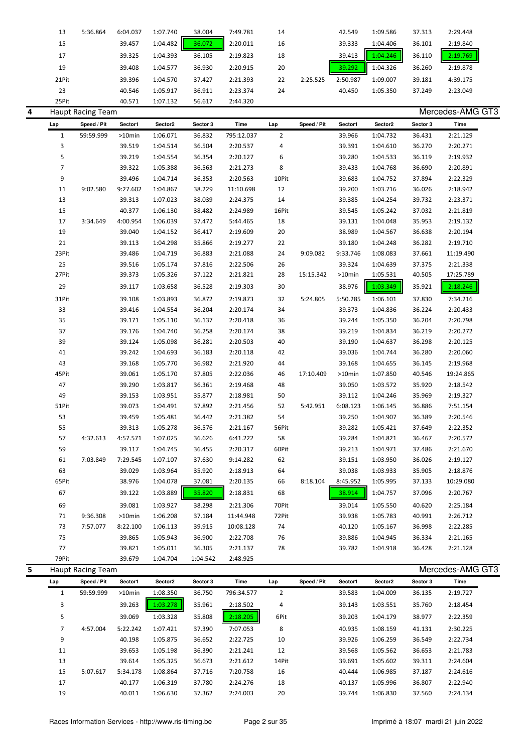|    | 13             | 5:36.864                 | 6:04.037  | 1:07.740 | 38.004   | 7:49.781   | 14             |             | 42.549   | 1:09.586 | 37.313   | 2:29.448         |  |
|----|----------------|--------------------------|-----------|----------|----------|------------|----------------|-------------|----------|----------|----------|------------------|--|
|    | 15             |                          | 39.457    | 1:04.482 | 36.072   | 2:20.011   | 16             |             | 39.333   | 1:04.406 | 36.101   | 2:19.840         |  |
|    | 17             |                          | 39.325    | 1:04.393 | 36.105   | 2:19.823   | 18             |             | 39.413   | 1:04.246 | 36.110   | 2:19.769         |  |
|    |                |                          |           |          |          |            |                |             |          |          |          |                  |  |
|    | 19             |                          | 39.408    | 1:04.577 | 36.930   | 2:20.915   | 20             |             | 39.292   | 1:04.326 | 36.260   | 2:19.878         |  |
|    | 21Pit          |                          | 39.396    | 1:04.570 | 37.427   | 2:21.393   | 22             | 2:25.525    | 2:50.987 | 1:09.007 | 39.181   | 4:39.175         |  |
|    | 23             |                          | 40.546    | 1:05.917 | 36.911   | 2:23.374   | 24             |             | 40.450   | 1:05.350 | 37.249   | 2:23.049         |  |
|    | 25Pit          |                          | 40.571    | 1:07.132 | 56.617   | 2:44.320   |                |             |          |          |          |                  |  |
| 4  |                | <b>Haupt Racing Team</b> |           |          |          |            |                |             |          |          |          | Mercedes-AMG GT3 |  |
|    | Lap            | Speed / Pit              | Sector1   | Sector2  | Sector 3 | Time       | Lap            | Speed / Pit | Sector1  | Sector2  | Sector 3 | Time             |  |
|    | $\mathbf{1}$   | 59:59.999                | $>10$ min | 1:06.071 | 36.832   | 795:12.037 | $\overline{2}$ |             | 39.966   | 1:04.732 | 36.431   | 2:21.129         |  |
|    | 3              |                          | 39.519    | 1:04.514 | 36.504   | 2:20.537   | 4              |             | 39.391   | 1:04.610 | 36.270   | 2:20.271         |  |
|    | 5              |                          | 39.219    | 1:04.554 | 36.354   | 2:20.127   | 6              |             | 39.280   | 1:04.533 | 36.119   | 2:19.932         |  |
|    | 7              |                          | 39.322    | 1:05.388 | 36.563   | 2:21.273   | 8              |             | 39.433   | 1:04.768 | 36.690   | 2:20.891         |  |
|    |                |                          |           |          |          |            |                |             |          |          |          |                  |  |
|    | 9              |                          | 39.496    | 1:04.714 | 36.353   | 2:20.563   | 10Pit          |             | 39.683   | 1:04.752 | 37.894   | 2:22.329         |  |
|    | 11             | 9:02.580                 | 9:27.602  | 1:04.867 | 38.229   | 11:10.698  | 12             |             | 39.200   | 1:03.716 | 36.026   | 2:18.942         |  |
|    | 13             |                          | 39.313    | 1:07.023 | 38.039   | 2:24.375   | 14             |             | 39.385   | 1:04.254 | 39.732   | 2:23.371         |  |
|    | 15             |                          | 40.377    | 1:06.130 | 38.482   | 2:24.989   | 16Pit          |             | 39.545   | 1:05.242 | 37.032   | 2:21.819         |  |
|    | 17             | 3:34.649                 | 4:00.954  | 1:06.039 | 37.472   | 5:44.465   | 18             |             | 39.131   | 1:04.048 | 35.953   | 2:19.132         |  |
|    | 19             |                          | 39.040    | 1:04.152 | 36.417   | 2:19.609   | 20             |             | 38.989   | 1:04.567 | 36.638   | 2:20.194         |  |
|    | 21             |                          | 39.113    | 1:04.298 | 35.866   | 2:19.277   | 22             |             | 39.180   | 1:04.248 | 36.282   | 2:19.710         |  |
|    | 23Pit          |                          | 39.486    | 1:04.719 | 36.883   | 2:21.088   | 24             | 9:09.082    | 9:33.746 | 1:08.083 | 37.661   | 11:19.490        |  |
|    | 25             |                          | 39.516    | 1:05.174 | 37.816   | 2:22.506   | 26             |             | 39.324   | 1:04.639 | 37.375   | 2:21.338         |  |
|    | 27Pit          |                          | 39.373    | 1:05.326 | 37.122   | 2:21.821   | 28             | 15:15.342   | >10min   | 1:05.531 | 40.505   | 17:25.789        |  |
|    | 29             |                          | 39.117    | 1:03.658 | 36.528   | 2:19.303   | 30             |             | 38.976   | 1:03.349 | 35.921   | 2:18.246         |  |
|    | 31Pit          |                          | 39.108    | 1:03.893 | 36.872   | 2:19.873   | 32             | 5:24.805    | 5:50.285 | 1:06.101 | 37.830   | 7:34.216         |  |
|    | 33             |                          | 39.416    | 1:04.554 | 36.204   | 2:20.174   | 34             |             | 39.373   | 1:04.836 | 36.224   | 2:20.433         |  |
|    | 35             |                          | 39.171    | 1:05.110 | 36.137   | 2:20.418   | 36             |             | 39.244   | 1:05.350 | 36.204   | 2:20.798         |  |
|    |                |                          |           |          |          |            | 38             |             |          |          |          |                  |  |
|    | 37             |                          | 39.176    | 1:04.740 | 36.258   | 2:20.174   |                |             | 39.219   | 1:04.834 | 36.219   | 2:20.272         |  |
|    | 39             |                          | 39.124    | 1:05.098 | 36.281   | 2:20.503   | 40             |             | 39.190   | 1:04.637 | 36.298   | 2:20.125         |  |
|    | 41             |                          | 39.242    | 1:04.693 | 36.183   | 2:20.118   | 42             |             | 39.036   | 1:04.744 | 36.280   | 2:20.060         |  |
|    | 43             |                          | 39.168    | 1:05.770 | 36.982   | 2:21.920   | 44             |             | 39.168   | 1:04.655 | 36.145   | 2:19.968         |  |
|    | 45Pit          |                          | 39.061    | 1:05.170 | 37.805   | 2:22.036   | 46             | 17:10.409   | >10min   | 1:07.850 | 40.546   | 19:24.865        |  |
|    | 47             |                          | 39.290    | 1:03.817 | 36.361   | 2:19.468   | 48             |             | 39.050   | 1:03.572 | 35.920   | 2:18.542         |  |
|    | 49             |                          | 39.153    | 1:03.951 | 35.877   | 2:18.981   | 50             |             | 39.112   | 1:04.246 | 35.969   | 2:19.327         |  |
|    | 51Pit          |                          | 39.073    | 1:04.491 | 37.892   | 2:21.456   | 52             | 5:42.951    | 6:08.123 | 1:06.145 | 36.886   | 7:51.154         |  |
|    | 53             |                          | 39.459    | 1:05.481 | 36.442   | 2:21.382   | 54             |             | 39.250   | 1:04.907 | 36.389   | 2:20.546         |  |
|    | 55             |                          | 39.313    | 1:05.278 | 36.576   | 2:21.167   | 56Pit          |             | 39.282   | 1:05.421 | 37.649   | 2:22.352         |  |
|    | 57             | 4:32.613                 | 4:57.571  | 1:07.025 | 36.626   | 6:41.222   | 58             |             | 39.284   | 1:04.821 | 36.467   | 2:20.572         |  |
|    | 59             |                          | 39.117    | 1:04.745 | 36.455   | 2:20.317   | 60Pit          |             | 39.213   | 1:04.971 | 37.486   | 2:21.670         |  |
|    | 61             | 7:03.849                 | 7:29.545  | 1:07.107 | 37.630   | 9:14.282   | 62             |             | 39.151   | 1:03.950 | 36.026   | 2:19.127         |  |
|    | 63             |                          | 39.029    | 1:03.964 | 35.920   | 2:18.913   | 64             |             | 39.038   | 1:03.933 | 35.905   | 2:18.876         |  |
|    | 65Pit          |                          | 38.976    | 1:04.078 | 37.081   | 2:20.135   | 66             | 8:18.104    | 8:45.952 | 1:05.995 | 37.133   | 10:29.080        |  |
|    | 67             |                          | 39.122    | 1:03.889 | 35.820   | 2:18.831   | 68             |             | 38.914   | 1:04.757 | 37.096   | 2:20.767         |  |
|    |                |                          |           |          |          |            |                |             |          |          |          |                  |  |
|    | 69             |                          | 39.081    | 1:03.927 | 38.298   | 2:21.306   | 70Pit          |             | 39.014   | 1:05.550 | 40.620   | 2:25.184         |  |
|    | 71             | 9:36.308                 | >10min    | 1:06.208 | 37.184   | 11:44.948  | 72Pit          |             | 39.938   | 1:05.783 | 40.991   | 2:26.712         |  |
|    | 73             | 7:57.077                 | 8:22.100  | 1:06.113 | 39.915   | 10:08.128  | 74             |             | 40.120   | 1:05.167 | 36.998   | 2:22.285         |  |
|    | 75             |                          | 39.865    | 1:05.943 | 36.900   | 2:22.708   | 76             |             | 39.886   | 1:04.945 | 36.334   | 2:21.165         |  |
|    | 77             |                          | 39.821    | 1:05.011 | 36.305   | 2:21.137   | 78             |             | 39.782   | 1:04.918 | 36.428   | 2:21.128         |  |
|    | 79Pit          |                          | 39.679    | 1:04.704 | 1:04.542 | 2:48.925   |                |             |          |          |          |                  |  |
| 5. |                | <b>Haupt Racing Team</b> |           |          |          |            |                |             |          |          |          | Mercedes-AMG GT3 |  |
|    | Lap            | Speed / Pit              | Sector1   | Sector2  | Sector 3 | Time       | Lap            | Speed / Pit | Sector1  | Sector2  | Sector 3 | Time             |  |
|    | $\mathbf{1}$   | 59:59.999                | >10min    | 1:08.350 | 36.750   | 796:34.577 | $\overline{2}$ |             | 39.583   | 1:04.009 | 36.135   | 2:19.727         |  |
|    | 3              |                          | 39.263    | 1:03.278 | 35.961   | 2:18.502   | 4              |             | 39.143   | 1:03.551 | 35.760   | 2:18.454         |  |
|    | 5              |                          | 39.069    | 1:03.328 | 35.808   | 2:18.205   | 6Pit           |             | 39.203   | 1:04.179 | 38.977   | 2:22.359         |  |
|    |                |                          |           |          |          |            |                |             |          |          |          |                  |  |
|    | $\overline{7}$ | 4:57.004                 | 5:22.242  | 1:07.421 | 37.390   | 7:07.053   | 8              |             | 40.935   | 1:08.159 | 41.131   | 2:30.225         |  |
|    | 9              |                          | 40.198    | 1:05.875 | 36.652   | 2:22.725   | $10\,$         |             | 39.926   | 1:06.259 | 36.549   | 2:22.734         |  |
|    | 11             |                          | 39.653    | 1:05.198 | 36.390   | 2:21.241   | 12             |             | 39.568   | 1:05.562 | 36.653   | 2:21.783         |  |
|    | 13             |                          | 39.614    | 1:05.325 | 36.673   | 2:21.612   | 14Pit          |             | 39.691   | 1:05.602 | 39.311   | 2:24.604         |  |
|    | 15             | 5:07.617                 | 5:34.178  | 1:08.864 | 37.716   | 7:20.758   | 16             |             | 40.444   | 1:06.985 | 37.187   | 2:24.616         |  |
|    | 17             |                          | 40.177    | 1:06.319 | 37.780   | 2:24.276   | 18             |             | 40.137   | 1:05.996 | 36.807   | 2:22.940         |  |
|    | 19             |                          | 40.011    | 1:06.630 | 37.362   | 2:24.003   | 20             |             | 39.744   | 1:06.830 | 37.560   | 2:24.134         |  |
|    |                |                          |           |          |          |            |                |             |          |          |          |                  |  |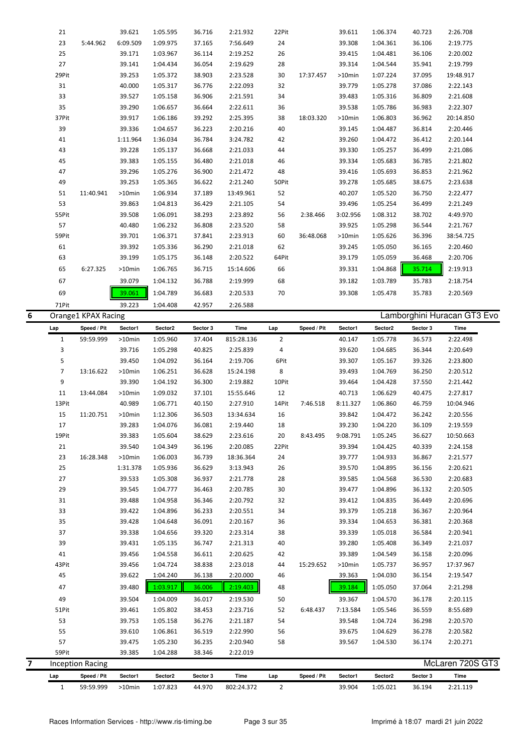|   | 59Pit<br>Lap      | <b>Inception Racing</b><br>Speed / Pit | 39.385<br>Sector1   | 1:04.288<br>Sector2  | 38.346<br>Sector 3 | 2:22.019<br>Time       | Lap                 | Speed / Pit | Sector1          | Sector2              | Sector 3         | McLaren 720S GT3<br>Time    |  |
|---|-------------------|----------------------------------------|---------------------|----------------------|--------------------|------------------------|---------------------|-------------|------------------|----------------------|------------------|-----------------------------|--|
| 7 |                   |                                        |                     |                      |                    |                        |                     |             |                  |                      |                  |                             |  |
|   |                   |                                        |                     |                      |                    |                        |                     |             |                  |                      |                  |                             |  |
|   |                   |                                        |                     |                      |                    |                        |                     |             |                  |                      |                  |                             |  |
|   | 57                |                                        | 39.475              | 1:05.230             | 36.235             | 2:20.940               | 58                  |             | 39.567           | 1:04.530             | 36.174           | 2:20.271                    |  |
|   | 55                |                                        | 39.610              | 1:06.861             | 36.519             | 2:22.990               | 56                  |             | 39.675           | 1:04.629             | 36.278           | 2:20.582                    |  |
|   | 53                |                                        | 39.753              | 1:05.158             | 36.276             | 2:21.187               | 54                  |             | 39.548           | 1:04.724             | 36.298           | 2:20.570                    |  |
|   | 51Pit             |                                        | 39.461              | 1:05.802             | 38.453             | 2:23.716               | 52                  | 6:48.437    | 7:13.584         | 1:05.546             | 36.559           | 8:55.689                    |  |
|   | 49                |                                        | 39.504              | 1:04.009             | 36.017             | 2:19.530               | 50                  |             | 39.367           | 1:04.570             | 36.178           | 2:20.115                    |  |
|   | 47                |                                        | 39.480              | 1:03.917             | 36.006             | 2:19.403               | 48                  |             | 39.184           | 1:05.050             | 37.064           | 2:21.298                    |  |
|   | 45                |                                        | 39.622              | 1:04.240             | 36.138             | 2:20.000               | 46                  |             | 39.363           | 1:04.030             | 36.154           | 2:19.547                    |  |
|   | 43Pit             |                                        | 39.456              | 1:04.724             | 38.838             | 2:23.018               | 44                  | 15:29.652   | $>10$ min        | 1:05.737             | 36.957           | 17:37.967                   |  |
|   | 41                |                                        | 39.456              | 1:04.558             | 36.611             | 2:20.625               | 42                  |             | 39.389           | 1:04.549             | 36.158           | 2:20.096                    |  |
|   | 39                |                                        | 39.431              | 1:05.135             | 36.747             | 2:21.313               | 40                  |             | 39.280           | 1:05.408             | 36.349           | 2:21.037                    |  |
|   | 37                |                                        | 39.338              | 1:04.656             | 39.320             | 2:23.314               | 38                  |             | 39.339           | 1:05.018             | 36.584           | 2:20.941                    |  |
|   | 35                |                                        | 39.428              | 1:04.648             | 36.091             | 2:20.167               | 36                  |             | 39.334           | 1:04.653             | 36.381           | 2:20.368                    |  |
|   | 33                |                                        | 39.422              | 1:04.896             | 36.233             | 2:20.551               | 34                  |             | 39.379           | 1:05.218             | 36.367           | 2:20.964                    |  |
|   | 31                |                                        | 39.488              | 1:04.958             | 36.346             | 2:20.792               | 32                  |             | 39.412           | 1:04.835             | 36.449           | 2:20.696                    |  |
|   | 29                |                                        | 39.545              | 1:04.777             | 36.463             | 2:20.785               | 30                  |             | 39.477           | 1:04.896             | 36.132           | 2:20.505                    |  |
|   | 27                |                                        | 39.533              | 1:05.308             | 36.937             | 2:21.778               | 28                  |             | 39.585           | 1:04.568             | 36.530           | 2:20.683                    |  |
|   | 25                |                                        | 1:31.378            | 1:05.936             | 36.629             | 3:13.943               | 26                  |             | 39.570           | 1:04.895             | 36.156           | 2:20.621                    |  |
|   | 23                | 16:28.348                              | >10min              | 1:06.003             | 36.739             | 18:36.364              | 24                  |             | 39.777           | 1:04.933             | 36.867           | 2:21.577                    |  |
|   | 21                |                                        | 39.540              | 1:04.349             | 36.196             | 2:20.085               | 22Pit               |             | 39.394           | 1:04.425             | 40.339           | 2:24.158                    |  |
|   | 19Pit             |                                        | 39.383              | 1:05.604             | 38.629             | 2:23.616               | 20                  | 8:43.495    | 9:08.791         | 1:05.245             | 36.627           | 10:50.663                   |  |
|   | 17                |                                        | 39.283              | 1:04.076             | 36.081             | 2:19.440               | 18                  |             | 39.230           | 1:04.220             | 36.109           | 2:19.559                    |  |
|   | 15                | 11:20.751                              | >10min              | 1:12.306             | 36.503             | 13:34.634              | 16                  |             | 39.842           | 1:04.472             | 36.242           | 2:20.556                    |  |
|   | 13Pit             |                                        | 40.989              | 1:06.771             | 40.150             | 2:27.910               | 14Pit               | 7:46.518    | 8:11.327         | 1:06.860             | 46.759           | 10:04.946                   |  |
|   | 11                | 13:44.084                              | $>10$ min           | 1:09.032             | 37.101             | 15:55.646              | 12                  |             | 40.713           | 1:06.629             | 40.475           | 2:27.817                    |  |
|   | 9                 |                                        | 39.390              | 1:04.192             | 36.300             | 2:19.882               | 10Pit               |             | 39.464           | 1:04.428             | 37.550           | 2:21.442                    |  |
|   | $\overline{7}$    | 13:16.622                              | $>10$ min           | 1:06.251             | 36.628             | 15:24.198              | 8                   |             | 39.493           | 1:04.769             | 36.250           | 2:20.512                    |  |
|   | 5                 |                                        | 39.450              | 1:05.298<br>1:04.092 | 36.164             | 2:19.706               | 6Pit                |             | 39.620<br>39.307 | 1:05.167             | 39.326           | 2:23.800                    |  |
|   | $\mathbf{1}$<br>3 | 59:59.999                              | $>10$ min<br>39.716 | 1:05.960             | 37.404<br>40.825   | 815:28.136<br>2:25.839 | $\overline{2}$<br>4 |             | 40.147           | 1:05.778<br>1:04.685 | 36.573<br>36.344 | 2:22.498<br>2:20.649        |  |
|   | Lap               | Speed / Pit                            | Sector1             | Sector2              | Sector 3           | Time                   | Lap                 | Speed / Pit | Sector1          | Sector2              | Sector 3         | Time                        |  |
| 6 |                   | Orange1 KPAX Racing                    |                     |                      |                    |                        |                     |             |                  |                      |                  | Lamborghini Huracan GT3 Evo |  |
|   | 71Pit             |                                        | 39.223              | 1:04.408             | 42.957             | 2:26.588               |                     |             |                  |                      |                  |                             |  |
|   | 69                |                                        | 39.061              | 1:04.789             | 36.683             | 2:20.533               | 70                  |             | 39.308           | 1:05.478             | 35.783           | 2:20.569                    |  |
|   | 67                |                                        | 39.079              | 1:04.132             | 36.788             | 2:19.999               | 68                  |             | 39.182           | 1:03.789             | 35.783           | 2:18.754                    |  |
|   | 65                | 6:27.325                               | >10min              | 1:06.765             | 36.715             | 15:14.606              | 66                  |             | 39.331           | 1:04.868             | 35.714           | 2:19.913                    |  |
|   | 63                |                                        | 39.199              | 1:05.175             | 36.148             | 2:20.522               | 64Pit               |             | 39.179           | 1:05.059             | 36.468           | 2:20.706                    |  |
|   | 61                |                                        | 39.392              | 1:05.336             | 36.290             | 2:21.018               | 62                  |             | 39.245           | 1:05.050             | 36.165           | 2:20.460                    |  |
|   | 59Pit             |                                        | 39.701              | 1:06.371             | 37.841             | 2:23.913               | 60                  | 36:48.068   | $>10$ min        | 1:05.626             | 36.396           | 38:54.725                   |  |
|   | 57                |                                        | 40.480              | 1:06.232             | 36.808             | 2:23.520               | 58                  |             | 39.925           | 1:05.298             | 36.544           | 2:21.767                    |  |
|   | 55Pit             |                                        | 39.508              | 1:06.091             | 38.293             | 2:23.892               | 56                  | 2:38.466    | 3:02.956         | 1:08.312             | 38.702           | 4:49.970                    |  |
|   | 53                |                                        | 39.863              | 1:04.813             | 36.429             | 2:21.105               | 54                  |             | 39.496           | 1:05.254             | 36.499           | 2:21.249                    |  |
|   | 51                | 11:40.941                              | >10min              | 1:06.934             | 37.189             | 13:49.961              | 52                  |             | 40.207           | 1:05.520             | 36.750           | 2:22.477                    |  |
|   | 49                |                                        | 39.253              | 1:05.365             | 36.622             | 2:21.240               | 50Pit               |             | 39.278           | 1:05.685             | 38.675           | 2:23.638                    |  |
|   | 47                |                                        | 39.296              | 1:05.276             | 36.900             | 2:21.472               | 48                  |             | 39.416           | 1:05.693             | 36.853           | 2:21.962                    |  |
|   | 45                |                                        | 39.383              | 1:05.155             | 36.480             | 2:21.018               | 46                  |             | 39.334           | 1:05.683             | 36.785           | 2:21.802                    |  |
|   | 43                |                                        | 39.228              | 1:05.137             | 36.668             | 2:21.033               | 44                  |             | 39.330           | 1:05.257             | 36.499           | 2:21.086                    |  |
|   | 41                |                                        | 1:11.964            | 1:36.034             | 36.784             | 3:24.782               | 42                  |             | 39.260           | 1:04.472             | 36.412           | 2:20.144                    |  |
|   | 39                |                                        | 39.336              | 1:04.657             | 36.223             | 2:20.216               | 40                  |             | 39.145           | 1:04.487             | 36.814           | 2:20.446                    |  |
|   | 37Pit             |                                        | 39.917              | 1:06.186             | 39.292             | 2:25.395               | 38                  | 18:03.320   | >10min           | 1:06.803             | 36.962           | 20:14.850                   |  |
|   | 35                |                                        | 39.290              | 1:06.657             | 36.664             | 2:22.611               | 36                  |             | 39.538           | 1:05.786             | 36.983           | 2:22.307                    |  |
|   | 33                |                                        | 39.527              | 1:05.158             | 36.906             | 2:21.591               | 34                  |             | 39.483           | 1:05.316             | 36.809           | 2:21.608                    |  |
|   | 31                |                                        | 40.000              | 1:05.317             | 36.776             | 2:22.093               | 32                  |             | 39.779           | 1:05.278             | 37.086           | 2:22.143                    |  |
|   | 29Pit             |                                        | 39.253              | 1:05.372             | 38.903             | 2:23.528               | 30                  | 17:37.457   | >10min           | 1:07.224             | 37.095           | 19:48.917                   |  |
|   | 27                |                                        | 39.141              | 1:03.967<br>1:04.434 | 36.054             | 2:19.629               | 28                  |             | 39.314           | 1:04.481<br>1:04.544 | 35.941           | 2:19.799                    |  |
|   | 23<br>25          | 5:44.962                               | 6:09.509<br>39.171  | 1:09.975             | 37.165<br>36.114   | 7:56.649<br>2:19.252   | 24<br>26            |             | 39.308<br>39.415 | 1:04.361             | 36.106<br>36.106 | 2:19.775<br>2:20.002        |  |
|   | 21                |                                        | 39.621              | 1:05.595             | 36.716             | 2:21.932               | 22Pit               |             | 39.611           | 1:06.374             | 40.723           | 2:26.708                    |  |
|   |                   |                                        |                     |                      |                    |                        |                     |             |                  |                      |                  |                             |  |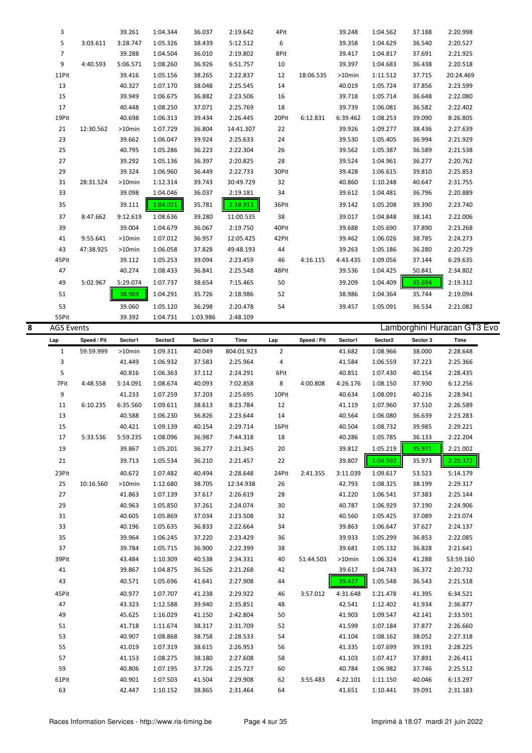|   | 3                 |             | 39.261           | 1:04.344 | 36.037             | 2:19.642   | 4Pit           |             | 39.248   | 1:04.562 | 37.188   | 2:20.998                    |
|---|-------------------|-------------|------------------|----------|--------------------|------------|----------------|-------------|----------|----------|----------|-----------------------------|
|   | 5                 | 3:03.611    | 3:28.747         | 1:05.326 | 38.439             | 5:12.512   | 6              |             | 39.358   | 1:04.629 | 36.540   | 2:20.527                    |
|   | $\overline{7}$    |             | 39.288           | 1:04.504 | 36.010             | 2:19.802   | 8Pit           |             | 39.417   | 1:04.817 | 37.691   | 2:21.925                    |
|   | 9                 | 4:40.593    | 5:06.571         | 1:08.260 | 36.926             | 6:51.757   | 10             |             | 39.397   | 1:04.683 | 36.438   | 2:20.518                    |
|   | 11Pit             |             | 39.416           | 1:05.156 | 38.265             | 2:22.837   | 12             | 18:06.535   | >10min   | 1:11.512 | 37.715   | 20:24.469                   |
|   | 13                |             | 40.327           | 1:07.170 | 38.048             | 2:25.545   | 14             |             | 40.019   | 1:05.724 | 37.856   | 2:23.599                    |
|   | 15                |             | 39.949           | 1:06.675 | 36.882             | 2:23.506   | 16             |             | 39.718   | 1:05.714 | 36.648   | 2:22.080                    |
|   | 17                |             | 40.448           | 1:08.250 | 37.071             | 2:25.769   | 18             |             | 39.739   | 1:06.081 | 36.582   | 2:22.402                    |
|   | 19Pit             |             | 40.698           | 1:06.313 | 39.434             | 2:26.445   | 20Pit          | 6:12.831    | 6:39.462 | 1:08.253 | 39.090   | 8:26.805                    |
|   |                   |             |                  |          |                    |            |                |             |          |          |          |                             |
|   | 21                | 12:30.562   | >10min           | 1:07.729 | 36.804             | 14:41.307  | 22             |             | 39.926   | 1:09.277 | 38.436   | 2:27.639                    |
|   | 23                |             | 39.662           | 1:06.047 | 39.924             | 2:25.633   | 24             |             | 39.530   | 1:05.405 | 36.994   | 2:21.929                    |
|   | 25                |             | 40.795           | 1:05.286 | 36.223             | 2:22.304   | 26             |             | 39.562   | 1:05.387 | 36.589   | 2:21.538                    |
|   | 27                |             | 39.292           | 1:05.136 | 36.397             | 2:20.825   | 28             |             | 39.524   | 1:04.961 | 36.277   | 2:20.762                    |
|   | 29                |             | 39.324           | 1:06.960 | 36.449             | 2:22.733   | 30Pit          |             | 39.428   | 1:06.615 | 39.810   | 2:25.853                    |
|   | 31                | 28:31.524   | >10min           | 1:12.314 | 39.743             | 30:49.729  | 32             |             | 40.860   | 1:10.248 | 40.647   | 2:31.755                    |
|   | 33                |             | 39.098           | 1:04.046 | 36.037             | 2:19.181   | 34             |             | 39.612   | 1:04.481 | 36.796   | 2:20.889                    |
|   | 35                |             | 39.111           | 1:04.021 | 35.781             | 2:18.913   | 36Pit          |             | 39.142   | 1:05.208 | 39.390   | 2:23.740                    |
|   | 37                | 8:47.662    | 9:12.619         | 1:08.636 | 39.280             | 11:00.535  | 38             |             | 39.017   | 1:04.848 | 38.141   | 2:22.006                    |
|   | 39                |             | 39.004           | 1:04.679 | 36.067             | 2:19.750   | 40Pit          |             | 39.688   | 1:05.690 | 37.890   | 2:23.268                    |
|   | 41                | 9:55.641    | >10min           | 1:07.012 | 36.957             | 12:05.425  | 42Pit          |             | 39.462   | 1:06.026 | 38.785   | 2:24.273                    |
|   | 43                | 47:38.925   | >10min           | 1:06.058 | 37.828             | 49:48.193  | 44             |             | 39.263   | 1:05.186 | 36.280   | 2:20.729                    |
|   | 45Pit             |             | 39.112           | 1:05.253 | 39.094             | 2:23.459   | 46             | 4:16.115    | 4:43.435 | 1:09.056 | 37.144   | 6:29.635                    |
|   | 47                |             | 40.274           | 1:08.433 | 36.841             | 2:25.548   | 48Pit          |             | 39.536   | 1:04.425 | 50.841   | 2:34.802                    |
|   | 49                | 5:02.967    | 5:29.074         | 1:07.737 | 38.654             | 7:15.465   | 50             |             | 39.209   | 1:04.409 | 35.694   | 2:19.312                    |
|   | 51                |             | 38.969           | 1:04.291 | 35.726             | 2:18.986   | 52             |             | 38.986   | 1:04.364 | 35.744   | 2:19.094                    |
|   |                   |             |                  |          |                    |            |                |             |          |          |          |                             |
|   | 53<br>55Pit       |             | 39.060<br>39.392 | 1:05.120 | 36.298<br>1:03.986 | 2:20.478   | 54             |             | 39.457   | 1:05.091 | 36.534   | 2:21.082                    |
| 8 | <b>AGS Events</b> |             |                  | 1:04.731 |                    | 2:48.109   |                |             |          |          |          | Lamborghini Huracan GT3 Evo |
|   |                   |             |                  |          |                    |            |                |             |          |          |          |                             |
|   | Lap               | Speed / Pit | Sector1          | Sector2  | Sector 3           | Time       | Lap            | Speed / Pit | Sector1  | Sector2  | Sector 3 | Time                        |
|   | $\mathbf{1}$      | 59:59.999   | $>10$ min        | 1:09.311 | 40.049             | 804:01.923 | $\overline{2}$ |             | 41.682   | 1:08.966 | 38.000   | 2:28.648                    |
|   |                   |             |                  |          |                    |            |                |             |          |          |          |                             |
|   | 3                 |             | 41.449           | 1:06.932 | 37.583             | 2:25.964   | 4              |             | 41.584   | 1:06.559 | 37.223   | 2:25.366                    |
|   | 5                 |             | 40.816           | 1:06.363 | 37.112             | 2:24.291   | 6Pit           |             | 40.851   | 1:07.430 | 40.154   | 2:28.435                    |
|   | 7Pit              | 4:48.558    | 5:14.091         | 1:08.674 | 40.093             | 7:02.858   | 8              | 4:00.808    | 4:26.176 | 1:08.150 | 37.930   | 6:12.256                    |
|   | $\boldsymbol{9}$  |             | 41.233           | 1:07.259 | 37.203             | 2:25.695   | 10Pit          |             | 40.634   | 1:08.091 | 40.216   | 2:28.941                    |
|   | 11                | 6:10.235    | 6:35.560         | 1:09.611 | 38.613             | 8:23.784   | 12             |             | 41.119   | 1:07.960 | 37.510   | 2:26.589                    |
|   | 13                |             | 40.588           | 1:06.230 | 36.826             | 2:23.644   | 14             |             | 40.564   | 1:06.080 | 36.639   | 2:23.283                    |
|   | 15                |             | 40.421           | 1:09.139 | 40.154             | 2:29.714   | 16Pit          |             | 40.504   | 1:08.732 | 39.985   | 2:29.221                    |
|   | 17                | 5:33.536    | 5:59.235         | 1:08.096 | 36.987             | 7:44.318   | 18             |             | 40.286   | 1:05.785 | 36.133   | 2:22.204                    |
|   | 19                |             | 39.867           | 1:05.201 | 36.277             | 2:21.345   | 20             |             | 39.812   | 1:05.219 | 35.971   | 2:21.002                    |
|   | 21                |             | 39.713           | 1:05.534 | 36.210             | 2:21.457   | 22             |             | 39.807   | 1:04.592 | 35.973   | 2:20.372                    |
|   |                   |             | 40.672           | 1:07.482 | 40.494             |            |                | 2:41.355    | 3:11.039 |          |          |                             |
|   | 23Pit             |             |                  |          |                    | 2:28.648   | 24Pit          |             |          | 1:09.617 | 53.523   | 5:14.179                    |
|   | 25                | 10:16.560   | >10min           | 1:12.680 | 38.705             | 12:34.938  | 26             |             | 42.793   | 1:08.325 | 38.199   | 2:29.317                    |
|   | 27                |             | 41.863           | 1:07.139 | 37.617             | 2:26.619   | 28             |             | 41.220   | 1:06.541 | 37.383   | 2:25.144                    |
|   | 29                |             | 40.963           | 1:05.850 | 37.261             | 2:24.074   | 30             |             | 40.787   | 1:06.929 | 37.190   | 2:24.906                    |
|   | 31                |             | 40.605           | 1:05.869 | 37.034             | 2:23.508   | 32             |             | 40.560   | 1:05.425 | 37.089   | 2:23.074                    |
|   | 33                |             | 40.196           | 1:05.635 | 36.833             | 2:22.664   | 34             |             | 39.863   | 1:06.647 | 37.627   | 2:24.137                    |
|   | 35                |             | 39.964           | 1:06.245 | 37.220             | 2:23.429   | 36             |             | 39.933   | 1:05.299 | 36.853   | 2:22.085                    |
|   | 37                |             | 39.784           | 1:05.715 | 36.900             | 2:22.399   | 38             |             | 39.681   | 1:05.132 | 36.828   | 2:21.641                    |
|   | 39Pit             |             | 43.484           | 1:10.309 | 40.538             | 2:34.331   | 40             | 51:44.503   | >10min   | 1:06.324 | 41.288   | 53:59.160                   |
|   | 41                |             | 39.867           | 1:04.875 | 36.526             | 2:21.268   | 42             |             | 39.617   | 1:04.743 | 36.372   | 2:20.732                    |
|   | 43                |             | 40.571           | 1:05.696 | 41.641             | 2:27.908   | 44             |             | 39.427   | 1:05.548 | 36.543   | 2:21.518                    |
|   | 45Pit             |             | 40.977           | 1:07.707 | 41.238             | 2:29.922   | 46             | 3:57.012    | 4:31.648 | 1:21.478 | 41.395   | 6:34.521                    |
|   | 47                |             | 43.323           | 1:12.588 | 39.940             | 2:35.851   | 48             |             | 42.541   | 1:12.402 | 41.934   | 2:36.877                    |
|   | 49                |             | 45.625           | 1:16.029 | 41.150             | 2:42.804   | 50             |             | 41.903   | 1:09.547 | 42.141   | 2:33.591                    |
|   | 51                |             | 41.718           | 1:11.674 | 38.317             | 2:31.709   | 52             |             | 41.599   | 1:07.184 | 37.877   | 2:26.660                    |
|   | 53                |             | 40.907           | 1:08.868 | 38.758             | 2:28.533   | 54             |             | 41.104   | 1:08.162 | 38.052   | 2:27.318                    |
|   | 55                |             | 41.019           | 1:07.319 | 38.615             | 2:26.953   | 56             |             | 41.335   | 1:07.699 | 39.191   | 2:28.225                    |
|   | 57                |             | 41.153           | 1:08.275 | 38.180             | 2:27.608   | 58             |             | 41.103   | 1:07.417 | 37.891   | 2:26.411                    |
|   | 59                |             | 40.806           | 1:07.195 | 37.726             | 2:25.727   | 60             |             | 40.784   | 1:06.982 | 37.746   | 2:25.512                    |
|   | 61Pit             |             | 40.901           | 1:07.503 | 41.504             | 2:29.908   | 62             | 3:55.483    | 4:22.101 | 1:11.150 | 40.046   | 6:13.297                    |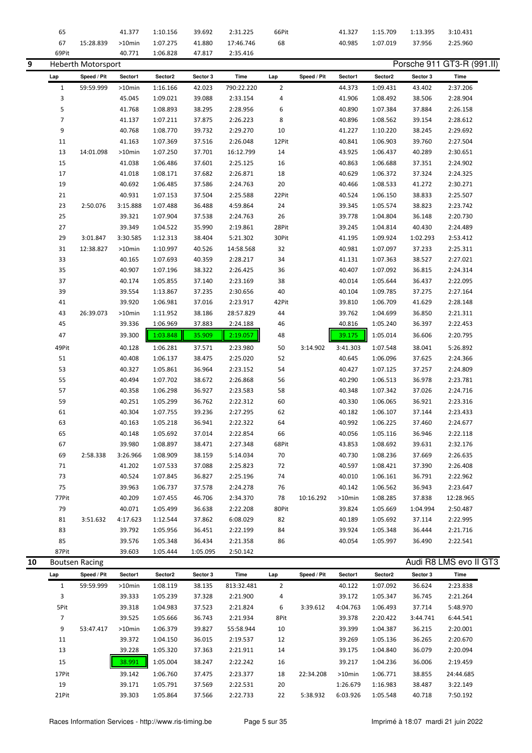|    | 65             |                           | 41.377    | 1:10.156 | 39.692   | 2:31.225   | 66Pit          |             | 41.327   | 1:15.709 | 1:13.395 | 3:10.431                   |
|----|----------------|---------------------------|-----------|----------|----------|------------|----------------|-------------|----------|----------|----------|----------------------------|
|    | 67             | 15:28.839                 | $>10$ min | 1:07.275 | 41.880   | 17:46.746  | 68             |             | 40.985   | 1:07.019 | 37.956   | 2:25.960                   |
|    | 69Pit          |                           | 40.771    | 1:06.828 | 47.817   | 2:35.416   |                |             |          |          |          |                            |
| 9  |                | <b>Heberth Motorsport</b> |           |          |          |            |                |             |          |          |          | Porsche 911 GT3-R (991.II) |
|    | Lap            | Speed / Pit               | Sector1   | Sector2  | Sector 3 | Time       | Lap            | Speed / Pit | Sector1  | Sector2  | Sector 3 | Time                       |
|    | $\mathbf{1}$   | 59:59.999                 | >10min    | 1:16.166 | 42.023   | 790:22.220 | $\overline{2}$ |             | 44.373   | 1:09.431 | 43.402   | 2:37.206                   |
|    | 3              |                           | 45.045    | 1:09.021 | 39.088   | 2:33.154   | 4              |             | 41.906   | 1:08.492 | 38.506   | 2:28.904                   |
|    | 5              |                           | 41.768    | 1:08.893 | 38.295   | 2:28.956   | 6              |             | 40.890   | 1:07.384 | 37.884   | 2:26.158                   |
|    | $\overline{7}$ |                           | 41.137    | 1:07.211 | 37.875   | 2:26.223   | 8              |             | 40.896   | 1:08.562 | 39.154   | 2:28.612                   |
|    | 9              |                           | 40.768    | 1:08.770 | 39.732   | 2:29.270   | 10             |             | 41.227   | 1:10.220 | 38.245   | 2:29.692                   |
|    | 11             |                           | 41.163    | 1:07.369 | 37.516   | 2:26.048   | 12Pit          |             | 40.841   | 1:06.903 | 39.760   | 2:27.504                   |
|    | 13             | 14:01.098                 | $>10$ min | 1:07.250 | 37.701   | 16:12.799  | 14             |             | 43.925   | 1:06.437 | 40.289   | 2:30.651                   |
|    | 15             |                           | 41.038    | 1:06.486 | 37.601   | 2:25.125   | 16             |             | 40.863   | 1:06.688 | 37.351   | 2:24.902                   |
|    | 17             |                           | 41.018    | 1:08.171 | 37.682   | 2:26.871   | 18             |             | 40.629   | 1:06.372 | 37.324   | 2:24.325                   |
|    | 19             |                           | 40.692    | 1:06.485 | 37.586   | 2:24.763   | 20             |             | 40.466   | 1:08.533 | 41.272   | 2:30.271                   |
|    | 21             |                           | 40.931    | 1:07.153 | 37.504   | 2:25.588   | 22Pit          |             | 40.524   | 1:06.150 | 38.833   | 2:25.507                   |
|    | 23             | 2:50.076                  | 3:15.888  | 1:07.488 | 36.488   | 4:59.864   | 24             |             | 39.345   | 1:05.574 | 38.823   | 2:23.742                   |
|    | 25             |                           | 39.321    | 1:07.904 | 37.538   | 2:24.763   | 26             |             | 39.778   | 1:04.804 | 36.148   | 2:20.730                   |
|    | 27             |                           | 39.349    | 1:04.522 | 35.990   | 2:19.861   | 28Pit          |             | 39.245   | 1:04.814 | 40.430   | 2:24.489                   |
|    | 29             | 3:01.847                  | 3:30.585  | 1:12.313 | 38.404   | 5:21.302   | 30Pit          |             | 41.195   | 1:09.924 | 1:02.293 | 2:53.412                   |
|    | 31             | 12:38.827                 | $>10$ min | 1:10.997 | 40.526   | 14:58.568  | 32             |             | 40.981   | 1:07.097 | 37.233   | 2:25.311                   |
|    | 33             |                           | 40.165    | 1:07.693 | 40.359   | 2:28.217   | 34             |             | 41.131   | 1:07.363 | 38.527   | 2:27.021                   |
|    | 35             |                           | 40.907    | 1:07.196 | 38.322   | 2:26.425   | 36             |             | 40.407   | 1:07.092 | 36.815   | 2:24.314                   |
|    | 37             |                           | 40.174    | 1:05.855 | 37.140   | 2:23.169   | 38             |             | 40.014   | 1:05.644 | 36.437   | 2:22.095                   |
|    | 39             |                           | 39.554    | 1:13.867 | 37.235   | 2:30.656   | 40             |             | 40.104   | 1:09.785 | 37.275   | 2:27.164                   |
|    | 41             |                           | 39.920    | 1:06.981 | 37.016   | 2:23.917   | 42Pit          |             | 39.810   | 1:06.709 | 41.629   | 2:28.148                   |
|    | 43             | 26:39.073                 | $>10$ min | 1:11.952 | 38.186   | 28:57.829  | 44             |             | 39.762   | 1:04.699 | 36.850   | 2:21.311                   |
|    | 45             |                           | 39.336    | 1:06.969 | 37.883   | 2:24.188   | 46             |             | 40.816   | 1:05.240 | 36.397   | 2:22.453                   |
|    | 47             |                           | 39.300    | 1:03.848 | 35.909   | 2:19.057   | 48             |             | 39.175   | 1:05.014 | 36.606   | 2:20.795                   |
|    | 49Pit          |                           | 40.128    | 1:06.281 | 37.571   | 2:23.980   | 50             | 3:14.902    | 3:41.303 | 1:07.548 | 38.041   | 5:26.892                   |
|    | 51             |                           | 40.408    | 1:06.137 | 38.475   | 2:25.020   | 52             |             | 40.645   | 1:06.096 | 37.625   | 2:24.366                   |
|    | 53             |                           | 40.327    | 1:05.861 | 36.964   | 2:23.152   | 54             |             | 40.427   | 1:07.125 | 37.257   | 2:24.809                   |
|    | 55             |                           | 40.494    | 1:07.702 | 38.672   | 2:26.868   | 56             |             | 40.290   | 1:06.513 | 36.978   | 2:23.781                   |
|    | 57             |                           | 40.358    | 1:06.298 | 36.927   | 2:23.583   | 58             |             | 40.348   | 1:07.342 | 37.026   | 2:24.716                   |
|    | 59             |                           | 40.251    | 1:05.299 | 36.762   | 2:22.312   | 60             |             | 40.330   | 1:06.065 | 36.921   | 2:23.316                   |
|    | 61             |                           | 40.304    | 1:07.755 | 39.236   | 2:27.295   | 62             |             | 40.182   | 1:06.107 | 37.144   | 2:23.433                   |
|    | 63             |                           | 40.163    | 1:05.218 | 36.941   | 2:22.322   | 64             |             | 40.992   | 1:06.225 | 37.460   | 2:24.677                   |
|    | 65             |                           | 40.148    | 1:05.692 | 37.014   | 2:22.854   | 66             |             | 40.056   | 1:05.116 | 36.946   | 2:22.118                   |
|    | 67             |                           | 39.980    | 1:08.897 | 38.471   | 2:27.348   | 68Pit          |             | 43.853   | 1:08.692 | 39.631   | 2:32.176                   |
|    | 69             | 2:58.338                  | 3:26.966  | 1:08.909 | 38.159   | 5:14.034   | 70             |             | 40.730   | 1:08.236 | 37.669   | 2:26.635                   |
|    | 71             |                           | 41.202    | 1:07.533 | 37.088   | 2:25.823   | 72             |             | 40.597   | 1:08.421 | 37.390   | 2:26.408                   |
|    | 73             |                           | 40.524    | 1:07.845 | 36.827   | 2:25.196   | 74             |             | 40.010   | 1:06.161 | 36.791   | 2:22.962                   |
|    | 75             |                           | 39.963    | 1:06.737 | 37.578   | 2:24.278   | 76             |             | 40.142   | 1:06.562 | 36.943   | 2:23.647                   |
|    | 77Pit          |                           | 40.209    | 1:07.455 | 46.706   | 2:34.370   | 78             | 10:16.292   | >10min   | 1:08.285 | 37.838   | 12:28.965                  |
|    | 79             |                           | 40.071    | 1:05.499 | 36.638   | 2:22.208   | 80Pit          |             | 39.824   | 1:05.669 | 1:04.994 | 2:50.487                   |
|    | 81             | 3:51.632                  | 4:17.623  | 1:12.544 | 37.862   | 6:08.029   | 82             |             | 40.189   | 1:05.692 | 37.114   | 2:22.995                   |
|    | 83             |                           | 39.792    | 1:05.956 | 36.451   | 2:22.199   | 84             |             | 39.924   | 1:05.348 | 36.444   | 2:21.716                   |
|    | 85             |                           | 39.576    | 1:05.348 | 36.434   | 2:21.358   | 86             |             | 40.054   | 1:05.997 | 36.490   | 2:22.541                   |
|    | 87Pit          |                           | 39.603    | 1:05.444 | 1:05.095 | 2:50.142   |                |             |          |          |          |                            |
| 10 |                | <b>Boutsen Racing</b>     |           |          |          |            |                |             |          |          |          | Audi R8 LMS evo II GT3     |
|    | Lap            | Speed / Pit               | Sector1   | Sector2  | Sector 3 | Time       | Lap            | Speed / Pit | Sector1  | Sector2  | Sector 3 | Time                       |
|    | $\mathbf{1}$   | 59:59.999                 | >10min    | 1:08.119 | 38.135   | 813:32.481 | $\overline{2}$ |             | 40.122   | 1:07.092 | 36.624   | 2:23.838                   |
|    | 3              |                           | 39.333    | 1:05.239 | 37.328   | 2:21.900   | 4              |             | 39.172   | 1:05.347 | 36.745   | 2:21.264                   |
|    | 5Pit           |                           | 39.318    | 1:04.983 | 37.523   | 2:21.824   | 6              | 3:39.612    | 4:04.763 | 1:06.493 | 37.714   | 5:48.970                   |
|    | $\overline{7}$ |                           | 39.525    | 1:05.666 | 36.743   | 2:21.934   | 8Pit           |             | 39.378   | 2:20.422 | 3:44.741 | 6:44.541                   |
|    | 9              | 53:47.417                 | $>10$ min | 1:06.379 | 39.827   | 55:58.944  | 10             |             | 39.399   | 1:04.387 | 36.215   | 2:20.001                   |
|    | 11             |                           | 39.372    | 1:04.150 | 36.015   | 2:19.537   | 12             |             | 39.269   | 1:05.136 | 36.265   | 2:20.670                   |
|    | 13             |                           | 39.228    | 1:05.320 | 37.363   | 2:21.911   | 14             |             | 39.175   | 1:04.840 | 36.079   | 2:20.094                   |
|    | 15             |                           | 38.991    | 1:05.004 | 38.247   | 2:22.242   | 16             |             | 39.217   | 1:04.236 | 36.006   | 2:19.459                   |
|    | 17Pit          |                           | 39.142    | 1:06.760 | 37.475   | 2:23.377   | 18             | 22:34.208   | >10min   | 1:06.771 | 38.855   | 24:44.685                  |
|    | 19             |                           | 39.171    | 1:05.791 | 37.569   | 2:22.531   | 20             |             | 1:26.679 | 1:16.983 | 38.487   | 3:22.149                   |
|    | 21Pit          |                           | 39.303    | 1:05.864 | 37.566   | 2:22.733   | 22             | 5:38.932    | 6:03.926 | 1:05.548 | 40.718   | 7:50.192                   |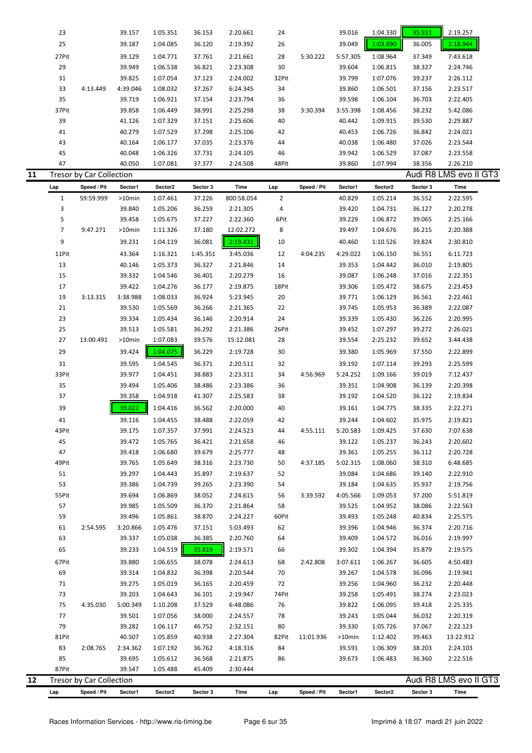|    | 23    |                          | 39.157   | 1:05.351 | 36.153 | 2:20.661 | 24    |          | 39.016   | 1:04.330 | 35.911 | 2:19.257               |  |
|----|-------|--------------------------|----------|----------|--------|----------|-------|----------|----------|----------|--------|------------------------|--|
|    | 25    |                          | 39.187   | 1:04.085 | 36.120 | 2:19.392 | 26    |          | 39.049   | 1:03.890 | 36.005 | 2:18.944               |  |
|    | 27Pit |                          | 39.129   | 1:04.771 | 37.761 | 2:21.661 | 28    | 5:30.222 | 5:57.305 | 1:08.964 | 37.349 | 7:43.618               |  |
|    | 29    |                          | 39.949   | 1:06.538 | 36.821 | 2:23.308 | 30    |          | 39.604   | 1:06.815 | 38.327 | 2:24.746               |  |
|    | 31    |                          | 39.825   | 1:07.054 | 37.123 | 2:24.002 | 32Pit |          | 39.799   | 1:07.076 | 39.237 | 2:26.112               |  |
|    | 33    | 4:13.449                 | 4:39.046 | 1:08.032 | 37.267 | 6:24.345 | 34    |          | 39.860   | 1:06.501 | 37.156 | 2:23.517               |  |
|    | 35    |                          | 39.719   | 1:06.921 | 37.154 | 2:23.794 | 36    |          | 39.598   | 1:06.104 | 36.703 | 2:22.405               |  |
|    | 37Pit |                          | 39.858   | 1:06.449 | 38.991 | 2:25.298 | 38    | 3:30.394 | 3:55.398 | 1:08.456 | 38.232 | 5:42.086               |  |
|    | 39    |                          | 41.126   | 1:07.329 | 37.151 | 2:25.606 | 40    |          | 40.442   | 1:09.915 | 39.530 | 2:29.887               |  |
|    | 41    |                          | 40.279   | 1:07.529 | 37.298 | 2:25.106 | 42    |          | 40.453   | 1:06.726 | 36.842 | 2:24.021               |  |
|    | 43    |                          | 40.164   | 1:06.177 | 37.035 | 2:23.376 | 44    |          | 40.038   | 1:06.480 | 37.026 | 2:23.544               |  |
|    | 45    |                          | 40.048   | 1:06.326 | 37.731 | 2:24.105 | 46    |          | 39.942   | 1:06.529 | 37.087 | 2:23.558               |  |
|    | 47    |                          | 40.050   | 1:07.081 | 37.377 | 2:24.508 | 48Pit |          | 39.860   | 1:07.994 | 38.356 | 2:26.210               |  |
| 11 |       | Tresor by Car Collection |          |          |        |          |       |          |          |          |        | Audi R8 LMS evo II GT3 |  |

| Lap            | Speed / Pit                     | Sector1   | Sector2  | Sector 3 | Time       | Lap            | Speed / Pit | Sector1   | Sector2  | Sector 3               | Time      |
|----------------|---------------------------------|-----------|----------|----------|------------|----------------|-------------|-----------|----------|------------------------|-----------|
| $\mathbf{1}$   | 59:59.999                       | $>10$ min | 1:07.461 | 37.226   | 800:58.054 | $\overline{2}$ |             | 40.829    | 1:05.214 | 36.552                 | 2:22.595  |
| 3              |                                 | 39.840    | 1:05.206 | 36.259   | 2:21.305   | 4              |             | 39.420    | 1:04.731 | 36.127                 | 2:20.278  |
| 5              |                                 | 39.458    | 1:05.675 | 37.227   | 2:22.360   | 6Pit           |             | 39.229    | 1:06.872 | 39.065                 | 2:25.166  |
| $\overline{7}$ | 9:47.271                        | >10min    | 1:11.326 | 37.180   | 12:02.272  | 8              |             | 39.497    | 1:04.676 | 36.215                 | 2:20.388  |
| 9              |                                 | 39.231    | 1:04.119 | 36.081   | 2:19.431   | 10             |             | 40.460    | 1:10.526 | 39.824                 | 2:30.810  |
| 11Pit          |                                 | 43.364    | 1:16.321 | 1:45.351 | 3:45.036   | 12             | 4:04.235    | 4:29.022  | 1:06.150 | 36.551                 | 6:11.723  |
| 13             |                                 | 40.146    | 1:05.373 | 36.327   | 2:21.846   | 14             |             | 39.353    | 1:04.442 | 36.010                 | 2:19.805  |
| 15             |                                 | 39.332    | 1:04.546 | 36.401   | 2:20.279   | 16             |             | 39.087    | 1:06.248 | 37.016                 | 2:22.351  |
| 17             |                                 | 39.422    | 1:04.276 | 36.177   | 2:19.875   | 18Pit          |             | 39.306    | 1:05.472 | 38.675                 | 2:23.453  |
| 19             | 3:13.315                        | 3:38.988  | 1:08.033 | 36.924   | 5:23.945   | 20             |             | 39.771    | 1:06.129 | 36.561                 | 2:22.461  |
| 21             |                                 | 39.530    | 1:05.569 | 36.266   | 2:21.365   | 22             |             | 39.745    | 1:05.953 | 36.389                 | 2:22.087  |
| 23             |                                 | 39.334    | 1:05.434 | 36.146   | 2:20.914   | 24             |             | 39.339    | 1:05.430 | 36.226                 | 2:20.995  |
| 25             |                                 | 39.513    | 1:05.581 | 36.292   | 2:21.386   | 26Pit          |             | 39.452    | 1:07.297 | 39.272                 | 2:26.021  |
| 27             | 13:00.491                       | >10min    | 1:07.083 | 39.576   | 15:12.081  | 28             |             | 39.554    | 2:25.232 | 39.652                 | 3:44.438  |
| 29             |                                 | 39.424    | 1:04.075 | 36.229   | 2:19.728   | 30             |             | 39.380    | 1:05.969 | 37.550                 | 2:22.899  |
| 31             |                                 | 39.595    | 1:04.545 | 36.371   | 2:20.511   | 32             |             | 39.192    | 1:07.114 | 39.293                 | 2:25.599  |
| 33Pit          |                                 | 39.977    | 1:04.451 | 38.883   | 2:23.311   | 34             | 4:56.969    | 5:24.252  | 1:09.166 | 39.019                 | 7:12.437  |
| 35             |                                 | 39.494    | 1:05.406 | 38.486   | 2:23.386   | 36             |             | 39.351    | 1:04.908 | 36.139                 | 2:20.398  |
| 37             |                                 | 39.358    | 1:04.918 | 41.307   | 2:25.583   | 38             |             | 39.192    | 1:04.520 | 36.122                 | 2:19.834  |
| 39             |                                 | 39.022    | 1:04.416 | 36.562   | 2:20.000   | 40             |             | 39.161    | 1:04.775 | 38.335                 | 2:22.271  |
| 41             |                                 | 39.116    | 1:04.455 | 38.488   | 2:22.059   | 42             |             | 39.244    | 1:04.602 | 35.975                 | 2:19.821  |
| 43Pit          |                                 | 39.175    | 1:07.357 | 37.991   | 2:24.523   | 44             | 4:55.111    | 5:20.583  | 1:09.425 | 37.630                 | 7:07.638  |
| 45             |                                 | 39.472    | 1:05.765 | 36.421   | 2:21.658   | 46             |             | 39.122    | 1:05.237 | 36.243                 | 2:20.602  |
| 47             |                                 | 39.418    | 1:06.680 | 39.679   | 2:25.777   | 48             |             | 39.361    | 1:05.255 | 36.112                 | 2:20.728  |
| 49Pit          |                                 | 39.765    | 1:05.649 | 38.316   | 2:23.730   | 50             | 4:37.185    | 5:02.315  | 1:08.060 | 38.310                 | 6:48.685  |
| 51             |                                 | 39.297    | 1:04.443 | 35.897   | 2:19.637   | 52             |             | 39.084    | 1:04.686 | 39.140                 | 2:22.910  |
| 53             |                                 | 39.386    | 1:04.739 | 39.265   | 2:23.390   | 54             |             | 39.184    | 1:04.635 | 35.937                 | 2:19.756  |
| 55Pit          |                                 | 39.694    | 1:06.869 | 38.052   | 2:24.615   | 56             | 3:39.592    | 4:05.566  | 1:09.053 | 37.200                 | 5:51.819  |
| 57             |                                 | 39.985    | 1:05.509 | 36.370   | 2:21.864   | 58             |             | 39.525    | 1:04.952 | 38.086                 | 2:22.563  |
| 59             |                                 | 39.496    | 1:05.861 | 38.870   | 2:24.227   | 60Pit          |             | 39.493    | 1:05.248 | 40.834                 | 2:25.575  |
| 61             | 2:54.595                        | 3:20.866  | 1:05.476 | 37.151   | 5:03.493   | 62             |             | 39.396    | 1:04.946 | 36.374                 | 2:20.716  |
| 63             |                                 | 39.337    | 1:05.038 | 36.385   | 2:20.760   | 64             |             | 39.409    | 1:04.572 | 36.016                 | 2:19.997  |
| 65             |                                 | 39.233    | 1:04.519 | 35.819   | 2:19.571   | 66             |             | 39.302    | 1:04.394 | 35.879                 | 2:19.575  |
|                |                                 |           |          |          |            |                |             |           |          |                        |           |
| 67Pit          |                                 | 39.880    | 1:06.655 | 38.078   | 2:24.613   | 68             | 2:42.808    | 3:07.611  | 1:06.267 | 36.605                 | 4:50.483  |
| 69             |                                 | 39.314    | 1:04.832 | 36.398   | 2:20.544   | 70             |             | 39.267    | 1:04.578 | 36.096                 | 2:19.941  |
| 71             |                                 | 39.275    | 1:05.019 | 36.165   | 2:20.459   | 72             |             | 39.256    | 1:04.960 | 36.232                 | 2:20.448  |
| 73             |                                 | 39.203    | 1:04.643 | 36.101   | 2:19.947   | 74Pit          |             | 39.258    | 1:05.491 | 38.274                 | 2:23.023  |
| 75             | 4:35.030                        | 5:00.349  | 1:10.208 | 37.529   | 6:48.086   | 76             |             | 39.822    | 1:06.095 | 39.418                 | 2:25.335  |
| 77             |                                 | 39.501    | 1:07.056 | 38.000   | 2:24.557   | 78             |             | 39.243    | 1:05.044 | 36.032                 | 2:20.319  |
| 79             |                                 | 39.282    | 1:06.117 | 46.752   | 2:32.151   | 80             |             | 39.330    | 1:05.726 | 37.067                 | 2:22.123  |
| 81Pit          |                                 | 40.507    | 1:05.859 | 40.938   | 2:27.304   | 82Pit          | 11:01.936   | $>10$ min | 1:12.402 | 39.463                 | 13:22.912 |
| 83             | 2:08.765                        | 2:34.362  | 1:07.192 | 36.762   | 4:18.316   | 84             |             | 39.591    | 1:06.309 | 38.203                 | 2:24.103  |
| 85             |                                 | 39.695    | 1:05.612 | 36.568   | 2:21.875   | 86             |             | 39.673    | 1:06.483 | 36.360                 | 2:22.516  |
| 87Pit          | <b>Tresor by Car Collection</b> | 39.547    | 1:05.488 | 45.409   | 2:30.444   |                |             |           |          | Audi R8 LMS evo II GT3 |           |

Lap Speed / Pit Sector1 Sector2 Sector 3 Time Lap Speed / Pit Sector1 Sector2 Sector 3 Time

- -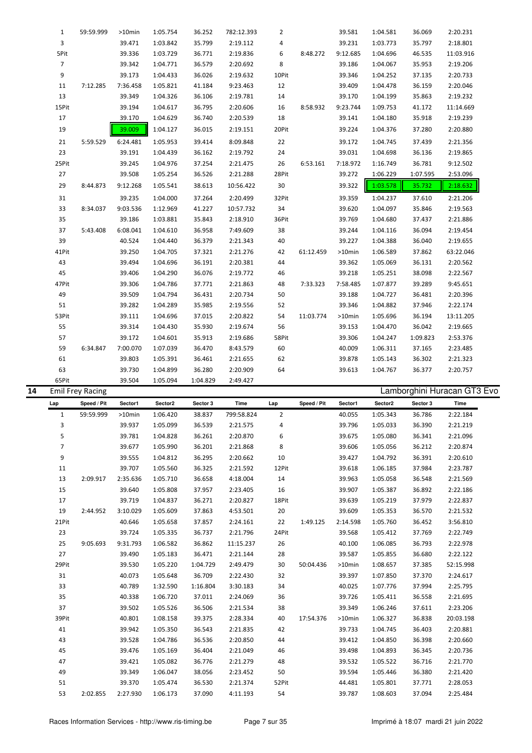|    | $\mathbf{1}$   | 59:59.999               | $>10$ min | 1:05.754 | 36.252   | 782:12.393 | $\overline{2}$ |           | 39.581    | 1:04.581 | 36.069   | 2:20.231                   |  |
|----|----------------|-------------------------|-----------|----------|----------|------------|----------------|-----------|-----------|----------|----------|----------------------------|--|
|    | 3              |                         | 39.471    | 1:03.842 | 35.799   | 2:19.112   | $\overline{4}$ |           | 39.231    | 1:03.773 | 35.797   | 2:18.801                   |  |
|    | 5Pit           |                         | 39.336    | 1:03.729 | 36.771   | 2:19.836   | 6              | 8:48.272  | 9:12.685  | 1:04.696 | 46.535   | 11:03.916                  |  |
|    | $\overline{7}$ |                         | 39.342    | 1:04.771 | 36.579   | 2:20.692   | 8              |           | 39.186    | 1:04.067 | 35.953   | 2:19.206                   |  |
|    | 9              |                         | 39.173    | 1:04.433 | 36.026   | 2:19.632   | 10Pit          |           | 39.346    | 1:04.252 | 37.135   | 2:20.733                   |  |
|    | 11             | 7:12.285                | 7:36.458  | 1:05.821 | 41.184   | 9:23.463   | 12             |           | 39.409    | 1:04.478 | 36.159   | 2:20.046                   |  |
|    | 13             |                         | 39.349    | 1:04.326 | 36.106   | 2:19.781   | 14             |           | 39.170    | 1:04.199 | 35.863   | 2:19.232                   |  |
|    | 15Pit          |                         | 39.194    | 1:04.617 | 36.795   | 2:20.606   | 16             | 8:58.932  | 9:23.744  | 1:09.753 | 41.172   | 11:14.669                  |  |
|    | 17             |                         | 39.170    | 1:04.629 | 36.740   | 2:20.539   | 18             |           | 39.141    | 1:04.180 | 35.918   | 2:19.239                   |  |
|    | 19             |                         | 39.009    | 1:04.127 | 36.015   | 2:19.151   | 20Pit          |           | 39.224    | 1:04.376 | 37.280   | 2:20.880                   |  |
|    | 21             | 5:59.529                | 6:24.481  | 1:05.953 | 39.414   | 8:09.848   | 22             |           | 39.172    | 1:04.745 | 37.439   | 2:21.356                   |  |
|    | 23             |                         | 39.191    | 1:04.439 | 36.162   | 2:19.792   | 24             |           | 39.031    | 1:04.698 | 36.136   | 2:19.865                   |  |
|    | 25Pit          |                         | 39.245    | 1:04.976 | 37.254   | 2:21.475   | 26             | 6:53.161  | 7:18.972  | 1:16.749 | 36.781   | 9:12.502                   |  |
|    | 27             |                         | 39.508    | 1:05.254 | 36.526   | 2:21.288   | 28Pit          |           | 39.272    | 1:06.229 | 1:07.595 | 2:53.096                   |  |
|    | 29             | 8:44.873                | 9:12.268  | 1:05.541 | 38.613   | 10:56.422  | 30             |           | 39.322    | 1:03.578 | 35.732   | 2:18.632                   |  |
|    | 31             |                         | 39.235    | 1:04.000 | 37.264   | 2:20.499   | 32Pit          |           | 39.359    | 1:04.237 | 37.610   | 2:21.206                   |  |
|    | 33             | 8:34.037                | 9:03.536  | 1:12.969 | 41.227   | 10:57.732  | 34             |           | 39.620    | 1:04.097 | 35.846   | 2:19.563                   |  |
|    | 35             |                         | 39.186    | 1:03.881 | 35.843   | 2:18.910   | 36Pit          |           | 39.769    | 1:04.680 | 37.437   | 2:21.886                   |  |
|    | 37             | 5:43.408                | 6:08.041  | 1:04.610 | 36.958   | 7:49.609   | 38             |           | 39.244    | 1:04.116 | 36.094   | 2:19.454                   |  |
|    | 39             |                         | 40.524    | 1:04.440 | 36.379   | 2:21.343   | 40             |           | 39.227    | 1:04.388 | 36.040   | 2:19.655                   |  |
|    | 41Pit          |                         | 39.250    | 1:04.705 | 37.321   | 2:21.276   | 42             | 61:12.459 | >10min    | 1:06.589 | 37.862   | 63:22.046                  |  |
|    | 43             |                         | 39.494    | 1:04.696 | 36.191   | 2:20.381   | 44             |           | 39.362    | 1:05.069 | 36.131   | 2:20.562                   |  |
|    | 45             |                         | 39.406    | 1:04.290 | 36.076   | 2:19.772   | 46             |           | 39.218    | 1:05.251 | 38.098   | 2:22.567                   |  |
|    | 47Pit          |                         | 39.306    | 1:04.786 | 37.771   | 2:21.863   | 48             | 7:33.323  | 7:58.485  | 1:07.877 | 39.289   | 9:45.651                   |  |
|    | 49             |                         | 39.509    | 1:04.794 | 36.431   | 2:20.734   | 50             |           | 39.188    | 1:04.727 | 36.481   | 2:20.396                   |  |
|    | 51             |                         | 39.282    | 1:04.289 | 35.985   | 2:19.556   | 52             |           | 39.346    | 1:04.882 | 37.946   | 2:22.174                   |  |
|    | 53Pit          |                         | 39.111    | 1:04.696 | 37.015   | 2:20.822   | 54             | 11:03.774 | $>10$ min | 1:05.696 | 36.194   | 13:11.205                  |  |
|    | 55             |                         | 39.314    | 1:04.430 | 35.930   | 2:19.674   | 56             |           | 39.153    | 1:04.470 | 36.042   | 2:19.665                   |  |
|    | 57             |                         | 39.172    | 1:04.601 | 35.913   | 2:19.686   | 58Pit          |           | 39.306    | 1:04.247 | 1:09.823 | 2:53.376                   |  |
|    | 59             | 6:34.847                | 7:00.070  | 1:07.039 | 36.470   | 8:43.579   | 60             |           | 40.009    | 1:06.311 | 37.165   | 2:23.485                   |  |
|    | 61             |                         | 39.803    | 1:05.391 | 36.461   | 2:21.655   | 62             |           | 39.878    | 1:05.143 | 36.302   | 2:21.323                   |  |
|    | 63             |                         | 39.730    | 1:04.899 | 36.280   | 2:20.909   | 64             |           | 39.613    | 1:04.767 | 36.377   | 2:20.757                   |  |
|    | 65Pit          |                         | 39.504    | 1:05.094 | 1:04.829 | 2:49.427   |                |           |           |          |          |                            |  |
| 14 |                | <b>Emil Frey Racing</b> |           |          |          |            |                |           |           |          |          | Lamborghini Huracan GT3 Ev |  |

| 14 |                | Emil Frey Racing |           |          |          |            |                |             |           |          |          | Lamborghini Huracan GT3 EV0 |  |
|----|----------------|------------------|-----------|----------|----------|------------|----------------|-------------|-----------|----------|----------|-----------------------------|--|
|    | Lap            | Speed / Pit      | Sector1   | Sector2  | Sector 3 | Time       | Lap            | Speed / Pit | Sector1   | Sector2  | Sector 3 | Time                        |  |
|    | $\mathbf{1}$   | 59:59.999        | $>10$ min | 1:06.420 | 38.837   | 799:58.824 | $\overline{2}$ |             | 40.055    | 1:05.343 | 36.786   | 2:22.184                    |  |
|    | 3              |                  | 39.937    | 1:05.099 | 36.539   | 2:21.575   | 4              |             | 39.796    | 1:05.033 | 36.390   | 2:21.219                    |  |
|    | 5              |                  | 39.781    | 1:04.828 | 36.261   | 2:20.870   | 6              |             | 39.675    | 1:05.080 | 36.341   | 2:21.096                    |  |
|    | $\overline{7}$ |                  | 39.677    | 1:05.990 | 36.201   | 2:21.868   | 8              |             | 39.606    | 1:05.056 | 36.212   | 2:20.874                    |  |
|    | 9              |                  | 39.555    | 1:04.812 | 36.295   | 2:20.662   | 10             |             | 39.427    | 1:04.792 | 36.391   | 2:20.610                    |  |
|    | 11             |                  | 39.707    | 1:05.560 | 36.325   | 2:21.592   | 12Pit          |             | 39.618    | 1:06.185 | 37.984   | 2:23.787                    |  |
|    | 13             | 2:09.917         | 2:35.636  | 1:05.710 | 36.658   | 4:18.004   | 14             |             | 39.963    | 1:05.058 | 36.548   | 2:21.569                    |  |
|    | 15             |                  | 39.640    | 1:05.808 | 37.957   | 2:23.405   | 16             |             | 39.907    | 1:05.387 | 36.892   | 2:22.186                    |  |
|    | 17             |                  | 39.719    | 1:04.837 | 36.271   | 2:20.827   | 18Pit          |             | 39.639    | 1:05.219 | 37.979   | 2:22.837                    |  |
|    | 19             | 2:44.952         | 3:10.029  | 1:05.609 | 37.863   | 4:53.501   | 20             |             | 39.609    | 1:05.353 | 36.570   | 2:21.532                    |  |
|    | 21Pit          |                  | 40.646    | 1:05.658 | 37.857   | 2:24.161   | 22             | 1:49.125    | 2:14.598  | 1:05.760 | 36.452   | 3:56.810                    |  |
|    | 23             |                  | 39.724    | 1:05.335 | 36.737   | 2:21.796   | 24Pit          |             | 39.568    | 1:05.412 | 37.769   | 2:22.749                    |  |
|    | 25             | 9:05.693         | 9:31.793  | 1:06.582 | 36.862   | 11:15.237  | 26             |             | 40.100    | 1:06.085 | 36.793   | 2:22.978                    |  |
|    | 27             |                  | 39.490    | 1:05.183 | 36.471   | 2:21.144   | 28             |             | 39.587    | 1:05.855 | 36.680   | 2:22.122                    |  |
|    | 29Pit          |                  | 39.530    | 1:05.220 | 1:04.729 | 2:49.479   | 30             | 50:04.436   | $>10$ min | 1:08.657 | 37.385   | 52:15.998                   |  |
|    | 31             |                  | 40.073    | 1:05.648 | 36.709   | 2:22.430   | 32             |             | 39.397    | 1:07.850 | 37.370   | 2:24.617                    |  |
|    | 33             |                  | 40.789    | 1:32.590 | 1:16.804 | 3:30.183   | 34             |             | 40.025    | 1:07.776 | 37.994   | 2:25.795                    |  |
|    | 35             |                  | 40.338    | 1:06.720 | 37.011   | 2:24.069   | 36             |             | 39.726    | 1:05.411 | 36.558   | 2:21.695                    |  |
|    | 37             |                  | 39.502    | 1:05.526 | 36.506   | 2:21.534   | 38             |             | 39.349    | 1:06.246 | 37.611   | 2:23.206                    |  |
|    | 39Pit          |                  | 40.801    | 1:08.158 | 39.375   | 2:28.334   | 40             | 17:54.376   | $>10$ min | 1:06.327 | 36.838   | 20:03.198                   |  |
|    | 41             |                  | 39.942    | 1:05.350 | 36.543   | 2:21.835   | 42             |             | 39.733    | 1:04.745 | 36.403   | 2:20.881                    |  |
|    | 43             |                  | 39.528    | 1:04.786 | 36.536   | 2:20.850   | 44             |             | 39.412    | 1:04.850 | 36.398   | 2:20.660                    |  |
|    | 45             |                  | 39.476    | 1:05.169 | 36.404   | 2:21.049   | 46             |             | 39.498    | 1:04.893 | 36.345   | 2:20.736                    |  |
|    | 47             |                  | 39.421    | 1:05.082 | 36.776   | 2:21.279   | 48             |             | 39.532    | 1:05.522 | 36.716   | 2:21.770                    |  |
|    | 49             |                  | 39.349    | 1:06.047 | 38.056   | 2:23.452   | 50             |             | 39.594    | 1:05.446 | 36.380   | 2:21.420                    |  |
|    | 51             |                  | 39.370    | 1:05.474 | 36.530   | 2:21.374   | 52Pit          |             | 44.481    | 1:05.801 | 37.771   | 2:28.053                    |  |
|    | 53             | 2:02.855         | 2:27.930  | 1:06.173 | 37.090   | 4:11.193   | 54             |             | 39.787    | 1:08.603 | 37.094   | 2:25.484                    |  |
|    |                |                  |           |          |          |            |                |             |           |          |          |                             |  |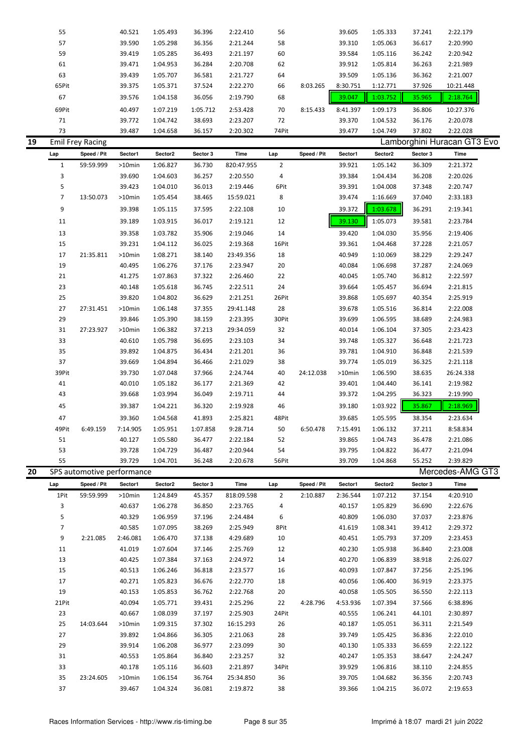| 19 | <b>Emil Frey Racing</b> |        |          |          |          |       |          |          |          |        | Lamborghini Huracan GT3 Evo |  |
|----|-------------------------|--------|----------|----------|----------|-------|----------|----------|----------|--------|-----------------------------|--|
|    | 73                      | 39.487 | 1:04.658 | 36.157   | 2:20.302 | 74Pit |          | 39.477   | 1:04.749 | 37.802 | 2:22.028                    |  |
|    | 71                      | 39.772 | 1:04.742 | 38.693   | 2:23.207 | 72    |          | 39.370   | 1:04.532 | 36.176 | 2:20.078                    |  |
|    | 69Pit                   | 40.497 | 1:07.219 | 1:05.712 | 2:53.428 | 70    | 8:15.433 | 8:41.397 | 1:09.173 | 36.806 | 10:27.376                   |  |
|    | 67                      | 39.576 | 1:04.158 | 36.056   | 2:19.790 | 68    |          | 39.047   | 1:03.752 | 35.965 | 2:18.764                    |  |
|    | 65Pit                   | 39.375 | 1:05.371 | 37.524   | 2:22.270 | 66    | 8:03.265 | 8:30.751 | 1:12.771 | 37.926 | 10:21.448                   |  |
|    | 63                      | 39.439 | 1:05.707 | 36.581   | 2:21.727 | 64    |          | 39.509   | 1:05.136 | 36.362 | 2:21.007                    |  |
|    | 61                      | 39.471 | 1:04.953 | 36.284   | 2:20.708 | 62    |          | 39.912   | 1:05.814 | 36.263 | 2:21.989                    |  |
|    | 59                      | 39.419 | 1:05.285 | 36.493   | 2:21.197 | 60    |          | 39.584   | 1:05.116 | 36.242 | 2:20.942                    |  |
|    | 57                      | 39.590 | 1:05.298 | 36.356   | 2:21.244 | 58    |          | 39.310   | 1:05.063 | 36.617 | 2:20.990                    |  |
|    | 55                      | 40.521 | 1:05.493 | 36.396   | 2:22.410 | 56    |          | 39.605   | 1:05.333 | 37.241 | 2:22.179                    |  |
|    |                         |        |          |          |          |       |          |          |          |        |                             |  |

|    | Lap            | Speed / Pit                | Sector1   | Sector2  | Sector 3 | Time       | Lap            | Speed / Pit | Sector1  | Sector2  | Sector 3 | Time             |  |
|----|----------------|----------------------------|-----------|----------|----------|------------|----------------|-------------|----------|----------|----------|------------------|--|
|    | $\mathbf{1}$   | 59:59.999                  | $>10$ min | 1:06.827 | 36.730   | 820:47.955 | $\overline{2}$ |             | 39.921   | 1:05.142 | 36.309   | 2:21.372         |  |
|    | 3              |                            | 39.690    | 1:04.603 | 36.257   | 2:20.550   | 4              |             | 39.384   | 1:04.434 | 36.208   | 2:20.026         |  |
|    | 5              |                            | 39.423    | 1:04.010 | 36.013   | 2:19.446   | 6Pit           |             | 39.391   | 1:04.008 | 37.348   | 2:20.747         |  |
|    | $\overline{7}$ | 13:50.073                  | $>10$ min | 1:05.454 | 38.465   | 15:59.021  | 8              |             | 39.474   | 1:16.669 | 37.040   | 2:33.183         |  |
|    | 9              |                            | 39.398    | 1:05.115 | 37.595   | 2:22.108   | 10             |             | 39.372   | 1:03.678 | 36.291   | 2:19.341         |  |
|    | 11             |                            | 39.189    | 1:03.915 | 36.017   | 2:19.121   | 12             |             | 39.130   | 1:05.073 | 39.581   | 2:23.784         |  |
|    | 13             |                            | 39.358    | 1:03.782 | 35.906   | 2:19.046   | 14             |             | 39.420   | 1:04.030 | 35.956   | 2:19.406         |  |
|    | 15             |                            | 39.231    | 1:04.112 | 36.025   | 2:19.368   | 16Pit          |             | 39.361   | 1:04.468 | 37.228   | 2:21.057         |  |
|    | 17             | 21:35.811                  | $>10$ min | 1:08.271 | 38.140   | 23:49.356  | 18             |             | 40.949   | 1:10.069 | 38.229   | 2:29.247         |  |
|    | 19             |                            | 40.495    | 1:06.276 | 37.176   | 2:23.947   | 20             |             | 40.084   | 1:06.698 | 37.287   | 2:24.069         |  |
|    | 21             |                            | 41.275    | 1:07.863 | 37.322   | 2:26.460   | 22             |             | 40.045   | 1:05.740 | 36.812   | 2:22.597         |  |
|    | 23             |                            | 40.148    | 1:05.618 | 36.745   | 2:22.511   | 24             |             | 39.664   | 1:05.457 | 36.694   | 2:21.815         |  |
|    | 25             |                            | 39.820    | 1:04.802 | 36.629   | 2:21.251   | 26Pit          |             | 39.868   | 1:05.697 | 40.354   | 2:25.919         |  |
|    | 27             | 27:31.451                  | $>10$ min | 1:06.148 | 37.355   | 29:41.148  | 28             |             | 39.678   | 1:05.516 | 36.814   | 2:22.008         |  |
|    | 29             |                            | 39.846    | 1:05.390 | 38.159   | 2:23.395   | 30Pit          |             | 39.699   | 1:06.595 | 38.689   | 2:24.983         |  |
|    | 31             | 27:23.927                  | $>10$ min | 1:06.382 | 37.213   | 29:34.059  | 32             |             | 40.014   | 1:06.104 | 37.305   | 2:23.423         |  |
|    | 33             |                            | 40.610    | 1:05.798 | 36.695   | 2:23.103   | 34             |             | 39.748   | 1:05.327 | 36.648   | 2:21.723         |  |
|    | 35             |                            | 39.892    | 1:04.875 | 36.434   | 2:21.201   | 36             |             | 39.781   | 1:04.910 | 36.848   | 2:21.539         |  |
|    | 37             |                            | 39.669    | 1:04.894 | 36.466   | 2:21.029   | 38             |             | 39.774   | 1:05.019 | 36.325   | 2:21.118         |  |
|    | 39Pit          |                            | 39.730    | 1:07.048 | 37.966   | 2:24.744   | 40             | 24:12.038   | >10min   | 1:06.590 | 38.635   | 26:24.338        |  |
|    | 41             |                            | 40.010    | 1:05.182 | 36.177   | 2:21.369   | 42             |             | 39.401   | 1:04.440 | 36.141   | 2:19.982         |  |
|    | 43             |                            | 39.668    | 1:03.994 | 36.049   | 2:19.711   | 44             |             | 39.372   | 1:04.295 | 36.323   | 2:19.990         |  |
|    | 45             |                            | 39.387    | 1:04.221 | 36.320   | 2:19.928   | 46             |             | 39.180   | 1:03.922 | 35.867   | 2:18.969         |  |
|    | 47             |                            | 39.360    | 1:04.568 | 41.893   | 2:25.821   | 48Pit          |             | 39.685   | 1:05.595 | 38.354   | 2:23.634         |  |
|    | 49Pit          | 6:49.159                   | 7:14.905  | 1:05.951 | 1:07.858 | 9:28.714   | 50             | 6:50.478    | 7:15.491 | 1:06.132 | 37.211   | 8:58.834         |  |
|    | 51             |                            | 40.127    | 1:05.580 | 36.477   | 2:22.184   | 52             |             | 39.865   | 1:04.743 | 36.478   | 2:21.086         |  |
|    | 53             |                            | 39.728    | 1:04.729 | 36.487   | 2:20.944   | 54             |             | 39.795   | 1:04.822 | 36.477   | 2:21.094         |  |
|    | 55             |                            | 39.729    | 1:04.701 | 36.248   | 2:20.678   | 56Pit          |             | 39.709   | 1:04.868 | 55.252   | 2:39.829         |  |
| 20 |                | SPS automotive performance |           |          |          |            |                |             |          |          |          | Mercedes-AMG GT3 |  |
|    | Lap            | Speed / Pit                | Sector1   | Sector2  | Sector 3 | Time       | Lap            | Speed / Pit | Sector1  | Sector2  | Sector 3 | Time             |  |
|    | 1Pit           | 59:59.999                  | >10min    | 1:24.849 | 45.357   | 818:09.598 | 2              | 2:10.887    | 2:36.544 | 1:07.212 | 37.154   | 4:20.910         |  |
|    |                |                            |           |          |          |            |                |             |          |          |          |                  |  |

| 1Pit           | 59:59.999 | $>10$ min | 1:24.849 | 45.357 | 818:09.598 | 2     | 2:10.887 | 2:36.544 | 1:07.212 | 37.154 | 4:20.910 |  |
|----------------|-----------|-----------|----------|--------|------------|-------|----------|----------|----------|--------|----------|--|
| 3              |           | 40.637    | 1:06.278 | 36.850 | 2:23.765   | 4     |          | 40.157   | 1:05.829 | 36.690 | 2:22.676 |  |
| 5              |           | 40.329    | 1:06.959 | 37.196 | 2:24.484   | 6     |          | 40.809   | 1:06.030 | 37.037 | 2:23.876 |  |
| $\overline{7}$ |           | 40.585    | 1:07.095 | 38.269 | 2:25.949   | 8Pit  |          | 41.619   | 1:08.341 | 39.412 | 2:29.372 |  |
| 9              | 2:21.085  | 2:46.081  | 1:06.470 | 37.138 | 4:29.689   | 10    |          | 40.451   | 1:05.793 | 37.209 | 2:23.453 |  |
| 11             |           | 41.019    | 1:07.604 | 37.146 | 2:25.769   | 12    |          | 40.230   | 1:05.938 | 36.840 | 2:23.008 |  |
| 13             |           | 40.425    | 1:07.384 | 37.163 | 2:24.972   | 14    |          | 40.270   | 1:06.839 | 38.918 | 2:26.027 |  |
| 15             |           | 40.513    | 1:06.246 | 36.818 | 2:23.577   | 16    |          | 40.093   | 1:07.847 | 37.256 | 2:25.196 |  |
| 17             |           | 40.271    | 1:05.823 | 36.676 | 2:22.770   | 18    |          | 40.056   | 1:06.400 | 36.919 | 2:23.375 |  |
| 19             |           | 40.153    | 1:05.853 | 36.762 | 2:22.768   | 20    |          | 40.058   | 1:05.505 | 36.550 | 2:22.113 |  |
| 21Pit          |           | 40.094    | 1:05.771 | 39.431 | 2:25.296   | 22    | 4:28.796 | 4:53.936 | 1:07.394 | 37.566 | 6:38.896 |  |
| 23             |           | 40.667    | 1:08.039 | 37.197 | 2:25.903   | 24Pit |          | 40.555   | 1:06.241 | 44.101 | 2:30.897 |  |
| 25             | 14:03.644 | $>10$ min | 1:09.315 | 37.302 | 16:15.293  | 26    |          | 40.187   | 1:05.051 | 36.311 | 2:21.549 |  |
| 27             |           | 39.892    | 1:04.866 | 36.305 | 2:21.063   | 28    |          | 39.749   | 1:05.425 | 36.836 | 2:22.010 |  |
| 29             |           | 39.914    | 1:06.208 | 36.977 | 2:23.099   | 30    |          | 40.130   | 1:05.333 | 36.659 | 2:22.122 |  |
| 31             |           | 40.553    | 1:05.864 | 36.840 | 2:23.257   | 32    |          | 40.247   | 1:05.353 | 38.647 | 2:24.247 |  |
| 33             |           | 40.178    | 1:05.116 | 36.603 | 2:21.897   | 34Pit |          | 39.929   | 1:06.816 | 38.110 | 2:24.855 |  |
| 35             | 23:24.605 | $>10$ min | 1:06.154 | 36.764 | 25:34.850  | 36    |          | 39.705   | 1:04.682 | 36.356 | 2:20.743 |  |
| 37             |           | 39.467    | 1:04.324 | 36.081 | 2:19.872   | 38    |          | 39.366   | 1:04.215 | 36.072 | 2:19.653 |  |
|                |           |           |          |        |            |       |          |          |          |        |          |  |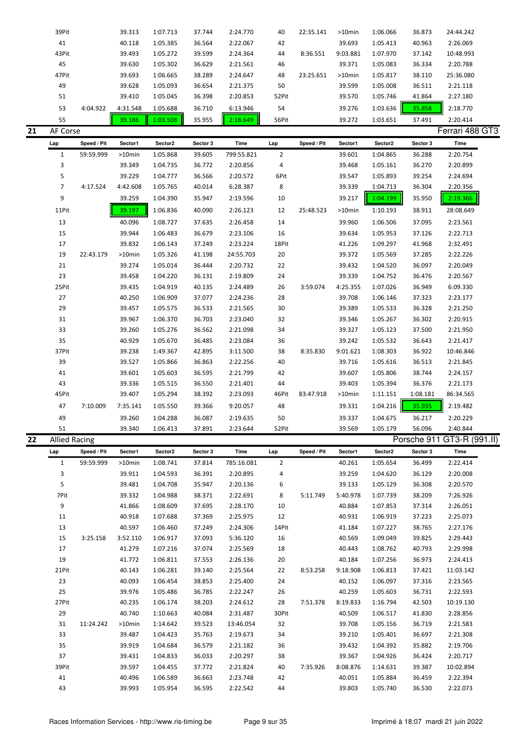|    | 39Pit                |             | 39.313   | 1:07.713 | 37.744   | 2:24.770    | 40             | 22:35.141   | >10min   | 1:06.066 | 36.873   | 24:44.242                  |
|----|----------------------|-------------|----------|----------|----------|-------------|----------------|-------------|----------|----------|----------|----------------------------|
|    | 41                   |             | 40.118   | 1:05.385 | 36.564   | 2:22.067    | 42             |             | 39.693   | 1:05.413 | 40.963   | 2:26.069                   |
|    | 43Pit                |             | 39.493   | 1:05.272 | 39.599   | 2:24.364    | 44             | 8:36.551    | 9:03.881 | 1:07.970 | 37.142   | 10:48.993                  |
|    | 45                   |             | 39.630   | 1:05.302 | 36.629   | 2:21.561    | 46             |             | 39.371   | 1:05.083 | 36.334   | 2:20.788                   |
|    | 47Pit                |             | 39.693   | 1:06.665 | 38.289   | 2:24.647    | 48             | 23:25.651   | >10min   | 1:05.817 | 38.110   | 25:36.080                  |
|    | 49                   |             | 39.628   | 1:05.093 | 36.654   | 2:21.375    | 50             |             | 39.599   | 1:05.008 | 36.511   | 2:21.118                   |
|    | 51                   |             | 39.410   | 1:05.045 | 36.398   | 2:20.853    | 52Pit          |             | 39.570   | 1:05.746 | 41.864   | 2:27.180                   |
|    | 53                   | 4:04.922    | 4:31.548 |          | 36.710   | 6:13.946    | 54             |             | 39.276   |          | 35.858   | 2:18.770                   |
|    |                      |             |          | 1:05.688 |          |             |                |             |          | 1:03.636 |          |                            |
|    | 55                   |             | 39.186   | 1:03.508 | 35.955   | 2:18.649    | 56Pit          |             | 39.272   | 1:03.651 | 37.491   | 2:20.414                   |
| 21 | AF Corse             |             |          |          |          |             |                |             |          |          |          | Ferrari 488 GT3            |
|    | Lap                  | Speed / Pit | Sector1  | Sector2  | Sector 3 | Time        | Lap            | Speed / Pit | Sector1  | Sector2  | Sector 3 | Time                       |
|    | $1\,$                | 59:59.999   | >10min   | 1:05.868 | 39.605   | 799:55.821  | $\overline{2}$ |             | 39.601   | 1:04.865 | 36.288   | 2:20.754                   |
|    | 3                    |             | 39.349   | 1:04.735 | 36.772   | 2:20.856    | 4              |             | 39.468   | 1:05.161 | 36.270   | 2:20.899                   |
|    | 5                    |             | 39.229   | 1:04.777 | 36.566   | 2:20.572    | 6Pit           |             | 39.547   | 1:05.893 | 39.254   | 2:24.694                   |
|    | $\overline{7}$       | 4:17.524    | 4:42.608 | 1:05.765 | 40.014   | 6:28.387    | 8              |             | 39.339   | 1:04.713 | 36.304   | 2:20.356                   |
|    | 9                    |             | 39.259   | 1:04.390 | 35.947   | 2:19.596    | 10             |             | 39.217   | 1:04.199 | 35.950   | 2:19.366                   |
|    | 11Pit                |             | 39.197   | 1:06.836 | 40.090   | 2:26.123    | 12             | 25:48.523   | >10min   | 1:10.193 | 38.911   | 28:08.649                  |
|    | 13                   |             | 40.096   | 1:08.727 | 37.635   | 2:26.458    | 14             |             | 39.960   | 1:06.506 | 37.095   | 2:23.561                   |
|    | 15                   |             | 39.944   | 1:06.483 | 36.679   | 2:23.106    | 16             |             | 39.634   | 1:05.953 | 37.126   | 2:22.713                   |
|    | 17                   |             | 39.832   | 1:06.143 | 37.249   | 2:23.224    | 18Pit          |             | 41.226   | 1:09.297 | 41.968   | 2:32.491                   |
|    |                      |             |          |          |          |             |                |             |          |          |          |                            |
|    | 19                   | 22:43.179   | >10min   | 1:05.326 | 41.198   | 24:55.703   | 20             |             | 39.372   | 1:05.569 | 37.285   | 2:22.226                   |
|    | 21                   |             | 39.274   | 1:05.014 | 36.444   | 2:20.732    | 22             |             | 39.432   | 1:04.520 | 36.097   | 2:20.049                   |
|    | 23                   |             | 39.458   | 1:04.220 | 36.131   | 2:19.809    | 24             |             | 39.339   | 1:04.752 | 36.476   | 2:20.567                   |
|    | 25Pit                |             | 39.435   | 1:04.919 | 40.135   | 2:24.489    | 26             | 3:59.074    | 4:25.355 | 1:07.026 | 36.949   | 6:09.330                   |
|    | 27                   |             | 40.250   | 1:06.909 | 37.077   | 2:24.236    | 28             |             | 39.708   | 1:06.146 | 37.323   | 2:23.177                   |
|    | 29                   |             | 39.457   | 1:05.575 | 36.533   | 2:21.565    | 30             |             | 39.389   | 1:05.533 | 36.328   | 2:21.250                   |
|    | 31                   |             | 39.967   | 1:06.370 | 36.703   | 2:23.040    | 32             |             | 39.346   | 1:05.267 | 36.302   | 2:20.915                   |
|    | 33                   |             | 39.260   | 1:05.276 | 36.562   | 2:21.098    | 34             |             | 39.327   | 1:05.123 | 37.500   | 2:21.950                   |
|    | 35                   |             | 40.929   | 1:05.670 | 36.485   | 2:23.084    | 36             |             | 39.242   | 1:05.532 | 36.643   | 2:21.417                   |
|    | 37Pit                |             | 39.238   | 1:49.367 | 42.895   | 3:11.500    | 38             | 8:35.830    | 9:01.621 | 1:08.303 | 36.922   | 10:46.846                  |
|    | 39                   |             | 39.527   | 1:05.866 | 36.863   | 2:22.256    | 40             |             | 39.716   | 1:05.616 | 36.513   | 2:21.845                   |
|    | 41                   |             | 39.601   | 1:05.603 | 36.595   | 2:21.799    | 42             |             | 39.607   | 1:05.806 | 38.744   | 2:24.157                   |
|    | 43                   |             | 39.336   | 1:05.515 | 36.550   | 2:21.401    | 44             |             | 39.403   | 1:05.394 | 36.376   | 2:21.173                   |
|    | 45Pit                |             | 39.407   | 1:05.294 | 38.392   | 2:23.093    | 46Pit          | 83:47.918   | >10min   | 1:11.151 | 1:08.181 | 86:34.565                  |
|    | 47                   | 7:10.009    | 7:35.141 | 1:05.550 | 39.366   | 9:20.057    | 48             |             | 39.331   | 1:04.216 | 35.935   | 2:19.482                   |
|    | 49                   |             | 39.260   | 1:04.288 | 36.087   | 2:19.635    | 50             |             | 39.337   | 1:04.675 | 36.217   | 2:20.229                   |
|    | 51                   |             | 39.340   | 1:06.413 | 37.891   | 2:23.644    | 52Pit          |             | 39.569   | 1:05.179 | 56.096   | 2:40.844                   |
| 22 | <b>Allied Racing</b> |             |          |          |          |             |                |             |          |          |          | Porsche 911 GT3-R (991.II) |
|    | Lap                  | Speed / Pit | Sector1  | Sector2  | Sector 3 | <b>Time</b> | Lap            | Speed / Pit | Sector1  | Sector2  | Sector 3 | Time                       |
|    | $\mathbf{1}$         | 59:59.999   | >10min   | 1:08.741 | 37.814   | 785:16.081  | 2              |             | 40.261   | 1:05.654 | 36.499   | 2:22.414                   |
|    | 3                    |             | 39.911   | 1:04.593 | 36.391   | 2:20.895    | 4              |             | 39.259   | 1:04.620 | 36.129   | 2:20.008                   |
|    | 5                    |             | 39.481   | 1:04.708 | 35.947   | 2:20.136    | 6              |             | 39.133   | 1:05.129 | 36.308   | 2:20.570                   |
|    | 7Pit                 |             | 39.332   | 1:04.988 | 38.371   | 2:22.691    | 8              | 5:11.749    | 5:40.978 | 1:07.739 | 38.209   | 7:26.926                   |
|    | 9                    |             | 41.866   | 1:08.609 | 37.695   | 2:28.170    | 10             |             | 40.884   | 1:07.853 | 37.314   | 2:26.051                   |
|    | 11                   |             | 40.918   | 1:07.688 | 37.369   | 2:25.975    | 12             |             | 40.931   | 1:06.919 | 37.223   | 2:25.073                   |
|    | 13                   |             | 40.597   | 1:06.460 | 37.249   | 2:24.306    | 14Pit          |             | 41.184   | 1:07.227 | 38.765   | 2:27.176                   |
|    | 15                   | 3:25.158    | 3:52.110 | 1:06.917 | 37.093   | 5:36.120    | 16             |             | 40.569   | 1:09.049 | 39.825   | 2:29.443                   |
|    |                      |             |          |          |          |             |                |             |          |          |          |                            |
|    | 17                   |             | 41.279   | 1:07.216 | 37.074   | 2:25.569    | 18             |             | 40.443   | 1:08.762 | 40.793   | 2:29.998                   |
|    | 19                   |             | 41.772   | 1:06.811 | 37.553   | 2:26.136    | 20             |             | 40.184   | 1:07.256 | 36.973   | 2:24.413                   |
|    | 21Pit                |             | 40.143   | 1:06.281 | 39.140   | 2:25.564    | 22             | 8:53.258    | 9:18.908 | 1:06.813 | 37.421   | 11:03.142                  |
|    | 23                   |             | 40.093   | 1:06.454 | 38.853   | 2:25.400    | 24             |             | 40.152   | 1:06.097 | 37.316   | 2:23.565                   |
|    | 25                   |             | 39.976   | 1:05.486 | 36.785   | 2:22.247    | 26             |             | 40.259   | 1:05.603 | 36.731   | 2:22.593                   |
|    | 27Pit                |             | 40.235   | 1:06.174 | 38.203   | 2:24.612    | 28             | 7:51.378    | 8:19.833 | 1:16.794 | 42.503   | 10:19.130                  |
|    | 29                   |             | 40.740   | 1:10.663 | 40.084   | 2:31.487    | 30Pit          |             | 40.509   | 1:06.517 | 41.830   | 2:28.856                   |
|    | 31                   | 11:24.242   | >10min   | 1:14.642 | 39.523   | 13:46.054   | 32             |             | 39.708   | 1:05.156 | 36.719   | 2:21.583                   |
|    | 33                   |             | 39.487   | 1:04.423 | 35.763   | 2:19.673    | 34             |             | 39.210   | 1:05.401 | 36.697   | 2:21.308                   |
|    | 35                   |             | 39.919   | 1:04.684 | 36.579   | 2:21.182    | 36             |             | 39.432   | 1:04.392 | 35.882   | 2:19.706                   |
|    | 37                   |             | 39.431   | 1:04.833 | 36.033   | 2:20.297    | 38             |             | 39.367   | 1:04.926 | 36.424   | 2:20.717                   |
|    | 39Pit                |             | 39.597   | 1:04.455 | 37.772   | 2:21.824    | 40             | 7:35.926    | 8:08.876 | 1:14.631 | 39.387   | 10:02.894                  |
|    | 41                   |             | 40.496   | 1:06.589 | 36.663   | 2:23.748    | 42             |             | 40.051   | 1:05.884 | 36.459   | 2:22.394                   |
|    | 43                   |             | 39.993   | 1:05.954 | 36.595   | 2:22.542    | 44             |             | 39.803   | 1:05.740 | 36.530   | 2:22.073                   |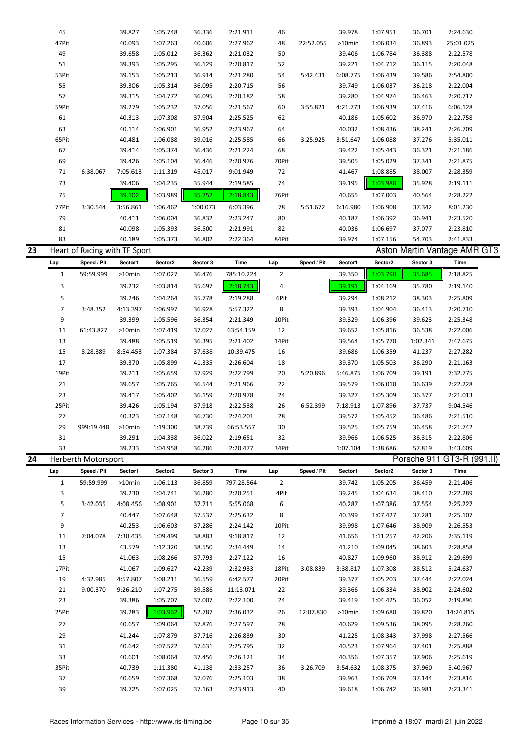|    | 45             |                               | 39.827           | 1:05.748             | 36.336           | 2:21.911             | 46             |             | 39.978           | 1:07.951             | 36.701           | 2:24.630                            |  |
|----|----------------|-------------------------------|------------------|----------------------|------------------|----------------------|----------------|-------------|------------------|----------------------|------------------|-------------------------------------|--|
|    | 47Pit          |                               | 40.093           | 1:07.263             | 40.606           | 2:27.962             | 48             | 22:52.055   | >10min           | 1:06.034             | 36.893           | 25:01.025                           |  |
|    | 49             |                               | 39.658           | 1:05.012             | 36.362           | 2:21.032             | 50             |             | 39.406           | 1:06.784             | 36.388           | 2:22.578                            |  |
|    | 51             |                               | 39.393           | 1:05.295             | 36.129           | 2:20.817             | 52             |             | 39.221           | 1:04.712             | 36.115           | 2:20.048                            |  |
|    | 53Pit          |                               | 39.153           | 1:05.213             | 36.914           | 2:21.280             | 54             | 5:42.431    | 6:08.775         | 1:06.439             | 39.586           | 7:54.800                            |  |
|    |                |                               |                  |                      |                  |                      |                |             |                  |                      |                  |                                     |  |
|    | 55             |                               | 39.306           | 1:05.314             | 36.095           | 2:20.715             | 56             |             | 39.749           | 1:06.037             | 36.218           | 2:22.004                            |  |
|    | 57             |                               | 39.315           | 1:04.772             | 36.095           | 2:20.182             | 58             |             | 39.280           | 1:04.974             | 36.463           | 2:20.717                            |  |
|    | 59Pit          |                               | 39.279           | 1:05.232             | 37.056           | 2:21.567             | 60             | 3:55.821    | 4:21.773         | 1:06.939             | 37.416           | 6:06.128                            |  |
|    | 61             |                               | 40.313           | 1:07.308             | 37.904           | 2:25.525             | 62             |             | 40.186           | 1:05.602             | 36.970           | 2:22.758                            |  |
|    | 63             |                               | 40.114           | 1:06.901             | 36.952           | 2:23.967             | 64             |             | 40.032           | 1:08.436             | 38.241           | 2:26.709                            |  |
|    | 65Pit          |                               | 40.481           | 1:06.088             | 39.016           | 2:25.585             | 66             | 3:25.925    | 3:51.647         | 1:06.088             | 37.276           | 5:35.011                            |  |
|    | 67             |                               | 39.414           | 1:05.374             | 36.436           | 2:21.224             | 68             |             | 39.422           | 1:05.443             | 36.321           | 2:21.186                            |  |
|    | 69             |                               | 39.426           | 1:05.104             | 36.446           | 2:20.976             | 70Pit          |             | 39.505           | 1:05.029             | 37.341           | 2:21.875                            |  |
|    | 71             | 6:38.067                      | 7:05.613         | 1:11.319             | 45.017           | 9:01.949             | 72             |             | 41.467           | 1:08.885             | 38.007           | 2:28.359                            |  |
|    | 73             |                               | 39.406           | 1:04.235             | 35.944           | 2:19.585             | 74             |             | 39.195           | 1:03.988             | 35.928           | 2:19.111                            |  |
|    |                |                               |                  |                      |                  |                      |                |             |                  |                      |                  |                                     |  |
|    | 75             |                               | 39.102           | 1:03.989             | 35.752           | 2:18.843             | 76Pit          |             | 40.655           | 1:07.003             | 40.564           | 2:28.222                            |  |
|    | 77Pit          | 3:30.544                      | 3:56.861         | 1:06.462             | 1:00.073         | 6:03.396             | 78             | 5:51.672    | 6:16.980         | 1:06.908             | 37.342           | 8:01.230                            |  |
|    | 79             |                               | 40.411           | 1:06.004             | 36.832           | 2:23.247             | 80             |             | 40.187           | 1:06.392             | 36.941           | 2:23.520                            |  |
|    | 81             |                               | 40.098           | 1:05.393             | 36.500           | 2:21.991             | 82             |             | 40.036           | 1:06.697             | 37.077           | 2:23.810                            |  |
|    | 83             |                               | 40.189           | 1:05.373             | 36.802           | 2:22.364             | 84Pit          |             | 39.974           | 1:07.156             | 54.703           | 2:41.833                            |  |
| 23 |                | Heart of Racing with TF Sport |                  |                      |                  |                      |                |             |                  |                      |                  | <b>Aston Martin Vantage AMR GT3</b> |  |
|    | Lap            | Speed / Pit                   | Sector1          | Sector2              | Sector 3         | Time                 | Lap            | Speed / Pit | Sector1          | Sector2              | Sector 3         | Time                                |  |
|    |                |                               |                  |                      |                  |                      |                |             |                  | 1:03.790             | 35.685           | 2:18.825                            |  |
|    | $\mathbf{1}$   | 59:59.999                     | >10min           | 1:07.027             | 36.476           | 785:10.224           | $\overline{2}$ |             | 39.350           |                      |                  |                                     |  |
|    | 3              |                               | 39.232           | 1:03.814             | 35.697           | 2:18.743             | 4              |             | 39.191           | 1:04.169             | 35.780           | 2:19.140                            |  |
|    | 5              |                               | 39.246           | 1:04.264             | 35.778           | 2:19.288             | 6Pit           |             | 39.294           | 1:08.212             | 38.303           | 2:25.809                            |  |
|    | $\overline{7}$ | 3:48.352                      | 4:13.397         | 1:06.997             | 36.928           | 5:57.322             | 8              |             | 39.393           | 1:04.904             | 36.413           | 2:20.710                            |  |
|    | 9              |                               | 39.399           | 1:05.596             | 36.354           | 2:21.349             | 10Pit          |             | 39.329           | 1:06.396             | 39.623           | 2:25.348                            |  |
|    | 11             | 61:43.827                     | >10min           | 1:07.419             | 37.027           | 63:54.159            | 12             |             | 39.652           | 1:05.816             | 36.538           | 2:22.006                            |  |
|    | 13             |                               | 39.488           | 1:05.519             | 36.395           | 2:21.402             | 14Pit          |             | 39.564           | 1:05.770             | 1:02.341         | 2:47.675                            |  |
|    | 15             | 8:28.389                      | 8:54.453         | 1:07.384             | 37.638           | 10:39.475            | 16             |             | 39.686           | 1:06.359             | 41.237           | 2:27.282                            |  |
|    | 17             |                               |                  |                      |                  |                      |                |             |                  |                      |                  |                                     |  |
|    |                |                               | 39.370           | 1:05.899             | 41.335           | 2:26.604             | 18             |             | 39.370           | 1:05.503             | 36.290           | 2:21.163                            |  |
|    |                |                               |                  |                      |                  |                      |                |             |                  |                      |                  |                                     |  |
|    | 19Pit          |                               | 39.211           | 1:05.659             | 37.929           | 2:22.799             | 20             | 5:20.896    | 5:46.875         | 1:06.709             | 39.191           | 7:32.775                            |  |
|    | 21             |                               | 39.657           | 1:05.765             | 36.544           | 2:21.966             | 22             |             | 39.579           | 1:06.010             | 36.639           | 2:22.228                            |  |
|    | 23             |                               | 39.417           | 1:05.402             | 36.159           | 2:20.978             | 24             |             | 39.327           | 1:05.309             | 36.377           | 2:21.013                            |  |
|    | 25Pit          |                               | 39.426           | 1:05.194             | 37.918           | 2:22.538             | 26             | 6:52.399    | 7:18.913         | 1:07.896             | 37.737           | 9:04.546                            |  |
|    | 27             |                               | 40.323           | 1:07.148             | 36.730           | 2:24.201             | 28             |             | 39.572           | 1:05.452             | 36.486           | 2:21.510                            |  |
|    | 29             | 999:19.448                    | >10min           | 1:19.300             | 38.739           | 66:53.557            | 30             |             | 39.525           | 1:05.759             | 36.458           | 2:21.742                            |  |
|    | 31             |                               | 39.291           | 1:04.338             | 36.022           | 2:19.651             | 32             |             | 39.966           | 1:06.525             | 36.315           | 2:22.806                            |  |
|    | 33             |                               | 39.233           | 1:04.958             | 36.286           | 2:20.477             | 34Pit          |             | 1:07.104         | 1:38.686             | 57.819           | 3:43.609                            |  |
| 24 |                | Herberth Motorsport           |                  |                      |                  |                      |                |             |                  |                      |                  |                                     |  |
|    |                |                               |                  |                      |                  |                      |                |             |                  |                      |                  | Porsche 911 GT3-R (991.II)          |  |
|    | Lap            | Speed / Pit                   | Sector1          | Sector2              | Sector 3         | Time                 | Lap            | Speed / Pit | Sector1          | Sector2              | Sector 3         | Time                                |  |
|    | $\mathbf{1}$   | 59:59.999                     | >10min           | 1:06.113             | 36.859           | 797:28.564           | $\overline{2}$ |             | 39.742           | 1:05.205             | 36.459           | 2:21.406                            |  |
|    | 3              |                               | 39.230           | 1:04.741             | 36.280           | 2:20.251             | 4Pit           |             | 39.245           | 1:04.634             | 38.410           | 2:22.289                            |  |
|    | 5              | 3:42.035                      | 4:08.456         | 1:08.901             | 37.711           | 5:55.068             | 6              |             | 40.287           | 1:07.386             | 37.554           | 2:25.227                            |  |
|    | $\overline{7}$ |                               | 40.447           | 1:07.648             | 37.537           | 2:25.632             | 8              |             | 40.399           | 1:07.427             | 37.281           | 2:25.107                            |  |
|    | 9              |                               | 40.253           | 1:06.603             | 37.286           | 2:24.142             | 10Pit          |             | 39.998           | 1:07.646             | 38.909           | 2:26.553                            |  |
|    | 11             | 7:04.078                      | 7:30.435         | 1:09.499             | 38.883           | 9:18.817             | 12             |             | 41.656           | 1:11.257             | 42.206           | 2:35.119                            |  |
|    | $13\,$         |                               | 43.579           | 1:12.320             | 38.550           | 2:34.449             | 14             |             | 41.210           | 1:09.045             | 38.603           | 2:28.858                            |  |
|    | 15             |                               | 41.063           | 1:08.266             | 37.793           | 2:27.122             | 16             |             | 40.827           | 1:09.960             | 38.912           | 2:29.699                            |  |
|    | 17Pit          |                               | 41.067           | 1:09.627             | 42.239           | 2:32.933             | 18Pit          | 3:08.839    | 3:38.817         | 1:07.308             | 38.512           | 5:24.637                            |  |
|    |                |                               |                  |                      |                  |                      |                |             |                  |                      |                  |                                     |  |
|    | 19             | 4:32.985                      | 4:57.807         | 1:08.211             | 36.559           | 6:42.577             | 20Pit          |             | 39.377           | 1:05.203             | 37.444           | 2:22.024                            |  |
|    | 21             | 9:00.370                      | 9:26.210         | 1:07.275             | 39.586           | 11:13.071            | 22             |             | 39.366           | 1:06.334             | 38.902           | 2:24.602                            |  |
|    | 23             |                               | 39.386           | 1:05.707             | 37.007           | 2:22.100             | 24             |             | 39.419           | 1:04.425             | 36.052           | 2:19.896                            |  |
|    | 25Pit          |                               | 39.283           | 1:03.962             | 52.787           | 2:36.032             | 26             | 12:07.830   | >10min           | 1:09.680             | 39.820           | 14:24.815                           |  |
|    | 27             |                               | 40.657           | 1:09.064             | 37.876           | 2:27.597             | 28             |             | 40.629           | 1:09.536             | 38.095           | 2:28.260                            |  |
|    | 29             |                               | 41.244           | 1:07.879             | 37.716           | 2:26.839             | 30             |             | 41.225           | 1:08.343             | 37.998           | 2:27.566                            |  |
|    | 31             |                               | 40.642           | 1:07.522             | 37.631           | 2:25.795             | 32             |             | 40.523           | 1:07.964             | 37.401           | 2:25.888                            |  |
|    | 33             |                               | 40.601           | 1:08.064             | 37.456           | 2:26.121             | 34             |             | 40.356           | 1:07.357             | 37.906           | 2:25.619                            |  |
|    | 35Pit          |                               |                  |                      |                  |                      |                | 3:26.709    |                  |                      |                  | 5:40.967                            |  |
|    |                |                               | 40.739           | 1:11.380             | 41.138           | 2:33.257             | 36             |             | 3:54.632         | 1:08.375             | 37.960           |                                     |  |
|    | 37<br>39       |                               | 40.659<br>39.725 | 1:07.368<br>1:07.025 | 37.076<br>37.163 | 2:25.103<br>2:23.913 | 38<br>40       |             | 39.963<br>39.618 | 1:06.709<br>1:06.742 | 37.144<br>36.981 | 2:23.816<br>2:23.341                |  |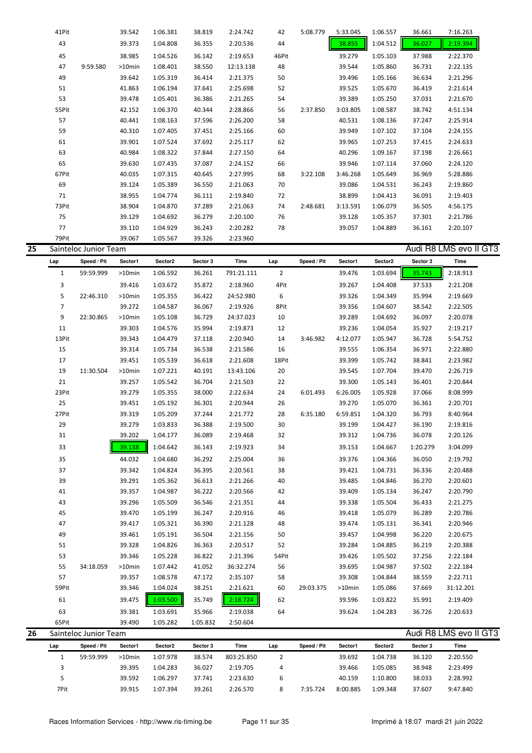|    | 41Pit                 | 39.542    | 1:06.381 | 38.819 | 2:24.742  | 42    | 5:08.779 | 5:33.045 | 1:06.557 | 36.661 | 7:16.263               |
|----|-----------------------|-----------|----------|--------|-----------|-------|----------|----------|----------|--------|------------------------|
|    | 43                    | 39.373    | 1:04.808 | 36.355 | 2:20.536  | 44    |          | 38.855   | 1:04.512 | 36.027 | 2:19.394               |
|    | 45                    | 38.985    | 1:04.526 | 36.142 | 2:19.653  | 46Pit |          | 39.279   | 1:05.103 | 37.988 | 2:22.370               |
|    | 47<br>9:59.580        | $>10$ min | 1:08.401 | 38.550 | 12:13.138 | 48    |          | 39.544   | 1:05.860 | 36.731 | 2:22.135               |
|    | 49                    | 39.642    | 1:05.319 | 36.414 | 2:21.375  | 50    |          | 39.496   | 1:05.166 | 36.634 | 2:21.296               |
|    | 51                    | 41.863    | 1:06.194 | 37.641 | 2:25.698  | 52    |          | 39.525   | 1:05.670 | 36.419 | 2:21.614               |
|    | 53                    | 39.478    | 1:05.401 | 36.386 | 2:21.265  | 54    |          | 39.389   | 1:05.250 | 37.031 | 2:21.670               |
|    | 55Pit                 | 42.152    | 1:06.370 | 40.344 | 2:28.866  | 56    | 2:37.850 | 3:03.805 | 1:08.587 | 38.742 | 4:51.134               |
|    | 57                    | 40.441    | 1:08.163 | 37.596 | 2:26.200  | 58    |          | 40.531   | 1:08.136 | 37.247 | 2:25.914               |
|    | 59                    | 40.310    | 1:07.405 | 37.451 | 2:25.166  | 60    |          | 39.949   | 1:07.102 | 37.104 | 2:24.155               |
|    | 61                    | 39.901    | 1:07.524 | 37.692 | 2:25.117  | 62    |          | 39.965   | 1:07.253 | 37.415 | 2:24.633               |
|    | 63                    | 40.984    | 1:08.322 | 37.844 | 2:27.150  | 64    |          | 40.296   | 1:09.167 | 37.198 | 2:26.661               |
|    | 65                    | 39.630    | 1:07.435 | 37.087 | 2:24.152  | 66    |          | 39.946   | 1:07.114 | 37.060 | 2:24.120               |
|    | 67Pit                 | 40.035    | 1:07.315 | 40.645 | 2:27.995  | 68    | 3:22.108 | 3:46.268 | 1:05.649 | 36.969 | 5:28.886               |
|    | 69                    | 39.124    | 1:05.389 | 36.550 | 2:21.063  | 70    |          | 39.086   | 1:04.531 | 36.243 | 2:19.860               |
|    | 71                    | 38.955    | 1:04.774 | 36.111 | 2:19.840  | 72    |          | 38.899   | 1:04.413 | 36.091 | 2:19.403               |
|    | 73Pit                 | 38.904    | 1:04.870 | 37.289 | 2:21.063  | 74    | 2:48.681 | 3:13.591 | 1:06.079 | 36.505 | 4:56.175               |
|    | 75                    | 39.129    | 1:04.692 | 36.279 | 2:20.100  | 76    |          | 39.128   | 1:05.357 | 37.301 | 2:21.786               |
|    | 77                    | 39.110    | 1:04.929 | 36.243 | 2:20.282  | 78    |          | 39.057   | 1:04.889 | 36.161 | 2:20.107               |
|    | 79Pit                 | 39.067    | 1:05.567 | 39.326 | 2:23.960  |       |          |          |          |        |                        |
| 25 | Sainteloc Junior Team |           |          |        |           |       |          |          |          |        | Audi R8 LMS evo II GT3 |

| Lap            | Speed / Pit | Sector1   | Sector2  | Sector 3 | <b>Time</b> | Lap            | Speed / Pit | Sector1  | Sector2  | Sector 3 | Time      |
|----------------|-------------|-----------|----------|----------|-------------|----------------|-------------|----------|----------|----------|-----------|
| $\mathbf{1}$   | 59:59.999   | $>10$ min | 1:06.592 | 36.261   | 791:21.111  | $\overline{2}$ |             | 39.476   | 1:03.694 | 35.743   | 2:18.913  |
| $\overline{3}$ |             | 39.416    | 1:03.672 | 35.872   | 2:18.960    | 4Pit           |             | 39.267   | 1:04.408 | 37.533   | 2:21.208  |
| 5              | 22:46.310   | $>10$ min | 1:05.355 | 36.422   | 24:52.980   | 6              |             | 39.326   | 1:04.349 | 35.994   | 2:19.669  |
| $\overline{7}$ |             | 39.272    | 1:04.587 | 36.067   | 2:19.926    | 8Pit           |             | 39.356   | 1:04.607 | 38.542   | 2:22.505  |
| 9              | 22:30.865   | >10min    | 1:05.108 | 36.729   | 24:37.023   | 10             |             | 39.289   | 1:04.692 | 36.097   | 2:20.078  |
| 11             |             | 39.303    | 1:04.576 | 35.994   | 2:19.873    | 12             |             | 39.236   | 1:04.054 | 35.927   | 2:19.217  |
| 13Pit          |             | 39.343    | 1:04.479 | 37.118   | 2:20.940    | 14             | 3:46.982    | 4:12.077 | 1:05.947 | 36.728   | 5:54.752  |
| 15             |             | 39.314    | 1:05.734 | 36.538   | 2:21.586    | 16             |             | 39.555   | 1:06.354 | 36.971   | 2:22.880  |
| 17             |             | 39.451    | 1:05.539 | 36.618   | 2:21.608    | 18Pit          |             | 39.399   | 1:05.742 | 38.841   | 2:23.982  |
| 19             | 11:30.504   | >10min    | 1:07.221 | 40.191   | 13:43.106   | 20             |             | 39.545   | 1:07.704 | 39.470   | 2:26.719  |
| 21             |             | 39.257    | 1:05.542 | 36.704   | 2:21.503    | 22             |             | 39.300   | 1:05.143 | 36.401   | 2:20.844  |
| 23Pit          |             | 39.279    | 1:05.355 | 38.000   | 2:22.634    | 24             | 6:01.493    | 6:26.005 | 1:05.928 | 37.066   | 8:08.999  |
| 25             |             | 39.451    | 1:05.192 | 36.301   | 2:20.944    | 26             |             | 39.270   | 1:05.070 | 36.361   | 2:20.701  |
| 27Pit          |             | 39.319    | 1:05.209 | 37.244   | 2:21.772    | 28             | 6:35.180    | 6:59.851 | 1:04.320 | 36.793   | 8:40.964  |
| 29             |             | 39.279    | 1:03.833 | 36.388   | 2:19.500    | 30             |             | 39.199   | 1:04.427 | 36.190   | 2:19.816  |
| 31             |             | 39.202    | 1:04.177 | 36.089   | 2:19.468    | 32             |             | 39.312   | 1:04.736 | 36.078   | 2:20.126  |
| 33             |             | 39.138    | 1:04.642 | 36.143   | 2:19.923    | 34             |             | 39.153   | 1:04.667 | 1:20.279 | 3:04.099  |
| 35             |             | 44.032    | 1:04.680 | 36.292   | 2:25.004    | 36             |             | 39.376   | 1:04.366 | 36.050   | 2:19.792  |
| 37             |             | 39.342    | 1:04.824 | 36.395   | 2:20.561    | 38             |             | 39.421   | 1:04.731 | 36.336   | 2:20.488  |
| 39             |             | 39.291    | 1:05.362 | 36.613   | 2:21.266    | 40             |             | 39.485   | 1:04.846 | 36.270   | 2:20.601  |
| 41             |             | 39.357    | 1:04.987 | 36.222   | 2:20.566    | 42             |             | 39.409   | 1:05.134 | 36.247   | 2:20.790  |
| 43             |             | 39.296    | 1:05.509 | 36.546   | 2:21.351    | 44             |             | 39.338   | 1:05.504 | 36.433   | 2:21.275  |
| 45             |             | 39.470    | 1:05.199 | 36.247   | 2:20.916    | 46             |             | 39.418   | 1:05.079 | 36.289   | 2:20.786  |
| 47             |             | 39.417    | 1:05.321 | 36.390   | 2:21.128    | 48             |             | 39.474   | 1:05.131 | 36.341   | 2:20.946  |
| 49             |             | 39.461    | 1:05.191 | 36.504   | 2:21.156    | 50             |             | 39.457   | 1:04.998 | 36.220   | 2:20.675  |
| 51             |             | 39.328    | 1:04.826 | 36.363   | 2:20.517    | 52             |             | 39.284   | 1:04.885 | 36.219   | 2:20.388  |
| 53             |             | 39.346    | 1:05.228 | 36.822   | 2:21.396    | 54Pit          |             | 39.426   | 1:05.502 | 37.256   | 2:22.184  |
| 55             | 34:18.059   | $>10$ min | 1:07.442 | 41.052   | 36:32.274   | 56             |             | 39.695   | 1:04.987 | 37.502   | 2:22.184  |
| 57             |             | 39.357    | 1:08.578 | 47.172   | 2:35.107    | 58             |             | 39.308   | 1:04.844 | 38.559   | 2:22.711  |
| 59Pit          |             | 39.346    | 1:04.024 | 38.251   | 2:21.621    | 60             | 29:03.375   | >10min   | 1:05.086 | 37.669   | 31:12.201 |
| 61             |             | 39.475    | 1:03.500 | 35.749   | 2:18.724    | 62             |             | 39.596   | 1:03.822 | 35.991   | 2:19.409  |
| 63             |             | 39.381    | 1:03.691 | 35.966   | 2:19.038    | 64             |             | 39.624   | 1:04.283 | 36.726   | 2:20.633  |
| 65Pit          |             | 39.490    | 1:05.282 | 1:05.832 | 2:50.604    |                |             |          |          |          |           |

|    | ---- |                       | ------    | -------  | -------  | ------     |     |             |          |                     |          |                        |  |
|----|------|-----------------------|-----------|----------|----------|------------|-----|-------------|----------|---------------------|----------|------------------------|--|
| 26 |      | Sainteloc Junior Team |           |          |          |            |     |             |          |                     |          | Audi R8 LMS evo II GT3 |  |
|    | Lap  | Speed / Pit           | Sector1   | Sector2  | Sector 3 | Time       | Lap | Speed / Pit | Sector1  | Sector <sub>2</sub> | Sector 3 | Time                   |  |
|    |      | 59:59.999             | $>10$ min | 1:07.978 | 38.574   | 803:25.850 | ▵   |             | 39.692   | 1:04.738            | 36.120   | 2:20.550               |  |
|    |      |                       | 39.395    | 1:04.283 | 36.027   | 2:19.705   | 4   |             | 39.466   | 1:05.085            | 38.948   | 2:23.499               |  |
|    |      |                       | 39.592    | 1:06.297 | 37.741   | 2:23.630   | ь   |             | 40.159   | 1:10.800            | 38.033   | 2:28.992               |  |
|    | 7Pit |                       | 39.915    | 1:07.394 | 39.261   | 2:26.570   | 8   | 7:35.724    | 8:00.885 | 1:09.348            | 37.607   | 9:47.840               |  |
|    |      |                       |           |          |          |            |     |             |          |                     |          |                        |  |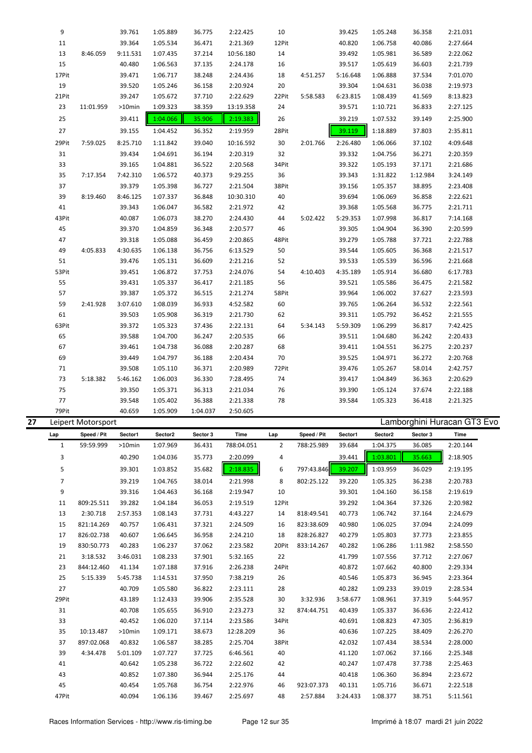| 9      |           | 39.761    | 1:05.889 | 36.775   | 2:22.425  | 10    |          | 39.425   | 1:05.248 | 36.358   | 2:21.031 |
|--------|-----------|-----------|----------|----------|-----------|-------|----------|----------|----------|----------|----------|
| $11\,$ |           | 39.364    | 1:05.534 | 36.471   | 2:21.369  | 12Pit |          | 40.820   | 1:06.758 | 40.086   | 2:27.664 |
| 13     | 8:46.059  | 9:11.531  | 1:07.435 | 37.214   | 10:56.180 | 14    |          | 39.492   | 1:05.981 | 36.589   | 2:22.062 |
| 15     |           | 40.480    | 1:06.563 | 37.135   | 2:24.178  | 16    |          | 39.517   | 1:05.619 | 36.603   | 2:21.739 |
| 17Pit  |           | 39.471    | 1:06.717 | 38.248   | 2:24.436  | 18    | 4:51.257 | 5:16.648 | 1:06.888 | 37.534   | 7:01.070 |
| 19     |           | 39.520    | 1:05.246 | 36.158   | 2:20.924  | 20    |          | 39.304   | 1:04.631 | 36.038   | 2:19.973 |
| 21Pit  |           | 39.247    | 1:05.672 | 37.710   | 2:22.629  | 22Pit | 5:58.583 | 6:23.815 | 1:08.439 | 41.569   | 8:13.823 |
| 23     | 11:01.959 | $>10$ min | 1:09.323 | 38.359   | 13:19.358 | 24    |          | 39.571   | 1:10.721 | 36.833   | 2:27.125 |
| 25     |           | 39.411    | 1:04.066 | 35.906   | 2:19.383  | 26    |          | 39.219   | 1:07.532 | 39.149   | 2:25.900 |
| 27     |           | 39.155    | 1:04.452 | 36.352   | 2:19.959  | 28Pit |          | 39.119   | 1:18.889 | 37.803   | 2:35.811 |
| 29Pit  | 7:59.025  | 8:25.710  | 1:11.842 | 39.040   | 10:16.592 | 30    | 2:01.766 | 2:26.480 | 1:06.066 | 37.102   | 4:09.648 |
| 31     |           | 39.434    | 1:04.691 | 36.194   | 2:20.319  | 32    |          | 39.332   | 1:04.756 | 36.271   | 2:20.359 |
| 33     |           | 39.165    | 1:04.881 | 36.522   | 2:20.568  | 34Pit |          | 39.322   | 1:05.193 | 37.171   | 2:21.686 |
| 35     | 7:17.354  | 7:42.310  | 1:06.572 | 40.373   | 9:29.255  | 36    |          | 39.343   | 1:31.822 | 1:12.984 | 3:24.149 |
| 37     |           | 39.379    | 1:05.398 | 36.727   | 2:21.504  | 38Pit |          | 39.156   | 1:05.357 | 38.895   | 2:23.408 |
| 39     | 8:19.460  | 8:46.125  | 1:07.337 | 36.848   | 10:30.310 | 40    |          | 39.694   | 1:06.069 | 36.858   | 2:22.621 |
| 41     |           | 39.343    | 1:06.047 | 36.582   | 2:21.972  | 42    |          | 39.368   | 1:05.568 | 36.775   | 2:21.711 |
| 43Pit  |           | 40.087    | 1:06.073 | 38.270   | 2:24.430  | 44    | 5:02.422 | 5:29.353 | 1:07.998 | 36.817   | 7:14.168 |
| 45     |           | 39.370    | 1:04.859 | 36.348   | 2:20.577  | 46    |          | 39.305   | 1:04.904 | 36.390   | 2:20.599 |
| 47     |           | 39.318    | 1:05.088 | 36.459   | 2:20.865  | 48Pit |          | 39.279   | 1:05.788 | 37.721   | 2:22.788 |
| 49     | 4:05.833  | 4:30.635  | 1:06.138 | 36.756   | 6:13.529  | 50    |          | 39.544   | 1:05.605 | 36.368   | 2:21.517 |
| 51     |           | 39.476    | 1:05.131 | 36.609   | 2:21.216  | 52    |          | 39.533   | 1:05.539 | 36.596   | 2:21.668 |
| 53Pit  |           | 39.451    | 1:06.872 | 37.753   | 2:24.076  | 54    | 4:10.403 | 4:35.189 | 1:05.914 | 36.680   | 6:17.783 |
| 55     |           | 39.431    | 1:05.337 | 36.417   | 2:21.185  | 56    |          | 39.521   | 1:05.586 | 36.475   | 2:21.582 |
| 57     |           | 39.387    | 1:05.372 | 36.515   | 2:21.274  | 58Pit |          | 39.964   | 1:06.002 | 37.627   | 2:23.593 |
| 59     | 2:41.928  | 3:07.610  | 1:08.039 | 36.933   | 4:52.582  | 60    |          | 39.765   | 1:06.264 | 36.532   | 2:22.561 |
| 61     |           | 39.503    | 1:05.908 | 36.319   | 2:21.730  | 62    |          | 39.311   | 1:05.792 | 36.452   | 2:21.555 |
| 63Pit  |           | 39.372    | 1:05.323 | 37.436   | 2:22.131  | 64    | 5:34.143 | 5:59.309 | 1:06.299 | 36.817   | 7:42.425 |
| 65     |           | 39.588    | 1:04.700 | 36.247   | 2:20.535  | 66    |          | 39.511   | 1:04.680 | 36.242   | 2:20.433 |
| 67     |           | 39.461    | 1:04.738 | 36.088   | 2:20.287  | 68    |          | 39.411   | 1:04.551 | 36.275   | 2:20.237 |
| 69     |           | 39.449    | 1:04.797 | 36.188   | 2:20.434  | 70    |          | 39.525   | 1:04.971 | 36.272   | 2:20.768 |
| 71     |           | 39.508    | 1:05.110 | 36.371   | 2:20.989  | 72Pit |          | 39.476   | 1:05.267 | 58.014   | 2:42.757 |
| 73     | 5:18.382  | 5:46.162  | 1:06.003 | 36.330   | 7:28.495  | 74    |          | 39.417   | 1:04.849 | 36.363   | 2:20.629 |
| 75     |           | 39.350    | 1:05.371 | 36.313   | 2:21.034  | 76    |          | 39.390   | 1:05.124 | 37.674   | 2:22.188 |
| 77     |           | 39.548    | 1:05.402 | 36.388   | 2:21.338  | 78    |          | 39.584   | 1:05.323 | 36.418   | 2:21.325 |
| 79Pit  |           | 40.659    | 1:05.909 | 1:04.037 | 2:50.605  |       |          |          |          |          |          |

| 27 |                | Leipert Motorsport |           |          |          |            |                |             |          |          |          | Lamborghini Huracan GT3 Evo |
|----|----------------|--------------------|-----------|----------|----------|------------|----------------|-------------|----------|----------|----------|-----------------------------|
|    | Lap            | Speed / Pit        | Sector1   | Sector2  | Sector 3 | Time       | Lap            | Speed / Pit | Sector1  | Sector2  | Sector 3 | Time                        |
|    | $\mathbf{1}$   | 59:59.999          | $>10$ min | 1:07.969 | 36.431   | 788:04.051 | $\overline{2}$ | 788:25.989  | 39.684   | 1:04.375 | 36.085   | 2:20.144                    |
|    | 3              |                    | 40.290    | 1:04.036 | 35.773   | 2:20.099   | 4              |             | 39.441   | 1:03.801 | 35.663   | 2:18.905                    |
|    | 5              |                    | 39.301    | 1:03.852 | 35.682   | 2:18.835   | 6              | 797:43.846  | 39.207   | 1:03.959 | 36.029   | 2:19.195                    |
|    | $\overline{7}$ |                    | 39.219    | 1:04.765 | 38.014   | 2:21.998   | 8              | 802:25.122  | 39.220   | 1:05.325 | 36.238   | 2:20.783                    |
|    | 9              |                    | 39.316    | 1:04.463 | 36.168   | 2:19.947   | 10             |             | 39.301   | 1:04.160 | 36.158   | 2:19.619                    |
|    | 11             | 809:25.511         | 39.282    | 1:04.184 | 36.053   | 2:19.519   | 12Pit          |             | 39.292   | 1:04.364 | 37.326   | 2:20.982                    |
|    | 13             | 2:30.718           | 2:57.353  | 1:08.143 | 37.731   | 4:43.227   | 14             | 818:49.541  | 40.773   | 1:06.742 | 37.164   | 2:24.679                    |
|    | 15             | 821:14.269         | 40.757    | 1:06.431 | 37.321   | 2:24.509   | 16             | 823:38.609  | 40.980   | 1:06.025 | 37.094   | 2:24.099                    |
|    | 17             | 826:02.738         | 40.607    | 1:06.645 | 36.958   | 2:24.210   | 18             | 828:26.827  | 40.279   | 1:05.803 | 37.773   | 2:23.855                    |
|    | 19             | 830:50.773         | 40.283    | 1:06.237 | 37.062   | 2:23.582   | 20Pit          | 833:14.267  | 40.282   | 1:06.286 | 1:11.982 | 2:58.550                    |
|    | 21             | 3:18.532           | 3:46.031  | 1:08.233 | 37.901   | 5:32.165   | 22             |             | 41.799   | 1:07.556 | 37.712   | 2:27.067                    |
|    | 23             | 844:12.460         | 41.134    | 1:07.188 | 37.916   | 2:26.238   | 24Pit          |             | 40.872   | 1:07.662 | 40.800   | 2:29.334                    |
|    | 25             | 5:15.339           | 5:45.738  | 1:14.531 | 37.950   | 7:38.219   | 26             |             | 40.546   | 1:05.873 | 36.945   | 2:23.364                    |
|    | 27             |                    | 40.709    | 1:05.580 | 36.822   | 2:23.111   | 28             |             | 40.282   | 1:09.233 | 39.019   | 2:28.534                    |
|    | 29Pit          |                    | 43.189    | 1:12.433 | 39.906   | 2:35.528   | 30             | 3:32.936    | 3:58.677 | 1:08.961 | 37.319   | 5:44.957                    |
|    | 31             |                    | 40.708    | 1:05.655 | 36.910   | 2:23.273   | 32             | 874:44.751  | 40.439   | 1:05.337 | 36.636   | 2:22.412                    |
|    | 33             |                    | 40.452    | 1:06.020 | 37.114   | 2:23.586   | 34Pit          |             | 40.691   | 1:08.823 | 47.305   | 2:36.819                    |
|    | 35             | 10:13.487          | $>10$ min | 1:09.171 | 38.673   | 12:28.209  | 36             |             | 40.636   | 1:07.225 | 38.409   | 2:26.270                    |
|    | 37             | 897:02.068         | 40.832    | 1:06.587 | 38.285   | 2:25.704   | 38Pit          |             | 42.032   | 1:07.434 | 38.534   | 2:28.000                    |
|    | 39             | 4:34.478           | 5:01.109  | 1:07.727 | 37.725   | 6:46.561   | 40             |             | 41.120   | 1:07.062 | 37.166   | 2:25.348                    |
|    | 41             |                    | 40.642    | 1:05.238 | 36.722   | 2:22.602   | 42             |             | 40.247   | 1:07.478 | 37.738   | 2:25.463                    |
|    | 43             |                    | 40.852    | 1:07.380 | 36.944   | 2:25.176   | 44             |             | 40.418   | 1:06.360 | 36.894   | 2:23.672                    |
|    | 45             |                    | 40.454    | 1:05.768 | 36.754   | 2:22.976   | 46             | 923:07.373  | 40.131   | 1:05.716 | 36.671   | 2:22.518                    |
|    | 47Pit          |                    | 40.094    | 1:06.136 | 39.467   | 2:25.697   | 48             | 2:57.884    | 3:24.433 | 1:08.377 | 38.751   | 5:11.561                    |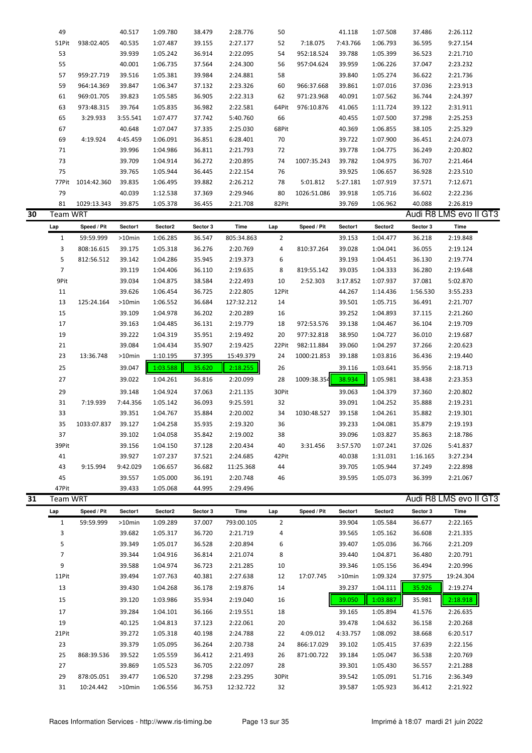|    | 49              |                         | 40.517           | 1:09.780             | 38.479           | 2:28.776              | 50             |             | 41.118           | 1:07.508             | 37.486           | 2:26.112               |  |
|----|-----------------|-------------------------|------------------|----------------------|------------------|-----------------------|----------------|-------------|------------------|----------------------|------------------|------------------------|--|
|    | 51Pit           | 938:02.405              | 40.535           | 1:07.487             | 39.155           | 2:27.177              | 52             | 7:18.075    | 7:43.766         | 1:06.793             | 36.595           | 9:27.154               |  |
|    | 53              |                         | 39.939           | 1:05.242             | 36.914           | 2:22.095              | 54             | 952:18.524  | 39.788           | 1:05.399             | 36.523           | 2:21.710               |  |
|    | 55              |                         | 40.001           | 1:06.735             | 37.564           | 2:24.300              | 56             | 957:04.624  | 39.959           | 1:06.226             | 37.047           | 2:23.232               |  |
|    | 57              | 959:27.719              | 39.516           | 1:05.381             | 39.984           | 2:24.881              | 58             |             | 39.840           | 1:05.274             | 36.622           | 2:21.736               |  |
|    | 59              | 964:14.369              | 39.847           | 1:06.347             | 37.132           | 2:23.326              | 60             | 966:37.668  | 39.861           | 1:07.016             | 37.036           | 2:23.913               |  |
|    | 61              | 969:01.705              | 39.823           | 1:05.585             | 36.905           | 2:22.313              | 62             | 971:23.968  | 40.091           | 1:07.562             | 36.744           | 2:24.397               |  |
|    | 63              | 973:48.315              | 39.764           | 1:05.835             | 36.982           | 2:22.581              | 64Pit          | 976:10.876  | 41.065           | 1:11.724             | 39.122           | 2:31.911               |  |
|    | 65              | 3:29.933                | 3:55.541         | 1:07.477             | 37.742           | 5:40.760              | 66             |             | 40.455           | 1:07.500             | 37.298           | 2:25.253               |  |
|    | 67              |                         | 40.648           | 1:07.047             | 37.335           | 2:25.030              | 68Pit          |             | 40.369           | 1:06.855             | 38.105           | 2:25.329               |  |
|    | 69              | 4:19.924                | 4:45.459         | 1:06.091             | 36.851           | 6:28.401              | 70             |             | 39.722           | 1:07.900             | 36.451           | 2:24.073               |  |
|    | 71              |                         | 39.996           | 1:04.986             | 36.811           | 2:21.793              | 72             |             | 39.778           | 1:04.775             | 36.249           | 2:20.802               |  |
|    | 73              |                         | 39.709           | 1:04.914             | 36.272           | 2:20.895              | 74             | 1007:35.243 | 39.782           | 1:04.975             | 36.707           | 2:21.464               |  |
|    | 75              |                         | 39.765           | 1:05.944             | 36.445           | 2:22.154              | 76             |             | 39.925           | 1:06.657             | 36.928           | 2:23.510               |  |
|    | 77Pit           | 1014:42.360             | 39.835           | 1:06.495             | 39.882           | 2:26.212              | 78             | 5:01.812    | 5:27.181         | 1:07.919             | 37.571           | 7:12.671               |  |
|    | 79              |                         | 40.039           | 1:12.538             | 37.369           | 2:29.946              | 80             | 1026:51.086 | 39.918           | 1:05.716             | 36.602           | 2:22.236               |  |
|    | 81              | 1029:13.343             | 39.875           | 1:05.378             | 36.455           | 2:21.708              | 82Pit          |             | 39.769           | 1:06.962             | 40.088           | 2:26.819               |  |
| 30 | Team WRT        |                         |                  |                      |                  |                       |                |             |                  |                      |                  | Audi R8 LMS evo II GT3 |  |
|    |                 |                         |                  |                      |                  |                       |                |             |                  |                      |                  |                        |  |
|    | Lap             | Speed / Pit             | Sector1          | Sector2              | Sector 3         | Time                  | Lap            | Speed / Pit | Sector1          | Sector2              | Sector 3         | <b>Time</b>            |  |
|    | $\mathbf{1}$    | 59:59.999               | >10min           | 1:06.285             | 36.547           | 805:34.863            | $\overline{2}$ |             | 39.153           | 1:04.477             | 36.218           | 2:19.848               |  |
|    | 3               | 808:16.615              | 39.175           | 1:05.318             | 36.276           | 2:20.769              | 4              | 810:37.264  | 39.028           | 1:04.041             | 36.055           | 2:19.124               |  |
|    | 5               | 812:56.512              | 39.142           | 1:04.286             | 35.945           | 2:19.373              | 6              |             | 39.193           | 1:04.451             | 36.130           | 2:19.774               |  |
|    | $\overline{7}$  |                         | 39.119           | 1:04.406             | 36.110           | 2:19.635              | 8              | 819:55.142  | 39.035           | 1:04.333             | 36.280           | 2:19.648               |  |
|    | 9Pit            |                         | 39.034           | 1:04.875             | 38.584           | 2:22.493              | 10             | 2:52.303    | 3:17.852         | 1:07.937             | 37.081           | 5:02.870               |  |
|    | 11              |                         | 39.626           | 1:06.454             | 36.725           | 2:22.805              | 12Pit          |             | 44.267           | 1:14.436             | 1:56.530         | 3:55.233               |  |
|    | 13              | 125:24.164              | >10min           | 1:06.552             | 36.684           | 127:32.212            | 14             |             | 39.501           | 1:05.715             | 36.491           | 2:21.707               |  |
|    | 15              |                         | 39.109           | 1:04.978             | 36.202           | 2:20.289              | 16             |             | 39.252           | 1:04.893             | 37.115           | 2:21.260               |  |
|    | 17              |                         | 39.163           | 1:04.485             | 36.131           | 2:19.779              | 18             | 972:53.576  | 39.138           | 1:04.467             | 36.104           | 2:19.709               |  |
|    | 19              |                         | 39.222           | 1:04.319             | 35.951           | 2:19.492              | 20             | 977:32.818  | 38.950           | 1:04.727             | 36.010           | 2:19.687               |  |
|    | 21              |                         | 39.084           | 1:04.434             | 35.907           | 2:19.425              | 22Pit          | 982:11.884  | 39.060           | 1:04.297             | 37.266           | 2:20.623               |  |
|    | 23              | 13:36.748               | >10min           | 1:10.195             | 37.395           | 15:49.379             | 24             | 1000:21.853 | 39.188           | 1:03.816             | 36.436           | 2:19.440               |  |
|    | 25              |                         | 39.047           | 1:03.588             | 35.620           | 2:18.255              | 26             |             | 39.116           | 1:03.641             | 35.956           | 2:18.713               |  |
|    | 27              |                         | 39.022           | 1:04.261             | 36.816           | 2:20.099              | 28             | 1009:38.354 | 38.934           | 1:05.981             | 38.438           | 2:23.353               |  |
|    | 29              |                         | 39.148           | 1:04.924             | 37.063           | 2:21.135              | 30Pit          |             | 39.063           | 1:04.379             | 37.360           | 2:20.802               |  |
|    | 31              | 7:19.939                | 7:44.356         | 1:05.142             | 36.093           | 9:25.591              | 32             |             | 39.091           | 1:04.252             | 35.888           | 2:19.231               |  |
|    | 33              |                         | 39.351           | 1:04.767             | 35.884           | 2:20.002              | 34             | 1030:48.527 | 39.158           | 1:04.261             | 35.882           | 2:19.301               |  |
|    | 35              | 1033:07.837             | 39.127           | 1:04.258             | 35.935           |                       |                |             | 39.233           | 1:04.081             |                  |                        |  |
|    |                 |                         |                  |                      |                  | 2:19.320              | 36             |             |                  |                      | 35.879           | 2:19.193               |  |
|    | 37              |                         | 39.102           | 1:04.058             | 35.842           | 2:19.002              | 38             |             | 39.096           | 1:03.827             | 35.863           | 2:18.786               |  |
|    | 39Pit           |                         | 39.156           | 1:04.150             | 37.128           | 2:20.434              | 40             | 3:31.456    | 3:57.570         | 1:07.241             | 37.026           | 5:41.837               |  |
|    | 41              |                         | 39.927           | 1:07.237             | 37.521           | 2:24.685              | 42Pit          |             | 40.038           | 1:31.031             | 1:16.165         | 3:27.234               |  |
|    | 43              | 9:15.994                | 9:42.029         | 1:06.657             | 36.682           | 11:25.368             | 44             |             | 39.705           | 1:05.944             | 37.249           | 2:22.898               |  |
|    | 45              |                         | 39.557           | 1:05.000             | 36.191           | 2:20.748              | 46             |             | 39.595           | 1:05.073             | 36.399           | 2:21.067               |  |
|    | 47Pit           |                         | 39.433           | 1:05.068             | 44.995           | 2:29.496              |                |             |                  |                      |                  |                        |  |
| 31 | <b>Team WRT</b> |                         |                  |                      |                  |                       |                |             |                  |                      |                  | Audi R8 LMS evo II GT3 |  |
|    | Lap             | Speed / Pit             | Sector1          | Sector2              | Sector 3         | Time                  | Lap            | Speed / Pit | Sector1          | Sector2              | Sector 3         | Time                   |  |
|    | $\mathbf{1}$    | 59:59.999               | >10min           | 1:09.289             | 37.007           | 793:00.105            | $\overline{2}$ |             | 39.904           | 1:05.584             | 36.677           | 2:22.165               |  |
|    | 3               |                         | 39.682           | 1:05.317             | 36.720           | 2:21.719              | 4              |             | 39.565           | 1:05.162             | 36.608           | 2:21.335               |  |
|    | 5               |                         | 39.349           | 1:05.017             | 36.528           | 2:20.894              | 6              |             | 39.407           | 1:05.036             | 36.766           | 2:21.209               |  |
|    | 7               |                         | 39.344           | 1:04.916             | 36.814           | 2:21.074              | 8              |             | 39.440           | 1:04.871             | 36.480           | 2:20.791               |  |
|    | 9               |                         | 39.588           | 1:04.974             | 36.723           | 2:21.285              | 10             |             | 39.346           | 1:05.156             | 36.494           | 2:20.996               |  |
|    | 11Pit           |                         | 39.494           | 1:07.763             | 40.381           | 2:27.638              | 12             | 17:07.745   | >10min           | 1:09.324             | 37.975           | 19:24.304              |  |
|    |                 |                         |                  |                      |                  |                       |                |             |                  |                      |                  |                        |  |
|    | 13              |                         | 39.430           | 1:04.268             | 36.178           | 2:19.876              | 14             |             | 39.237           | 1:04.111             | 35.926           | 2:19.274               |  |
|    | 15              |                         | 39.120           | 1:03.986             | 35.934           | 2:19.040              | 16             |             | 39.050           | 1:03.887             | 35.981           | 2:18.918               |  |
|    | 17              |                         | 39.284           | 1:04.101             | 36.166           | 2:19.551              | 18             |             | 39.165           | 1:05.894             | 41.576           | 2:26.635               |  |
|    | 19              |                         | 40.125           | 1:04.813             | 37.123           | 2:22.061              | 20             |             | 39.478           | 1:04.632             | 36.158           | 2:20.268               |  |
|    | 21Pit           |                         | 39.272           | 1:05.318             | 40.198           | 2:24.788              | 22             | 4:09.012    | 4:33.757         | 1:08.092             | 38.668           | 6:20.517               |  |
|    | 23              |                         | 39.379           | 1:05.095             | 36.264           | 2:20.738              | 24             | 866:17.029  | 39.102           | 1:05.415             | 37.639           | 2:22.156               |  |
|    | 25              | 868:39.536              | 39.522           | 1:05.559             | 36.412           | 2:21.493              | 26             | 871:00.722  | 39.184           | 1:05.047             | 36.538           | 2:20.769               |  |
|    | 27              |                         | 39.869           | 1:05.523             | 36.705           | 2:22.097              | 28             |             | 39.301           | 1:05.430             | 36.557           | 2:21.288               |  |
|    | 29<br>31        | 878:05.051<br>10:24.442 | 39.477<br>>10min | 1:06.520<br>1:06.556 | 37.298<br>36.753 | 2:23.295<br>12:32.722 | 30Pit<br>32    |             | 39.542<br>39.587 | 1:05.091<br>1:05.923 | 51.716<br>36.412 | 2:36.349<br>2:21.922   |  |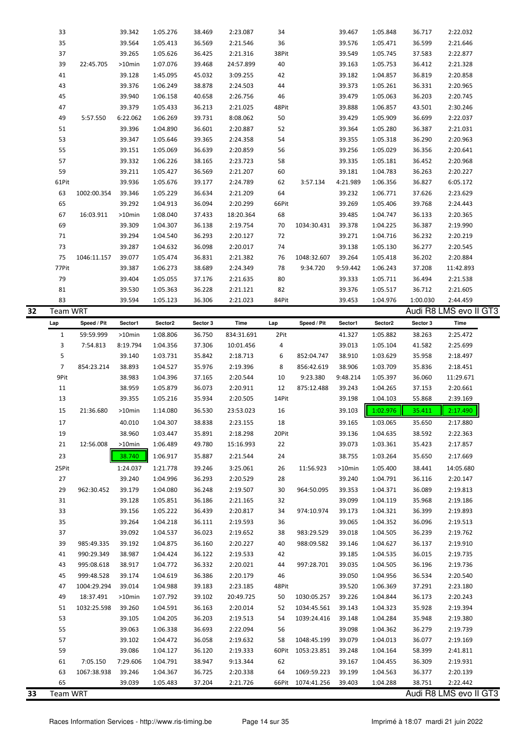| 33<br>39.342<br>1:05.276<br>38.469<br>2:23.087<br>39.467<br>1:05.848<br>36.717<br>2:22.032<br>34<br>35<br>39.564<br>39.576<br>36.599<br>2:21.646<br>1:05.413<br>36.569<br>2:21.546<br>36<br>1:05.471<br>37<br>39.265<br>38Pit<br>39.549<br>37.583<br>2:22.877<br>1:05.626<br>36.425<br>2:21.316<br>1:05.745<br>39<br>22:45.705<br>>10min<br>1:07.076<br>39.468<br>24:57.899<br>40<br>39.163<br>1:05.753<br>36.412<br>2:21.328<br>39.128<br>45.032<br>39.182<br>36.819<br>41<br>1:45.095<br>3:09.255<br>42<br>1:04.857<br>2:20.858<br>43<br>39.376<br>38.878<br>39.373<br>36.331<br>1:06.249<br>2:24.503<br>44<br>1:05.261<br>2:20.965<br>45<br>39.940<br>40.658<br>2:26.756<br>39.479<br>36.203<br>1:06.158<br>46<br>1:05.063<br>2:20.745<br>47<br>39.379<br>39.888<br>43.501<br>1:05.433<br>36.213<br>2:21.025<br>48Pit<br>1:06.857<br>2:30.246<br>49<br>6:22.062<br>39.731<br>8:08.062<br>50<br>36.699<br>2:22.037<br>5:57.550<br>1:06.269<br>39.429<br>1:05.909<br>39.396<br>39.364<br>36.387<br>51<br>1:04.890<br>36.601<br>2:20.887<br>52<br>1:05.280<br>2:21.031<br>53<br>39.347<br>39.365<br>39.355<br>1:05.646<br>2:24.358<br>54<br>1:05.318<br>36.290<br>2:20.963<br>55<br>39.151<br>36.639<br>2:20.859<br>39.256<br>36.356<br>1:05.069<br>56<br>1:05.029<br>2:20.641<br>57<br>39.332<br>2:23.723<br>39.335<br>1:06.226<br>38.165<br>58<br>1:05.181<br>36.452<br>2:20.968<br>59<br>39.211<br>36.569<br>2:21.207<br>39.181<br>36.263<br>1:05.427<br>60<br>1:04.783<br>2:20.227<br>61Pit<br>39.936<br>39.177<br>2:24.789<br>62<br>4:21.989<br>36.827<br>1:05.676<br>3:57.134<br>1:06.356<br>6:05.172<br>2:21.209<br>39.232<br>63<br>39.346<br>1:05.229<br>36.634<br>64<br>1:06.771<br>37.626<br>2:23.629<br>1002:00.354<br>65<br>39.292<br>36.094<br>2:20.299<br>39.269<br>39.768<br>1:04.913<br>66Pit<br>1:05.406<br>2:24.443<br>67<br>68<br>39.485<br>16:03.911<br>>10min<br>1:08.040<br>37.433<br>18:20.364<br>1:04.747<br>36.133<br>2:20.365<br>69<br>39.309<br>39.378<br>36.387<br>1:04.307<br>36.138<br>2:19.754<br>70<br>1034:30.431<br>1:04.225<br>2:19.990<br>39.294<br>36.293<br>39.271<br>36.232<br>71<br>1:04.540<br>2:20.127<br>72<br>1:04.716<br>2:20.219<br>73<br>39.287<br>2:20.017<br>39.138<br>36.277<br>1:04.632<br>36.098<br>74<br>1:05.130<br>2:20.545<br>75<br>39.077<br>39.264<br>36.202<br>1046:11.157<br>1:05.474<br>36.831<br>2:21.382<br>76<br>1048:32.607<br>1:05.418<br>2:20.884<br>77Pit<br>39.387<br>78<br>9:59.442<br>37.208<br>1:06.273<br>38.689<br>2:24.349<br>9:34.720<br>1:06.243<br>11:42.893<br>79<br>39.404<br>39.333<br>1:05.055<br>37.176<br>2:21.635<br>80<br>1:05.711<br>36.494<br>2:21.538<br>39.530<br>36.228<br>39.376<br>36.712<br>81<br>1:05.363<br>2:21.121<br>82<br>1:05.517<br>2:21.605<br>83<br>39.594<br>1:05.123<br>36.306<br>2:21.023<br>84Pit<br>39.453<br>1:04.976<br>1:00.030<br>2:44.459<br>Audi R8 LMS evo II GT3<br>Team WRT<br>Speed / Pit<br>Sector2<br>Sector 3<br>Time<br>Sector1<br>Sector2<br>Sector 3<br>Time<br>Lap<br>Speed / Pit<br>Sector1<br>Lap<br>59:59.999<br>36.750<br>2Pit<br>1:05.882<br>38.263<br>2:25.472<br>1<br>>10min<br>1:08.806<br>834:31.691<br>41.327<br>3<br>7:54.813<br>8:19.794<br>37.306<br>10:01.456<br>4<br>39.013<br>1:05.104<br>41.582<br>2:25.699<br>1:04.356<br>5<br>39.140<br>1:03.731<br>35.842<br>2:18.713<br>6<br>852:04.747<br>38.910<br>1:03.629<br>35.958<br>2:18.497<br>$\overline{7}$<br>854:23.214<br>38.893<br>1:04.527<br>35.976<br>2:19.396<br>856:42.619<br>38.906<br>1:03.709<br>35.836<br>2:18.451<br>8<br>9Pit<br>38.983<br>1:04.396<br>37.165<br>2:20.544<br>10<br>9:23.380<br>9:48.214<br>1:05.397<br>36.060<br>11:29.671<br>11<br>38.959<br>1:05.879<br>36.073<br>2:20.911<br>12<br>875:12.488<br>39.243<br>1:04.265<br>37.153<br>2:20.661<br>13<br>39.355<br>35.934<br>14Pit<br>39.198<br>1:04.103<br>55.868<br>2:39.169<br>1:05.216<br>2:20.505<br>15<br>21:36.680<br>$>10$ min<br>1:14.080<br>36.530<br>23:53.023<br>16<br>39.103<br>1:02.976<br>35.411<br>2:17.490<br>40.010<br>1:04.307<br>38.838<br>17<br>2:23.155<br>18<br>39.165<br>1:03.065<br>35.650<br>2:17.880<br>19<br>38.960<br>35.891<br>2:18.298<br>20Pit<br>1:04.635<br>38.592<br>2:22.363<br>1:03.447<br>39.136<br>21<br>12:56.008<br>>10min<br>1:06.489<br>49.780<br>15:16.993<br>22<br>39.073<br>1:03.361<br>35.423<br>2:17.857<br>23<br>38.740<br>1:06.917<br>35.887<br>2:21.544<br>38.755<br>1:03.264<br>35.650<br>2:17.669<br>24<br>25Pit<br>1:24.037<br>1:21.778<br>39.246<br>3:25.061<br>>10min<br>1:05.400<br>38.441<br>14:05.680<br>26<br>11:56.923<br>39.240<br>39.240<br>27<br>1:04.996<br>36.293<br>2:20.529<br>28<br>1:04.791<br>36.116<br>2:20.147<br>29<br>962:30.452<br>39.179<br>1:04.080<br>36.248<br>2:19.507<br>30<br>964:50.095<br>39.353<br>1:04.371<br>36.089<br>2:19.813<br>31<br>39.128<br>1:05.851<br>36.186<br>2:21.165<br>39.099<br>1:04.119<br>35.968<br>2:19.186<br>32<br>33<br>39.156<br>1:05.222<br>36.439<br>2:20.817<br>974:10.974<br>39.173<br>1:04.321<br>36.399<br>2:19.893<br>34<br>35<br>39.264<br>1:04.218<br>2:19.593<br>39.065<br>1:04.352<br>36.096<br>2:19.513<br>36.111<br>36<br>37<br>39.092<br>1:04.537<br>36.023<br>2:19.652<br>983:29.529<br>39.018<br>1:04.505<br>36.239<br>2:19.762<br>38<br>39<br>985:49.335<br>39.192<br>1:04.875<br>36.160<br>2:20.227<br>40<br>988:09.582<br>39.146<br>1:04.627<br>36.137<br>2:19.910<br>990:29.349<br>38.987<br>36.122<br>2:19.533<br>39.185<br>36.015<br>2:19.735<br>41<br>1:04.424<br>42<br>1:04.535<br>43<br>995:08.618<br>38.917<br>1:04.772<br>36.332<br>2:20.021<br>997:28.701<br>39.035<br>1:04.505<br>36.196<br>2:19.736<br>44<br>45<br>999:48.528<br>39.174<br>1:04.619<br>36.386<br>2:20.179<br>46<br>39.050<br>1:04.956<br>36.534<br>2:20.540<br>1004:29.294<br>39.014<br>1:04.988<br>39.183<br>2:23.185<br>39.520<br>1:06.369<br>37.291<br>2:23.180<br>47<br>48Pit<br>49<br>18:37.491<br>$>10$ min<br>39.102<br>20:49.725<br>1030:05.257<br>39.226<br>1:04.844<br>36.173<br>2:20.243<br>1:07.792<br>50<br>1032:25.598<br>39.260<br>36.163<br>2:20.014<br>1034:45.561<br>39.143<br>1:04.323<br>35.928<br>2:19.394<br>51<br>1:04.591<br>52<br>53<br>39.105<br>1:04.205<br>36.203<br>2:19.513<br>1039:24.416<br>39.148<br>1:04.284<br>35.948<br>2:19.380<br>54<br>55<br>39.063<br>1:06.338<br>36.693<br>2:22.094<br>56<br>39.098<br>1:04.362<br>36.279<br>2:19.739<br>57<br>39.102<br>1:04.472<br>36.058<br>2:19.632<br>1048:45.199<br>39.079<br>1:04.013<br>36.077<br>2:19.169<br>58<br>59<br>39.086<br>36.120<br>2:19.333<br>60Pit<br>1053:23.851<br>39.248<br>58.399<br>2:41.811<br>1:04.127<br>1:04.164<br>61<br>7:05.150<br>7:29.606<br>1:04.791<br>38.947<br>9:13.344<br>62<br>39.167<br>1:04.455<br>36.309<br>2:19.931<br>63<br>1067:38.938<br>39.246<br>1:04.367<br>2:20.338<br>1069:59.223<br>39.199<br>1:04.563<br>36.377<br>2:20.139<br>36.725<br>64<br>65<br>39.039<br>2:22.442<br>1:05.483<br>37.204<br>2:21.726<br>66Pit 1074:41.256<br>39.403<br>1:04.288<br>38.751<br>Audi R8 LMS evo II GT3<br>Team WRT |  |  |  |  |  |  |  |
|---------------------------------------------------------------------------------------------------------------------------------------------------------------------------------------------------------------------------------------------------------------------------------------------------------------------------------------------------------------------------------------------------------------------------------------------------------------------------------------------------------------------------------------------------------------------------------------------------------------------------------------------------------------------------------------------------------------------------------------------------------------------------------------------------------------------------------------------------------------------------------------------------------------------------------------------------------------------------------------------------------------------------------------------------------------------------------------------------------------------------------------------------------------------------------------------------------------------------------------------------------------------------------------------------------------------------------------------------------------------------------------------------------------------------------------------------------------------------------------------------------------------------------------------------------------------------------------------------------------------------------------------------------------------------------------------------------------------------------------------------------------------------------------------------------------------------------------------------------------------------------------------------------------------------------------------------------------------------------------------------------------------------------------------------------------------------------------------------------------------------------------------------------------------------------------------------------------------------------------------------------------------------------------------------------------------------------------------------------------------------------------------------------------------------------------------------------------------------------------------------------------------------------------------------------------------------------------------------------------------------------------------------------------------------------------------------------------------------------------------------------------------------------------------------------------------------------------------------------------------------------------------------------------------------------------------------------------------------------------------------------------------------------------------------------------------------------------------------------------------------------------------------------------------------------------------------------------------------------------------------------------------------------------------------------------------------------------------------------------------------------------------------------------------------------------------------------------------------------------------------------------------------------------------------------------------------------------------------------------------------------------------------------------------------------------------------------------------------------------------------------------------------------------------------------------------------------------------------------------------------------------------------------------------------------------------------------------------------------------------------------------------------------------------------------------------------------------------------------------------------------------------------------------------------------------------------------------------------------------------------------------------------------------------------------------------------------------------------------------------------------------------------------------------------------------------------------------------------------------------------------------------------------------------------------------------------------------------------------------------------------------------------------------------------------------------------------------------------------------------------------------------------------------------------------------------------------------------------------------------------------------------------------------------------------------------------------------------------------------------------------------------------------------------------------------------------------------------------------------------------------------------------------------------------------------------------------------------------------------------------------------------------------------------------------------------------------------------------------------------------------------------------------------------------------------------------------------------------------------------------------------------------------------------------------------------------------------------------------------------------------------------------------------------------------------------------------------------------------------------------------------------------------------------------------------------------------------------------------------------------------------------------------------------------------------------------------------------------------------------------------------------------------------------------------------------------------------------------------------------------------------------------------------------------------------------------------------------------------------------------------------------------------------------------------------------------------------------------------------------------------------------------------------------------------------------------------------------------------------------------------------------------------------------------------------------------------------------------------------------------------------------------------------------------------------------------------------------------------------------------------------------------------------------------------------------------------------------------------------------------------------------------------------------------------------------------------------------------------------------------------------------------|--|--|--|--|--|--|--|
|                                                                                                                                                                                                                                                                                                                                                                                                                                                                                                                                                                                                                                                                                                                                                                                                                                                                                                                                                                                                                                                                                                                                                                                                                                                                                                                                                                                                                                                                                                                                                                                                                                                                                                                                                                                                                                                                                                                                                                                                                                                                                                                                                                                                                                                                                                                                                                                                                                                                                                                                                                                                                                                                                                                                                                                                                                                                                                                                                                                                                                                                                                                                                                                                                                                                                                                                                                                                                                                                                                                                                                                                                                                                                                                                                                                                                                                                                                                                                                                                                                                                                                                                                                                                                                                                                                                                                                                                                                                                                                                                                                                                                                                                                                                                                                                                                                                                                                                                                                                                                                                                                                                                                                                                                                                                                                                                                                                                                                                                                                                                                                                                                                                                                                                                                                                                                                                                                                                                                                                                                                                                                                                                                                                                                                                                                                                                                                                                                                                                                                                                                                                                                                                                                                                                                                                                                                                                                                                                                                                                                           |  |  |  |  |  |  |  |
|                                                                                                                                                                                                                                                                                                                                                                                                                                                                                                                                                                                                                                                                                                                                                                                                                                                                                                                                                                                                                                                                                                                                                                                                                                                                                                                                                                                                                                                                                                                                                                                                                                                                                                                                                                                                                                                                                                                                                                                                                                                                                                                                                                                                                                                                                                                                                                                                                                                                                                                                                                                                                                                                                                                                                                                                                                                                                                                                                                                                                                                                                                                                                                                                                                                                                                                                                                                                                                                                                                                                                                                                                                                                                                                                                                                                                                                                                                                                                                                                                                                                                                                                                                                                                                                                                                                                                                                                                                                                                                                                                                                                                                                                                                                                                                                                                                                                                                                                                                                                                                                                                                                                                                                                                                                                                                                                                                                                                                                                                                                                                                                                                                                                                                                                                                                                                                                                                                                                                                                                                                                                                                                                                                                                                                                                                                                                                                                                                                                                                                                                                                                                                                                                                                                                                                                                                                                                                                                                                                                                                           |  |  |  |  |  |  |  |
|                                                                                                                                                                                                                                                                                                                                                                                                                                                                                                                                                                                                                                                                                                                                                                                                                                                                                                                                                                                                                                                                                                                                                                                                                                                                                                                                                                                                                                                                                                                                                                                                                                                                                                                                                                                                                                                                                                                                                                                                                                                                                                                                                                                                                                                                                                                                                                                                                                                                                                                                                                                                                                                                                                                                                                                                                                                                                                                                                                                                                                                                                                                                                                                                                                                                                                                                                                                                                                                                                                                                                                                                                                                                                                                                                                                                                                                                                                                                                                                                                                                                                                                                                                                                                                                                                                                                                                                                                                                                                                                                                                                                                                                                                                                                                                                                                                                                                                                                                                                                                                                                                                                                                                                                                                                                                                                                                                                                                                                                                                                                                                                                                                                                                                                                                                                                                                                                                                                                                                                                                                                                                                                                                                                                                                                                                                                                                                                                                                                                                                                                                                                                                                                                                                                                                                                                                                                                                                                                                                                                                           |  |  |  |  |  |  |  |
|                                                                                                                                                                                                                                                                                                                                                                                                                                                                                                                                                                                                                                                                                                                                                                                                                                                                                                                                                                                                                                                                                                                                                                                                                                                                                                                                                                                                                                                                                                                                                                                                                                                                                                                                                                                                                                                                                                                                                                                                                                                                                                                                                                                                                                                                                                                                                                                                                                                                                                                                                                                                                                                                                                                                                                                                                                                                                                                                                                                                                                                                                                                                                                                                                                                                                                                                                                                                                                                                                                                                                                                                                                                                                                                                                                                                                                                                                                                                                                                                                                                                                                                                                                                                                                                                                                                                                                                                                                                                                                                                                                                                                                                                                                                                                                                                                                                                                                                                                                                                                                                                                                                                                                                                                                                                                                                                                                                                                                                                                                                                                                                                                                                                                                                                                                                                                                                                                                                                                                                                                                                                                                                                                                                                                                                                                                                                                                                                                                                                                                                                                                                                                                                                                                                                                                                                                                                                                                                                                                                                                           |  |  |  |  |  |  |  |
|                                                                                                                                                                                                                                                                                                                                                                                                                                                                                                                                                                                                                                                                                                                                                                                                                                                                                                                                                                                                                                                                                                                                                                                                                                                                                                                                                                                                                                                                                                                                                                                                                                                                                                                                                                                                                                                                                                                                                                                                                                                                                                                                                                                                                                                                                                                                                                                                                                                                                                                                                                                                                                                                                                                                                                                                                                                                                                                                                                                                                                                                                                                                                                                                                                                                                                                                                                                                                                                                                                                                                                                                                                                                                                                                                                                                                                                                                                                                                                                                                                                                                                                                                                                                                                                                                                                                                                                                                                                                                                                                                                                                                                                                                                                                                                                                                                                                                                                                                                                                                                                                                                                                                                                                                                                                                                                                                                                                                                                                                                                                                                                                                                                                                                                                                                                                                                                                                                                                                                                                                                                                                                                                                                                                                                                                                                                                                                                                                                                                                                                                                                                                                                                                                                                                                                                                                                                                                                                                                                                                                           |  |  |  |  |  |  |  |
|                                                                                                                                                                                                                                                                                                                                                                                                                                                                                                                                                                                                                                                                                                                                                                                                                                                                                                                                                                                                                                                                                                                                                                                                                                                                                                                                                                                                                                                                                                                                                                                                                                                                                                                                                                                                                                                                                                                                                                                                                                                                                                                                                                                                                                                                                                                                                                                                                                                                                                                                                                                                                                                                                                                                                                                                                                                                                                                                                                                                                                                                                                                                                                                                                                                                                                                                                                                                                                                                                                                                                                                                                                                                                                                                                                                                                                                                                                                                                                                                                                                                                                                                                                                                                                                                                                                                                                                                                                                                                                                                                                                                                                                                                                                                                                                                                                                                                                                                                                                                                                                                                                                                                                                                                                                                                                                                                                                                                                                                                                                                                                                                                                                                                                                                                                                                                                                                                                                                                                                                                                                                                                                                                                                                                                                                                                                                                                                                                                                                                                                                                                                                                                                                                                                                                                                                                                                                                                                                                                                                                           |  |  |  |  |  |  |  |
|                                                                                                                                                                                                                                                                                                                                                                                                                                                                                                                                                                                                                                                                                                                                                                                                                                                                                                                                                                                                                                                                                                                                                                                                                                                                                                                                                                                                                                                                                                                                                                                                                                                                                                                                                                                                                                                                                                                                                                                                                                                                                                                                                                                                                                                                                                                                                                                                                                                                                                                                                                                                                                                                                                                                                                                                                                                                                                                                                                                                                                                                                                                                                                                                                                                                                                                                                                                                                                                                                                                                                                                                                                                                                                                                                                                                                                                                                                                                                                                                                                                                                                                                                                                                                                                                                                                                                                                                                                                                                                                                                                                                                                                                                                                                                                                                                                                                                                                                                                                                                                                                                                                                                                                                                                                                                                                                                                                                                                                                                                                                                                                                                                                                                                                                                                                                                                                                                                                                                                                                                                                                                                                                                                                                                                                                                                                                                                                                                                                                                                                                                                                                                                                                                                                                                                                                                                                                                                                                                                                                                           |  |  |  |  |  |  |  |
|                                                                                                                                                                                                                                                                                                                                                                                                                                                                                                                                                                                                                                                                                                                                                                                                                                                                                                                                                                                                                                                                                                                                                                                                                                                                                                                                                                                                                                                                                                                                                                                                                                                                                                                                                                                                                                                                                                                                                                                                                                                                                                                                                                                                                                                                                                                                                                                                                                                                                                                                                                                                                                                                                                                                                                                                                                                                                                                                                                                                                                                                                                                                                                                                                                                                                                                                                                                                                                                                                                                                                                                                                                                                                                                                                                                                                                                                                                                                                                                                                                                                                                                                                                                                                                                                                                                                                                                                                                                                                                                                                                                                                                                                                                                                                                                                                                                                                                                                                                                                                                                                                                                                                                                                                                                                                                                                                                                                                                                                                                                                                                                                                                                                                                                                                                                                                                                                                                                                                                                                                                                                                                                                                                                                                                                                                                                                                                                                                                                                                                                                                                                                                                                                                                                                                                                                                                                                                                                                                                                                                           |  |  |  |  |  |  |  |
|                                                                                                                                                                                                                                                                                                                                                                                                                                                                                                                                                                                                                                                                                                                                                                                                                                                                                                                                                                                                                                                                                                                                                                                                                                                                                                                                                                                                                                                                                                                                                                                                                                                                                                                                                                                                                                                                                                                                                                                                                                                                                                                                                                                                                                                                                                                                                                                                                                                                                                                                                                                                                                                                                                                                                                                                                                                                                                                                                                                                                                                                                                                                                                                                                                                                                                                                                                                                                                                                                                                                                                                                                                                                                                                                                                                                                                                                                                                                                                                                                                                                                                                                                                                                                                                                                                                                                                                                                                                                                                                                                                                                                                                                                                                                                                                                                                                                                                                                                                                                                                                                                                                                                                                                                                                                                                                                                                                                                                                                                                                                                                                                                                                                                                                                                                                                                                                                                                                                                                                                                                                                                                                                                                                                                                                                                                                                                                                                                                                                                                                                                                                                                                                                                                                                                                                                                                                                                                                                                                                                                           |  |  |  |  |  |  |  |
| 32<br>33                                                                                                                                                                                                                                                                                                                                                                                                                                                                                                                                                                                                                                                                                                                                                                                                                                                                                                                                                                                                                                                                                                                                                                                                                                                                                                                                                                                                                                                                                                                                                                                                                                                                                                                                                                                                                                                                                                                                                                                                                                                                                                                                                                                                                                                                                                                                                                                                                                                                                                                                                                                                                                                                                                                                                                                                                                                                                                                                                                                                                                                                                                                                                                                                                                                                                                                                                                                                                                                                                                                                                                                                                                                                                                                                                                                                                                                                                                                                                                                                                                                                                                                                                                                                                                                                                                                                                                                                                                                                                                                                                                                                                                                                                                                                                                                                                                                                                                                                                                                                                                                                                                                                                                                                                                                                                                                                                                                                                                                                                                                                                                                                                                                                                                                                                                                                                                                                                                                                                                                                                                                                                                                                                                                                                                                                                                                                                                                                                                                                                                                                                                                                                                                                                                                                                                                                                                                                                                                                                                                                                  |  |  |  |  |  |  |  |
|                                                                                                                                                                                                                                                                                                                                                                                                                                                                                                                                                                                                                                                                                                                                                                                                                                                                                                                                                                                                                                                                                                                                                                                                                                                                                                                                                                                                                                                                                                                                                                                                                                                                                                                                                                                                                                                                                                                                                                                                                                                                                                                                                                                                                                                                                                                                                                                                                                                                                                                                                                                                                                                                                                                                                                                                                                                                                                                                                                                                                                                                                                                                                                                                                                                                                                                                                                                                                                                                                                                                                                                                                                                                                                                                                                                                                                                                                                                                                                                                                                                                                                                                                                                                                                                                                                                                                                                                                                                                                                                                                                                                                                                                                                                                                                                                                                                                                                                                                                                                                                                                                                                                                                                                                                                                                                                                                                                                                                                                                                                                                                                                                                                                                                                                                                                                                                                                                                                                                                                                                                                                                                                                                                                                                                                                                                                                                                                                                                                                                                                                                                                                                                                                                                                                                                                                                                                                                                                                                                                                                           |  |  |  |  |  |  |  |
|                                                                                                                                                                                                                                                                                                                                                                                                                                                                                                                                                                                                                                                                                                                                                                                                                                                                                                                                                                                                                                                                                                                                                                                                                                                                                                                                                                                                                                                                                                                                                                                                                                                                                                                                                                                                                                                                                                                                                                                                                                                                                                                                                                                                                                                                                                                                                                                                                                                                                                                                                                                                                                                                                                                                                                                                                                                                                                                                                                                                                                                                                                                                                                                                                                                                                                                                                                                                                                                                                                                                                                                                                                                                                                                                                                                                                                                                                                                                                                                                                                                                                                                                                                                                                                                                                                                                                                                                                                                                                                                                                                                                                                                                                                                                                                                                                                                                                                                                                                                                                                                                                                                                                                                                                                                                                                                                                                                                                                                                                                                                                                                                                                                                                                                                                                                                                                                                                                                                                                                                                                                                                                                                                                                                                                                                                                                                                                                                                                                                                                                                                                                                                                                                                                                                                                                                                                                                                                                                                                                                                           |  |  |  |  |  |  |  |
|                                                                                                                                                                                                                                                                                                                                                                                                                                                                                                                                                                                                                                                                                                                                                                                                                                                                                                                                                                                                                                                                                                                                                                                                                                                                                                                                                                                                                                                                                                                                                                                                                                                                                                                                                                                                                                                                                                                                                                                                                                                                                                                                                                                                                                                                                                                                                                                                                                                                                                                                                                                                                                                                                                                                                                                                                                                                                                                                                                                                                                                                                                                                                                                                                                                                                                                                                                                                                                                                                                                                                                                                                                                                                                                                                                                                                                                                                                                                                                                                                                                                                                                                                                                                                                                                                                                                                                                                                                                                                                                                                                                                                                                                                                                                                                                                                                                                                                                                                                                                                                                                                                                                                                                                                                                                                                                                                                                                                                                                                                                                                                                                                                                                                                                                                                                                                                                                                                                                                                                                                                                                                                                                                                                                                                                                                                                                                                                                                                                                                                                                                                                                                                                                                                                                                                                                                                                                                                                                                                                                                           |  |  |  |  |  |  |  |
|                                                                                                                                                                                                                                                                                                                                                                                                                                                                                                                                                                                                                                                                                                                                                                                                                                                                                                                                                                                                                                                                                                                                                                                                                                                                                                                                                                                                                                                                                                                                                                                                                                                                                                                                                                                                                                                                                                                                                                                                                                                                                                                                                                                                                                                                                                                                                                                                                                                                                                                                                                                                                                                                                                                                                                                                                                                                                                                                                                                                                                                                                                                                                                                                                                                                                                                                                                                                                                                                                                                                                                                                                                                                                                                                                                                                                                                                                                                                                                                                                                                                                                                                                                                                                                                                                                                                                                                                                                                                                                                                                                                                                                                                                                                                                                                                                                                                                                                                                                                                                                                                                                                                                                                                                                                                                                                                                                                                                                                                                                                                                                                                                                                                                                                                                                                                                                                                                                                                                                                                                                                                                                                                                                                                                                                                                                                                                                                                                                                                                                                                                                                                                                                                                                                                                                                                                                                                                                                                                                                                                           |  |  |  |  |  |  |  |
|                                                                                                                                                                                                                                                                                                                                                                                                                                                                                                                                                                                                                                                                                                                                                                                                                                                                                                                                                                                                                                                                                                                                                                                                                                                                                                                                                                                                                                                                                                                                                                                                                                                                                                                                                                                                                                                                                                                                                                                                                                                                                                                                                                                                                                                                                                                                                                                                                                                                                                                                                                                                                                                                                                                                                                                                                                                                                                                                                                                                                                                                                                                                                                                                                                                                                                                                                                                                                                                                                                                                                                                                                                                                                                                                                                                                                                                                                                                                                                                                                                                                                                                                                                                                                                                                                                                                                                                                                                                                                                                                                                                                                                                                                                                                                                                                                                                                                                                                                                                                                                                                                                                                                                                                                                                                                                                                                                                                                                                                                                                                                                                                                                                                                                                                                                                                                                                                                                                                                                                                                                                                                                                                                                                                                                                                                                                                                                                                                                                                                                                                                                                                                                                                                                                                                                                                                                                                                                                                                                                                                           |  |  |  |  |  |  |  |
|                                                                                                                                                                                                                                                                                                                                                                                                                                                                                                                                                                                                                                                                                                                                                                                                                                                                                                                                                                                                                                                                                                                                                                                                                                                                                                                                                                                                                                                                                                                                                                                                                                                                                                                                                                                                                                                                                                                                                                                                                                                                                                                                                                                                                                                                                                                                                                                                                                                                                                                                                                                                                                                                                                                                                                                                                                                                                                                                                                                                                                                                                                                                                                                                                                                                                                                                                                                                                                                                                                                                                                                                                                                                                                                                                                                                                                                                                                                                                                                                                                                                                                                                                                                                                                                                                                                                                                                                                                                                                                                                                                                                                                                                                                                                                                                                                                                                                                                                                                                                                                                                                                                                                                                                                                                                                                                                                                                                                                                                                                                                                                                                                                                                                                                                                                                                                                                                                                                                                                                                                                                                                                                                                                                                                                                                                                                                                                                                                                                                                                                                                                                                                                                                                                                                                                                                                                                                                                                                                                                                                           |  |  |  |  |  |  |  |
|                                                                                                                                                                                                                                                                                                                                                                                                                                                                                                                                                                                                                                                                                                                                                                                                                                                                                                                                                                                                                                                                                                                                                                                                                                                                                                                                                                                                                                                                                                                                                                                                                                                                                                                                                                                                                                                                                                                                                                                                                                                                                                                                                                                                                                                                                                                                                                                                                                                                                                                                                                                                                                                                                                                                                                                                                                                                                                                                                                                                                                                                                                                                                                                                                                                                                                                                                                                                                                                                                                                                                                                                                                                                                                                                                                                                                                                                                                                                                                                                                                                                                                                                                                                                                                                                                                                                                                                                                                                                                                                                                                                                                                                                                                                                                                                                                                                                                                                                                                                                                                                                                                                                                                                                                                                                                                                                                                                                                                                                                                                                                                                                                                                                                                                                                                                                                                                                                                                                                                                                                                                                                                                                                                                                                                                                                                                                                                                                                                                                                                                                                                                                                                                                                                                                                                                                                                                                                                                                                                                                                           |  |  |  |  |  |  |  |
|                                                                                                                                                                                                                                                                                                                                                                                                                                                                                                                                                                                                                                                                                                                                                                                                                                                                                                                                                                                                                                                                                                                                                                                                                                                                                                                                                                                                                                                                                                                                                                                                                                                                                                                                                                                                                                                                                                                                                                                                                                                                                                                                                                                                                                                                                                                                                                                                                                                                                                                                                                                                                                                                                                                                                                                                                                                                                                                                                                                                                                                                                                                                                                                                                                                                                                                                                                                                                                                                                                                                                                                                                                                                                                                                                                                                                                                                                                                                                                                                                                                                                                                                                                                                                                                                                                                                                                                                                                                                                                                                                                                                                                                                                                                                                                                                                                                                                                                                                                                                                                                                                                                                                                                                                                                                                                                                                                                                                                                                                                                                                                                                                                                                                                                                                                                                                                                                                                                                                                                                                                                                                                                                                                                                                                                                                                                                                                                                                                                                                                                                                                                                                                                                                                                                                                                                                                                                                                                                                                                                                           |  |  |  |  |  |  |  |
|                                                                                                                                                                                                                                                                                                                                                                                                                                                                                                                                                                                                                                                                                                                                                                                                                                                                                                                                                                                                                                                                                                                                                                                                                                                                                                                                                                                                                                                                                                                                                                                                                                                                                                                                                                                                                                                                                                                                                                                                                                                                                                                                                                                                                                                                                                                                                                                                                                                                                                                                                                                                                                                                                                                                                                                                                                                                                                                                                                                                                                                                                                                                                                                                                                                                                                                                                                                                                                                                                                                                                                                                                                                                                                                                                                                                                                                                                                                                                                                                                                                                                                                                                                                                                                                                                                                                                                                                                                                                                                                                                                                                                                                                                                                                                                                                                                                                                                                                                                                                                                                                                                                                                                                                                                                                                                                                                                                                                                                                                                                                                                                                                                                                                                                                                                                                                                                                                                                                                                                                                                                                                                                                                                                                                                                                                                                                                                                                                                                                                                                                                                                                                                                                                                                                                                                                                                                                                                                                                                                                                           |  |  |  |  |  |  |  |
|                                                                                                                                                                                                                                                                                                                                                                                                                                                                                                                                                                                                                                                                                                                                                                                                                                                                                                                                                                                                                                                                                                                                                                                                                                                                                                                                                                                                                                                                                                                                                                                                                                                                                                                                                                                                                                                                                                                                                                                                                                                                                                                                                                                                                                                                                                                                                                                                                                                                                                                                                                                                                                                                                                                                                                                                                                                                                                                                                                                                                                                                                                                                                                                                                                                                                                                                                                                                                                                                                                                                                                                                                                                                                                                                                                                                                                                                                                                                                                                                                                                                                                                                                                                                                                                                                                                                                                                                                                                                                                                                                                                                                                                                                                                                                                                                                                                                                                                                                                                                                                                                                                                                                                                                                                                                                                                                                                                                                                                                                                                                                                                                                                                                                                                                                                                                                                                                                                                                                                                                                                                                                                                                                                                                                                                                                                                                                                                                                                                                                                                                                                                                                                                                                                                                                                                                                                                                                                                                                                                                                           |  |  |  |  |  |  |  |
|                                                                                                                                                                                                                                                                                                                                                                                                                                                                                                                                                                                                                                                                                                                                                                                                                                                                                                                                                                                                                                                                                                                                                                                                                                                                                                                                                                                                                                                                                                                                                                                                                                                                                                                                                                                                                                                                                                                                                                                                                                                                                                                                                                                                                                                                                                                                                                                                                                                                                                                                                                                                                                                                                                                                                                                                                                                                                                                                                                                                                                                                                                                                                                                                                                                                                                                                                                                                                                                                                                                                                                                                                                                                                                                                                                                                                                                                                                                                                                                                                                                                                                                                                                                                                                                                                                                                                                                                                                                                                                                                                                                                                                                                                                                                                                                                                                                                                                                                                                                                                                                                                                                                                                                                                                                                                                                                                                                                                                                                                                                                                                                                                                                                                                                                                                                                                                                                                                                                                                                                                                                                                                                                                                                                                                                                                                                                                                                                                                                                                                                                                                                                                                                                                                                                                                                                                                                                                                                                                                                                                           |  |  |  |  |  |  |  |
|                                                                                                                                                                                                                                                                                                                                                                                                                                                                                                                                                                                                                                                                                                                                                                                                                                                                                                                                                                                                                                                                                                                                                                                                                                                                                                                                                                                                                                                                                                                                                                                                                                                                                                                                                                                                                                                                                                                                                                                                                                                                                                                                                                                                                                                                                                                                                                                                                                                                                                                                                                                                                                                                                                                                                                                                                                                                                                                                                                                                                                                                                                                                                                                                                                                                                                                                                                                                                                                                                                                                                                                                                                                                                                                                                                                                                                                                                                                                                                                                                                                                                                                                                                                                                                                                                                                                                                                                                                                                                                                                                                                                                                                                                                                                                                                                                                                                                                                                                                                                                                                                                                                                                                                                                                                                                                                                                                                                                                                                                                                                                                                                                                                                                                                                                                                                                                                                                                                                                                                                                                                                                                                                                                                                                                                                                                                                                                                                                                                                                                                                                                                                                                                                                                                                                                                                                                                                                                                                                                                                                           |  |  |  |  |  |  |  |
|                                                                                                                                                                                                                                                                                                                                                                                                                                                                                                                                                                                                                                                                                                                                                                                                                                                                                                                                                                                                                                                                                                                                                                                                                                                                                                                                                                                                                                                                                                                                                                                                                                                                                                                                                                                                                                                                                                                                                                                                                                                                                                                                                                                                                                                                                                                                                                                                                                                                                                                                                                                                                                                                                                                                                                                                                                                                                                                                                                                                                                                                                                                                                                                                                                                                                                                                                                                                                                                                                                                                                                                                                                                                                                                                                                                                                                                                                                                                                                                                                                                                                                                                                                                                                                                                                                                                                                                                                                                                                                                                                                                                                                                                                                                                                                                                                                                                                                                                                                                                                                                                                                                                                                                                                                                                                                                                                                                                                                                                                                                                                                                                                                                                                                                                                                                                                                                                                                                                                                                                                                                                                                                                                                                                                                                                                                                                                                                                                                                                                                                                                                                                                                                                                                                                                                                                                                                                                                                                                                                                                           |  |  |  |  |  |  |  |
|                                                                                                                                                                                                                                                                                                                                                                                                                                                                                                                                                                                                                                                                                                                                                                                                                                                                                                                                                                                                                                                                                                                                                                                                                                                                                                                                                                                                                                                                                                                                                                                                                                                                                                                                                                                                                                                                                                                                                                                                                                                                                                                                                                                                                                                                                                                                                                                                                                                                                                                                                                                                                                                                                                                                                                                                                                                                                                                                                                                                                                                                                                                                                                                                                                                                                                                                                                                                                                                                                                                                                                                                                                                                                                                                                                                                                                                                                                                                                                                                                                                                                                                                                                                                                                                                                                                                                                                                                                                                                                                                                                                                                                                                                                                                                                                                                                                                                                                                                                                                                                                                                                                                                                                                                                                                                                                                                                                                                                                                                                                                                                                                                                                                                                                                                                                                                                                                                                                                                                                                                                                                                                                                                                                                                                                                                                                                                                                                                                                                                                                                                                                                                                                                                                                                                                                                                                                                                                                                                                                                                           |  |  |  |  |  |  |  |
|                                                                                                                                                                                                                                                                                                                                                                                                                                                                                                                                                                                                                                                                                                                                                                                                                                                                                                                                                                                                                                                                                                                                                                                                                                                                                                                                                                                                                                                                                                                                                                                                                                                                                                                                                                                                                                                                                                                                                                                                                                                                                                                                                                                                                                                                                                                                                                                                                                                                                                                                                                                                                                                                                                                                                                                                                                                                                                                                                                                                                                                                                                                                                                                                                                                                                                                                                                                                                                                                                                                                                                                                                                                                                                                                                                                                                                                                                                                                                                                                                                                                                                                                                                                                                                                                                                                                                                                                                                                                                                                                                                                                                                                                                                                                                                                                                                                                                                                                                                                                                                                                                                                                                                                                                                                                                                                                                                                                                                                                                                                                                                                                                                                                                                                                                                                                                                                                                                                                                                                                                                                                                                                                                                                                                                                                                                                                                                                                                                                                                                                                                                                                                                                                                                                                                                                                                                                                                                                                                                                                                           |  |  |  |  |  |  |  |
|                                                                                                                                                                                                                                                                                                                                                                                                                                                                                                                                                                                                                                                                                                                                                                                                                                                                                                                                                                                                                                                                                                                                                                                                                                                                                                                                                                                                                                                                                                                                                                                                                                                                                                                                                                                                                                                                                                                                                                                                                                                                                                                                                                                                                                                                                                                                                                                                                                                                                                                                                                                                                                                                                                                                                                                                                                                                                                                                                                                                                                                                                                                                                                                                                                                                                                                                                                                                                                                                                                                                                                                                                                                                                                                                                                                                                                                                                                                                                                                                                                                                                                                                                                                                                                                                                                                                                                                                                                                                                                                                                                                                                                                                                                                                                                                                                                                                                                                                                                                                                                                                                                                                                                                                                                                                                                                                                                                                                                                                                                                                                                                                                                                                                                                                                                                                                                                                                                                                                                                                                                                                                                                                                                                                                                                                                                                                                                                                                                                                                                                                                                                                                                                                                                                                                                                                                                                                                                                                                                                                                           |  |  |  |  |  |  |  |
|                                                                                                                                                                                                                                                                                                                                                                                                                                                                                                                                                                                                                                                                                                                                                                                                                                                                                                                                                                                                                                                                                                                                                                                                                                                                                                                                                                                                                                                                                                                                                                                                                                                                                                                                                                                                                                                                                                                                                                                                                                                                                                                                                                                                                                                                                                                                                                                                                                                                                                                                                                                                                                                                                                                                                                                                                                                                                                                                                                                                                                                                                                                                                                                                                                                                                                                                                                                                                                                                                                                                                                                                                                                                                                                                                                                                                                                                                                                                                                                                                                                                                                                                                                                                                                                                                                                                                                                                                                                                                                                                                                                                                                                                                                                                                                                                                                                                                                                                                                                                                                                                                                                                                                                                                                                                                                                                                                                                                                                                                                                                                                                                                                                                                                                                                                                                                                                                                                                                                                                                                                                                                                                                                                                                                                                                                                                                                                                                                                                                                                                                                                                                                                                                                                                                                                                                                                                                                                                                                                                                                           |  |  |  |  |  |  |  |
|                                                                                                                                                                                                                                                                                                                                                                                                                                                                                                                                                                                                                                                                                                                                                                                                                                                                                                                                                                                                                                                                                                                                                                                                                                                                                                                                                                                                                                                                                                                                                                                                                                                                                                                                                                                                                                                                                                                                                                                                                                                                                                                                                                                                                                                                                                                                                                                                                                                                                                                                                                                                                                                                                                                                                                                                                                                                                                                                                                                                                                                                                                                                                                                                                                                                                                                                                                                                                                                                                                                                                                                                                                                                                                                                                                                                                                                                                                                                                                                                                                                                                                                                                                                                                                                                                                                                                                                                                                                                                                                                                                                                                                                                                                                                                                                                                                                                                                                                                                                                                                                                                                                                                                                                                                                                                                                                                                                                                                                                                                                                                                                                                                                                                                                                                                                                                                                                                                                                                                                                                                                                                                                                                                                                                                                                                                                                                                                                                                                                                                                                                                                                                                                                                                                                                                                                                                                                                                                                                                                                                           |  |  |  |  |  |  |  |
|                                                                                                                                                                                                                                                                                                                                                                                                                                                                                                                                                                                                                                                                                                                                                                                                                                                                                                                                                                                                                                                                                                                                                                                                                                                                                                                                                                                                                                                                                                                                                                                                                                                                                                                                                                                                                                                                                                                                                                                                                                                                                                                                                                                                                                                                                                                                                                                                                                                                                                                                                                                                                                                                                                                                                                                                                                                                                                                                                                                                                                                                                                                                                                                                                                                                                                                                                                                                                                                                                                                                                                                                                                                                                                                                                                                                                                                                                                                                                                                                                                                                                                                                                                                                                                                                                                                                                                                                                                                                                                                                                                                                                                                                                                                                                                                                                                                                                                                                                                                                                                                                                                                                                                                                                                                                                                                                                                                                                                                                                                                                                                                                                                                                                                                                                                                                                                                                                                                                                                                                                                                                                                                                                                                                                                                                                                                                                                                                                                                                                                                                                                                                                                                                                                                                                                                                                                                                                                                                                                                                                           |  |  |  |  |  |  |  |
|                                                                                                                                                                                                                                                                                                                                                                                                                                                                                                                                                                                                                                                                                                                                                                                                                                                                                                                                                                                                                                                                                                                                                                                                                                                                                                                                                                                                                                                                                                                                                                                                                                                                                                                                                                                                                                                                                                                                                                                                                                                                                                                                                                                                                                                                                                                                                                                                                                                                                                                                                                                                                                                                                                                                                                                                                                                                                                                                                                                                                                                                                                                                                                                                                                                                                                                                                                                                                                                                                                                                                                                                                                                                                                                                                                                                                                                                                                                                                                                                                                                                                                                                                                                                                                                                                                                                                                                                                                                                                                                                                                                                                                                                                                                                                                                                                                                                                                                                                                                                                                                                                                                                                                                                                                                                                                                                                                                                                                                                                                                                                                                                                                                                                                                                                                                                                                                                                                                                                                                                                                                                                                                                                                                                                                                                                                                                                                                                                                                                                                                                                                                                                                                                                                                                                                                                                                                                                                                                                                                                                           |  |  |  |  |  |  |  |
|                                                                                                                                                                                                                                                                                                                                                                                                                                                                                                                                                                                                                                                                                                                                                                                                                                                                                                                                                                                                                                                                                                                                                                                                                                                                                                                                                                                                                                                                                                                                                                                                                                                                                                                                                                                                                                                                                                                                                                                                                                                                                                                                                                                                                                                                                                                                                                                                                                                                                                                                                                                                                                                                                                                                                                                                                                                                                                                                                                                                                                                                                                                                                                                                                                                                                                                                                                                                                                                                                                                                                                                                                                                                                                                                                                                                                                                                                                                                                                                                                                                                                                                                                                                                                                                                                                                                                                                                                                                                                                                                                                                                                                                                                                                                                                                                                                                                                                                                                                                                                                                                                                                                                                                                                                                                                                                                                                                                                                                                                                                                                                                                                                                                                                                                                                                                                                                                                                                                                                                                                                                                                                                                                                                                                                                                                                                                                                                                                                                                                                                                                                                                                                                                                                                                                                                                                                                                                                                                                                                                                           |  |  |  |  |  |  |  |
|                                                                                                                                                                                                                                                                                                                                                                                                                                                                                                                                                                                                                                                                                                                                                                                                                                                                                                                                                                                                                                                                                                                                                                                                                                                                                                                                                                                                                                                                                                                                                                                                                                                                                                                                                                                                                                                                                                                                                                                                                                                                                                                                                                                                                                                                                                                                                                                                                                                                                                                                                                                                                                                                                                                                                                                                                                                                                                                                                                                                                                                                                                                                                                                                                                                                                                                                                                                                                                                                                                                                                                                                                                                                                                                                                                                                                                                                                                                                                                                                                                                                                                                                                                                                                                                                                                                                                                                                                                                                                                                                                                                                                                                                                                                                                                                                                                                                                                                                                                                                                                                                                                                                                                                                                                                                                                                                                                                                                                                                                                                                                                                                                                                                                                                                                                                                                                                                                                                                                                                                                                                                                                                                                                                                                                                                                                                                                                                                                                                                                                                                                                                                                                                                                                                                                                                                                                                                                                                                                                                                                           |  |  |  |  |  |  |  |
|                                                                                                                                                                                                                                                                                                                                                                                                                                                                                                                                                                                                                                                                                                                                                                                                                                                                                                                                                                                                                                                                                                                                                                                                                                                                                                                                                                                                                                                                                                                                                                                                                                                                                                                                                                                                                                                                                                                                                                                                                                                                                                                                                                                                                                                                                                                                                                                                                                                                                                                                                                                                                                                                                                                                                                                                                                                                                                                                                                                                                                                                                                                                                                                                                                                                                                                                                                                                                                                                                                                                                                                                                                                                                                                                                                                                                                                                                                                                                                                                                                                                                                                                                                                                                                                                                                                                                                                                                                                                                                                                                                                                                                                                                                                                                                                                                                                                                                                                                                                                                                                                                                                                                                                                                                                                                                                                                                                                                                                                                                                                                                                                                                                                                                                                                                                                                                                                                                                                                                                                                                                                                                                                                                                                                                                                                                                                                                                                                                                                                                                                                                                                                                                                                                                                                                                                                                                                                                                                                                                                                           |  |  |  |  |  |  |  |
|                                                                                                                                                                                                                                                                                                                                                                                                                                                                                                                                                                                                                                                                                                                                                                                                                                                                                                                                                                                                                                                                                                                                                                                                                                                                                                                                                                                                                                                                                                                                                                                                                                                                                                                                                                                                                                                                                                                                                                                                                                                                                                                                                                                                                                                                                                                                                                                                                                                                                                                                                                                                                                                                                                                                                                                                                                                                                                                                                                                                                                                                                                                                                                                                                                                                                                                                                                                                                                                                                                                                                                                                                                                                                                                                                                                                                                                                                                                                                                                                                                                                                                                                                                                                                                                                                                                                                                                                                                                                                                                                                                                                                                                                                                                                                                                                                                                                                                                                                                                                                                                                                                                                                                                                                                                                                                                                                                                                                                                                                                                                                                                                                                                                                                                                                                                                                                                                                                                                                                                                                                                                                                                                                                                                                                                                                                                                                                                                                                                                                                                                                                                                                                                                                                                                                                                                                                                                                                                                                                                                                           |  |  |  |  |  |  |  |
|                                                                                                                                                                                                                                                                                                                                                                                                                                                                                                                                                                                                                                                                                                                                                                                                                                                                                                                                                                                                                                                                                                                                                                                                                                                                                                                                                                                                                                                                                                                                                                                                                                                                                                                                                                                                                                                                                                                                                                                                                                                                                                                                                                                                                                                                                                                                                                                                                                                                                                                                                                                                                                                                                                                                                                                                                                                                                                                                                                                                                                                                                                                                                                                                                                                                                                                                                                                                                                                                                                                                                                                                                                                                                                                                                                                                                                                                                                                                                                                                                                                                                                                                                                                                                                                                                                                                                                                                                                                                                                                                                                                                                                                                                                                                                                                                                                                                                                                                                                                                                                                                                                                                                                                                                                                                                                                                                                                                                                                                                                                                                                                                                                                                                                                                                                                                                                                                                                                                                                                                                                                                                                                                                                                                                                                                                                                                                                                                                                                                                                                                                                                                                                                                                                                                                                                                                                                                                                                                                                                                                           |  |  |  |  |  |  |  |
|                                                                                                                                                                                                                                                                                                                                                                                                                                                                                                                                                                                                                                                                                                                                                                                                                                                                                                                                                                                                                                                                                                                                                                                                                                                                                                                                                                                                                                                                                                                                                                                                                                                                                                                                                                                                                                                                                                                                                                                                                                                                                                                                                                                                                                                                                                                                                                                                                                                                                                                                                                                                                                                                                                                                                                                                                                                                                                                                                                                                                                                                                                                                                                                                                                                                                                                                                                                                                                                                                                                                                                                                                                                                                                                                                                                                                                                                                                                                                                                                                                                                                                                                                                                                                                                                                                                                                                                                                                                                                                                                                                                                                                                                                                                                                                                                                                                                                                                                                                                                                                                                                                                                                                                                                                                                                                                                                                                                                                                                                                                                                                                                                                                                                                                                                                                                                                                                                                                                                                                                                                                                                                                                                                                                                                                                                                                                                                                                                                                                                                                                                                                                                                                                                                                                                                                                                                                                                                                                                                                                                           |  |  |  |  |  |  |  |
|                                                                                                                                                                                                                                                                                                                                                                                                                                                                                                                                                                                                                                                                                                                                                                                                                                                                                                                                                                                                                                                                                                                                                                                                                                                                                                                                                                                                                                                                                                                                                                                                                                                                                                                                                                                                                                                                                                                                                                                                                                                                                                                                                                                                                                                                                                                                                                                                                                                                                                                                                                                                                                                                                                                                                                                                                                                                                                                                                                                                                                                                                                                                                                                                                                                                                                                                                                                                                                                                                                                                                                                                                                                                                                                                                                                                                                                                                                                                                                                                                                                                                                                                                                                                                                                                                                                                                                                                                                                                                                                                                                                                                                                                                                                                                                                                                                                                                                                                                                                                                                                                                                                                                                                                                                                                                                                                                                                                                                                                                                                                                                                                                                                                                                                                                                                                                                                                                                                                                                                                                                                                                                                                                                                                                                                                                                                                                                                                                                                                                                                                                                                                                                                                                                                                                                                                                                                                                                                                                                                                                           |  |  |  |  |  |  |  |
|                                                                                                                                                                                                                                                                                                                                                                                                                                                                                                                                                                                                                                                                                                                                                                                                                                                                                                                                                                                                                                                                                                                                                                                                                                                                                                                                                                                                                                                                                                                                                                                                                                                                                                                                                                                                                                                                                                                                                                                                                                                                                                                                                                                                                                                                                                                                                                                                                                                                                                                                                                                                                                                                                                                                                                                                                                                                                                                                                                                                                                                                                                                                                                                                                                                                                                                                                                                                                                                                                                                                                                                                                                                                                                                                                                                                                                                                                                                                                                                                                                                                                                                                                                                                                                                                                                                                                                                                                                                                                                                                                                                                                                                                                                                                                                                                                                                                                                                                                                                                                                                                                                                                                                                                                                                                                                                                                                                                                                                                                                                                                                                                                                                                                                                                                                                                                                                                                                                                                                                                                                                                                                                                                                                                                                                                                                                                                                                                                                                                                                                                                                                                                                                                                                                                                                                                                                                                                                                                                                                                                           |  |  |  |  |  |  |  |
|                                                                                                                                                                                                                                                                                                                                                                                                                                                                                                                                                                                                                                                                                                                                                                                                                                                                                                                                                                                                                                                                                                                                                                                                                                                                                                                                                                                                                                                                                                                                                                                                                                                                                                                                                                                                                                                                                                                                                                                                                                                                                                                                                                                                                                                                                                                                                                                                                                                                                                                                                                                                                                                                                                                                                                                                                                                                                                                                                                                                                                                                                                                                                                                                                                                                                                                                                                                                                                                                                                                                                                                                                                                                                                                                                                                                                                                                                                                                                                                                                                                                                                                                                                                                                                                                                                                                                                                                                                                                                                                                                                                                                                                                                                                                                                                                                                                                                                                                                                                                                                                                                                                                                                                                                                                                                                                                                                                                                                                                                                                                                                                                                                                                                                                                                                                                                                                                                                                                                                                                                                                                                                                                                                                                                                                                                                                                                                                                                                                                                                                                                                                                                                                                                                                                                                                                                                                                                                                                                                                                                           |  |  |  |  |  |  |  |
|                                                                                                                                                                                                                                                                                                                                                                                                                                                                                                                                                                                                                                                                                                                                                                                                                                                                                                                                                                                                                                                                                                                                                                                                                                                                                                                                                                                                                                                                                                                                                                                                                                                                                                                                                                                                                                                                                                                                                                                                                                                                                                                                                                                                                                                                                                                                                                                                                                                                                                                                                                                                                                                                                                                                                                                                                                                                                                                                                                                                                                                                                                                                                                                                                                                                                                                                                                                                                                                                                                                                                                                                                                                                                                                                                                                                                                                                                                                                                                                                                                                                                                                                                                                                                                                                                                                                                                                                                                                                                                                                                                                                                                                                                                                                                                                                                                                                                                                                                                                                                                                                                                                                                                                                                                                                                                                                                                                                                                                                                                                                                                                                                                                                                                                                                                                                                                                                                                                                                                                                                                                                                                                                                                                                                                                                                                                                                                                                                                                                                                                                                                                                                                                                                                                                                                                                                                                                                                                                                                                                                           |  |  |  |  |  |  |  |
|                                                                                                                                                                                                                                                                                                                                                                                                                                                                                                                                                                                                                                                                                                                                                                                                                                                                                                                                                                                                                                                                                                                                                                                                                                                                                                                                                                                                                                                                                                                                                                                                                                                                                                                                                                                                                                                                                                                                                                                                                                                                                                                                                                                                                                                                                                                                                                                                                                                                                                                                                                                                                                                                                                                                                                                                                                                                                                                                                                                                                                                                                                                                                                                                                                                                                                                                                                                                                                                                                                                                                                                                                                                                                                                                                                                                                                                                                                                                                                                                                                                                                                                                                                                                                                                                                                                                                                                                                                                                                                                                                                                                                                                                                                                                                                                                                                                                                                                                                                                                                                                                                                                                                                                                                                                                                                                                                                                                                                                                                                                                                                                                                                                                                                                                                                                                                                                                                                                                                                                                                                                                                                                                                                                                                                                                                                                                                                                                                                                                                                                                                                                                                                                                                                                                                                                                                                                                                                                                                                                                                           |  |  |  |  |  |  |  |
|                                                                                                                                                                                                                                                                                                                                                                                                                                                                                                                                                                                                                                                                                                                                                                                                                                                                                                                                                                                                                                                                                                                                                                                                                                                                                                                                                                                                                                                                                                                                                                                                                                                                                                                                                                                                                                                                                                                                                                                                                                                                                                                                                                                                                                                                                                                                                                                                                                                                                                                                                                                                                                                                                                                                                                                                                                                                                                                                                                                                                                                                                                                                                                                                                                                                                                                                                                                                                                                                                                                                                                                                                                                                                                                                                                                                                                                                                                                                                                                                                                                                                                                                                                                                                                                                                                                                                                                                                                                                                                                                                                                                                                                                                                                                                                                                                                                                                                                                                                                                                                                                                                                                                                                                                                                                                                                                                                                                                                                                                                                                                                                                                                                                                                                                                                                                                                                                                                                                                                                                                                                                                                                                                                                                                                                                                                                                                                                                                                                                                                                                                                                                                                                                                                                                                                                                                                                                                                                                                                                                                           |  |  |  |  |  |  |  |
|                                                                                                                                                                                                                                                                                                                                                                                                                                                                                                                                                                                                                                                                                                                                                                                                                                                                                                                                                                                                                                                                                                                                                                                                                                                                                                                                                                                                                                                                                                                                                                                                                                                                                                                                                                                                                                                                                                                                                                                                                                                                                                                                                                                                                                                                                                                                                                                                                                                                                                                                                                                                                                                                                                                                                                                                                                                                                                                                                                                                                                                                                                                                                                                                                                                                                                                                                                                                                                                                                                                                                                                                                                                                                                                                                                                                                                                                                                                                                                                                                                                                                                                                                                                                                                                                                                                                                                                                                                                                                                                                                                                                                                                                                                                                                                                                                                                                                                                                                                                                                                                                                                                                                                                                                                                                                                                                                                                                                                                                                                                                                                                                                                                                                                                                                                                                                                                                                                                                                                                                                                                                                                                                                                                                                                                                                                                                                                                                                                                                                                                                                                                                                                                                                                                                                                                                                                                                                                                                                                                                                           |  |  |  |  |  |  |  |
|                                                                                                                                                                                                                                                                                                                                                                                                                                                                                                                                                                                                                                                                                                                                                                                                                                                                                                                                                                                                                                                                                                                                                                                                                                                                                                                                                                                                                                                                                                                                                                                                                                                                                                                                                                                                                                                                                                                                                                                                                                                                                                                                                                                                                                                                                                                                                                                                                                                                                                                                                                                                                                                                                                                                                                                                                                                                                                                                                                                                                                                                                                                                                                                                                                                                                                                                                                                                                                                                                                                                                                                                                                                                                                                                                                                                                                                                                                                                                                                                                                                                                                                                                                                                                                                                                                                                                                                                                                                                                                                                                                                                                                                                                                                                                                                                                                                                                                                                                                                                                                                                                                                                                                                                                                                                                                                                                                                                                                                                                                                                                                                                                                                                                                                                                                                                                                                                                                                                                                                                                                                                                                                                                                                                                                                                                                                                                                                                                                                                                                                                                                                                                                                                                                                                                                                                                                                                                                                                                                                                                           |  |  |  |  |  |  |  |
|                                                                                                                                                                                                                                                                                                                                                                                                                                                                                                                                                                                                                                                                                                                                                                                                                                                                                                                                                                                                                                                                                                                                                                                                                                                                                                                                                                                                                                                                                                                                                                                                                                                                                                                                                                                                                                                                                                                                                                                                                                                                                                                                                                                                                                                                                                                                                                                                                                                                                                                                                                                                                                                                                                                                                                                                                                                                                                                                                                                                                                                                                                                                                                                                                                                                                                                                                                                                                                                                                                                                                                                                                                                                                                                                                                                                                                                                                                                                                                                                                                                                                                                                                                                                                                                                                                                                                                                                                                                                                                                                                                                                                                                                                                                                                                                                                                                                                                                                                                                                                                                                                                                                                                                                                                                                                                                                                                                                                                                                                                                                                                                                                                                                                                                                                                                                                                                                                                                                                                                                                                                                                                                                                                                                                                                                                                                                                                                                                                                                                                                                                                                                                                                                                                                                                                                                                                                                                                                                                                                                                           |  |  |  |  |  |  |  |
|                                                                                                                                                                                                                                                                                                                                                                                                                                                                                                                                                                                                                                                                                                                                                                                                                                                                                                                                                                                                                                                                                                                                                                                                                                                                                                                                                                                                                                                                                                                                                                                                                                                                                                                                                                                                                                                                                                                                                                                                                                                                                                                                                                                                                                                                                                                                                                                                                                                                                                                                                                                                                                                                                                                                                                                                                                                                                                                                                                                                                                                                                                                                                                                                                                                                                                                                                                                                                                                                                                                                                                                                                                                                                                                                                                                                                                                                                                                                                                                                                                                                                                                                                                                                                                                                                                                                                                                                                                                                                                                                                                                                                                                                                                                                                                                                                                                                                                                                                                                                                                                                                                                                                                                                                                                                                                                                                                                                                                                                                                                                                                                                                                                                                                                                                                                                                                                                                                                                                                                                                                                                                                                                                                                                                                                                                                                                                                                                                                                                                                                                                                                                                                                                                                                                                                                                                                                                                                                                                                                                                           |  |  |  |  |  |  |  |
|                                                                                                                                                                                                                                                                                                                                                                                                                                                                                                                                                                                                                                                                                                                                                                                                                                                                                                                                                                                                                                                                                                                                                                                                                                                                                                                                                                                                                                                                                                                                                                                                                                                                                                                                                                                                                                                                                                                                                                                                                                                                                                                                                                                                                                                                                                                                                                                                                                                                                                                                                                                                                                                                                                                                                                                                                                                                                                                                                                                                                                                                                                                                                                                                                                                                                                                                                                                                                                                                                                                                                                                                                                                                                                                                                                                                                                                                                                                                                                                                                                                                                                                                                                                                                                                                                                                                                                                                                                                                                                                                                                                                                                                                                                                                                                                                                                                                                                                                                                                                                                                                                                                                                                                                                                                                                                                                                                                                                                                                                                                                                                                                                                                                                                                                                                                                                                                                                                                                                                                                                                                                                                                                                                                                                                                                                                                                                                                                                                                                                                                                                                                                                                                                                                                                                                                                                                                                                                                                                                                                                           |  |  |  |  |  |  |  |
|                                                                                                                                                                                                                                                                                                                                                                                                                                                                                                                                                                                                                                                                                                                                                                                                                                                                                                                                                                                                                                                                                                                                                                                                                                                                                                                                                                                                                                                                                                                                                                                                                                                                                                                                                                                                                                                                                                                                                                                                                                                                                                                                                                                                                                                                                                                                                                                                                                                                                                                                                                                                                                                                                                                                                                                                                                                                                                                                                                                                                                                                                                                                                                                                                                                                                                                                                                                                                                                                                                                                                                                                                                                                                                                                                                                                                                                                                                                                                                                                                                                                                                                                                                                                                                                                                                                                                                                                                                                                                                                                                                                                                                                                                                                                                                                                                                                                                                                                                                                                                                                                                                                                                                                                                                                                                                                                                                                                                                                                                                                                                                                                                                                                                                                                                                                                                                                                                                                                                                                                                                                                                                                                                                                                                                                                                                                                                                                                                                                                                                                                                                                                                                                                                                                                                                                                                                                                                                                                                                                                                           |  |  |  |  |  |  |  |
|                                                                                                                                                                                                                                                                                                                                                                                                                                                                                                                                                                                                                                                                                                                                                                                                                                                                                                                                                                                                                                                                                                                                                                                                                                                                                                                                                                                                                                                                                                                                                                                                                                                                                                                                                                                                                                                                                                                                                                                                                                                                                                                                                                                                                                                                                                                                                                                                                                                                                                                                                                                                                                                                                                                                                                                                                                                                                                                                                                                                                                                                                                                                                                                                                                                                                                                                                                                                                                                                                                                                                                                                                                                                                                                                                                                                                                                                                                                                                                                                                                                                                                                                                                                                                                                                                                                                                                                                                                                                                                                                                                                                                                                                                                                                                                                                                                                                                                                                                                                                                                                                                                                                                                                                                                                                                                                                                                                                                                                                                                                                                                                                                                                                                                                                                                                                                                                                                                                                                                                                                                                                                                                                                                                                                                                                                                                                                                                                                                                                                                                                                                                                                                                                                                                                                                                                                                                                                                                                                                                                                           |  |  |  |  |  |  |  |
|                                                                                                                                                                                                                                                                                                                                                                                                                                                                                                                                                                                                                                                                                                                                                                                                                                                                                                                                                                                                                                                                                                                                                                                                                                                                                                                                                                                                                                                                                                                                                                                                                                                                                                                                                                                                                                                                                                                                                                                                                                                                                                                                                                                                                                                                                                                                                                                                                                                                                                                                                                                                                                                                                                                                                                                                                                                                                                                                                                                                                                                                                                                                                                                                                                                                                                                                                                                                                                                                                                                                                                                                                                                                                                                                                                                                                                                                                                                                                                                                                                                                                                                                                                                                                                                                                                                                                                                                                                                                                                                                                                                                                                                                                                                                                                                                                                                                                                                                                                                                                                                                                                                                                                                                                                                                                                                                                                                                                                                                                                                                                                                                                                                                                                                                                                                                                                                                                                                                                                                                                                                                                                                                                                                                                                                                                                                                                                                                                                                                                                                                                                                                                                                                                                                                                                                                                                                                                                                                                                                                                           |  |  |  |  |  |  |  |
|                                                                                                                                                                                                                                                                                                                                                                                                                                                                                                                                                                                                                                                                                                                                                                                                                                                                                                                                                                                                                                                                                                                                                                                                                                                                                                                                                                                                                                                                                                                                                                                                                                                                                                                                                                                                                                                                                                                                                                                                                                                                                                                                                                                                                                                                                                                                                                                                                                                                                                                                                                                                                                                                                                                                                                                                                                                                                                                                                                                                                                                                                                                                                                                                                                                                                                                                                                                                                                                                                                                                                                                                                                                                                                                                                                                                                                                                                                                                                                                                                                                                                                                                                                                                                                                                                                                                                                                                                                                                                                                                                                                                                                                                                                                                                                                                                                                                                                                                                                                                                                                                                                                                                                                                                                                                                                                                                                                                                                                                                                                                                                                                                                                                                                                                                                                                                                                                                                                                                                                                                                                                                                                                                                                                                                                                                                                                                                                                                                                                                                                                                                                                                                                                                                                                                                                                                                                                                                                                                                                                                           |  |  |  |  |  |  |  |
|                                                                                                                                                                                                                                                                                                                                                                                                                                                                                                                                                                                                                                                                                                                                                                                                                                                                                                                                                                                                                                                                                                                                                                                                                                                                                                                                                                                                                                                                                                                                                                                                                                                                                                                                                                                                                                                                                                                                                                                                                                                                                                                                                                                                                                                                                                                                                                                                                                                                                                                                                                                                                                                                                                                                                                                                                                                                                                                                                                                                                                                                                                                                                                                                                                                                                                                                                                                                                                                                                                                                                                                                                                                                                                                                                                                                                                                                                                                                                                                                                                                                                                                                                                                                                                                                                                                                                                                                                                                                                                                                                                                                                                                                                                                                                                                                                                                                                                                                                                                                                                                                                                                                                                                                                                                                                                                                                                                                                                                                                                                                                                                                                                                                                                                                                                                                                                                                                                                                                                                                                                                                                                                                                                                                                                                                                                                                                                                                                                                                                                                                                                                                                                                                                                                                                                                                                                                                                                                                                                                                                           |  |  |  |  |  |  |  |
|                                                                                                                                                                                                                                                                                                                                                                                                                                                                                                                                                                                                                                                                                                                                                                                                                                                                                                                                                                                                                                                                                                                                                                                                                                                                                                                                                                                                                                                                                                                                                                                                                                                                                                                                                                                                                                                                                                                                                                                                                                                                                                                                                                                                                                                                                                                                                                                                                                                                                                                                                                                                                                                                                                                                                                                                                                                                                                                                                                                                                                                                                                                                                                                                                                                                                                                                                                                                                                                                                                                                                                                                                                                                                                                                                                                                                                                                                                                                                                                                                                                                                                                                                                                                                                                                                                                                                                                                                                                                                                                                                                                                                                                                                                                                                                                                                                                                                                                                                                                                                                                                                                                                                                                                                                                                                                                                                                                                                                                                                                                                                                                                                                                                                                                                                                                                                                                                                                                                                                                                                                                                                                                                                                                                                                                                                                                                                                                                                                                                                                                                                                                                                                                                                                                                                                                                                                                                                                                                                                                                                           |  |  |  |  |  |  |  |
|                                                                                                                                                                                                                                                                                                                                                                                                                                                                                                                                                                                                                                                                                                                                                                                                                                                                                                                                                                                                                                                                                                                                                                                                                                                                                                                                                                                                                                                                                                                                                                                                                                                                                                                                                                                                                                                                                                                                                                                                                                                                                                                                                                                                                                                                                                                                                                                                                                                                                                                                                                                                                                                                                                                                                                                                                                                                                                                                                                                                                                                                                                                                                                                                                                                                                                                                                                                                                                                                                                                                                                                                                                                                                                                                                                                                                                                                                                                                                                                                                                                                                                                                                                                                                                                                                                                                                                                                                                                                                                                                                                                                                                                                                                                                                                                                                                                                                                                                                                                                                                                                                                                                                                                                                                                                                                                                                                                                                                                                                                                                                                                                                                                                                                                                                                                                                                                                                                                                                                                                                                                                                                                                                                                                                                                                                                                                                                                                                                                                                                                                                                                                                                                                                                                                                                                                                                                                                                                                                                                                                           |  |  |  |  |  |  |  |
|                                                                                                                                                                                                                                                                                                                                                                                                                                                                                                                                                                                                                                                                                                                                                                                                                                                                                                                                                                                                                                                                                                                                                                                                                                                                                                                                                                                                                                                                                                                                                                                                                                                                                                                                                                                                                                                                                                                                                                                                                                                                                                                                                                                                                                                                                                                                                                                                                                                                                                                                                                                                                                                                                                                                                                                                                                                                                                                                                                                                                                                                                                                                                                                                                                                                                                                                                                                                                                                                                                                                                                                                                                                                                                                                                                                                                                                                                                                                                                                                                                                                                                                                                                                                                                                                                                                                                                                                                                                                                                                                                                                                                                                                                                                                                                                                                                                                                                                                                                                                                                                                                                                                                                                                                                                                                                                                                                                                                                                                                                                                                                                                                                                                                                                                                                                                                                                                                                                                                                                                                                                                                                                                                                                                                                                                                                                                                                                                                                                                                                                                                                                                                                                                                                                                                                                                                                                                                                                                                                                                                           |  |  |  |  |  |  |  |
|                                                                                                                                                                                                                                                                                                                                                                                                                                                                                                                                                                                                                                                                                                                                                                                                                                                                                                                                                                                                                                                                                                                                                                                                                                                                                                                                                                                                                                                                                                                                                                                                                                                                                                                                                                                                                                                                                                                                                                                                                                                                                                                                                                                                                                                                                                                                                                                                                                                                                                                                                                                                                                                                                                                                                                                                                                                                                                                                                                                                                                                                                                                                                                                                                                                                                                                                                                                                                                                                                                                                                                                                                                                                                                                                                                                                                                                                                                                                                                                                                                                                                                                                                                                                                                                                                                                                                                                                                                                                                                                                                                                                                                                                                                                                                                                                                                                                                                                                                                                                                                                                                                                                                                                                                                                                                                                                                                                                                                                                                                                                                                                                                                                                                                                                                                                                                                                                                                                                                                                                                                                                                                                                                                                                                                                                                                                                                                                                                                                                                                                                                                                                                                                                                                                                                                                                                                                                                                                                                                                                                           |  |  |  |  |  |  |  |
|                                                                                                                                                                                                                                                                                                                                                                                                                                                                                                                                                                                                                                                                                                                                                                                                                                                                                                                                                                                                                                                                                                                                                                                                                                                                                                                                                                                                                                                                                                                                                                                                                                                                                                                                                                                                                                                                                                                                                                                                                                                                                                                                                                                                                                                                                                                                                                                                                                                                                                                                                                                                                                                                                                                                                                                                                                                                                                                                                                                                                                                                                                                                                                                                                                                                                                                                                                                                                                                                                                                                                                                                                                                                                                                                                                                                                                                                                                                                                                                                                                                                                                                                                                                                                                                                                                                                                                                                                                                                                                                                                                                                                                                                                                                                                                                                                                                                                                                                                                                                                                                                                                                                                                                                                                                                                                                                                                                                                                                                                                                                                                                                                                                                                                                                                                                                                                                                                                                                                                                                                                                                                                                                                                                                                                                                                                                                                                                                                                                                                                                                                                                                                                                                                                                                                                                                                                                                                                                                                                                                                           |  |  |  |  |  |  |  |
|                                                                                                                                                                                                                                                                                                                                                                                                                                                                                                                                                                                                                                                                                                                                                                                                                                                                                                                                                                                                                                                                                                                                                                                                                                                                                                                                                                                                                                                                                                                                                                                                                                                                                                                                                                                                                                                                                                                                                                                                                                                                                                                                                                                                                                                                                                                                                                                                                                                                                                                                                                                                                                                                                                                                                                                                                                                                                                                                                                                                                                                                                                                                                                                                                                                                                                                                                                                                                                                                                                                                                                                                                                                                                                                                                                                                                                                                                                                                                                                                                                                                                                                                                                                                                                                                                                                                                                                                                                                                                                                                                                                                                                                                                                                                                                                                                                                                                                                                                                                                                                                                                                                                                                                                                                                                                                                                                                                                                                                                                                                                                                                                                                                                                                                                                                                                                                                                                                                                                                                                                                                                                                                                                                                                                                                                                                                                                                                                                                                                                                                                                                                                                                                                                                                                                                                                                                                                                                                                                                                                                           |  |  |  |  |  |  |  |
|                                                                                                                                                                                                                                                                                                                                                                                                                                                                                                                                                                                                                                                                                                                                                                                                                                                                                                                                                                                                                                                                                                                                                                                                                                                                                                                                                                                                                                                                                                                                                                                                                                                                                                                                                                                                                                                                                                                                                                                                                                                                                                                                                                                                                                                                                                                                                                                                                                                                                                                                                                                                                                                                                                                                                                                                                                                                                                                                                                                                                                                                                                                                                                                                                                                                                                                                                                                                                                                                                                                                                                                                                                                                                                                                                                                                                                                                                                                                                                                                                                                                                                                                                                                                                                                                                                                                                                                                                                                                                                                                                                                                                                                                                                                                                                                                                                                                                                                                                                                                                                                                                                                                                                                                                                                                                                                                                                                                                                                                                                                                                                                                                                                                                                                                                                                                                                                                                                                                                                                                                                                                                                                                                                                                                                                                                                                                                                                                                                                                                                                                                                                                                                                                                                                                                                                                                                                                                                                                                                                                                           |  |  |  |  |  |  |  |
|                                                                                                                                                                                                                                                                                                                                                                                                                                                                                                                                                                                                                                                                                                                                                                                                                                                                                                                                                                                                                                                                                                                                                                                                                                                                                                                                                                                                                                                                                                                                                                                                                                                                                                                                                                                                                                                                                                                                                                                                                                                                                                                                                                                                                                                                                                                                                                                                                                                                                                                                                                                                                                                                                                                                                                                                                                                                                                                                                                                                                                                                                                                                                                                                                                                                                                                                                                                                                                                                                                                                                                                                                                                                                                                                                                                                                                                                                                                                                                                                                                                                                                                                                                                                                                                                                                                                                                                                                                                                                                                                                                                                                                                                                                                                                                                                                                                                                                                                                                                                                                                                                                                                                                                                                                                                                                                                                                                                                                                                                                                                                                                                                                                                                                                                                                                                                                                                                                                                                                                                                                                                                                                                                                                                                                                                                                                                                                                                                                                                                                                                                                                                                                                                                                                                                                                                                                                                                                                                                                                                                           |  |  |  |  |  |  |  |
|                                                                                                                                                                                                                                                                                                                                                                                                                                                                                                                                                                                                                                                                                                                                                                                                                                                                                                                                                                                                                                                                                                                                                                                                                                                                                                                                                                                                                                                                                                                                                                                                                                                                                                                                                                                                                                                                                                                                                                                                                                                                                                                                                                                                                                                                                                                                                                                                                                                                                                                                                                                                                                                                                                                                                                                                                                                                                                                                                                                                                                                                                                                                                                                                                                                                                                                                                                                                                                                                                                                                                                                                                                                                                                                                                                                                                                                                                                                                                                                                                                                                                                                                                                                                                                                                                                                                                                                                                                                                                                                                                                                                                                                                                                                                                                                                                                                                                                                                                                                                                                                                                                                                                                                                                                                                                                                                                                                                                                                                                                                                                                                                                                                                                                                                                                                                                                                                                                                                                                                                                                                                                                                                                                                                                                                                                                                                                                                                                                                                                                                                                                                                                                                                                                                                                                                                                                                                                                                                                                                                                           |  |  |  |  |  |  |  |
|                                                                                                                                                                                                                                                                                                                                                                                                                                                                                                                                                                                                                                                                                                                                                                                                                                                                                                                                                                                                                                                                                                                                                                                                                                                                                                                                                                                                                                                                                                                                                                                                                                                                                                                                                                                                                                                                                                                                                                                                                                                                                                                                                                                                                                                                                                                                                                                                                                                                                                                                                                                                                                                                                                                                                                                                                                                                                                                                                                                                                                                                                                                                                                                                                                                                                                                                                                                                                                                                                                                                                                                                                                                                                                                                                                                                                                                                                                                                                                                                                                                                                                                                                                                                                                                                                                                                                                                                                                                                                                                                                                                                                                                                                                                                                                                                                                                                                                                                                                                                                                                                                                                                                                                                                                                                                                                                                                                                                                                                                                                                                                                                                                                                                                                                                                                                                                                                                                                                                                                                                                                                                                                                                                                                                                                                                                                                                                                                                                                                                                                                                                                                                                                                                                                                                                                                                                                                                                                                                                                                                           |  |  |  |  |  |  |  |
|                                                                                                                                                                                                                                                                                                                                                                                                                                                                                                                                                                                                                                                                                                                                                                                                                                                                                                                                                                                                                                                                                                                                                                                                                                                                                                                                                                                                                                                                                                                                                                                                                                                                                                                                                                                                                                                                                                                                                                                                                                                                                                                                                                                                                                                                                                                                                                                                                                                                                                                                                                                                                                                                                                                                                                                                                                                                                                                                                                                                                                                                                                                                                                                                                                                                                                                                                                                                                                                                                                                                                                                                                                                                                                                                                                                                                                                                                                                                                                                                                                                                                                                                                                                                                                                                                                                                                                                                                                                                                                                                                                                                                                                                                                                                                                                                                                                                                                                                                                                                                                                                                                                                                                                                                                                                                                                                                                                                                                                                                                                                                                                                                                                                                                                                                                                                                                                                                                                                                                                                                                                                                                                                                                                                                                                                                                                                                                                                                                                                                                                                                                                                                                                                                                                                                                                                                                                                                                                                                                                                                           |  |  |  |  |  |  |  |
|                                                                                                                                                                                                                                                                                                                                                                                                                                                                                                                                                                                                                                                                                                                                                                                                                                                                                                                                                                                                                                                                                                                                                                                                                                                                                                                                                                                                                                                                                                                                                                                                                                                                                                                                                                                                                                                                                                                                                                                                                                                                                                                                                                                                                                                                                                                                                                                                                                                                                                                                                                                                                                                                                                                                                                                                                                                                                                                                                                                                                                                                                                                                                                                                                                                                                                                                                                                                                                                                                                                                                                                                                                                                                                                                                                                                                                                                                                                                                                                                                                                                                                                                                                                                                                                                                                                                                                                                                                                                                                                                                                                                                                                                                                                                                                                                                                                                                                                                                                                                                                                                                                                                                                                                                                                                                                                                                                                                                                                                                                                                                                                                                                                                                                                                                                                                                                                                                                                                                                                                                                                                                                                                                                                                                                                                                                                                                                                                                                                                                                                                                                                                                                                                                                                                                                                                                                                                                                                                                                                                                           |  |  |  |  |  |  |  |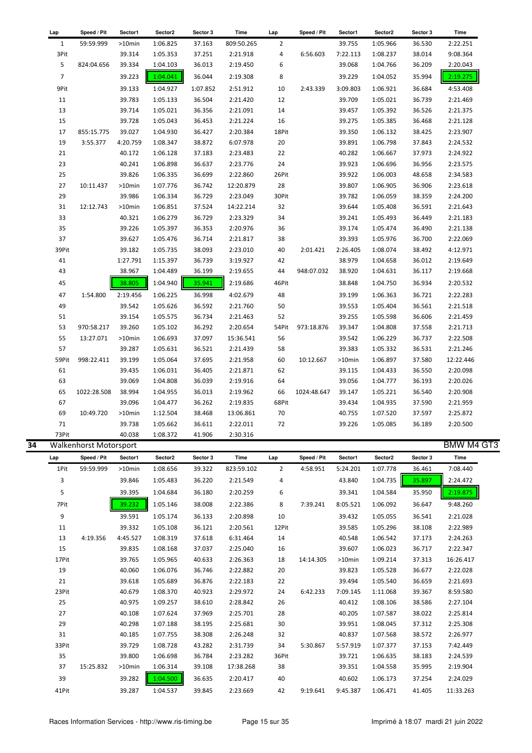| Lap            | Speed / Pit                   | Sector1   | Sector2  | Sector 3 | Time       | Lap            | Speed / Pit | Sector1  | Sector2  | Sector 3 | Time       |
|----------------|-------------------------------|-----------|----------|----------|------------|----------------|-------------|----------|----------|----------|------------|
| $\mathbf{1}$   | 59:59.999                     | >10min    | 1:06.825 | 37.163   | 809:50.265 | $\overline{2}$ |             | 39.755   | 1:05.966 | 36.530   | 2:22.251   |
| 3Pit           |                               | 39.314    | 1:05.353 | 37.251   | 2:21.918   | 4              | 6:56.603    | 7:22.113 | 1:08.237 | 38.014   | 9:08.364   |
| 5              | 824:04.656                    | 39.334    | 1:04.103 | 36.013   | 2:19.450   | 6              |             | 39.068   | 1:04.766 | 36.209   | 2:20.043   |
| $\overline{7}$ |                               | 39.223    | 1:04.041 | 36.044   | 2:19.308   | 8              |             | 39.229   | 1:04.052 | 35.994   | 2:19.275   |
| 9Pit           |                               | 39.133    | 1:04.927 | 1:07.852 | 2:51.912   | 10             | 2:43.339    | 3:09.803 | 1:06.921 | 36.684   | 4:53.408   |
| 11             |                               | 39.783    | 1:05.133 | 36.504   | 2:21.420   | 12             |             | 39.709   | 1:05.021 | 36.739   | 2:21.469   |
| 13             |                               | 39.714    | 1:05.021 | 36.356   | 2:21.091   | 14             |             | 39.457   | 1:05.392 | 36.526   | 2:21.375   |
| 15             |                               | 39.728    | 1:05.043 |          |            |                |             |          |          |          | 2:21.128   |
|                |                               |           |          | 36.453   | 2:21.224   | 16             |             | 39.275   | 1:05.385 | 36.468   |            |
| 17             | 855:15.775                    | 39.027    | 1:04.930 | 36.427   | 2:20.384   | 18Pit          |             | 39.350   | 1:06.132 | 38.425   | 2:23.907   |
| 19             | 3:55.377                      | 4:20.759  | 1:08.347 | 38.872   | 6:07.978   | 20             |             | 39.891   | 1:06.798 | 37.843   | 2:24.532   |
| 21             |                               | 40.172    | 1:06.128 | 37.183   | 2:23.483   | 22             |             | 40.282   | 1:06.667 | 37.973   | 2:24.922   |
| 23             |                               | 40.241    | 1:06.898 | 36.637   | 2:23.776   | 24             |             | 39.923   | 1:06.696 | 36.956   | 2:23.575   |
| 25             |                               | 39.826    | 1:06.335 | 36.699   | 2:22.860   | 26Pit          |             | 39.922   | 1:06.003 | 48.658   | 2:34.583   |
| 27             | 10:11.437                     | $>10$ min | 1:07.776 | 36.742   | 12:20.879  | 28             |             | 39.807   | 1:06.905 | 36.906   | 2:23.618   |
| 29             |                               | 39.986    | 1:06.334 | 36.729   | 2:23.049   | 30Pit          |             | 39.782   | 1:06.059 | 38.359   | 2:24.200   |
| 31             | 12:12.743                     | >10min    | 1:06.851 | 37.524   | 14:22.214  | 32             |             | 39.644   | 1:05.408 | 36.591   | 2:21.643   |
| 33             |                               | 40.321    | 1:06.279 | 36.729   | 2:23.329   | 34             |             | 39.241   | 1:05.493 | 36.449   | 2:21.183   |
| 35             |                               | 39.226    | 1:05.397 | 36.353   | 2:20.976   | 36             |             | 39.174   | 1:05.474 | 36.490   | 2:21.138   |
| 37             |                               | 39.627    | 1:05.476 | 36.714   | 2:21.817   | 38             |             | 39.393   | 1:05.976 | 36.700   | 2:22.069   |
| 39Pit          |                               | 39.182    | 1:05.735 | 38.093   | 2:23.010   | 40             | 2:01.421    | 2:26.405 | 1:08.074 | 38.492   | 4:12.971   |
| 41             |                               | 1:27.791  | 1:15.397 | 36.739   | 3:19.927   | 42             |             | 38.979   | 1:04.658 | 36.012   | 2:19.649   |
| 43             |                               | 38.967    | 1:04.489 | 36.199   | 2:19.655   | 44             | 948:07.032  | 38.920   | 1:04.631 | 36.117   | 2:19.668   |
| 45             |                               | 38.805    | 1:04.940 | 35.941   | 2:19.686   | 46Pit          |             | 38.848   | 1:04.750 | 36.934   | 2:20.532   |
| 47             | 1:54.800                      | 2:19.456  | 1:06.225 | 36.998   | 4:02.679   | 48             |             | 39.199   | 1:06.363 | 36.721   | 2:22.283   |
| 49             |                               | 39.542    | 1:05.626 | 36.592   | 2:21.760   | 50             |             | 39.553   | 1:05.404 | 36.561   | 2:21.518   |
| 51             |                               | 39.154    | 1:05.575 | 36.734   | 2:21.463   | 52             |             | 39.255   | 1:05.598 | 36.606   | 2:21.459   |
| 53             | 970:58.217                    | 39.260    | 1:05.102 | 36.292   | 2:20.654   | 54Pit          | 973:18.876  | 39.347   | 1:04.808 | 37.558   | 2:21.713   |
| 55             | 13:27.071                     | $>10$ min | 1:06.693 | 37.097   | 15:36.541  | 56             |             | 39.542   | 1:06.229 | 36.737   | 2:22.508   |
| 57             |                               | 39.287    | 1:05.631 | 36.521   | 2:21.439   | 58             |             | 39.383   | 1:05.332 | 36.531   | 2:21.246   |
| 59Pit          | 998:22.411                    | 39.199    | 1:05.064 | 37.695   | 2:21.958   | 60             | 10:12.667   |          | 1:06.897 | 37.580   | 12:22.446  |
|                |                               |           |          |          |            |                |             | >10min   |          |          |            |
| 61             |                               | 39.435    | 1:06.031 | 36.405   | 2:21.871   | 62             |             | 39.115   | 1:04.433 | 36.550   | 2:20.098   |
| 63             |                               | 39.069    | 1:04.808 | 36.039   | 2:19.916   | 64             |             | 39.056   | 1:04.777 | 36.193   | 2:20.026   |
| 65             | 1022:28.508                   | 38.994    | 1:04.955 | 36.013   | 2:19.962   | 66             | 1024:48.647 | 39.147   | 1:05.221 | 36.540   | 2:20.908   |
| 67             |                               | 39.096    | 1:04.477 | 36.262   | 2:19.835   | 68Pit          |             | 39.434   | 1:04.935 | 37.590   | 2:21.959   |
| 69             | 10:49.720                     | $>10$ min | 1:12.504 | 38.468   | 13:06.861  | 70             |             | 40.755   | 1:07.520 | 37.597   | 2:25.872   |
| 71             |                               | 39.738    | 1:05.662 | 36.611   | 2:22.011   | 72             |             | 39.226   | 1:05.085 | 36.189   | 2:20.500   |
| 73Pit          |                               | 40.038    | 1:08.372 | 41.906   | 2:30.316   |                |             |          |          |          |            |
|                | <b>Walkenhorst Motorsport</b> |           |          |          |            |                |             |          |          |          | BMW M4 GT3 |
| Lap            | Speed / Pit                   | Sector1   | Sector2  | Sector 3 | Time       | Lap            | Speed / Pit | Sector1  | Sector2  | Sector 3 | Time       |
| 1Pit           | 59:59.999                     | >10min    | 1:08.656 | 39.322   | 823:59.102 | $\overline{2}$ | 4:58.951    | 5:24.201 | 1:07.778 | 36.461   | 7:08.440   |
| 3              |                               | 39.846    | 1:05.483 | 36.220   | 2:21.549   | 4              |             | 43.840   | 1:04.735 | 35.897   | 2:24.472   |
| 5              |                               | 39.395    | 1:04.684 | 36.180   | 2:20.259   | 6              |             | 39.341   | 1:04.584 | 35.950   | 2:19.875   |
| 7Pit           |                               | 39.232    | 1:05.146 | 38.008   | 2:22.386   | 8              | 7:39.241    | 8:05.521 | 1:06.092 | 36.647   | 9:48.260   |
| 9              |                               | 39.591    | 1:05.174 | 36.133   | 2:20.898   | 10             |             | 39.432   | 1:05.055 | 36.541   | 2:21.028   |
| 11             |                               | 39.332    | 1:05.108 | 36.121   | 2:20.561   | 12Pit          |             | 39.585   | 1:05.296 | 38.108   | 2:22.989   |
| 13             | 4:19.356                      | 4:45.527  | 1:08.319 | 37.618   | 6:31.464   | 14             |             | 40.548   | 1:06.542 | 37.173   | 2:24.263   |
| 15             |                               | 39.835    | 1:08.168 | 37.037   | 2:25.040   | 16             |             | 39.607   | 1:06.023 | 36.717   | 2:22.347   |
| 17Pit          |                               | 39.765    | 1:05.965 | 40.633   | 2:26.363   | 18             | 14:14.305   | >10min   | 1:09.214 | 37.313   | 16:26.417  |
| 19             |                               | 40.060    | 1:06.076 | 36.746   | 2:22.882   | 20             |             | 39.823   | 1:05.528 | 36.677   | 2:22.028   |
| 21             |                               | 39.618    | 1:05.689 | 36.876   | 2:22.183   | 22             |             | 39.494   | 1:05.540 | 36.659   | 2:21.693   |
| 23Pit          |                               | 40.679    | 1:08.370 | 40.923   | 2:29.972   | 24             | 6:42.233    | 7:09.145 | 1:11.068 | 39.367   | 8:59.580   |
| 25             |                               | 40.975    |          | 38.610   |            |                |             |          |          |          | 2:27.104   |
|                |                               |           | 1:09.257 |          | 2:28.842   | 26             |             | 40.412   | 1:08.106 | 38.586   |            |
| 27             |                               | 40.108    | 1:07.624 | 37.969   | 2:25.701   | 28             |             | 40.205   | 1:07.587 | 38.022   | 2:25.814   |
| 29             |                               | 40.298    | 1:07.188 | 38.195   | 2:25.681   | 30             |             | 39.951   | 1:08.045 | 37.312   | 2:25.308   |
| 31             |                               | 40.185    | 1:07.755 | 38.308   | 2:26.248   | 32             |             | 40.837   | 1:07.568 | 38.572   | 2:26.977   |
| 33Pit          |                               | 39.729    | 1:08.728 | 43.282   | 2:31.739   | 34             | 5:30.867    | 5:57.919 | 1:07.377 | 37.153   | 7:42.449   |
| 35             |                               | 39.800    | 1:06.698 | 36.784   | 2:23.282   | 36Pit          |             | 39.721   | 1:06.635 | 38.183   | 2:24.539   |
| 37             | 15:25.832                     | >10min    | 1:06.314 | 39.108   | 17:38.268  | 38             |             | 39.351   | 1:04.558 | 35.995   | 2:19.904   |

39 39.282 1:04.500 36.635 2:20.417 40 40.602 1:06.173 37.254 2:24.029 41Pit 39.287 1:04.537 39.845 2:23.669 42 9:19.641 9:45.387 1:06.471 41.405 11:33.263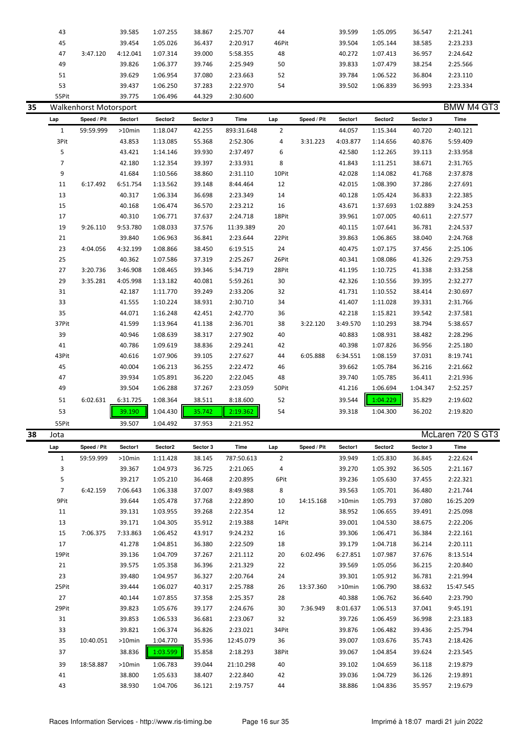|    | 43             |                        | 39.585    | 1:07.255 | 38.867   | 2:25.707    | 44             |             | 39.599   | 1:05.095 | 36.547   | 2:21.241          |
|----|----------------|------------------------|-----------|----------|----------|-------------|----------------|-------------|----------|----------|----------|-------------------|
|    | 45             |                        | 39.454    | 1:05.026 | 36.437   | 2:20.917    | 46Pit          |             | 39.504   | 1:05.144 | 38.585   | 2:23.233          |
|    | 47             | 3:47.120               | 4:12.041  | 1:07.314 | 39.000   | 5:58.355    | 48             |             | 40.272   | 1:07.413 | 36.957   | 2:24.642          |
|    | 49             |                        | 39.826    | 1:06.377 | 39.746   | 2:25.949    | 50             |             | 39.833   | 1:07.479 | 38.254   | 2:25.566          |
|    | 51             |                        | 39.629    | 1:06.954 | 37.080   | 2:23.663    | 52             |             | 39.784   | 1:06.522 | 36.804   | 2:23.110          |
|    | 53             |                        | 39.437    | 1:06.250 | 37.283   | 2:22.970    | 54             |             | 39.502   | 1:06.839 | 36.993   | 2:23.334          |
|    | 55Pit          |                        | 39.775    | 1:06.496 | 44.329   | 2:30.600    |                |             |          |          |          |                   |
| 35 |                | Walkenhorst Motorsport |           |          |          |             |                |             |          |          |          | <b>BMW M4 GT3</b> |
|    | Lap            | Speed / Pit            | Sector1   | Sector2  | Sector 3 | <b>Time</b> | Lap            | Speed / Pit | Sector1  | Sector2  | Sector 3 | Time              |
|    | $\mathbf{1}$   | 59:59.999              | $>10$ min | 1:18.047 | 42.255   | 893:31.648  | $\overline{2}$ |             | 44.057   | 1:15.344 | 40.720   | 2:40.121          |
|    | 3Pit           |                        | 43.853    | 1:13.085 | 55.368   | 2:52.306    | 4              | 3:31.223    | 4:03.877 | 1:14.656 | 40.876   | 5:59.409          |
|    | 5              |                        | 43.421    | 1:14.146 | 39.930   | 2:37.497    | 6              |             | 42.580   | 1:12.265 | 39.113   | 2:33.958          |
|    | $\overline{7}$ |                        | 42.180    | 1:12.354 | 39.397   | 2:33.931    | 8              |             | 41.843   | 1:11.251 | 38.671   | 2:31.765          |
|    | 9              |                        | 41.684    | 1:10.566 | 38.860   | 2:31.110    | 10Pit          |             | 42.028   | 1:14.082 | 41.768   | 2:37.878          |
|    | 11             | 6:17.492               | 6:51.754  | 1:13.562 | 39.148   | 8:44.464    | 12             |             | 42.015   | 1:08.390 | 37.286   | 2:27.691          |
|    | 13             |                        | 40.317    | 1:06.334 | 36.698   | 2:23.349    | 14             |             | 40.128   | 1:05.424 | 36.833   | 2:22.385          |
|    | 15             |                        | 40.168    | 1:06.474 | 36.570   | 2:23.212    | 16             |             | 43.671   | 1:37.693 | 1:02.889 | 3:24.253          |
|    | 17             |                        | 40.310    | 1:06.771 | 37.637   | 2:24.718    | 18Pit          |             | 39.961   | 1:07.005 | 40.611   | 2:27.577          |
|    | 19             | 9:26.110               | 9:53.780  | 1:08.033 | 37.576   | 11:39.389   | $20\,$         |             | 40.115   | 1:07.641 | 36.781   | 2:24.537          |
|    | 21             |                        | 39.840    | 1:06.963 | 36.841   | 2:23.644    | 22Pit          |             | 39.863   | 1:06.865 | 38.040   | 2:24.768          |
|    | 23             | 4:04.056               | 4:32.199  | 1:08.866 | 38.450   | 6:19.515    | 24             |             | 40.475   | 1:07.175 | 37.456   | 2:25.106          |
|    | 25             |                        | 40.362    | 1:07.586 | 37.319   | 2:25.267    | 26Pit          |             | 40.341   | 1:08.086 | 41.326   | 2:29.753          |
|    | 27             | 3:20.736               | 3:46.908  | 1:08.465 | 39.346   | 5:34.719    | 28Pit          |             | 41.195   | 1:10.725 | 41.338   | 2:33.258          |
|    | 29             | 3:35.281               | 4:05.998  | 1:13.182 | 40.081   | 5:59.261    | 30             |             | 42.326   | 1:10.556 | 39.395   | 2:32.277          |
|    | 31             |                        | 42.187    | 1:11.770 | 39.249   | 2:33.206    | 32             |             | 41.731   | 1:10.552 | 38.414   | 2:30.697          |
|    | 33             |                        | 41.555    | 1:10.224 | 38.931   | 2:30.710    | 34             |             | 41.407   | 1:11.028 | 39.331   | 2:31.766          |
|    | 35             |                        | 44.071    | 1:16.248 | 42.451   | 2:42.770    | 36             |             | 42.218   | 1:15.821 | 39.542   | 2:37.581          |
|    | 37Pit          |                        | 41.599    | 1:13.964 | 41.138   | 2:36.701    | 38             | 3:22.120    | 3:49.570 | 1:10.293 | 38.794   | 5:38.657          |
|    | 39             |                        | 40.946    | 1:08.639 | 38.317   | 2:27.902    | 40             |             | 40.883   | 1:08.931 | 38.482   | 2:28.296          |
|    | 41             |                        | 40.786    | 1:09.619 | 38.836   | 2:29.241    | 42             |             | 40.398   | 1:07.826 | 36.956   | 2:25.180          |
|    | 43Pit          |                        | 40.616    | 1:07.906 | 39.105   | 2:27.627    | 44             | 6:05.888    | 6:34.551 | 1:08.159 | 37.031   | 8:19.741          |
|    | 45             |                        | 40.004    | 1:06.213 | 36.255   | 2:22.472    | 46             |             | 39.662   | 1:05.784 | 36.216   | 2:21.662          |
|    | 47             |                        | 39.934    | 1:05.891 | 36.220   | 2:22.045    | 48             |             | 39.740   | 1:05.785 | 36.411   | 2:21.936          |
|    | 49             |                        | 39.504    | 1:06.288 | 37.267   | 2:23.059    | 50Pit          |             | 41.216   | 1:06.694 | 1:04.347 | 2:52.257          |
|    | 51             | 6:02.631               | 6:31.725  | 1:08.364 | 38.511   | 8:18.600    | 52             |             | 39.544   | 1:04.229 | 35.829   | 2:19.602          |
|    | 53             |                        | 39.190    | 1:04.430 | 35.742   | 2:19.362    | 54             |             | 39.318   | 1:04.300 | 36.202   | 2:19.820          |
|    | 55Pit          |                        | 39.507    | 1:04.492 | 37.953   | 2:21.952    |                |             |          |          |          |                   |
|    |                |                        |           |          |          |             |                |             |          |          | $M - 1$  | $\overline{ }$    |

| 38 | Jota  |             |           |          |          |            |                |             |           |          |          | McLaren 720 S GT3 |  |
|----|-------|-------------|-----------|----------|----------|------------|----------------|-------------|-----------|----------|----------|-------------------|--|
|    | Lap   | Speed / Pit | Sector1   | Sector2  | Sector 3 | Time       | Lap            | Speed / Pit | Sector1   | Sector2  | Sector 3 | Time              |  |
|    | 1     | 59:59.999   | $>10$ min | 1:11.428 | 38.145   | 787:50.613 | $\overline{2}$ |             | 39.949    | 1:05.830 | 36.845   | 2:22.624          |  |
|    | 3     |             | 39.367    | 1:04.973 | 36.725   | 2:21.065   | 4              |             | 39.270    | 1:05.392 | 36.505   | 2:21.167          |  |
|    | 5     |             | 39.217    | 1:05.210 | 36.468   | 2:20.895   | 6Pit           |             | 39.236    | 1:05.630 | 37.455   | 2:22.321          |  |
|    | 7     | 6:42.159    | 7:06.643  | 1:06.338 | 37.007   | 8:49.988   | 8              |             | 39.563    | 1:05.701 | 36.480   | 2:21.744          |  |
|    | 9Pit  |             | 39.644    | 1:05.478 | 37.768   | 2:22.890   | 10             | 14:15.168   | $>10$ min | 1:05.793 | 37.080   | 16:25.209         |  |
|    | 11    |             | 39.131    | 1:03.955 | 39.268   | 2:22.354   | 12             |             | 38.952    | 1:06.655 | 39.491   | 2:25.098          |  |
|    | 13    |             | 39.171    | 1:04.305 | 35.912   | 2:19.388   | 14Pit          |             | 39.001    | 1:04.530 | 38.675   | 2:22.206          |  |
|    | 15    | 7:06.375    | 7:33.863  | 1:06.452 | 43.917   | 9:24.232   | 16             |             | 39.306    | 1:06.471 | 36.384   | 2:22.161          |  |
|    | 17    |             | 41.278    | 1:04.851 | 36.380   | 2:22.509   | 18             |             | 39.179    | 1:04.718 | 36.214   | 2:20.111          |  |
|    | 19Pit |             | 39.136    | 1:04.709 | 37.267   | 2:21.112   | 20             | 6:02.496    | 6:27.851  | 1:07.987 | 37.676   | 8:13.514          |  |
|    | 21    |             | 39.575    | 1:05.358 | 36.396   | 2:21.329   | 22             |             | 39.569    | 1:05.056 | 36.215   | 2:20.840          |  |
|    | 23    |             | 39.480    | 1:04.957 | 36.327   | 2:20.764   | 24             |             | 39.301    | 1:05.912 | 36.781   | 2:21.994          |  |
|    | 25Pit |             | 39.444    | 1:06.027 | 40.317   | 2:25.788   | 26             | 13:37.360   | $>10$ min | 1:06.790 | 38.632   | 15:47.545         |  |
|    | 27    |             | 40.144    | 1:07.855 | 37.358   | 2:25.357   | 28             |             | 40.388    | 1:06.762 | 36.640   | 2:23.790          |  |
|    | 29Pit |             | 39.823    | 1:05.676 | 39.177   | 2:24.676   | 30             | 7:36.949    | 8:01.637  | 1:06.513 | 37.041   | 9:45.191          |  |
|    | 31    |             | 39.853    | 1:06.533 | 36.681   | 2:23.067   | 32             |             | 39.726    | 1:06.459 | 36.998   | 2:23.183          |  |
|    | 33    |             | 39.821    | 1:06.374 | 36.826   | 2:23.021   | 34Pit          |             | 39.876    | 1:06.482 | 39.436   | 2:25.794          |  |
|    | 35    | 10:40.051   | $>10$ min | 1:04.770 | 35.936   | 12:45.079  | 36             |             | 39.007    | 1:03.676 | 35.743   | 2:18.426          |  |
|    | 37    |             | 38.836    | 1:03.599 | 35.858   | 2:18.293   | 38Pit          |             | 39.067    | 1:04.854 | 39.624   | 2:23.545          |  |
|    | 39    | 18:58.887   | $>10$ min | 1:06.783 | 39.044   | 21:10.298  | 40             |             | 39.102    | 1:04.659 | 36.118   | 2:19.879          |  |
|    | 41    |             | 38.800    | 1:05.633 | 38.407   | 2:22.840   | 42             |             | 39.036    | 1:04.729 | 36.126   | 2:19.891          |  |
|    | 43    |             | 38.930    | 1:04.706 | 36.121   | 2:19.757   | 44             |             | 38.886    | 1:04.836 | 35.957   | 2:19.679          |  |
|    |       |             |           |          |          |            |                |             |           |          |          |                   |  |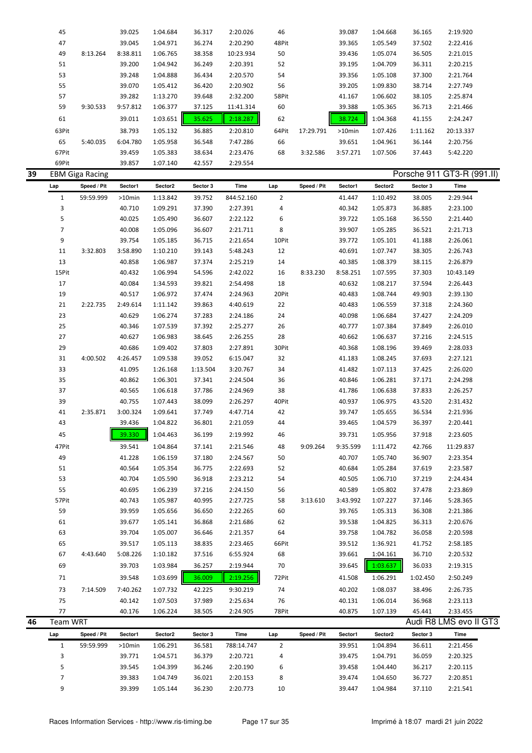| 45    |          | 39.025   | 1:04.684 | 36.317 | 2:20.026  | 46    |           | 39.087    | 1:04.668 | 36.165   | 2:19.920  |
|-------|----------|----------|----------|--------|-----------|-------|-----------|-----------|----------|----------|-----------|
| 47    |          | 39.045   | 1:04.971 | 36.274 | 2:20.290  | 48Pit |           | 39.365    | 1:05.549 | 37.502   | 2:22.416  |
| 49    | 8:13.264 | 8:38.811 | 1:06.765 | 38.358 | 10:23.934 | 50    |           | 39.436    | 1:05.074 | 36.505   | 2:21.015  |
| 51    |          | 39.200   | 1:04.942 | 36.249 | 2:20.391  | 52    |           | 39.195    | 1:04.709 | 36.311   | 2:20.215  |
| 53    |          | 39.248   | 1:04.888 | 36.434 | 2:20.570  | 54    |           | 39.356    | 1:05.108 | 37.300   | 2:21.764  |
| 55    |          | 39.070   | 1:05.412 | 36.420 | 2:20.902  | 56    |           | 39.205    | 1:09.830 | 38.714   | 2:27.749  |
| 57    |          | 39.282   | 1:13.270 | 39.648 | 2:32.200  | 58Pit |           | 41.167    | 1:06.602 | 38.105   | 2:25.874  |
| 59    | 9:30.533 | 9:57.812 | 1:06.377 | 37.125 | 11:41.314 | 60    |           | 39.388    | 1:05.365 | 36.713   | 2:21.466  |
| 61    |          | 39.011   | 1:03.651 | 35.625 | 2:18.287  | 62    |           | 38.724    | 1:04.368 | 41.155   | 2:24.247  |
| 63Pit |          | 38.793   | 1:05.132 | 36.885 | 2:20.810  | 64Pit | 17:29.791 | $>10$ min | 1:07.426 | 1:11.162 | 20:13.337 |
| 65    | 5:40.035 | 6:04.780 | 1:05.958 | 36.548 | 7:47.286  | 66    |           | 39.651    | 1:04.961 | 36.144   | 2:20.756  |
| 67Pit |          | 39.459   | 1:05.383 | 38.634 | 2:23.476  | 68    | 3:32.586  | 3:57.271  | 1:07.506 | 37.443   | 5:42.220  |
| 69Pit |          | 39.857   | 1:07.140 | 42.557 | 2:29.554  |       |           |           |          |          |           |

| 39 |                | <b>EBM Giga Racing</b> |           |          |          |             |                |             |          |          |          | Porsche 911 GT3-R (991.II) |
|----|----------------|------------------------|-----------|----------|----------|-------------|----------------|-------------|----------|----------|----------|----------------------------|
|    | Lap            | Speed / Pit            | Sector1   | Sector2  | Sector 3 | <b>Time</b> | Lap            | Speed / Pit | Sector1  | Sector2  | Sector 3 | Time                       |
|    | $\mathbf{1}$   | 59:59.999              | >10min    | 1:13.842 | 39.752   | 844:52.160  | $\overline{2}$ |             | 41.447   | 1:10.492 | 38.005   | 2:29.944                   |
|    | 3              |                        | 40.710    | 1:09.291 | 37.390   | 2:27.391    | 4              |             | 40.342   | 1:05.873 | 36.885   | 2:23.100                   |
|    | 5              |                        | 40.025    | 1:05.490 | 36.607   | 2:22.122    | 6              |             | 39.722   | 1:05.168 | 36.550   | 2:21.440                   |
|    | $\overline{7}$ |                        | 40.008    | 1:05.096 | 36.607   | 2:21.711    | 8              |             | 39.907   | 1:05.285 | 36.521   | 2:21.713                   |
|    | 9              |                        | 39.754    | 1:05.185 | 36.715   | 2:21.654    | 10Pit          |             | 39.772   | 1:05.101 | 41.188   | 2:26.061                   |
|    | 11             | 3:32.803               | 3:58.890  | 1:10.210 | 39.143   | 5:48.243    | 12             |             | 40.691   | 1:07.747 | 38.305   | 2:26.743                   |
|    | 13             |                        | 40.858    | 1:06.987 | 37.374   | 2:25.219    | 14             |             | 40.385   | 1:08.379 | 38.115   | 2:26.879                   |
|    | 15Pit          |                        | 40.432    | 1:06.994 | 54.596   | 2:42.022    | 16             | 8:33.230    | 8:58.251 | 1:07.595 | 37.303   | 10:43.149                  |
|    | 17             |                        | 40.084    | 1:34.593 | 39.821   | 2:54.498    | 18             |             | 40.632   | 1:08.217 | 37.594   | 2:26.443                   |
|    | 19             |                        | 40.517    | 1:06.972 | 37.474   | 2:24.963    | 20Pit          |             | 40.483   | 1:08.744 | 49.903   | 2:39.130                   |
|    | 21             | 2:22.735               | 2:49.614  | 1:11.142 | 39.863   | 4:40.619    | 22             |             | 40.483   | 1:06.559 | 37.318   | 2:24.360                   |
|    | 23             |                        | 40.629    | 1:06.274 | 37.283   | 2:24.186    | 24             |             | 40.098   | 1:06.684 | 37.427   | 2:24.209                   |
|    | 25             |                        | 40.346    | 1:07.539 | 37.392   | 2:25.277    | 26             |             | 40.777   | 1:07.384 | 37.849   | 2:26.010                   |
|    | 27             |                        | 40.627    | 1:06.983 | 38.645   | 2:26.255    | 28             |             | 40.662   | 1:06.637 | 37.216   | 2:24.515                   |
|    | 29             |                        | 40.686    | 1:09.402 | 37.803   | 2:27.891    | 30Pit          |             | 40.368   | 1:08.196 | 39.469   | 2:28.033                   |
|    | 31             | 4:00.502               | 4:26.457  | 1:09.538 | 39.052   | 6:15.047    | 32             |             | 41.183   | 1:08.245 | 37.693   | 2:27.121                   |
|    | 33             |                        | 41.095    | 1:26.168 | 1:13.504 | 3:20.767    | 34             |             | 41.482   | 1:07.113 | 37.425   | 2:26.020                   |
|    | 35             |                        | 40.862    | 1:06.301 | 37.341   | 2:24.504    | 36             |             | 40.846   | 1:06.281 | 37.171   | 2:24.298                   |
|    | 37             |                        | 40.565    | 1:06.618 | 37.786   | 2:24.969    | 38             |             | 41.786   | 1:06.638 | 37.833   | 2:26.257                   |
|    | 39             |                        | 40.755    | 1:07.443 | 38.099   | 2:26.297    | 40Pit          |             | 40.937   | 1:06.975 | 43.520   | 2:31.432                   |
|    | 41             | 2:35.871               | 3:00.324  | 1:09.641 | 37.749   | 4:47.714    | 42             |             | 39.747   | 1:05.655 | 36.534   | 2:21.936                   |
|    | 43             |                        | 39.436    | 1:04.822 | 36.801   | 2:21.059    | 44             |             | 39.465   | 1:04.579 | 36.397   | 2:20.441                   |
|    | 45             |                        | 39.330    | 1:04.463 | 36.199   | 2:19.992    | 46             |             | 39.731   | 1:05.956 | 37.918   | 2:23.605                   |
|    | 47Pit          |                        | 39.541    | 1:04.864 | 37.141   | 2:21.546    | 48             | 9:09.264    | 9:35.599 | 1:11.472 | 42.766   | 11:29.837                  |
|    | 49             |                        | 41.228    | 1:06.159 | 37.180   | 2:24.567    | 50             |             | 40.707   | 1:05.740 | 36.907   | 2:23.354                   |
|    | 51             |                        | 40.564    | 1:05.354 | 36.775   | 2:22.693    | 52             |             | 40.684   | 1:05.284 | 37.619   | 2:23.587                   |
|    | 53             |                        | 40.704    | 1:05.590 | 36.918   | 2:23.212    | 54             |             | 40.505   | 1:06.710 | 37.219   | 2:24.434                   |
|    | 55             |                        | 40.695    | 1:06.239 | 37.216   | 2:24.150    | 56             |             | 40.589   | 1:05.802 | 37.478   | 2:23.869                   |
|    | 57Pit          |                        | 40.743    | 1:05.987 | 40.995   | 2:27.725    | 58             | 3:13.610    | 3:43.992 | 1:07.227 | 37.146   | 5:28.365                   |
|    | 59             |                        | 39.959    | 1:05.656 | 36.650   | 2:22.265    | 60             |             | 39.765   | 1:05.313 | 36.308   | 2:21.386                   |
|    | 61             |                        | 39.677    | 1:05.141 | 36.868   | 2:21.686    | 62             |             | 39.538   | 1:04.825 | 36.313   | 2:20.676                   |
|    | 63             |                        | 39.704    | 1:05.007 | 36.646   | 2:21.357    | 64             |             | 39.758   | 1:04.782 | 36.058   | 2:20.598                   |
|    | 65             |                        | 39.517    | 1:05.113 | 38.835   | 2:23.465    | 66Pit          |             | 39.512   | 1:36.921 | 41.752   | 2:58.185                   |
|    | 67             | 4:43.640               | 5:08.226  | 1:10.182 | 37.516   | 6:55.924    | 68             |             | 39.661   | 1:04.161 | 36.710   | 2:20.532                   |
|    | 69             |                        | 39.703    | 1:03.984 | 36.257   | 2:19.944    | 70             |             | 39.645   | 1:03.637 | 36.033   | 2:19.315                   |
|    | 71             |                        | 39.548    | 1:03.699 | 36.009   | 2:19.256    | 72Pit          |             | 41.508   | 1:06.291 | 1:02.450 | 2:50.249                   |
|    | 73             | 7:14.509               | 7:40.262  | 1:07.732 | 42.225   | 9:30.219    | 74             |             | 40.202   | 1:08.037 | 38.496   | 2:26.735                   |
|    | 75             |                        | 40.142    | 1:07.503 | 37.989   | 2:25.634    | 76             |             | 40.131   | 1:06.014 | 36.968   | 2:23.113                   |
|    | 77             |                        | 40.176    | 1:06.224 | 38.505   | 2:24.905    | 78Pit          |             | 40.875   | 1:07.139 | 45.441   | 2:33.455                   |
| 46 | Team WRT       |                        |           |          |          |             |                |             |          |          |          | Audi R8 LMS evo II GT3     |
|    | Lap            | Speed / Pit            | Sector1   | Sector2  | Sector 3 | Time        | Lap            | Speed / Pit | Sector1  | Sector2  | Sector 3 | Time                       |
|    | $\mathbf{1}$   | 59:59.999              | $>10$ min | 1:06.291 | 36.581   | 788:14.747  | $\overline{2}$ |             | 39.951   | 1:04.894 | 36.611   | 2:21.456                   |

|   | 59:59.999 | $>10$ min | 1:06.291 | 36.581 | 788:14.747 |    | 39.951 | 1:04.894 | 36.611 | 2:21.456 |
|---|-----------|-----------|----------|--------|------------|----|--------|----------|--------|----------|
|   |           | 39.771    | 1:04.571 | 36.379 | 2:20.721   |    | 39.475 | 1:04.791 | 36.059 | 2:20.325 |
|   |           | 39.545    | 1:04.399 | 36.246 | 2:20.190   |    | 39.458 | 1:04.440 | 36.217 | 2:20.115 |
|   |           | 39.383    | 1:04.749 | 36.021 | 2:20.153   | 8  | 39.474 | 1:04.650 | 36.727 | 2:20.851 |
| Q |           | 39.399    | 1:05.144 | 36.230 | 2:20.773   | 10 | 39.447 | 1:04.984 | 37.110 | 2:21.541 |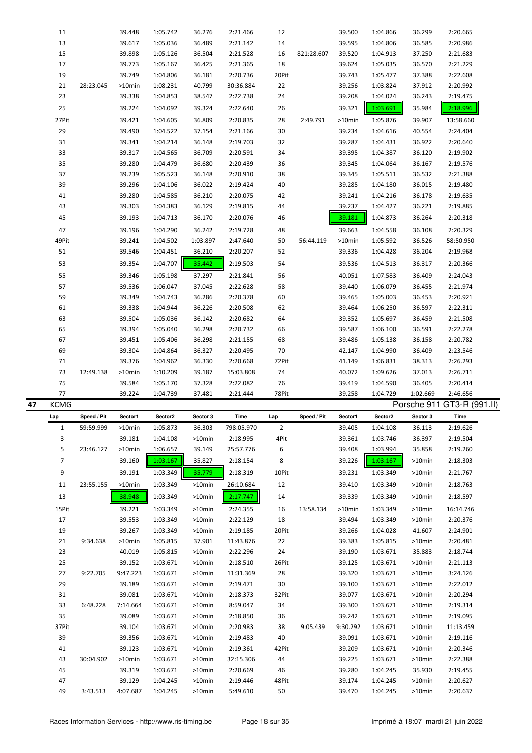|    | 11             |             | 39.448             | 1:05.742             | 36.276              | 2:21.466             | 12          |             | 39.500           | 1:04.866             | 36.299           | 2:20.665                   |
|----|----------------|-------------|--------------------|----------------------|---------------------|----------------------|-------------|-------------|------------------|----------------------|------------------|----------------------------|
|    | 13             |             | 39.617             | 1:05.036             | 36.489              | 2:21.142             | 14          |             | 39.595           | 1:04.806             | 36.585           | 2:20.986                   |
|    | 15             |             | 39.898             | 1:05.126             | 36.504              | 2:21.528             | 16          | 821:28.607  | 39.520           | 1:04.913             | 37.250           | 2:21.683                   |
|    | 17             |             | 39.773             | 1:05.167             | 36.425              | 2:21.365             | 18          |             | 39.624           | 1:05.035             | 36.570           | 2:21.229                   |
|    | 19             |             | 39.749             | 1:04.806             | 36.181              | 2:20.736             | 20Pit       |             | 39.743           | 1:05.477             | 37.388           | 2:22.608                   |
|    |                |             |                    |                      |                     |                      |             |             |                  |                      |                  |                            |
|    | 21             | 28:23.045   | >10min             | 1:08.231             | 40.799              | 30:36.884            | 22          |             | 39.256           | 1:03.824             | 37.912           | 2:20.992                   |
|    | 23             |             | 39.338             | 1:04.853             | 38.547              | 2:22.738             | 24          |             | 39.208           | 1:04.024             | 36.243           | 2:19.475                   |
|    | 25             |             | 39.224             | 1:04.092             | 39.324              | 2:22.640             | 26          |             | 39.321           | 1:03.691             | 35.984           | 2:18.996                   |
|    | 27Pit          |             | 39.421             | 1:04.605             | 36.809              | 2:20.835             | 28          | 2:49.791    | >10min           | 1:05.876             | 39.907           | 13:58.660                  |
|    | 29             |             | 39.490             | 1:04.522             | 37.154              | 2:21.166             | 30          |             | 39.234           | 1:04.616             | 40.554           | 2:24.404                   |
|    | 31             |             | 39.341             | 1:04.214             | 36.148              | 2:19.703             | 32          |             | 39.287           | 1:04.431             | 36.922           | 2:20.640                   |
|    |                |             |                    |                      |                     |                      |             |             |                  |                      |                  |                            |
|    | 33             |             | 39.317             | 1:04.565             | 36.709              | 2:20.591             | 34          |             | 39.395           | 1:04.387             | 36.120           | 2:19.902                   |
|    | 35             |             | 39.280             | 1:04.479             | 36.680              | 2:20.439             | 36          |             | 39.345           | 1:04.064             | 36.167           | 2:19.576                   |
|    | 37             |             | 39.239             | 1:05.523             | 36.148              | 2:20.910             | 38          |             | 39.345           | 1:05.511             | 36.532           | 2:21.388                   |
|    | 39             |             | 39.296             | 1:04.106             | 36.022              | 2:19.424             | 40          |             | 39.285           | 1:04.180             | 36.015           | 2:19.480                   |
|    | 41             |             | 39.280             | 1:04.585             | 36.210              | 2:20.075             | 42          |             | 39.241           | 1:04.216             | 36.178           | 2:19.635                   |
|    | 43             |             | 39.303             | 1:04.383             | 36.129              | 2:19.815             | 44          |             | 39.237           | 1:04.427             | 36.221           | 2:19.885                   |
|    | 45             |             | 39.193             | 1:04.713             | 36.170              | 2:20.076             | 46          |             | 39.181           | 1:04.873             | 36.264           | 2:20.318                   |
|    |                |             |                    |                      |                     |                      |             |             |                  |                      |                  |                            |
|    | 47             |             | 39.196             | 1:04.290             | 36.242              | 2:19.728             | 48          |             | 39.663           | 1:04.558             | 36.108           | 2:20.329                   |
|    | 49Pit          |             | 39.241             | 1:04.502             | 1:03.897            | 2:47.640             | 50          | 56:44.119   | >10min           | 1:05.592             | 36.526           | 58:50.950                  |
|    | 51             |             | 39.546             | 1:04.451             | 36.210              | 2:20.207             | 52          |             | 39.336           | 1:04.428             | 36.204           | 2:19.968                   |
|    | 53             |             | 39.354             | 1:04.707             | 35.442              | 2:19.503             | 54          |             | 39.536           | 1:04.513             | 36.317           | 2:20.366                   |
|    | 55             |             | 39.346             | 1:05.198             | 37.297              | 2:21.841             | 56          |             | 40.051           | 1:07.583             | 36.409           | 2:24.043                   |
|    | 57             |             | 39.536             | 1:06.047             | 37.045              | 2:22.628             | 58          |             | 39.440           | 1:06.079             | 36.455           | 2:21.974                   |
|    | 59             |             | 39.349             | 1:04.743             | 36.286              | 2:20.378             | 60          |             | 39.465           | 1:05.003             | 36.453           | 2:20.921                   |
|    |                |             |                    |                      |                     |                      |             |             |                  |                      |                  |                            |
|    | 61             |             | 39.338             | 1:04.944             | 36.226              | 2:20.508             | 62          |             | 39.464           | 1:06.250             | 36.597           | 2:22.311                   |
|    | 63             |             | 39.504             | 1:05.036             | 36.142              | 2:20.682             | 64          |             | 39.352           | 1:05.697             | 36.459           | 2:21.508                   |
|    | 65             |             | 39.394             | 1:05.040             | 36.298              | 2:20.732             | 66          |             | 39.587           | 1:06.100             | 36.591           | 2:22.278                   |
|    | 67             |             | 39.451             | 1:05.406             | 36.298              | 2:21.155             | 68          |             | 39.486           | 1:05.138             | 36.158           | 2:20.782                   |
|    | 69             |             | 39.304             | 1:04.864             | 36.327              | 2:20.495             | 70          |             | 42.147           | 1:04.990             | 36.409           | 2:23.546                   |
|    |                |             |                    |                      |                     |                      |             |             |                  |                      |                  |                            |
|    | 71             |             | 39.376             | 1:04.962             | 36.330              | 2:20.668             | 72Pit       |             | 41.149           | 1:06.831             | 38.313           | 2:26.293                   |
|    | 73             | 12:49.138   | >10min             | 1:10.209             | 39.187              | 15:03.808            | 74          |             | 40.072           | 1:09.626             | 37.013           | 2:26.711                   |
|    | 75             |             | 39.584             | 1:05.170             | 37.328              | 2:22.082             | 76          |             | 39.419           | 1:04.590             | 36.405           |                            |
|    |                |             |                    | 1:04.739             |                     |                      |             |             |                  |                      |                  | 2:20.414                   |
| 47 | 77             |             | 39.224             |                      | 37.481              | 2:21.444             | 78Pit       |             | 39.258           | 1:04.729             | 1:02.669         | 2:46.656                   |
|    | <b>KCMG</b>    |             |                    |                      |                     |                      |             |             |                  |                      |                  | Porsche 911 GT3-R (991.II) |
|    | Lap            | Speed / Pit | Sector1            | Sector <sub>2</sub>  | Sector 3            | Time                 | Lap         | Speed / Pit | Sector1          | Sector2              | Sector 3         | Time                       |
|    | 1              | 59:59.999   | >10min             | 1:05.873             | 36.303              | 798:05.970           | 2           |             | 39.405           | 1:04.108             | 36.113           | 2:19.626                   |
|    | 3              |             | 39.181             | 1:04.108             | >10min              | 2:18.995             | 4Pit        |             | 39.361           | 1:03.746             | 36.397           | 2:19.504                   |
|    | 5              | 23:46.127   | $>10$ min          | 1:06.657             | 39.149              | 25:57.776            | 6           |             | 39.408           | 1:03.994             | 35.858           | 2:19.260                   |
|    | $\overline{7}$ |             | 39.160             | 1:03.167             | 35.827              | 2:18.154             | 8           |             | 39.226           | 1:03.167             | >10min           | 2:18.303                   |
|    | 9              |             | 39.191             | 1:03.349             | 35.779              | 2:18.319             | 10Pit       |             | 39.231           | 1:03.349             | >10min           | 2:21.767                   |
|    |                |             |                    |                      |                     |                      |             |             |                  |                      |                  |                            |
|    | 11             | 23:55.155   | >10min             | 1:03.349             | >10min              | 26:10.684            | 12          |             | 39.410           | 1:03.349             | >10min           | 2:18.763                   |
|    | 13             |             | 38.948             | 1:03.349             | >10min              | 2:17.747             | 14          |             | 39.339           | 1:03.349             | >10min           | 2:18.597                   |
|    | 15Pit          |             | 39.221             | 1:03.349             | $>10$ min           | 2:24.355             | 16          | 13:58.134   | >10min           | 1:03.349             | $>10$ min        | 16:14.746                  |
|    | 17             |             | 39.553             | 1:03.349             | $>10$ min           | 2:22.129             | 18          |             | 39.494           | 1:03.349             | >10min           | 2:20.376                   |
|    | 19             |             | 39.267             | 1:03.349             | >10min              | 2:19.185             | 20Pit       |             | 39.266           | 1:04.028             | 41.607           | 2:24.901                   |
|    | 21             | 9:34.638    | >10min             | 1:05.815             | 37.901              | 11:43.876            | 22          |             | 39.383           | 1:05.815             | >10min           | 2:20.481                   |
|    | 23             |             | 40.019             | 1:05.815             | >10min              | 2:22.296             | 24          |             | 39.190           | 1:03.671             | 35.883           | 2:18.744                   |
|    |                |             |                    |                      |                     |                      |             |             |                  |                      |                  |                            |
|    | 25             |             | 39.152             | 1:03.671             | >10min              | 2:18.510             | 26Pit       |             | 39.125           | 1:03.671             | >10min           | 2:21.113                   |
|    | 27             | 9:22.705    | 9:47.223           | 1:03.671             | >10min              | 11:31.369            | 28          |             | 39.320           | 1:03.671             | >10min           | 3:24.126                   |
|    | 29             |             | 39.189             | 1:03.671             | >10min              | 2:19.471             | 30          |             | 39.100           | 1:03.671             | >10min           | 2:22.012                   |
|    | 31             |             | 39.081             | 1:03.671             | >10min              | 2:18.373             | 32Pit       |             | 39.077           | 1:03.671             | >10min           | 2:20.294                   |
|    | 33             | 6:48.228    | 7:14.664           | 1:03.671             | >10min              | 8:59.047             | 34          |             | 39.300           | 1:03.671             | >10min           | 2:19.314                   |
|    | 35             |             | 39.089             | 1:03.671             | >10min              | 2:18.850             | 36          |             | 39.242           | 1:03.671             | >10min           | 2:19.095                   |
|    | 37Pit          |             | 39.104             | 1:03.671             | >10min              | 2:20.983             | 38          | 9:05.439    | 9:30.292         | 1:03.671             | >10min           | 11:13.459                  |
|    | 39             |             | 39.356             | 1:03.671             | >10min              | 2:19.483             | 40          |             | 39.091           | 1:03.671             | >10min           | 2:19.116                   |
|    | 41             |             | 39.123             | 1:03.671             | >10min              | 2:19.361             | 42Pit       |             | 39.209           | 1:03.671             | >10min           | 2:20.346                   |
|    | 43             | 30:04.902   | >10min             | 1:03.671             | >10min              | 32:15.306            | 44          |             | 39.225           | 1:03.671             | >10min           | 2:22.388                   |
|    | 45             |             | 39.319             | 1:03.671             | >10min              |                      | 46          |             | 39.280           | 1:04.245             | 35.930           | 2:19.455                   |
|    |                |             |                    |                      |                     | 2:20.669             |             |             |                  |                      |                  |                            |
|    | 47<br>49       | 3:43.513    | 39.129<br>4:07.687 | 1:04.245<br>1:04.245 | >10min<br>$>10$ min | 2:19.446<br>5:49.610 | 48Pit<br>50 |             | 39.174<br>39.470 | 1:04.245<br>1:04.245 | >10min<br>>10min | 2:20.627<br>2:20.637       |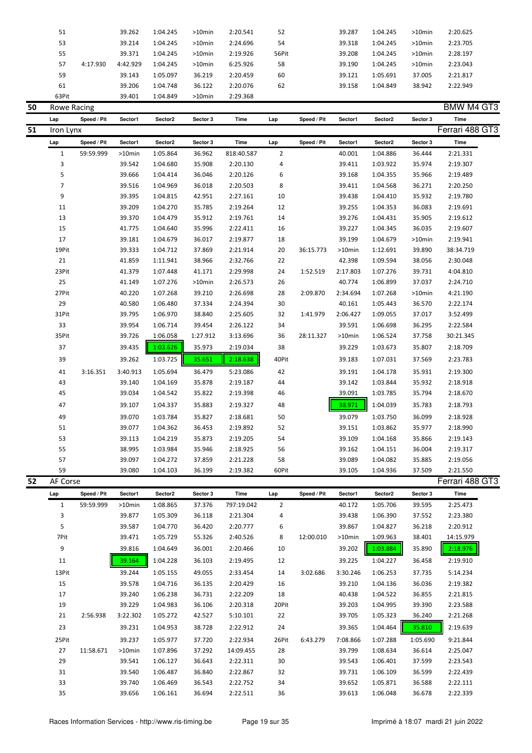| 51    |          | 39.262   | 1:04.245 | $>10$ min | 2:20.541 | 52    | 39.287 | 1:04.245 | $>10$ min | 2:20.625 |
|-------|----------|----------|----------|-----------|----------|-------|--------|----------|-----------|----------|
| 53    |          | 39.214   | 1:04.245 | $>10$ min | 2:24.696 | 54    | 39.318 | 1:04.245 | $>10$ min | 2:23.705 |
| 55    |          | 39.371   | 1:04.245 | $>10$ min | 2:19.926 | 56Pit | 39.208 | 1:04.245 | $>10$ min | 2:28.197 |
| 57    | 4:17.930 | 4:42.929 | 1:04.245 | $>10$ min | 6:25.926 | 58    | 39.190 | 1:04.245 | $>10$ min | 2:23.043 |
| 59    |          | 39.143   | 1:05.097 | 36.219    | 2:20.459 | 60    | 39.121 | 1:05.691 | 37.005    | 2:21.817 |
| 61    |          | 39.206   | 1:04.748 | 36.122    | 2:20.076 | 62    | 39.158 | 1:04.849 | 38.942    | 2:22.949 |
| 63Pit |          | 39.401   | 1:04.849 | $>10$ min | 2:29.368 |       |        |          |           |          |

| 50 | Rowe Racing    |             |           |          |           |            |                |             |          |          |           | <b>BMW M4 GT3</b> |
|----|----------------|-------------|-----------|----------|-----------|------------|----------------|-------------|----------|----------|-----------|-------------------|
|    | Lap            | Speed / Pit | Sector1   | Sector2  | Sector 3  | Time       | Lap            | Speed / Pit | Sector1  | Sector2  | Sector 3  | <b>Time</b>       |
| 51 | Iron Lynx      |             |           |          |           |            |                |             |          |          |           | Ferrari 488 GT3   |
|    | Lap            | Speed / Pit | Sector1   | Sector2  | Sector 3  | Time       | Lap            | Speed / Pit | Sector1  | Sector2  | Sector 3  | <b>Time</b>       |
|    | $\mathbf{1}$   | 59:59.999   | $>10$ min | 1:05.864 | 36.962    | 818:40.587 | $\overline{2}$ |             | 40.001   | 1:04.886 | 36.444    | 2:21.331          |
|    | $\overline{3}$ |             | 39.542    | 1:04.680 | 35.908    | 2:20.130   | 4              |             | 39.411   | 1:03.922 | 35.974    | 2:19.307          |
|    | 5              |             | 39.666    | 1:04.414 | 36.046    | 2:20.126   | 6              |             | 39.168   | 1:04.355 | 35.966    | 2:19.489          |
|    | $\overline{7}$ |             | 39.516    | 1:04.969 | 36.018    | 2:20.503   | 8              |             | 39.411   | 1:04.568 | 36.271    | 2:20.250          |
|    | 9              |             | 39.395    | 1:04.815 | 42.951    | 2:27.161   | 10             |             | 39.438   | 1:04.410 | 35.932    | 2:19.780          |
|    | 11             |             | 39.209    | 1:04.270 | 35.785    | 2:19.264   | 12             |             | 39.255   | 1:04.353 | 36.083    | 2:19.691          |
|    | 13             |             | 39.370    | 1:04.479 | 35.912    | 2:19.761   | 14             |             | 39.276   | 1:04.431 | 35.905    | 2:19.612          |
|    | 15             |             | 41.775    | 1:04.640 | 35.996    | 2:22.411   | 16             |             | 39.227   | 1:04.345 | 36.035    | 2:19.607          |
|    | 17             |             | 39.181    | 1:04.679 | 36.017    | 2:19.877   | 18             |             | 39.199   | 1:04.679 | $>10$ min | 2:19.941          |
|    | 19Pit          |             | 39.333    | 1:04.712 | 37.869    | 2:21.914   | 20             | 36:15.773   | >10min   | 1:12.691 | 39.890    | 38:34.719         |
|    | 21             |             | 41.859    | 1:11.941 | 38.966    | 2:32.766   | 22             |             | 42.398   | 1:09.594 | 38.056    | 2:30.048          |
|    | 23Pit          |             | 41.379    | 1:07.448 | 41.171    | 2:29.998   | 24             | 1:52.519    | 2:17.803 | 1:07.276 | 39.731    | 4:04.810          |
|    | 25             |             | 41.149    | 1:07.276 | $>10$ min | 2:26.573   | 26             |             | 40.774   | 1:06.899 | 37.037    | 2:24.710          |
|    | 27Pit          |             | 40.220    | 1:07.268 | 39.210    | 2:26.698   | 28             | 2:09.870    | 2:34.694 | 1:07.268 | $>10$ min | 4:21.190          |
|    | 29             |             | 40.580    | 1:06.480 | 37.334    | 2:24.394   | 30             |             | 40.161   | 1:05.443 | 36.570    | 2:22.174          |
|    | 31Pit          |             | 39.795    | 1:06.970 | 38.840    | 2:25.605   | 32             | 1:41.979    | 2:06.427 | 1:09.055 | 37.017    | 3:52.499          |
|    | 33             |             | 39.954    | 1:06.714 | 39.454    | 2:26.122   | 34             |             | 39.591   | 1:06.698 | 36.295    | 2:22.584          |
|    | 35Pit          |             | 39.726    | 1:06.058 | 1:27.912  | 3:13.696   | 36             | 28:11.327   | >10min   | 1:06.524 | 37.758    | 30:21.345         |
|    | 37             |             | 39.435    | 1:03.626 | 35.973    | 2:19.034   | 38             |             | 39.229   | 1:03.673 | 35.807    | 2:18.709          |
|    | 39             |             | 39.262    | 1:03.725 | 35.651    | 2:18.638   | 40Pit          |             | 39.183   | 1:07.031 | 37.569    | 2:23.783          |
|    | 41             | 3:16.351    | 3:40.913  | 1:05.694 | 36.479    | 5:23.086   | 42             |             | 39.191   | 1:04.178 | 35.931    | 2:19.300          |
|    | 43             |             | 39.140    | 1:04.169 | 35.878    | 2:19.187   | 44             |             | 39.142   | 1:03.844 | 35.932    | 2:18.918          |
|    | 45             |             | 39.034    | 1:04.542 | 35.822    | 2:19.398   | 46             |             | 39.091   | 1:03.785 | 35.794    | 2:18.670          |
|    | 47             |             | 39.107    | 1:04.337 | 35.883    | 2:19.327   | 48             |             | 38.971   | 1:04.039 | 35.783    | 2:18.793          |
|    | 49             |             | 39.070    | 1:03.784 | 35.827    | 2:18.681   | 50             |             | 39.079   | 1:03.750 | 36.099    | 2:18.928          |
|    | 51             |             | 39.077    | 1:04.362 | 36.453    | 2:19.892   | 52             |             | 39.151   | 1:03.862 | 35.977    | 2:18.990          |
|    | 53             |             | 39.113    | 1:04.219 | 35.873    | 2:19.205   | 54             |             | 39.109   | 1:04.168 | 35.866    | 2:19.143          |
|    | 55             |             | 38.995    | 1:03.984 | 35.946    | 2:18.925   | 56             |             | 39.162   | 1:04.151 | 36.004    | 2:19.317          |
|    | 57             |             | 39.097    | 1:04.272 | 37.859    | 2:21.228   | 58             |             | 39.089   | 1:04.082 | 35.885    | 2:19.056          |
|    | 59             |             | 39.080    | 1:04.103 | 36.199    | 2:19.382   | 60Pit          |             | 39.105   | 1:04.936 | 37.509    | 2:21.550          |
| 52 | AF Corse       |             |           |          |           |            |                |             |          |          |           | Ferrari 488 GT3   |
|    | Lap            | Speed / Pit | Sector1   | Sector2  | Sector 3  | Time       | Lap            | Speed / Pit | Sector1  | Sector2  | Sector 3  | Time              |
|    |                |             |           |          |           |            |                |             |          |          |           |                   |

| Lap   | opeed / Fit | <b>SECIOI</b> I | <b>SECIOLZ</b> | sector s | тине       | Lap            | Speed / Fit | <b>JECIUI I</b> | <b>SECIOLZ</b> | sector s | тше       |
|-------|-------------|-----------------|----------------|----------|------------|----------------|-------------|-----------------|----------------|----------|-----------|
| 1     | 59:59.999   | $>10$ min       | 1:08.865       | 37.376   | 797:19.042 | $\overline{2}$ |             | 40.172          | 1:05.706       | 39.595   | 2:25.473  |
| 3     |             | 39.877          | 1:05.309       | 36.118   | 2:21.304   | 4              |             | 39.438          | 1:06.390       | 37.552   | 2:23.380  |
| 5     |             | 39.587          | 1:04.770       | 36.420   | 2:20.777   | 6              |             | 39.867          | 1:04.827       | 36.218   | 2:20.912  |
| 7Pit  |             | 39.471          | 1:05.729       | 55.326   | 2:40.526   | 8              | 12:00.010   | $>10$ min       | 1:09.963       | 38.401   | 14:15.979 |
| 9     |             | 39.816          | 1:04.649       | 36.001   | 2:20.466   | 10             |             | 39.202          | 1:03.884       | 35.890   | 2:18.976  |
| 11    |             | 39.164          | 1:04.228       | 36.103   | 2:19.495   | 12             |             | 39.225          | 1:04.227       | 36.458   | 2:19.910  |
| 13Pit |             | 39.244          | 1:05.155       | 49.055   | 2:33.454   | 14             | 3:02.686    | 3:30.246        | 1:06.253       | 37.735   | 5:14.234  |
| 15    |             | 39.578          | 1:04.716       | 36.135   | 2:20.429   | 16             |             | 39.210          | 1:04.136       | 36.036   | 2:19.382  |
| 17    |             | 39.240          | 1:06.238       | 36.731   | 2:22.209   | 18             |             | 40.438          | 1:04.522       | 36.855   | 2:21.815  |
| 19    |             | 39.229          | 1:04.983       | 36.106   | 2:20.318   | 20Pit          |             | 39.203          | 1:04.995       | 39.390   | 2:23.588  |
| 21    | 2:56.938    | 3:22.302        | 1:05.272       | 42.527   | 5:10.101   | 22             |             | 39.705          | 1:05.323       | 36.240   | 2:21.268  |
| 23    |             | 39.231          | 1:04.953       | 38.728   | 2:22.912   | 24             |             | 39.365          | 1:04.464       | 35.810   | 2:19.639  |
| 25Pit |             | 39.237          | 1:05.977       | 37.720   | 2:22.934   | 26Pit          | 6:43.279    | 7:08.866        | 1:07.288       | 1:05.690 | 9:21.844  |
| 27    | 11:58.671   | $>10$ min       | 1:07.896       | 37.292   | 14:09.455  | 28             |             | 39.799          | 1:08.634       | 36.614   | 2:25.047  |
| 29    |             | 39.541          | 1:06.127       | 36.643   | 2:22.311   | 30             |             | 39.543          | 1:06.401       | 37.599   | 2:23.543  |
| 31    |             | 39.540          | 1:06.487       | 36.840   | 2:22.867   | 32             |             | 39.731          | 1:06.109       | 36.599   | 2:22.439  |
| 33    |             | 39.740          | 1:06.469       | 36.543   | 2:22.752   | 34             |             | 39.652          | 1:05.871       | 36.588   | 2:22.111  |
| 35    |             | 39.656          | 1:06.161       | 36.694   | 2:22.511   | 36             |             | 39.613          | 1:06.048       | 36.678   | 2:22.339  |
|       |             |                 |                |          |            |                |             |                 |                |          |           |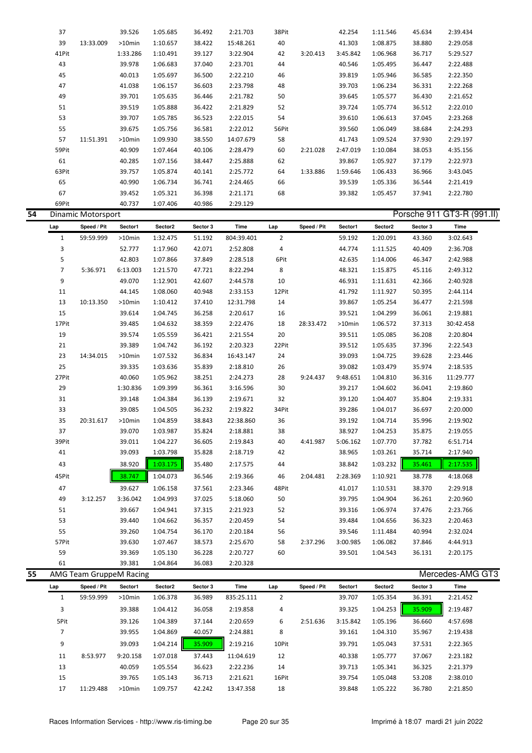|    | 37             |                           | 39.526    | 1:05.685 | 36.492   | 2:21.703   | 38Pit          |             | 42.254   | 1:11.546 | 45.634   | 2:39.434                   |
|----|----------------|---------------------------|-----------|----------|----------|------------|----------------|-------------|----------|----------|----------|----------------------------|
|    | 39             | 13:33.009                 | >10min    | 1:10.657 | 38.422   | 15:48.261  | 40             |             | 41.303   | 1:08.875 | 38.880   | 2:29.058                   |
|    | 41Pit          |                           | 1:33.286  | 1:10.491 | 39.127   | 3:22.904   | 42             | 3:20.413    | 3:45.842 | 1:06.968 | 36.717   | 5:29.527                   |
|    | 43             |                           | 39.978    | 1:06.683 | 37.040   | 2:23.701   | 44             |             | 40.546   | 1:05.495 | 36.447   | 2:22.488                   |
|    | 45             |                           | 40.013    | 1:05.697 | 36.500   | 2:22.210   | 46             |             | 39.819   | 1:05.946 | 36.585   | 2:22.350                   |
|    | 47             |                           | 41.038    | 1:06.157 | 36.603   | 2:23.798   | 48             |             | 39.703   | 1:06.234 | 36.331   | 2:22.268                   |
|    | 49             |                           | 39.701    | 1:05.635 | 36.446   | 2:21.782   | 50             |             | 39.645   | 1:05.577 | 36.430   | 2:21.652                   |
|    | 51             |                           | 39.519    | 1:05.888 | 36.422   | 2:21.829   | 52             |             | 39.724   | 1:05.774 | 36.512   | 2:22.010                   |
|    | 53             |                           | 39.707    | 1:05.785 | 36.523   | 2:22.015   | 54             |             | 39.610   | 1:06.613 | 37.045   | 2:23.268                   |
|    | 55             |                           |           |          |          |            |                |             |          |          | 38.684   |                            |
|    |                |                           | 39.675    | 1:05.756 | 36.581   | 2:22.012   | 56Pit          |             | 39.560   | 1:06.049 |          | 2:24.293                   |
|    | 57             | 11:51.391                 | >10min    | 1:09.930 | 38.550   | 14:07.679  | 58             |             | 41.743   | 1:09.524 | 37.930   | 2:29.197                   |
|    | 59Pit          |                           | 40.909    | 1:07.464 | 40.106   | 2:28.479   | 60             | 2:21.028    | 2:47.019 | 1:10.084 | 38.053   | 4:35.156                   |
|    | 61             |                           | 40.285    | 1:07.156 | 38.447   | 2:25.888   | 62             |             | 39.867   | 1:05.927 | 37.179   | 2:22.973                   |
|    | 63Pit          |                           | 39.757    | 1:05.874 | 40.141   | 2:25.772   | 64             | 1:33.886    | 1:59.646 | 1:06.433 | 36.966   | 3:43.045                   |
|    | 65             |                           | 40.990    | 1:06.734 | 36.741   | 2:24.465   | 66             |             | 39.539   | 1:05.336 | 36.544   | 2:21.419                   |
|    | 67             |                           | 39.452    | 1:05.321 | 36.398   | 2:21.171   | 68             |             | 39.382   | 1:05.457 | 37.941   | 2:22.780                   |
|    | 69Pit          |                           | 40.737    | 1:07.406 | 40.986   | 2:29.129   |                |             |          |          |          |                            |
| 54 |                | <b>Dinamic Motorsport</b> |           |          |          |            |                |             |          |          |          | Porsche 911 GT3-R (991.II) |
|    | Lap            | Speed / Pit               | Sector1   | Sector2  | Sector 3 | Time       | Lap            | Speed / Pit | Sector1  | Sector2  | Sector 3 | Time                       |
|    | $1\,$          | 59:59.999                 | >10min    | 1:32.475 | 51.192   | 804:39.401 | $\overline{2}$ |             | 59.192   | 1:20.091 | 43.360   | 3:02.643                   |
|    | 3              |                           | 52.777    | 1:17.960 | 42.071   | 2:52.808   | 4              |             | 44.774   | 1:11.525 | 40.409   | 2:36.708                   |
|    | 5              |                           | 42.803    | 1:07.866 | 37.849   | 2:28.518   | 6Pit           |             | 42.635   | 1:14.006 | 46.347   | 2:42.988                   |
|    | $\overline{7}$ | 5:36.971                  | 6:13.003  | 1:21.570 | 47.721   | 8:22.294   | 8              |             | 48.321   | 1:15.875 | 45.116   | 2:49.312                   |
|    | 9              |                           | 49.070    | 1:12.901 | 42.607   | 2:44.578   | 10             |             | 46.931   | 1:11.631 | 42.366   | 2:40.928                   |
|    | 11             |                           | 44.145    | 1:08.060 | 40.948   | 2:33.153   | 12Pit          |             | 41.792   | 1:11.927 | 50.395   | 2:44.114                   |
|    | 13             |                           |           |          |          |            |                |             |          |          |          |                            |
|    |                | 10:13.350                 | >10min    | 1:10.412 | 37.410   | 12:31.798  | 14             |             | 39.867   | 1:05.254 | 36.477   | 2:21.598                   |
|    | 15             |                           | 39.614    | 1:04.745 | 36.258   | 2:20.617   | 16             |             | 39.521   | 1:04.299 | 36.061   | 2:19.881                   |
|    | 17Pit          |                           | 39.485    | 1:04.632 | 38.359   | 2:22.476   | 18             | 28:33.472   | >10min   | 1:06.572 | 37.313   | 30:42.458                  |
|    | 19             |                           | 39.574    | 1:05.559 | 36.421   | 2:21.554   | 20             |             | 39.511   | 1:05.085 | 36.208   | 2:20.804                   |
|    | 21             |                           | 39.389    | 1:04.742 | 36.192   | 2:20.323   | 22Pit          |             | 39.512   | 1:05.635 | 37.396   | 2:22.543                   |
|    | 23             | 14:34.015                 | >10min    | 1:07.532 | 36.834   | 16:43.147  | 24             |             | 39.093   | 1:04.725 | 39.628   | 2:23.446                   |
|    | 25             |                           | 39.335    | 1:03.636 | 35.839   | 2:18.810   | 26             |             | 39.082   | 1:03.479 | 35.974   | 2:18.535                   |
|    | 27Pit          |                           | 40.060    | 1:05.962 | 38.251   | 2:24.273   | 28             | 9:24.437    | 9:48.651 | 1:04.810 | 36.316   | 11:29.777                  |
|    | 29             |                           | 1:30.836  | 1:09.399 | 36.361   | 3:16.596   | 30             |             | 39.217   | 1:04.602 | 36.041   | 2:19.860                   |
|    | 31             |                           | 39.148    | 1:04.384 | 36.139   | 2:19.671   | 32             |             | 39.120   | 1:04.407 | 35.804   | 2:19.331                   |
|    | 33             |                           | 39.085    | 1:04.505 | 36.232   | 2:19.822   | 34Pit          |             | 39.286   | 1:04.017 | 36.697   | 2:20.000                   |
|    | 35             | 20:31.617                 | $>10$ min | 1:04.859 | 38.843   | 22:38.860  | 36             |             | 39.192   | 1:04.714 | 35.996   | 2:19.902                   |
|    | 37             |                           | 39.070    | 1:03.987 | 35.824   | 2:18.881   | 38             |             | 38.927   | 1:04.253 | 35.875   | 2:19.055                   |
|    | 39Pit          |                           | 39.011    | 1:04.227 | 36.605   | 2:19.843   | 40             | 4:41.987    | 5:06.162 | 1:07.770 | 37.782   | 6:51.714                   |
|    | 41             |                           | 39.093    | 1:03.798 | 35.828   | 2:18.719   | 42             |             | 38.965   | 1:03.261 | 35.714   | 2:17.940                   |
|    | 43             |                           | 38.920    | 1:03.175 | 35.480   | 2:17.575   | 44             |             | 38.842   | 1:03.232 | 35.461   | 2:17.535                   |
|    | 45Pit          |                           | 38.747    | 1:04.073 | 36.546   | 2:19.366   | 46             | 2:04.481    | 2:28.369 | 1:10.921 | 38.778   | 4:18.068                   |
|    |                |                           |           |          |          |            |                |             |          |          |          |                            |
|    | 47             |                           | 39.627    | 1:06.158 | 37.561   | 2:23.346   | 48Pit          |             | 41.017   | 1:10.531 | 38.370   | 2:29.918                   |
|    | 49             | 3:12.257                  | 3:36.042  | 1:04.993 | 37.025   | 5:18.060   | 50             |             | 39.795   | 1:04.904 | 36.261   | 2:20.960                   |
|    | 51             |                           | 39.667    | 1:04.941 | 37.315   | 2:21.923   | 52             |             | 39.316   | 1:06.974 | 37.476   | 2:23.766                   |
|    | 53             |                           | 39.440    | 1:04.662 | 36.357   | 2:20.459   | 54             |             | 39.484   | 1:04.656 | 36.323   | 2:20.463                   |
|    | 55             |                           | 39.260    | 1:04.754 | 36.170   | 2:20.184   | 56             |             | 39.546   | 1:11.484 | 40.994   | 2:32.024                   |
|    | 57Pit          |                           | 39.630    | 1:07.467 | 38.573   | 2:25.670   | 58             | 2:37.296    | 3:00.985 | 1:06.082 | 37.846   | 4:44.913                   |
|    | 59             |                           | 39.369    | 1:05.130 | 36.228   | 2:20.727   | 60             |             | 39.501   | 1:04.543 | 36.131   | 2:20.175                   |
|    | 61             |                           | 39.381    | 1:04.864 | 36.083   | 2:20.328   |                |             |          |          |          |                            |
| 55 |                | AMG Team GruppeM Racing   |           |          |          |            |                |             |          |          |          | Mercedes-AMG GT3           |
|    | Lap            | Speed / Pit               | Sector1   | Sector2  | Sector 3 | Time       | Lap            | Speed / Pit | Sector1  | Sector2  | Sector 3 | Time                       |
|    | $\mathbf{1}$   | 59:59.999                 | >10min    | 1:06.378 | 36.989   | 835:25.111 | $\overline{2}$ |             | 39.707   | 1:05.354 | 36.391   | 2:21.452                   |
|    | 3              |                           | 39.388    | 1:04.412 | 36.058   | 2:19.858   | 4              |             | 39.325   | 1:04.253 | 35.909   | 2:19.487                   |
|    |                |                           |           |          |          |            |                |             |          |          |          |                            |
|    | 5Pit           |                           | 39.126    | 1:04.389 | 37.144   | 2:20.659   | 6              | 2:51.636    | 3:15.842 | 1:05.196 | 36.660   | 4:57.698                   |
|    | $\overline{7}$ |                           | 39.955    | 1:04.869 | 40.057   | 2:24.881   | 8              |             | 39.161   | 1:04.310 | 35.967   | 2:19.438                   |
|    | 9              |                           | 39.093    | 1:04.214 | 35.909   | 2:19.216   | 10Pit          |             | 39.791   | 1:05.043 | 37.531   | 2:22.365                   |
|    | 11             | 8:53.977                  | 9:20.158  | 1:07.018 | 37.443   | 11:04.619  | 12             |             | 40.338   | 1:05.777 | 37.067   | 2:23.182                   |
|    | 13             |                           | 40.059    | 1:05.554 | 36.623   | 2:22.236   | 14             |             | 39.713   | 1:05.341 | 36.325   | 2:21.379                   |
|    | 15             |                           | 39.765    | 1:05.143 | 36.713   | 2:21.621   | 16Pit          |             | 39.754   | 1:05.048 | 53.208   | 2:38.010                   |
|    | 17             | 11:29.488                 | >10min    | 1:09.757 | 42.242   | 13:47.358  | 18             |             | 39.848   | 1:05.222 | 36.780   | 2:21.850                   |
|    |                |                           |           |          |          |            |                |             |          |          |          |                            |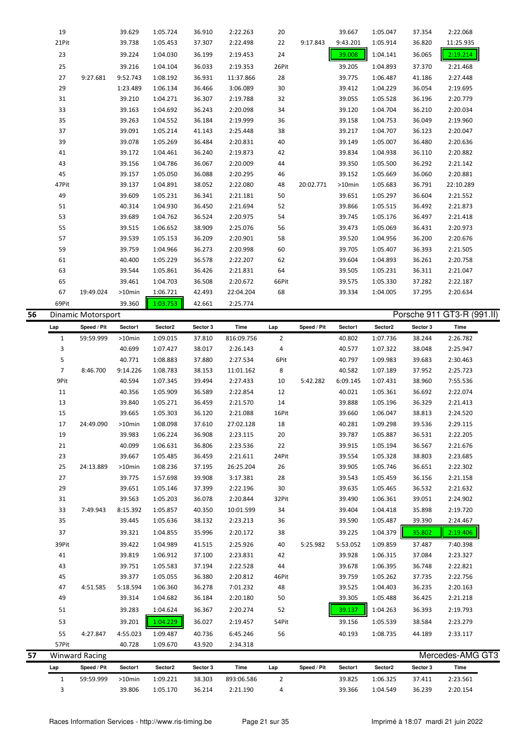| 57 | 17<br>19<br>21<br>23<br>25<br>27<br>29<br>31<br>33<br>35<br>37<br>39Pit<br>41<br>43<br>45<br>47<br>49<br>51<br>53<br>55<br>57Pit | 24:49.090<br>24:13.889<br>7:49.943<br>4:51.585<br>4:27.847<br><b>Winward Racing</b> | >10min<br>39.983<br>40.099<br>39.667<br>>10min<br>39.775<br>39.651<br>39.563<br>8:15.392<br>39.445<br>39.321<br>39.422<br>39.819<br>39.751<br>39.377<br>5:18.594<br>39.314<br>39.283<br>39.201<br>4:55.023<br>40.728 | 1:08.098<br>1:06.224<br>1:06.631<br>1:05.485<br>1:08.236<br>1:57.698<br>1:05.146<br>1:05.203<br>1:05.857<br>1:05.636<br>1:04.855<br>1:04.989<br>1:06.912<br>1:05.583<br>1:05.055<br>1:06.360<br>1:04.682<br>1:04.624<br>1:04.229<br>1:09.487<br>1:09.670 | 37.610<br>36.908<br>36.806<br>36.459<br>37.195<br>39.908<br>37.399<br>36.078<br>40.350<br>38.132<br>35.996<br>41.515<br>37.100<br>37.194<br>36.380<br>36.278<br>36.184<br>36.367<br>36.027<br>40.736<br>43.920 | 27:02.128<br>2:23.115<br>2:23.536<br>2:21.611<br>26:25.204<br>3:17.381<br>2:22.196<br>2:20.844<br>10:01.599<br>2:23.213<br>2:20.172<br>2:25.926<br>2:23.831<br>2:22.528<br>2:20.812<br>7:01.232<br>2:20.180<br>2:20.274<br>2:19.457<br>6:45.246<br>2:34.318 | 18<br>20<br>22<br>24Pit<br>26<br>28<br>30<br>32Pit<br>34<br>36<br>38<br>40<br>42<br>44<br>46Pit<br>48<br>50<br>52<br>54Pit<br>56 | 5:25.982    | 40.281<br>39.787<br>39.915<br>39.554<br>39.905<br>39.543<br>39.635<br>39.490<br>39.404<br>39.590<br>39.225<br>5:53.052<br>39.928<br>39.678<br>39.759<br>39.525<br>39.305<br>39.137<br>39.156<br>40.193 | 1:09.298<br>1:05.887<br>1:05.194<br>1:05.328<br>1:05.746<br>1:05.459<br>1:05.465<br>1:06.361<br>1:04.418<br>1:05.487<br>1:04.379<br>1:09.859<br>1:06.315<br>1:06.395<br>1:05.262<br>1:04.403<br>1:05.488<br>1:04.263<br>1:05.539<br>1:08.735 | 39.536<br>36.531<br>36.567<br>38.803<br>36.651<br>36.156<br>36.532<br>39.051<br>35.898<br>39.390<br>35.802<br>37.487<br>37.084<br>36.748<br>37.735<br>36.235<br>36.425<br>36.393<br>38.584<br>44.189 | 2:29.115<br>2:22.205<br>2:21.676<br>2:23.685<br>2:22.302<br>2:21.158<br>2:21.632<br>2:24.902<br>2:19.720<br>2:24.467<br>2:19.406<br>7:40.398<br>2:23.327<br>2:22.821<br>2:22.756<br>2:20.163<br>2:21.218<br>2:19.793<br>2:23.279<br>2:33.117<br>Mercedes-AMG GT3 |  |
|----|----------------------------------------------------------------------------------------------------------------------------------|-------------------------------------------------------------------------------------|----------------------------------------------------------------------------------------------------------------------------------------------------------------------------------------------------------------------|----------------------------------------------------------------------------------------------------------------------------------------------------------------------------------------------------------------------------------------------------------|----------------------------------------------------------------------------------------------------------------------------------------------------------------------------------------------------------------|-------------------------------------------------------------------------------------------------------------------------------------------------------------------------------------------------------------------------------------------------------------|----------------------------------------------------------------------------------------------------------------------------------|-------------|--------------------------------------------------------------------------------------------------------------------------------------------------------------------------------------------------------|----------------------------------------------------------------------------------------------------------------------------------------------------------------------------------------------------------------------------------------------|------------------------------------------------------------------------------------------------------------------------------------------------------------------------------------------------------|------------------------------------------------------------------------------------------------------------------------------------------------------------------------------------------------------------------------------------------------------------------|--|
|    |                                                                                                                                  |                                                                                     |                                                                                                                                                                                                                      |                                                                                                                                                                                                                                                          |                                                                                                                                                                                                                |                                                                                                                                                                                                                                                             |                                                                                                                                  |             |                                                                                                                                                                                                        |                                                                                                                                                                                                                                              |                                                                                                                                                                                                      |                                                                                                                                                                                                                                                                  |  |
|    |                                                                                                                                  |                                                                                     |                                                                                                                                                                                                                      |                                                                                                                                                                                                                                                          |                                                                                                                                                                                                                |                                                                                                                                                                                                                                                             |                                                                                                                                  |             |                                                                                                                                                                                                        |                                                                                                                                                                                                                                              |                                                                                                                                                                                                      |                                                                                                                                                                                                                                                                  |  |
|    |                                                                                                                                  |                                                                                     |                                                                                                                                                                                                                      |                                                                                                                                                                                                                                                          |                                                                                                                                                                                                                |                                                                                                                                                                                                                                                             |                                                                                                                                  |             |                                                                                                                                                                                                        |                                                                                                                                                                                                                                              |                                                                                                                                                                                                      |                                                                                                                                                                                                                                                                  |  |
|    |                                                                                                                                  |                                                                                     |                                                                                                                                                                                                                      |                                                                                                                                                                                                                                                          |                                                                                                                                                                                                                |                                                                                                                                                                                                                                                             |                                                                                                                                  |             |                                                                                                                                                                                                        |                                                                                                                                                                                                                                              |                                                                                                                                                                                                      |                                                                                                                                                                                                                                                                  |  |
|    |                                                                                                                                  |                                                                                     |                                                                                                                                                                                                                      |                                                                                                                                                                                                                                                          |                                                                                                                                                                                                                |                                                                                                                                                                                                                                                             |                                                                                                                                  |             |                                                                                                                                                                                                        |                                                                                                                                                                                                                                              |                                                                                                                                                                                                      |                                                                                                                                                                                                                                                                  |  |
|    |                                                                                                                                  |                                                                                     |                                                                                                                                                                                                                      |                                                                                                                                                                                                                                                          |                                                                                                                                                                                                                |                                                                                                                                                                                                                                                             |                                                                                                                                  |             |                                                                                                                                                                                                        |                                                                                                                                                                                                                                              |                                                                                                                                                                                                      |                                                                                                                                                                                                                                                                  |  |
|    |                                                                                                                                  |                                                                                     |                                                                                                                                                                                                                      |                                                                                                                                                                                                                                                          |                                                                                                                                                                                                                |                                                                                                                                                                                                                                                             |                                                                                                                                  |             |                                                                                                                                                                                                        |                                                                                                                                                                                                                                              |                                                                                                                                                                                                      |                                                                                                                                                                                                                                                                  |  |
|    |                                                                                                                                  |                                                                                     |                                                                                                                                                                                                                      |                                                                                                                                                                                                                                                          |                                                                                                                                                                                                                |                                                                                                                                                                                                                                                             |                                                                                                                                  |             |                                                                                                                                                                                                        |                                                                                                                                                                                                                                              |                                                                                                                                                                                                      |                                                                                                                                                                                                                                                                  |  |
|    |                                                                                                                                  |                                                                                     |                                                                                                                                                                                                                      |                                                                                                                                                                                                                                                          |                                                                                                                                                                                                                |                                                                                                                                                                                                                                                             |                                                                                                                                  |             |                                                                                                                                                                                                        |                                                                                                                                                                                                                                              |                                                                                                                                                                                                      |                                                                                                                                                                                                                                                                  |  |
|    |                                                                                                                                  |                                                                                     |                                                                                                                                                                                                                      |                                                                                                                                                                                                                                                          |                                                                                                                                                                                                                |                                                                                                                                                                                                                                                             |                                                                                                                                  |             |                                                                                                                                                                                                        |                                                                                                                                                                                                                                              |                                                                                                                                                                                                      |                                                                                                                                                                                                                                                                  |  |
|    |                                                                                                                                  |                                                                                     |                                                                                                                                                                                                                      |                                                                                                                                                                                                                                                          |                                                                                                                                                                                                                |                                                                                                                                                                                                                                                             |                                                                                                                                  |             |                                                                                                                                                                                                        |                                                                                                                                                                                                                                              |                                                                                                                                                                                                      |                                                                                                                                                                                                                                                                  |  |
|    |                                                                                                                                  |                                                                                     |                                                                                                                                                                                                                      |                                                                                                                                                                                                                                                          |                                                                                                                                                                                                                |                                                                                                                                                                                                                                                             |                                                                                                                                  |             |                                                                                                                                                                                                        |                                                                                                                                                                                                                                              |                                                                                                                                                                                                      |                                                                                                                                                                                                                                                                  |  |
|    |                                                                                                                                  |                                                                                     |                                                                                                                                                                                                                      |                                                                                                                                                                                                                                                          |                                                                                                                                                                                                                |                                                                                                                                                                                                                                                             |                                                                                                                                  |             |                                                                                                                                                                                                        |                                                                                                                                                                                                                                              |                                                                                                                                                                                                      |                                                                                                                                                                                                                                                                  |  |
|    |                                                                                                                                  |                                                                                     |                                                                                                                                                                                                                      |                                                                                                                                                                                                                                                          |                                                                                                                                                                                                                |                                                                                                                                                                                                                                                             |                                                                                                                                  |             |                                                                                                                                                                                                        |                                                                                                                                                                                                                                              |                                                                                                                                                                                                      |                                                                                                                                                                                                                                                                  |  |
|    |                                                                                                                                  |                                                                                     |                                                                                                                                                                                                                      |                                                                                                                                                                                                                                                          |                                                                                                                                                                                                                |                                                                                                                                                                                                                                                             |                                                                                                                                  |             |                                                                                                                                                                                                        |                                                                                                                                                                                                                                              |                                                                                                                                                                                                      |                                                                                                                                                                                                                                                                  |  |
|    |                                                                                                                                  |                                                                                     |                                                                                                                                                                                                                      |                                                                                                                                                                                                                                                          |                                                                                                                                                                                                                |                                                                                                                                                                                                                                                             |                                                                                                                                  |             |                                                                                                                                                                                                        |                                                                                                                                                                                                                                              |                                                                                                                                                                                                      |                                                                                                                                                                                                                                                                  |  |
|    |                                                                                                                                  |                                                                                     |                                                                                                                                                                                                                      |                                                                                                                                                                                                                                                          |                                                                                                                                                                                                                |                                                                                                                                                                                                                                                             |                                                                                                                                  |             |                                                                                                                                                                                                        |                                                                                                                                                                                                                                              |                                                                                                                                                                                                      |                                                                                                                                                                                                                                                                  |  |
|    |                                                                                                                                  |                                                                                     |                                                                                                                                                                                                                      |                                                                                                                                                                                                                                                          |                                                                                                                                                                                                                |                                                                                                                                                                                                                                                             |                                                                                                                                  |             |                                                                                                                                                                                                        |                                                                                                                                                                                                                                              |                                                                                                                                                                                                      |                                                                                                                                                                                                                                                                  |  |
|    |                                                                                                                                  |                                                                                     |                                                                                                                                                                                                                      |                                                                                                                                                                                                                                                          |                                                                                                                                                                                                                |                                                                                                                                                                                                                                                             |                                                                                                                                  |             |                                                                                                                                                                                                        |                                                                                                                                                                                                                                              |                                                                                                                                                                                                      |                                                                                                                                                                                                                                                                  |  |
|    |                                                                                                                                  |                                                                                     |                                                                                                                                                                                                                      |                                                                                                                                                                                                                                                          |                                                                                                                                                                                                                |                                                                                                                                                                                                                                                             |                                                                                                                                  |             |                                                                                                                                                                                                        |                                                                                                                                                                                                                                              |                                                                                                                                                                                                      |                                                                                                                                                                                                                                                                  |  |
|    | 15                                                                                                                               |                                                                                     | 39.665                                                                                                                                                                                                               | 1:05.303                                                                                                                                                                                                                                                 | 36.120                                                                                                                                                                                                         | 2:21.088                                                                                                                                                                                                                                                    | 16Pit                                                                                                                            |             | 39.660                                                                                                                                                                                                 | 1:06.047                                                                                                                                                                                                                                     | 38.813                                                                                                                                                                                               | 2:24.520                                                                                                                                                                                                                                                         |  |
|    | 13                                                                                                                               |                                                                                     | 39.840                                                                                                                                                                                                               | 1:05.271                                                                                                                                                                                                                                                 | 36.459                                                                                                                                                                                                         | 2:21.570                                                                                                                                                                                                                                                    | 14                                                                                                                               |             | 39.888                                                                                                                                                                                                 | 1:05.196                                                                                                                                                                                                                                     | 36.329                                                                                                                                                                                               | 2:21.413                                                                                                                                                                                                                                                         |  |
|    | 11                                                                                                                               |                                                                                     | 40.356                                                                                                                                                                                                               | 1:05.909                                                                                                                                                                                                                                                 | 36.589                                                                                                                                                                                                         | 2:22.854                                                                                                                                                                                                                                                    | 12                                                                                                                               |             | 40.021                                                                                                                                                                                                 | 1:05.361                                                                                                                                                                                                                                     | 36.692                                                                                                                                                                                               | 2:22.074                                                                                                                                                                                                                                                         |  |
|    | 9Pit                                                                                                                             |                                                                                     | 40.594                                                                                                                                                                                                               | 1:07.345                                                                                                                                                                                                                                                 | 39.494                                                                                                                                                                                                         | 2:27.433                                                                                                                                                                                                                                                    | 10                                                                                                                               | 5:42.282    | 6:09.145                                                                                                                                                                                               | 1:07.431                                                                                                                                                                                                                                     | 38.960                                                                                                                                                                                               | 7:55.536                                                                                                                                                                                                                                                         |  |
|    | $\overline{7}$                                                                                                                   | 8:46.700                                                                            | 9:14.226                                                                                                                                                                                                             | 1:08.783                                                                                                                                                                                                                                                 | 38.153                                                                                                                                                                                                         | 11:01.162                                                                                                                                                                                                                                                   | 8                                                                                                                                |             | 40.582                                                                                                                                                                                                 | 1:07.189                                                                                                                                                                                                                                     | 37.952                                                                                                                                                                                               | 2:25.723                                                                                                                                                                                                                                                         |  |
|    | 5                                                                                                                                |                                                                                     | 40.771                                                                                                                                                                                                               | 1:08.883                                                                                                                                                                                                                                                 | 37.880                                                                                                                                                                                                         | 2:27.534                                                                                                                                                                                                                                                    | 6Pit                                                                                                                             |             | 40.797                                                                                                                                                                                                 | 1:09.983                                                                                                                                                                                                                                     | 39.683                                                                                                                                                                                               | 2:30.463                                                                                                                                                                                                                                                         |  |
|    | 3                                                                                                                                |                                                                                     | 40.699                                                                                                                                                                                                               | 1:07.427                                                                                                                                                                                                                                                 | 38.017                                                                                                                                                                                                         | 2:26.143                                                                                                                                                                                                                                                    | 4                                                                                                                                |             | 40.577                                                                                                                                                                                                 | 1:07.322                                                                                                                                                                                                                                     | 38.048                                                                                                                                                                                               | 2:25.947                                                                                                                                                                                                                                                         |  |
|    | Lap<br>$\mathbf{1}$                                                                                                              | 59:59.999                                                                           | >10min                                                                                                                                                                                                               | 1:09.015                                                                                                                                                                                                                                                 | 37.810                                                                                                                                                                                                         | 816:09.756                                                                                                                                                                                                                                                  | $\overline{2}$                                                                                                                   |             | 40.802                                                                                                                                                                                                 | 1:07.736                                                                                                                                                                                                                                     | 38.244                                                                                                                                                                                               | 2:26.782                                                                                                                                                                                                                                                         |  |
|    |                                                                                                                                  | Dinamic Motorsport<br>Speed / Pit                                                   | Sector1                                                                                                                                                                                                              | Sector2                                                                                                                                                                                                                                                  | Sector 3                                                                                                                                                                                                       | Time                                                                                                                                                                                                                                                        | Lap                                                                                                                              | Speed / Pit | Sector1                                                                                                                                                                                                | Sector2                                                                                                                                                                                                                                      | Sector 3                                                                                                                                                                                             | Time                                                                                                                                                                                                                                                             |  |
| 56 | 69Pit                                                                                                                            |                                                                                     | 39.360                                                                                                                                                                                                               | 1:03.753                                                                                                                                                                                                                                                 | 42.661                                                                                                                                                                                                         | 2:25.774                                                                                                                                                                                                                                                    |                                                                                                                                  |             |                                                                                                                                                                                                        |                                                                                                                                                                                                                                              |                                                                                                                                                                                                      | Porsche 911 GT3-R (991.II)                                                                                                                                                                                                                                       |  |
|    | 67                                                                                                                               | 19:49.024                                                                           | >10min                                                                                                                                                                                                               | 1:06.721                                                                                                                                                                                                                                                 | 42.493                                                                                                                                                                                                         | 22:04.204                                                                                                                                                                                                                                                   | 68                                                                                                                               |             | 39.334                                                                                                                                                                                                 | 1:04.005                                                                                                                                                                                                                                     | 37.295                                                                                                                                                                                               | 2:20.634                                                                                                                                                                                                                                                         |  |
|    | 65                                                                                                                               |                                                                                     | 39.461                                                                                                                                                                                                               | 1:04.703                                                                                                                                                                                                                                                 | 36.508                                                                                                                                                                                                         | 2:20.672                                                                                                                                                                                                                                                    | 66Pit                                                                                                                            |             | 39.575                                                                                                                                                                                                 | 1:05.330                                                                                                                                                                                                                                     | 37.282                                                                                                                                                                                               | 2:22.187                                                                                                                                                                                                                                                         |  |
|    | 63                                                                                                                               |                                                                                     | 39.544                                                                                                                                                                                                               | 1:05.861                                                                                                                                                                                                                                                 | 36.426                                                                                                                                                                                                         | 2:21.831                                                                                                                                                                                                                                                    | 64                                                                                                                               |             | 39.505                                                                                                                                                                                                 | 1:05.231                                                                                                                                                                                                                                     | 36.311                                                                                                                                                                                               | 2:21.047                                                                                                                                                                                                                                                         |  |
|    | 61                                                                                                                               |                                                                                     | 40.400                                                                                                                                                                                                               | 1:05.229                                                                                                                                                                                                                                                 | 36.578                                                                                                                                                                                                         | 2:22.207                                                                                                                                                                                                                                                    | 62                                                                                                                               |             | 39.604                                                                                                                                                                                                 | 1:04.893                                                                                                                                                                                                                                     | 36.261                                                                                                                                                                                               | 2:20.758                                                                                                                                                                                                                                                         |  |
|    | 59                                                                                                                               |                                                                                     | 39.759                                                                                                                                                                                                               | 1:04.966                                                                                                                                                                                                                                                 | 36.273                                                                                                                                                                                                         | 2:20.998                                                                                                                                                                                                                                                    | 60                                                                                                                               |             | 39.705                                                                                                                                                                                                 | 1:05.407                                                                                                                                                                                                                                     | 36.393                                                                                                                                                                                               | 2:21.505                                                                                                                                                                                                                                                         |  |
|    | 57                                                                                                                               |                                                                                     | 39.539                                                                                                                                                                                                               | 1:05.153                                                                                                                                                                                                                                                 | 36.209                                                                                                                                                                                                         | 2:20.901                                                                                                                                                                                                                                                    | 58                                                                                                                               |             | 39.520                                                                                                                                                                                                 | 1:04.956                                                                                                                                                                                                                                     | 36.200                                                                                                                                                                                               | 2:20.676                                                                                                                                                                                                                                                         |  |
|    | 55                                                                                                                               |                                                                                     | 39.515                                                                                                                                                                                                               | 1:06.652                                                                                                                                                                                                                                                 | 38.909                                                                                                                                                                                                         | 2:25.076                                                                                                                                                                                                                                                    | 56                                                                                                                               |             | 39.473                                                                                                                                                                                                 | 1:05.069                                                                                                                                                                                                                                     | 36.431                                                                                                                                                                                               | 2:20.973                                                                                                                                                                                                                                                         |  |
|    | 53                                                                                                                               |                                                                                     | 39.689                                                                                                                                                                                                               | 1:04.762                                                                                                                                                                                                                                                 | 36.524                                                                                                                                                                                                         | 2:20.975                                                                                                                                                                                                                                                    | 54                                                                                                                               |             | 39.745                                                                                                                                                                                                 | 1:05.176                                                                                                                                                                                                                                     | 36.497                                                                                                                                                                                               | 2:21.418                                                                                                                                                                                                                                                         |  |
|    | 51                                                                                                                               |                                                                                     | 40.314                                                                                                                                                                                                               | 1:04.930                                                                                                                                                                                                                                                 | 36.450                                                                                                                                                                                                         | 2:21.694                                                                                                                                                                                                                                                    | 52                                                                                                                               |             | 39.866                                                                                                                                                                                                 | 1:05.515                                                                                                                                                                                                                                     | 36.492                                                                                                                                                                                               | 2:21.873                                                                                                                                                                                                                                                         |  |
|    | 49                                                                                                                               |                                                                                     | 39.609                                                                                                                                                                                                               | 1:05.231                                                                                                                                                                                                                                                 | 36.341                                                                                                                                                                                                         | 2:21.181                                                                                                                                                                                                                                                    | 50                                                                                                                               |             | 39.651                                                                                                                                                                                                 | 1:05.297                                                                                                                                                                                                                                     | 36.604                                                                                                                                                                                               | 2:21.552                                                                                                                                                                                                                                                         |  |
|    | 47Pit                                                                                                                            |                                                                                     | 39.137                                                                                                                                                                                                               | 1:04.891                                                                                                                                                                                                                                                 | 38.052                                                                                                                                                                                                         | 2:22.080                                                                                                                                                                                                                                                    | 48                                                                                                                               | 20:02.771   | >10min                                                                                                                                                                                                 | 1:05.683                                                                                                                                                                                                                                     | 36.791                                                                                                                                                                                               | 22:10.289                                                                                                                                                                                                                                                        |  |
|    | 45                                                                                                                               |                                                                                     | 39.157                                                                                                                                                                                                               | 1:05.050                                                                                                                                                                                                                                                 | 36.088                                                                                                                                                                                                         | 2:20.295                                                                                                                                                                                                                                                    | 46                                                                                                                               |             | 39.152                                                                                                                                                                                                 | 1:05.669                                                                                                                                                                                                                                     | 36.060                                                                                                                                                                                               | 2:20.881                                                                                                                                                                                                                                                         |  |
|    | 43                                                                                                                               |                                                                                     | 39.172<br>39.156                                                                                                                                                                                                     | 1:04.461<br>1:04.786                                                                                                                                                                                                                                     | 36.240<br>36.067                                                                                                                                                                                               | 2:20.009                                                                                                                                                                                                                                                    | 42<br>44                                                                                                                         |             | 39.834<br>39.350                                                                                                                                                                                       | 1:04.938<br>1:05.500                                                                                                                                                                                                                         | 36.110<br>36.292                                                                                                                                                                                     | 2:20.882<br>2:21.142                                                                                                                                                                                                                                             |  |
|    | 39<br>41                                                                                                                         |                                                                                     | 39.078                                                                                                                                                                                                               | 1:05.269                                                                                                                                                                                                                                                 | 36.484                                                                                                                                                                                                         | 2:20.831<br>2:19.873                                                                                                                                                                                                                                        | 40                                                                                                                               |             | 39.149                                                                                                                                                                                                 | 1:05.007                                                                                                                                                                                                                                     | 36.480                                                                                                                                                                                               | 2:20.636                                                                                                                                                                                                                                                         |  |
|    | 37                                                                                                                               |                                                                                     | 39.091                                                                                                                                                                                                               | 1:05.214                                                                                                                                                                                                                                                 | 41.143                                                                                                                                                                                                         | 2:25.448                                                                                                                                                                                                                                                    | 38                                                                                                                               |             | 39.217                                                                                                                                                                                                 | 1:04.707                                                                                                                                                                                                                                     | 36.123                                                                                                                                                                                               | 2:20.047                                                                                                                                                                                                                                                         |  |
|    | 35                                                                                                                               |                                                                                     | 39.263                                                                                                                                                                                                               | 1:04.552                                                                                                                                                                                                                                                 | 36.184                                                                                                                                                                                                         | 2:19.999                                                                                                                                                                                                                                                    | 36                                                                                                                               |             | 39.158                                                                                                                                                                                                 | 1:04.753                                                                                                                                                                                                                                     | 36.049                                                                                                                                                                                               | 2:19.960                                                                                                                                                                                                                                                         |  |
|    | 33                                                                                                                               |                                                                                     | 39.163                                                                                                                                                                                                               | 1:04.692                                                                                                                                                                                                                                                 | 36.243                                                                                                                                                                                                         | 2:20.098                                                                                                                                                                                                                                                    | 34                                                                                                                               |             | 39.120                                                                                                                                                                                                 | 1:04.704                                                                                                                                                                                                                                     | 36.210                                                                                                                                                                                               | 2:20.034                                                                                                                                                                                                                                                         |  |
|    | 31                                                                                                                               |                                                                                     | 39.210                                                                                                                                                                                                               | 1:04.271                                                                                                                                                                                                                                                 | 36.307                                                                                                                                                                                                         | 2:19.788                                                                                                                                                                                                                                                    | 32                                                                                                                               |             | 39.055                                                                                                                                                                                                 | 1:05.528                                                                                                                                                                                                                                     | 36.196                                                                                                                                                                                               | 2:20.779                                                                                                                                                                                                                                                         |  |
|    | 29                                                                                                                               |                                                                                     | 1:23.489                                                                                                                                                                                                             | 1:06.134                                                                                                                                                                                                                                                 | 36.466                                                                                                                                                                                                         | 3:06.089                                                                                                                                                                                                                                                    | 30                                                                                                                               |             | 39.412                                                                                                                                                                                                 | 1:04.229                                                                                                                                                                                                                                     | 36.054                                                                                                                                                                                               | 2:19.695                                                                                                                                                                                                                                                         |  |
|    | 27                                                                                                                               | 9:27.681                                                                            | 9:52.743                                                                                                                                                                                                             | 1:08.192                                                                                                                                                                                                                                                 | 36.931                                                                                                                                                                                                         | 11:37.866                                                                                                                                                                                                                                                   | 28                                                                                                                               |             | 39.775                                                                                                                                                                                                 | 1:06.487                                                                                                                                                                                                                                     | 41.186                                                                                                                                                                                               | 2:27.448                                                                                                                                                                                                                                                         |  |
|    | 25                                                                                                                               |                                                                                     | 39.216                                                                                                                                                                                                               | 1:04.104                                                                                                                                                                                                                                                 | 36.033                                                                                                                                                                                                         | 2:19.353                                                                                                                                                                                                                                                    | 26Pit                                                                                                                            |             | 39.205                                                                                                                                                                                                 | 1:04.893                                                                                                                                                                                                                                     | 37.370                                                                                                                                                                                               | 2:21.468                                                                                                                                                                                                                                                         |  |
|    | 23                                                                                                                               |                                                                                     | 39.224                                                                                                                                                                                                               | 1:04.030                                                                                                                                                                                                                                                 | 36.199                                                                                                                                                                                                         | 2:19.453                                                                                                                                                                                                                                                    | 24                                                                                                                               |             | 39.008                                                                                                                                                                                                 | 1:04.141                                                                                                                                                                                                                                     | 36.065                                                                                                                                                                                               | 2:19.214                                                                                                                                                                                                                                                         |  |
|    | 21Pit                                                                                                                            |                                                                                     | 39.738                                                                                                                                                                                                               | 1:05.453                                                                                                                                                                                                                                                 | 37.307                                                                                                                                                                                                         | 2:22.498                                                                                                                                                                                                                                                    | 22                                                                                                                               | 9:17.843    | 9:43.201                                                                                                                                                                                               | 1:05.914                                                                                                                                                                                                                                     | 36.820                                                                                                                                                                                               | 11:25.935                                                                                                                                                                                                                                                        |  |
|    | 19                                                                                                                               |                                                                                     | 39.629                                                                                                                                                                                                               | 1:05.724                                                                                                                                                                                                                                                 | 36.910                                                                                                                                                                                                         | 2:22.263                                                                                                                                                                                                                                                    | 20                                                                                                                               |             | 39.667                                                                                                                                                                                                 | 1:05.047                                                                                                                                                                                                                                     | 37.354                                                                                                                                                                                               | 2:22.068                                                                                                                                                                                                                                                         |  |

3 39.806 1:05.170 36.214 2:21.190 4 39.366 1:04.549 36.239 2:20.154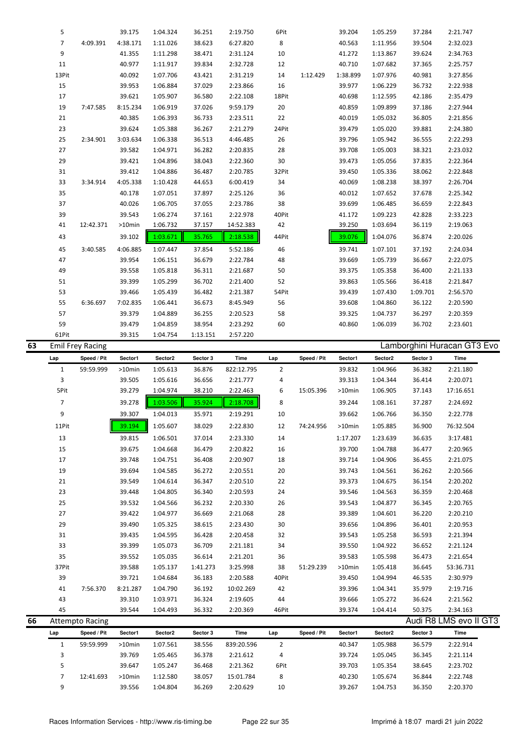|    | 5              |                         | 39.175   | 1:04.324 | 36.251   | 2:19.750   | 6Pit           |             | 39.204   | 1:05.259            | 37.284   | 2:21.747                    |  |
|----|----------------|-------------------------|----------|----------|----------|------------|----------------|-------------|----------|---------------------|----------|-----------------------------|--|
|    | $\overline{7}$ | 4:09.391                | 4:38.171 | 1:11.026 | 38.623   | 6:27.820   | 8              |             | 40.563   | 1:11.956            | 39.504   | 2:32.023                    |  |
|    | 9              |                         | 41.355   | 1:11.298 | 38.471   | 2:31.124   | 10             |             | 41.272   | 1:13.867            | 39.624   | 2:34.763                    |  |
|    | 11             |                         | 40.977   | 1:11.917 | 39.834   | 2:32.728   | 12             |             | 40.710   | 1:07.682            | 37.365   | 2:25.757                    |  |
|    | 13Pit          |                         | 40.092   | 1:07.706 | 43.421   | 2:31.219   | 14             | 1:12.429    | 1:38.899 | 1:07.976            | 40.981   | 3:27.856                    |  |
|    | 15             |                         | 39.953   | 1:06.884 | 37.029   | 2:23.866   | 16             |             | 39.977   | 1:06.229            | 36.732   | 2:22.938                    |  |
|    | 17             |                         | 39.621   | 1:05.907 | 36.580   | 2:22.108   | 18Pit          |             | 40.698   | 1:12.595            | 42.186   | 2:35.479                    |  |
|    | 19             | 7:47.585                | 8:15.234 | 1:06.919 | 37.026   | 9:59.179   | 20             |             | 40.859   | 1:09.899            | 37.186   | 2:27.944                    |  |
|    | 21             |                         | 40.385   | 1:06.393 | 36.733   | 2:23.511   | 22             |             | 40.019   | 1:05.032            | 36.805   | 2:21.856                    |  |
|    | 23             |                         | 39.624   | 1:05.388 | 36.267   | 2:21.279   | 24Pit          |             | 39.479   | 1:05.020            | 39.881   | 2:24.380                    |  |
|    | 25             | 2:34.901                | 3:03.634 | 1:06.338 | 36.513   | 4:46.485   | 26             |             | 39.796   | 1:05.942            | 36.555   | 2:22.293                    |  |
|    | 27             |                         | 39.582   | 1:04.971 | 36.282   | 2:20.835   | 28             |             | 39.708   | 1:05.003            | 38.321   | 2:23.032                    |  |
|    |                |                         |          |          |          |            |                |             |          |                     |          |                             |  |
|    | 29             |                         | 39.421   | 1:04.896 | 38.043   | 2:22.360   | 30             |             | 39.473   | 1:05.056            | 37.835   | 2:22.364                    |  |
|    | 31             |                         | 39.412   | 1:04.886 | 36.487   | 2:20.785   | 32Pit          |             | 39.450   | 1:05.336            | 38.062   | 2:22.848                    |  |
|    | 33             | 3:34.914                | 4:05.338 | 1:10.428 | 44.653   | 6:00.419   | 34             |             | 40.069   | 1:08.238            | 38.397   | 2:26.704                    |  |
|    | 35             |                         | 40.178   | 1:07.051 | 37.897   | 2:25.126   | 36             |             | 40.012   | 1:07.652            | 37.678   | 2:25.342                    |  |
|    | 37             |                         | 40.026   | 1:06.705 | 37.055   | 2:23.786   | 38             |             | 39.699   | 1:06.485            | 36.659   | 2:22.843                    |  |
|    | 39             |                         | 39.543   | 1:06.274 | 37.161   | 2:22.978   | 40Pit          |             | 41.172   | 1:09.223            | 42.828   | 2:33.223                    |  |
|    | 41             | 12:42.371               | >10min   | 1:06.732 | 37.157   | 14:52.383  | 42             |             | 39.250   | 1:03.694            | 36.119   | 2:19.063                    |  |
|    | 43             |                         | 39.102   | 1:03.671 | 35.765   | 2:18.538   | 44Pit          |             | 39.076   | 1:04.076            | 36.874   | 2:20.026                    |  |
|    | 45             | 3:40.585                | 4:06.885 | 1:07.447 | 37.854   | 5:52.186   | 46             |             | 39.741   | 1:07.101            | 37.192   | 2:24.034                    |  |
|    | 47             |                         | 39.954   | 1:06.151 | 36.679   | 2:22.784   | 48             |             | 39.669   | 1:05.739            | 36.667   | 2:22.075                    |  |
|    | 49             |                         | 39.558   | 1:05.818 | 36.311   | 2:21.687   | 50             |             | 39.375   | 1:05.358            | 36.400   | 2:21.133                    |  |
|    |                |                         |          |          |          |            |                |             |          |                     |          |                             |  |
|    | 51             |                         | 39.399   | 1:05.299 | 36.702   | 2:21.400   | 52             |             | 39.863   | 1:05.566            | 36.418   | 2:21.847                    |  |
|    | 53             |                         | 39.466   | 1:05.439 | 36.482   | 2:21.387   | 54Pit          |             | 39.439   | 1:07.430            | 1:09.701 | 2:56.570                    |  |
|    | 55             | 6:36.697                | 7:02.835 | 1:06.441 | 36.673   | 8:45.949   | 56             |             | 39.608   | 1:04.860            | 36.122   | 2:20.590                    |  |
|    | 57             |                         | 39.379   | 1:04.889 | 36.255   | 2:20.523   | 58             |             | 39.325   | 1:04.737            | 36.297   | 2:20.359                    |  |
|    | 59             |                         | 39.479   | 1:04.859 | 38.954   | 2:23.292   | 60             |             | 40.860   | 1:06.039            | 36.702   | 2:23.601                    |  |
|    | 61Pit          |                         | 39.315   | 1:04.754 | 1:13.151 | 2:57.220   |                |             |          |                     |          |                             |  |
| 63 |                | <b>Emil Frey Racing</b> |          |          |          |            |                |             |          |                     |          | Lamborghini Huracan GT3 Evo |  |
|    |                |                         |          |          |          |            |                |             |          |                     |          |                             |  |
|    | Lap            | Speed / Pit             | Sector1  | Sector2  | Sector 3 | Time       | Lap            | Speed / Pit | Sector1  | Sector2             | Sector 3 | Time                        |  |
|    | $\mathbf{1}$   | 59:59.999               | >10min   | 1:05.613 | 36.876   | 822:12.795 | $\overline{2}$ |             | 39.832   | 1:04.966            | 36.382   | 2:21.180                    |  |
|    | 3              |                         | 39.505   | 1:05.616 | 36.656   | 2:21.777   | 4              |             | 39.313   | 1:04.344            | 36.414   | 2:20.071                    |  |
|    | 5Pit           |                         | 39.279   | 1:04.974 | 38.210   | 2:22.463   | 6              | 15:05.396   | >10min   | 1:06.905            | 37.143   | 17:16.651                   |  |
|    | $\overline{7}$ |                         |          | 1:03.506 | 35.924   |            | 8              |             |          |                     |          |                             |  |
|    |                |                         | 39.278   |          |          | 2:18.708   |                |             | 39.244   | 1:08.161            | 37.287   | 2:24.692                    |  |
|    | 9              |                         | 39.307   | 1:04.013 | 35.971   | 2:19.291   | 10             |             | 39.662   | 1:06.766            | 36.350   | 2:22.778                    |  |
|    | 11Pit          |                         | 39.194   | 1:05.607 | 38.029   | 2:22.830   | 12             | 74:24.956   | >10min   | 1:05.885            | 36.900   | 76:32.504                   |  |
|    | 13             |                         | 39.815   | 1:06.501 | 37.014   | 2:23.330   | 14             |             | 1:17.207 | 1:23.639            | 36.635   | 3:17.481                    |  |
|    | 15             |                         | 39.675   | 1:04.668 | 36.479   | 2:20.822   | 16             |             | 39.700   | 1:04.788            | 36.477   | 2:20.965                    |  |
|    | 17             |                         | 39.748   | 1:04.751 | 36.408   | 2:20.907   | 18             |             | 39.714   | 1:04.906            | 36.455   | 2:21.075                    |  |
|    | 19             |                         | 39.694   | 1:04.585 | 36.272   | 2:20.551   | 20             |             | 39.743   | 1:04.561            | 36.262   | 2:20.566                    |  |
|    | 21             |                         | 39.549   | 1:04.614 | 36.347   | 2:20.510   | 22             |             | 39.373   | 1:04.675            | 36.154   | 2:20.202                    |  |
|    | 23             |                         | 39.448   | 1:04.805 | 36.340   | 2:20.593   | 24             |             | 39.546   | 1:04.563            | 36.359   | 2:20.468                    |  |
|    | 25             |                         | 39.532   | 1:04.566 | 36.232   | 2:20.330   | 26             |             | 39.543   | 1:04.877            | 36.345   | 2:20.765                    |  |
|    | 27             |                         |          |          |          |            |                |             |          | 1:04.601            |          |                             |  |
|    |                |                         | 39.422   | 1:04.977 | 36.669   | 2:21.068   | 28             |             | 39.389   |                     | 36.220   | 2:20.210                    |  |
|    | 29             |                         | 39.490   | 1:05.325 | 38.615   | 2:23.430   | 30             |             | 39.656   | 1:04.896            | 36.401   | 2:20.953                    |  |
|    | 31             |                         | 39.435   | 1:04.595 | 36.428   | 2:20.458   | 32             |             | 39.543   | 1:05.258            | 36.593   | 2:21.394                    |  |
|    | 33             |                         | 39.399   | 1:05.073 | 36.709   | 2:21.181   | 34             |             | 39.550   | 1:04.922            | 36.652   | 2:21.124                    |  |
|    | 35             |                         | 39.552   | 1:05.035 | 36.614   | 2:21.201   | 36             |             | 39.583   | 1:05.598            | 36.473   | 2:21.654                    |  |
|    | 37Pit          |                         | 39.588   | 1:05.137 | 1:41.273 | 3:25.998   | 38             | 51:29.239   | >10min   | 1:05.418            | 36.645   | 53:36.731                   |  |
|    | 39             |                         | 39.721   | 1:04.684 | 36.183   | 2:20.588   | 40Pit          |             | 39.450   | 1:04.994            | 46.535   | 2:30.979                    |  |
|    | 41             | 7:56.370                | 8:21.287 | 1:04.790 | 36.192   | 10:02.269  | 42             |             | 39.396   | 1:04.341            | 35.979   | 2:19.716                    |  |
|    | 43             |                         | 39.310   | 1:03.971 | 36.324   | 2:19.605   | 44             |             | 39.666   | 1:05.272            | 36.624   | 2:21.562                    |  |
|    | 45             |                         | 39.544   | 1:04.493 | 36.332   | 2:20.369   | 46Pit          |             | 39.374   | 1:04.414            | 50.375   | 2:34.163                    |  |
| 66 |                | <b>Attempto Racing</b>  |          |          |          |            |                |             |          |                     |          | Audi R8 LMS evo II GT3      |  |
|    | Lap            | Speed / Pit             | Sector1  | Sector2  | Sector 3 | Time       | Lap            | Speed / Pit | Sector1  | Sector <sub>2</sub> | Sector 3 | Time                        |  |
|    | $\mathbf{1}$   | 59:59.999               | >10min   | 1:07.561 | 38.556   | 839:20.596 | $\overline{2}$ |             | 40.347   | 1:05.988            | 36.579   | 2:22.914                    |  |
|    | 3              |                         | 39.769   | 1:05.465 | 36.378   | 2:21.612   | 4              |             | 39.724   | 1:05.045            | 36.345   | 2:21.114                    |  |
|    | 5              |                         | 39.647   | 1:05.247 | 36.468   | 2:21.362   | 6Pit           |             | 39.703   | 1:05.354            | 38.645   | 2:23.702                    |  |
|    | 7              | 12:41.693               | >10min   | 1:12.580 | 38.057   | 15:01.784  | 8              |             | 40.230   | 1:05.674            | 36.844   | 2:22.748                    |  |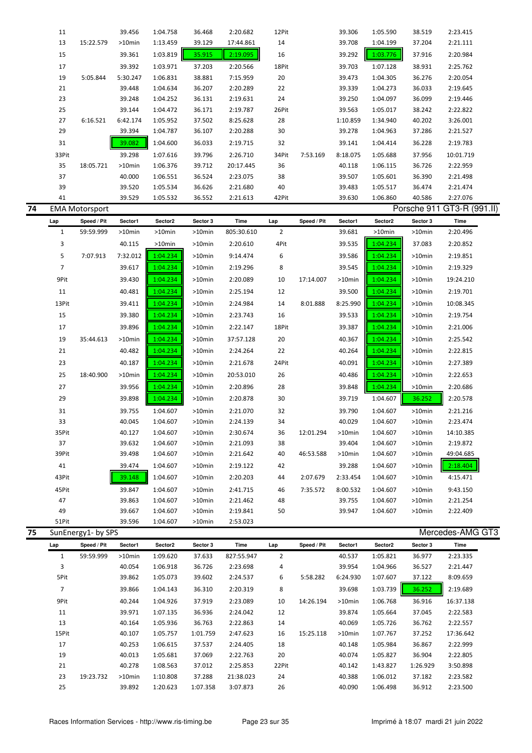|    | 11             |                       | 39.456    | 1:04.758 | 36.468    | 2:20.682   | 12Pit          |             | 39.306    | 1:05.590  | 38.519   | 2:23.415                   |  |
|----|----------------|-----------------------|-----------|----------|-----------|------------|----------------|-------------|-----------|-----------|----------|----------------------------|--|
|    | 13             | 15:22.579             | >10min    | 1:13.459 | 39.129    | 17:44.861  | 14             |             | 39.708    | 1:04.199  | 37.204   | 2:21.111                   |  |
|    | 15             |                       | 39.361    | 1:03.819 | 35.915    | 2:19.095   | 16             |             | 39.292    | 1:03.776  | 37.916   | 2:20.984                   |  |
|    | 17             |                       | 39.392    | 1:03.971 | 37.203    | 2:20.566   | 18Pit          |             | 39.703    | 1:07.128  | 38.931   | 2:25.762                   |  |
|    | 19             | 5:05.844              | 5:30.247  | 1:06.831 | 38.881    | 7:15.959   | 20             |             | 39.473    | 1:04.305  | 36.276   | 2:20.054                   |  |
|    | 21             |                       | 39.448    | 1:04.634 | 36.207    | 2:20.289   | 22             |             | 39.339    | 1:04.273  | 36.033   | 2:19.645                   |  |
|    | 23             |                       |           |          |           |            | 24             |             |           |           | 36.099   |                            |  |
|    | 25             |                       | 39.248    | 1:04.252 | 36.131    | 2:19.631   | 26Pit          |             | 39.250    | 1:04.097  |          | 2:19.446                   |  |
|    |                |                       | 39.144    | 1:04.472 | 36.171    | 2:19.787   |                |             | 39.563    | 1:05.017  | 38.242   | 2:22.822                   |  |
|    | 27             | 6:16.521              | 6:42.174  | 1:05.952 | 37.502    | 8:25.628   | 28             |             | 1:10.859  | 1:34.940  | 40.202   | 3:26.001                   |  |
|    | 29             |                       | 39.394    | 1:04.787 | 36.107    | 2:20.288   | 30             |             | 39.278    | 1:04.963  | 37.286   | 2:21.527                   |  |
|    | 31             |                       | 39.082    | 1:04.600 | 36.033    | 2:19.715   | 32             |             | 39.141    | 1:04.414  | 36.228   | 2:19.783                   |  |
|    | 33Pit          |                       | 39.298    | 1:07.616 | 39.796    | 2:26.710   | 34Pit          | 7:53.169    | 8:18.075  | 1:05.688  | 37.956   | 10:01.719                  |  |
|    | 35             | 18:05.721             | >10min    | 1:06.376 | 39.712    | 20:17.445  | 36             |             | 40.118    | 1:06.115  | 36.726   | 2:22.959                   |  |
|    | 37             |                       | 40.000    | 1:06.551 | 36.524    | 2:23.075   | 38             |             | 39.507    | 1:05.601  | 36.390   | 2:21.498                   |  |
|    | 39             |                       | 39.520    | 1:05.534 | 36.626    | 2:21.680   | 40             |             | 39.483    | 1:05.517  | 36.474   | 2:21.474                   |  |
|    | 41             |                       | 39.529    | 1:05.532 | 36.552    | 2:21.613   | 42Pit          |             | 39.630    | 1:06.860  | 40.586   | 2:27.076                   |  |
| 74 |                | <b>EMA Motorsport</b> |           |          |           |            |                |             |           |           |          | Porsche 911 GT3-R (991.II) |  |
|    | Lap            | Speed / Pit           | Sector1   | Sector2  | Sector 3  | Time       | Lap            | Speed / Pit | Sector1   | Sector2   | Sector 3 | Time                       |  |
|    | $\mathbf{1}$   | 59:59.999             | $>10$ min | >10min   | $>10$ min | 805:30.610 | $\overline{2}$ |             | 39.681    | $>10$ min | >10min   | 2:20.496                   |  |
|    | 3              |                       | 40.115    | >10min   | $>10$ min | 2:20.610   | 4Pit           |             | 39.535    | 1:04.234  | 37.083   | 2:20.852                   |  |
|    | 5              | 7:07.913              | 7:32.012  | 1:04.234 | >10min    | 9:14.474   | 6              |             | 39.586    | 1:04.234  | >10min   | 2:19.851                   |  |
|    | $\overline{7}$ |                       | 39.617    | 1:04.234 | >10min    | 2:19.296   | 8              |             | 39.545    | 1:04.234  | >10min   | 2:19.329                   |  |
|    | 9Pit           |                       | 39.430    | 1:04.234 | >10min    | 2:20.089   | 10             | 17:14.007   | $>10$ min | 1:04.234  | >10min   | 19:24.210                  |  |
|    | 11             |                       | 40.481    | 1:04.234 |           |            | 12             |             | 39.500    |           | >10min   |                            |  |
|    |                |                       |           |          | >10min    | 2:25.194   |                |             |           | 1:04.234  |          | 2:19.701                   |  |
|    | 13Pit          |                       | 39.411    | 1:04.234 | >10min    | 2:24.984   | 14             | 8:01.888    | 8:25.990  | 1:04.234  | >10min   | 10:08.345                  |  |
|    | 15             |                       | 39.380    | 1:04.234 | $>10$ min | 2:23.743   | 16             |             | 39.533    | 1:04.234  | >10min   | 2:19.754                   |  |
|    | 17             |                       | 39.896    | 1:04.234 | >10min    | 2:22.147   | 18Pit          |             | 39.387    | 1:04.234  | >10min   | 2:21.006                   |  |
|    | 19             | 35:44.613             | $>10$ min | 1:04.234 | $>10$ min | 37:57.128  | 20             |             | 40.367    | 1:04.234  | >10min   | 2:25.542                   |  |
|    | 21             |                       | 40.482    | 1:04.234 | >10min    | 2:24.264   | 22             |             | 40.264    | 1:04.234  | >10min   | 2:22.815                   |  |
|    | 23             |                       | 40.187    | 1:04.234 | >10min    | 2:21.678   | 24Pit          |             | 40.091    | 1:04.234  | >10min   | 2:27.389                   |  |
|    | 25             | 18:40.900             | >10min    | 1:04.234 | >10min    | 20:53.010  | 26             |             | 40.486    | 1:04.234  | >10min   | 2:22.653                   |  |
|    | 27             |                       | 39.956    | 1:04.234 | $>10$ min | 2:20.896   | 28             |             | 39.848    | 1:04.234  | >10min   | 2:20.686                   |  |
|    | 29             |                       | 39.898    | 1:04.234 | >10min    | 2:20.878   | 30             |             | 39.719    | 1:04.607  | 36.252   | 2:20.578                   |  |
|    |                |                       |           |          |           |            |                |             |           |           |          |                            |  |
|    | 31             |                       | 39.755    | 1:04.607 | >10min    | 2:21.070   | 32             |             | 39.790    | 1:04.607  | >10min   | 2:21.216                   |  |
|    | 33             |                       | 40.045    | 1:04.607 | >10min    | 2:24.139   | 34             |             | 40.029    | 1:04.607  | >10min   | 2:23.474                   |  |
|    | 35Pit          |                       | 40.127    | 1:04.607 | >10min    | 2:30.674   | 36             | 12:01.294   | >10min    | 1:04.607  | >10min   | 14:10.385                  |  |
|    | 37             |                       | 39.632    | 1:04.607 | >10min    | 2:21.093   | 38             |             | 39.404    | 1:04.607  | >10min   | 2:19.872                   |  |
|    | 39Pit          |                       | 39.498    | 1:04.607 | >10min    | 2:21.642   | 40             | 46:53.588   | $>10$ min | 1:04.607  | >10min   | 49:04.685                  |  |
|    | 41             |                       | 39.474    | 1:04.607 | $>10$ min | 2:19.122   | 42             |             | 39.288    | 1:04.607  | >10min   | 2:18.404                   |  |
|    | 43Pit          |                       | 39.148    | 1:04.607 | >10min    | 2:20.203   | 44             | 2:07.679    | 2:33.454  | 1:04.607  | >10min   | 4:15.471                   |  |
|    | 45Pit          |                       | 39.847    | 1:04.607 | >10min    | 2:41.715   | 46             | 7:35.572    | 8:00.532  | 1:04.607  | >10min   | 9:43.150                   |  |
|    | 47             |                       | 39.863    | 1:04.607 | $>10$ min | 2:21.462   | 48             |             | 39.755    | 1:04.607  | >10min   | 2:21.254                   |  |
|    | 49             |                       | 39.667    | 1:04.607 | $>10$ min | 2:19.841   | 50             |             | 39.947    | 1:04.607  | >10min   | 2:22.409                   |  |
|    | 51Pit          |                       | 39.596    | 1:04.607 | $>10$ min | 2:53.023   |                |             |           |           |          |                            |  |
| 75 |                | SunEnergy1- by SPS    |           |          |           |            |                |             |           |           |          | Mercedes-AMG GT3           |  |
|    | Lap            | Speed / Pit           | Sector1   | Sector2  | Sector 3  | Time       | Lap            | Speed / Pit | Sector1   | Sector2   | Sector 3 | Time                       |  |
|    | $\mathbf{1}$   | 59:59.999             | >10min    | 1:09.620 | 37.633    | 827:55.947 | $\overline{2}$ |             | 40.537    | 1:05.821  | 36.977   | 2:23.335                   |  |
|    | 3              |                       | 40.054    | 1:06.918 | 36.726    | 2:23.698   | 4              |             | 39.954    | 1:04.966  | 36.527   | 2:21.447                   |  |
|    | 5Pit           |                       | 39.862    | 1:05.073 | 39.602    | 2:24.537   | 6              | 5:58.282    | 6:24.930  | 1:07.607  | 37.122   | 8:09.659                   |  |
|    | $\overline{7}$ |                       | 39.866    | 1:04.143 | 36.310    | 2:20.319   | 8              |             | 39.698    | 1:03.739  | 36.252   | 2:19.689                   |  |
|    | 9Pit           |                       | 40.244    | 1:04.926 | 37.919    | 2:23.089   | 10             | 14:26.194   | $>10$ min | 1:06.768  | 36.916   | 16:37.138                  |  |
|    | 11             |                       | 39.971    | 1:07.135 | 36.936    | 2:24.042   | 12             |             | 39.874    | 1:05.664  | 37.045   | 2:22.583                   |  |
|    | 13             |                       | 40.164    | 1:05.936 | 36.763    | 2:22.863   | 14             |             | 40.069    | 1:05.726  | 36.762   | 2:22.557                   |  |
|    | 15Pit          |                       | 40.107    | 1:05.757 | 1:01.759  | 2:47.623   | 16             | 15:25.118   | $>10$ min | 1:07.767  | 37.252   | 17:36.642                  |  |
|    | 17             |                       | 40.253    | 1:06.615 | 37.537    | 2:24.405   | 18             |             | 40.148    | 1:05.984  | 36.867   | 2:22.999                   |  |
|    | 19             |                       | 40.013    | 1:05.681 | 37.069    | 2:22.763   | 20             |             | 40.074    | 1:05.827  | 36.904   | 2:22.805                   |  |
|    | 21             |                       | 40.278    | 1:08.563 | 37.012    | 2:25.853   | 22Pit          |             | 40.142    | 1:43.827  | 1:26.929 | 3:50.898                   |  |
|    | 23             | 19:23.732             | >10min    | 1:10.808 | 37.288    | 21:38.023  | 24             |             | 40.388    | 1:06.012  | 37.182   | 2:23.582                   |  |
|    | 25             |                       | 39.892    | 1:20.623 | 1:07.358  | 3:07.873   | 26             |             | 40.090    | 1:06.498  | 36.912   | 2:23.500                   |  |
|    |                |                       |           |          |           |            |                |             |           |           |          |                            |  |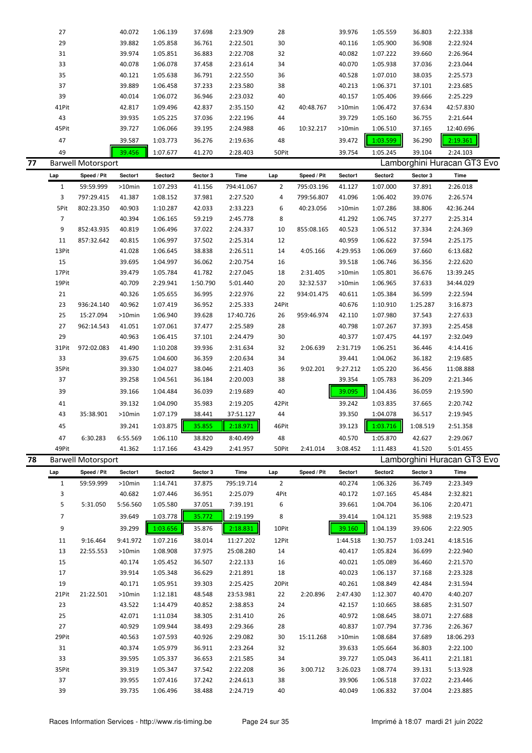|    | 27             |                           | 40.072    | 1:06.139 | 37.698   | 2:23.909             | 28             |             | 39.976      | 1:05.559 | 36.803   | 2:22.338                    |  |
|----|----------------|---------------------------|-----------|----------|----------|----------------------|----------------|-------------|-------------|----------|----------|-----------------------------|--|
|    | 29             |                           | 39.882    | 1:05.858 | 36.761   | 2:22.501             | 30             |             | 40.116      | 1:05.900 | 36.908   | 2:22.924                    |  |
|    | 31             |                           | 39.974    | 1:05.851 | 36.883   | 2:22.708             | 32             |             | 40.082      | 1:07.222 | 39.660   | 2:26.964                    |  |
|    | 33             |                           | 40.078    | 1:06.078 | 37.458   | 2:23.614             | 34             |             | 40.070      | 1:05.938 | 37.036   | 2:23.044                    |  |
|    | 35             |                           | 40.121    | 1:05.638 | 36.791   | 2:22.550             | 36             |             | 40.528      | 1:07.010 | 38.035   | 2:25.573                    |  |
|    | 37             |                           | 39.889    | 1:06.458 | 37.233   | 2:23.580             | 38             |             | 40.213      | 1:06.371 | 37.101   | 2:23.685                    |  |
|    | 39             |                           | 40.014    | 1:06.072 | 36.946   | 2:23.032             | 40             |             | 40.157      | 1:05.406 | 39.666   | 2:25.229                    |  |
|    | 41Pit          |                           | 42.817    | 1:09.496 | 42.837   | 2:35.150             | 42             | 40:48.767   | >10min      | 1:06.472 | 37.634   | 42:57.830                   |  |
|    | 43             |                           | 39.935    | 1:05.225 | 37.036   | 2:22.196             | 44             |             | 39.729      | 1:05.160 | 36.755   | 2:21.644                    |  |
|    | 45Pit          |                           | 39.727    | 1:06.066 | 39.195   | 2:24.988             | 46             | 10:32.217   | >10min      | 1:06.510 | 37.165   | 12:40.696                   |  |
|    |                |                           |           |          |          |                      |                |             |             |          |          |                             |  |
|    | 47             |                           | 39.587    | 1:03.773 | 36.276   | 2:19.636             | 48             |             | 39.472      | 1:03.599 | 36.290   | 2:19.361                    |  |
|    | 49             |                           | 39.456    | 1:07.677 | 41.270   | 2:28.403             | 50Pit          |             | 39.754      | 1:05.245 | 39.104   | 2:24.103                    |  |
| 77 |                | <b>Barwell Motorsport</b> |           |          |          |                      |                |             |             |          |          | Lamborghini Huracan GT3 Evo |  |
|    | Lap            | Speed / Pit               | Sector1   | Sector2  | Sector 3 | Time                 | Lap            | Speed / Pit | Sector1     | Sector2  | Sector 3 | Time                        |  |
|    | $\mathbf{1}$   | 59:59.999                 | $>10$ min | 1:07.293 | 41.156   | 794:41.067           | 2              | 795:03.196  | 41.127      | 1:07.000 | 37.891   | 2:26.018                    |  |
|    | 3              | 797:29.415                | 41.387    | 1:08.152 | 37.981   | 2:27.520             | 4              | 799:56.807  | 41.096      | 1:06.402 | 39.076   | 2:26.574                    |  |
|    | 5Pit           | 802:23.350                | 40.903    | 1:10.287 | 42.033   | 2:33.223             | 6              | 40:23.056   | >10min      | 1:07.286 | 38.806   | 42:36.244                   |  |
|    | $\overline{7}$ |                           | 40.394    | 1:06.165 | 59.219   | 2:45.778             | 8              |             | 41.292      | 1:06.745 | 37.277   | 2:25.314                    |  |
|    | 9              | 852:43.935                | 40.819    | 1:06.496 | 37.022   | 2:24.337             | 10             | 855:08.165  | 40.523      | 1:06.512 | 37.334   | 2:24.369                    |  |
|    | 11             | 857:32.642                | 40.815    | 1:06.997 | 37.502   | 2:25.314             | 12             |             | 40.959      | 1:06.622 | 37.594   | 2:25.175                    |  |
|    | 13Pit          |                           | 41.028    | 1:06.645 | 38.838   | 2:26.511             | 14             | 4:05.166    | 4:29.953    | 1:06.069 | 37.660   | 6:13.682                    |  |
|    | 15             |                           | 39.695    | 1:04.997 | 36.062   | 2:20.754             | 16             |             | 39.518      | 1:06.746 | 36.356   | 2:22.620                    |  |
|    | 17Pit          |                           | 39.479    | 1:05.784 | 41.782   | 2:27.045             | 18             | 2:31.405    | >10min      | 1:05.801 | 36.676   | 13:39.245                   |  |
|    | 19Pit          |                           | 40.709    | 2:29.941 | 1:50.790 | 5:01.440             | 20             | 32:32.537   | >10min      | 1:06.965 | 37.633   | 34:44.029                   |  |
|    |                |                           |           |          |          |                      |                |             |             |          |          |                             |  |
|    | 21             |                           | 40.326    | 1:05.655 | 36.995   | 2:22.976             | 22             | 934:01.475  | 40.611      | 1:05.384 | 36.599   | 2:22.594                    |  |
|    | 23             | 936:24.140                | 40.962    | 1:07.419 | 36.952   | 2:25.333             | 24Pit          |             | 40.676      | 1:10.910 | 1:25.287 | 3:16.873                    |  |
|    | 25             | 15:27.094                 | >10min    | 1:06.940 | 39.628   | 17:40.726            | 26             | 959:46.974  | 42.110      | 1:07.980 | 37.543   | 2:27.633                    |  |
|    | 27             | 962:14.543                | 41.051    | 1:07.061 | 37.477   | 2:25.589             | 28             |             | 40.798      | 1:07.267 | 37.393   | 2:25.458                    |  |
|    | 29             |                           | 40.963    | 1:06.415 | 37.101   | 2:24.479             | 30             |             | 40.377      | 1:07.475 | 44.197   | 2:32.049                    |  |
|    | 31Pit          | 972:02.083                | 41.490    | 1:10.208 | 39.936   | 2:31.634             | 32             | 2:06.639    | 2:31.719    | 1:06.251 | 36.446   | 4:14.416                    |  |
|    | 33             |                           | 39.675    | 1:04.600 | 36.359   | 2:20.634             | 34             |             | 39.441      | 1:04.062 | 36.182   | 2:19.685                    |  |
|    | 35Pit          |                           | 39.330    | 1:04.027 | 38.046   | 2:21.403             | 36             | 9:02.201    | 9:27.212    | 1:05.220 | 36.456   | 11:08.888                   |  |
|    | 37             |                           | 39.258    | 1:04.561 | 36.184   | 2:20.003             | 38             |             | 39.354      | 1:05.783 | 36.209   | 2:21.346                    |  |
|    | 39             |                           | 39.166    | 1:04.484 | 36.039   | 2:19.689             | 40             |             | 39.095      | 1:04.436 | 36.059   | 2:19.590                    |  |
|    | 41             |                           | 39.132    | 1:04.090 | 35.983   | 2:19.205             | 42Pit          |             | 39.242      | 1:03.835 | 37.665   | 2:20.742                    |  |
|    | 43             | 35:38.901                 | $>10$ min | 1:07.179 | 38.441   | 37:51.127            | 44             |             | 39.350      | 1:04.078 | 36.517   | 2:19.945                    |  |
|    | 45             |                           | 39.241    | 1:03.875 | 35.855   | $\frac{1}{2:18.971}$ | 46Pit          |             | Ш<br>39.123 | 1:03.716 | 1:08.519 | 2:51.358                    |  |
|    |                |                           |           |          |          |                      |                |             |             |          |          |                             |  |
|    | 47             | 6:30.283                  | 6:55.569  | 1:06.110 | 38.820   | 8:40.499             | 48             |             | 40.570      | 1:05.870 | 42.627   | 2:29.067                    |  |
|    | 49Pit          |                           | 41.362    | 1:17.166 | 43.429   | 2:41.957             | 50Pit          | 2:41.014    | 3:08.452    | 1:11.483 | 41.520   | 5:01.455                    |  |
| 78 |                | <b>Barwell Motorsport</b> |           |          |          |                      |                |             |             |          |          | Lamborghini Huracan GT3 Evo |  |
|    | Lap            | Speed / Pit               | Sector1   | Sector2  | Sector 3 | Time                 | Lap            | Speed / Pit | Sector1     | Sector2  | Sector 3 | Time                        |  |
|    | $\mathbf{1}$   | 59:59.999                 | >10min    | 1:14.741 | 37.875   | 795:19.714           | $\overline{2}$ |             | 40.274      | 1:06.326 | 36.749   | 2:23.349                    |  |
|    | 3              |                           | 40.682    | 1:07.446 | 36.951   | 2:25.079             | 4Pit           |             | 40.172      | 1:07.165 | 45.484   | 2:32.821                    |  |
|    | 5              | 5:31.050                  | 5:56.560  | 1:05.580 | 37.051   | 7:39.191             | 6              |             | 39.661      | 1:04.704 | 36.106   | 2:20.471                    |  |
|    | 7              |                           | 39.649    | 1:03.778 | 35.772   | 2:19.199             | 8              |             | 39.414      | 1:04.121 | 35.988   | 2:19.523                    |  |
|    | 9              |                           | 39.299    | 1:03.656 | 35.876   | 2:18.831             | 10Pit          |             | 39.160      | 1:04.139 | 39.606   | 2:22.905                    |  |
|    | 11             | 9:16.464                  | 9:41.972  | 1:07.216 | 38.014   | 11:27.202            | 12Pit          |             | 1:44.518    | 1:30.757 | 1:03.241 | 4:18.516                    |  |
|    | 13             | 22:55.553                 |           | 1:08.908 | 37.975   | 25:08.280            | 14             |             | 40.417      | 1:05.824 | 36.699   | 2:22.940                    |  |
|    |                |                           | >10min    |          |          |                      |                |             |             |          |          |                             |  |
|    | 15             |                           | 40.174    | 1:05.452 | 36.507   | 2:22.133             | 16             |             | 40.021      | 1:05.089 | 36.460   | 2:21.570                    |  |
|    | 17             |                           | 39.914    | 1:05.348 | 36.629   | 2:21.891             | 18             |             | 40.023      | 1:06.137 | 37.168   | 2:23.328                    |  |
|    | 19             |                           | 40.171    | 1:05.951 | 39.303   | 2:25.425             | 20Pit          |             | 40.261      | 1:08.849 | 42.484   | 2:31.594                    |  |
|    | 21Pit          | 21:22.501                 | >10min    | 1:12.181 | 48.548   | 23:53.981            | 22             | 2:20.896    | 2:47.430    | 1:12.307 | 40.470   | 4:40.207                    |  |
|    | 23             |                           | 43.522    | 1:14.479 | 40.852   | 2:38.853             | 24             |             | 42.157      | 1:10.665 | 38.685   | 2:31.507                    |  |
|    | 25             |                           | 42.071    | 1:11.034 | 38.305   | 2:31.410             | 26             |             | 40.972      | 1:08.645 | 38.071   | 2:27.688                    |  |
|    | 27             |                           | 40.929    | 1:09.944 | 38.493   | 2:29.366             | 28             |             | 40.837      | 1:07.794 | 37.736   | 2:26.367                    |  |
|    | 29Pit          |                           | 40.563    | 1:07.593 | 40.926   | 2:29.082             | 30             | 15:11.268   | >10min      | 1:08.684 | 37.689   | 18:06.293                   |  |
|    | 31             |                           | 40.374    | 1:05.979 | 36.911   | 2:23.264             | 32             |             | 39.633      | 1:05.664 | 36.803   | 2:22.100                    |  |
|    | 33             |                           | 39.595    | 1:05.337 | 36.653   | 2:21.585             | 34             |             | 39.727      | 1:05.043 | 36.411   | 2:21.181                    |  |
|    | 35Pit          |                           | 39.319    | 1:05.347 | 37.542   | 2:22.208             | 36             | 3:00.712    | 3:26.023    | 1:08.774 | 39.131   | 5:13.928                    |  |
|    | 37             |                           | 39.955    | 1:07.416 | 37.242   | 2:24.613             | 38             |             | 39.906      | 1:06.518 | 37.022   | 2:23.446                    |  |
|    | 39             |                           | 39.735    | 1:06.496 | 38.488   | 2:24.719             | 40             |             | 40.049      | 1:06.832 | 37.004   | 2:23.885                    |  |
|    |                |                           |           |          |          |                      |                |             |             |          |          |                             |  |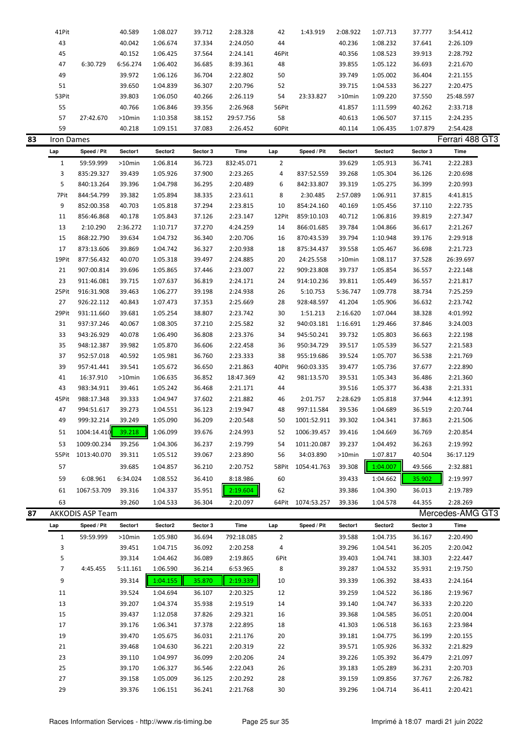|    | 41Pit        |                  | 40.589   | 1:08.027 | 39.712   | 2:28.328   | 42             | 1:43.919    | 2:08.922  | 1:07.713 | 37.777   | 3:54.412         |
|----|--------------|------------------|----------|----------|----------|------------|----------------|-------------|-----------|----------|----------|------------------|
|    | 43           |                  | 40.042   | 1:06.674 | 37.334   | 2:24.050   | 44             |             | 40.236    | 1:08.232 | 37.641   | 2:26.109         |
|    | 45           |                  | 40.152   | 1:06.425 | 37.564   | 2:24.141   | 46Pit          |             | 40.356    | 1:08.523 | 39.913   | 2:28.792         |
|    | 47           | 6:30.729         | 6:56.274 | 1:06.402 | 36.685   | 8:39.361   | 48             |             | 39.855    | 1:05.122 | 36.693   | 2:21.670         |
|    |              |                  |          |          |          |            |                |             | 39.749    |          |          |                  |
|    | 49           |                  | 39.972   | 1:06.126 | 36.704   | 2:22.802   | 50             |             |           | 1:05.002 | 36.404   | 2:21.155         |
|    | 51           |                  | 39.650   | 1:04.839 | 36.307   | 2:20.796   | 52             |             | 39.715    | 1:04.533 | 36.227   | 2:20.475         |
|    | 53Pit        |                  | 39.803   | 1:06.050 | 40.266   | 2:26.119   | 54             | 23:33.827   | >10min    | 1:09.220 | 37.550   | 25:48.597        |
|    | 55           |                  | 40.766   | 1:06.846 | 39.356   | 2:26.968   | 56Pit          |             | 41.857    | 1:11.599 | 40.262   | 2:33.718         |
|    | 57           | 27:42.670        | >10min   | 1:10.358 | 38.152   | 29:57.756  | 58             |             | 40.613    | 1:06.507 | 37.115   | 2:24.235         |
|    | 59           |                  | 40.218   | 1:09.151 | 37.083   | 2:26.452   | 60Pit          |             | 40.114    | 1:06.435 | 1:07.879 | 2:54.428         |
| 83 | Iron Dames   |                  |          |          |          |            |                |             |           |          |          | Ferrari 488 GT3  |
|    | Lap          | Speed / Pit      | Sector1  | Sector2  | Sector 3 | Time       | Lap            | Speed / Pit | Sector1   | Sector2  | Sector 3 | Time             |
|    | $\mathbf{1}$ | 59:59.999        | >10min   | 1:06.814 | 36.723   | 832:45.071 | $\overline{2}$ |             | 39.629    | 1:05.913 | 36.741   | 2:22.283         |
|    | 3            | 835:29.327       | 39.439   | 1:05.926 |          | 2:23.265   | 4              | 837:52.559  | 39.268    | 1:05.304 | 36.126   | 2:20.698         |
|    |              |                  |          |          | 37.900   |            |                |             |           |          |          |                  |
|    | 5            | 840:13.264       | 39.396   | 1:04.798 | 36.295   | 2:20.489   | 6              | 842:33.807  | 39.319    | 1:05.275 | 36.399   | 2:20.993         |
|    | 7Pit         | 844:54.799       | 39.382   | 1:05.894 | 38.335   | 2:23.611   | 8              | 2:30.485    | 2:57.089  | 1:06.911 | 37.815   | 4:41.815         |
|    | 9            | 852:00.358       | 40.703   | 1:05.818 | 37.294   | 2:23.815   | 10             | 854:24.160  | 40.169    | 1:05.456 | 37.110   | 2:22.735         |
|    | 11           | 856:46.868       | 40.178   | 1:05.843 | 37.126   | 2:23.147   | 12Pit          | 859:10.103  | 40.712    | 1:06.816 | 39.819   | 2:27.347         |
|    | 13           | 2:10.290         | 2:36.272 | 1:10.717 | 37.270   | 4:24.259   | 14             | 866:01.685  | 39.784    | 1:04.866 | 36.617   | 2:21.267         |
|    | 15           | 868:22.790       | 39.634   | 1:04.732 | 36.340   | 2:20.706   | 16             | 870:43.539  | 39.794    | 1:10.948 | 39.176   | 2:29.918         |
|    | 17           | 873:13.606       | 39.869   | 1:04.742 | 36.327   | 2:20.938   | 18             | 875:34.437  | 39.558    | 1:05.467 | 36.698   | 2:21.723         |
|    | 19Pit        | 877:56.432       | 40.070   | 1:05.318 | 39.497   | 2:24.885   | 20             | 24:25.558   | >10min    | 1:08.117 | 37.528   | 26:39.697        |
|    | 21           | 907:00.814       | 39.696   | 1:05.865 | 37.446   | 2:23.007   | 22             | 909:23.808  | 39.737    | 1:05.854 | 36.557   | 2:22.148         |
|    | 23           | 911:46.081       | 39.715   | 1:07.637 | 36.819   | 2:24.171   | 24             | 914:10.236  | 39.811    | 1:05.449 | 36.557   | 2:21.817         |
|    | 25Pit        | 916:31.908       | 39.463   | 1:06.277 | 39.198   | 2:24.938   | 26             | 5:10.753    | 5:36.747  | 1:09.778 | 38.734   | 7:25.259         |
|    |              |                  |          |          |          |            |                |             |           |          |          |                  |
|    | 27           | 926:22.112       | 40.843   | 1:07.473 | 37.353   | 2:25.669   | 28             | 928:48.597  | 41.204    | 1:05.906 | 36.632   | 2:23.742         |
|    | 29Pit        | 931:11.660       | 39.681   | 1:05.254 | 38.807   | 2:23.742   | 30             | 1:51.213    | 2:16.620  | 1:07.044 | 38.328   | 4:01.992         |
|    | 31           | 937:37.246       | 40.067   | 1:08.305 | 37.210   | 2:25.582   | 32             | 940:03.181  | 1:16.691  | 1:29.466 | 37.846   | 3:24.003         |
|    | 33           | 943:26.929       | 40.078   | 1:06.490 | 36.808   | 2:23.376   | 34             | 945:50.241  | 39.732    | 1:05.803 | 36.663   | 2:22.198         |
|    | 35           | 948:12.387       | 39.982   | 1:05.870 | 36.606   | 2:22.458   | 36             | 950:34.729  | 39.517    | 1:05.539 | 36.527   | 2:21.583         |
|    | 37           | 952:57.018       | 40.592   | 1:05.981 | 36.760   | 2:23.333   | 38             | 955:19.686  | 39.524    | 1:05.707 | 36.538   | 2:21.769         |
|    | 39           | 957:41.441       | 39.541   | 1:05.672 | 36.650   | 2:21.863   | 40Pit          | 960:03.335  | 39.477    | 1:05.736 | 37.677   | 2:22.890         |
|    | 41           | 16:37.910        | >10min   | 1:06.635 | 36.852   | 18:47.369  | 42             | 981:13.570  | 39.531    | 1:05.343 | 36.486   | 2:21.360         |
|    | 43           | 983:34.911       | 39.461   | 1:05.242 | 36.468   | 2:21.171   | 44             |             | 39.516    | 1:05.377 | 36.438   | 2:21.331         |
|    | 45Pit        | 988:17.348       | 39.333   | 1:04.947 | 37.602   | 2:21.882   | 46             | 2:01.757    | 2:28.629  | 1:05.818 | 37.944   | 4:12.391         |
|    | 47           | 994:51.617       | 39.273   | 1:04.551 | 36.123   | 2:19.947   | 48             | 997:11.584  | 39.536    | 1:04.689 | 36.519   | 2:20.744         |
|    | 49           | 999:32.214       | 39.249   | 1:05.090 | 36.209   | 2:20.548   | 50             | 1001:52.911 | 39.302    | 1:04.341 | 37.863   | 2:21.506         |
|    |              |                  | 39.218   | 1:06.099 |          |            |                |             |           |          |          |                  |
|    | 51           | 1004:14.410      |          |          | 39.676   | 2:24.993   | 52             | 1006:39.457 | 39.416    | 1:04.669 | 36.769   | 2:20.854         |
|    | 53           | 1009:00.234      | 39.256   | 1:04.306 | 36.237   | 2:19.799   | 54             | 1011:20.087 | 39.237    | 1:04.492 | 36.263   | 2:19.992         |
|    | 55Pit        | 1013:40.070      | 39.311   | 1:05.512 | 39.067   | 2:23.890   | 56             | 34:03.890   | $>10$ min | 1:07.817 | 40.504   | 36:17.129        |
|    | 57           |                  | 39.685   | 1:04.857 | 36.210   | 2:20.752   | 58Pit          | 1054:41.763 | 39.308    | 1:04.007 | 49.566   | 2:32.881         |
|    | 59           | 6:08.961         | 6:34.024 | 1:08.552 | 36.410   | 8:18.986   | 60             |             | 39.433    | 1:04.662 | 35.902   | 2:19.997         |
|    | 61           | 1067:53.709      | 39.316   | 1:04.337 | 35.951   | 2:19.604   | 62             |             | 39.386    | 1:04.390 | 36.013   | 2:19.789         |
|    | 63           |                  | 39.260   | 1:04.533 | 36.304   | 2:20.097   | 64Pit          | 1074:53.257 | 39.336    | 1:04.578 | 44.355   | 2:28.269         |
|    |              |                  |          |          |          |            |                |             |           |          |          | Mercedes-AMG GT3 |
| 87 |              | AKKODIS ASP Team |          |          |          |            |                |             |           |          |          |                  |
|    | Lap          | Speed / Pit      | Sector1  | Sector2  | Sector 3 | Time       | Lap            | Speed / Pit | Sector1   | Sector2  | Sector 3 | Time             |
|    | $\mathbf{1}$ | 59:59.999        | >10min   | 1:05.980 | 36.694   | 792:18.085 | $\overline{2}$ |             | 39.588    | 1:04.735 | 36.167   | 2:20.490         |
|    | 3            |                  | 39.451   | 1:04.715 | 36.092   | 2:20.258   | 4              |             | 39.296    | 1:04.541 | 36.205   | 2:20.042         |
|    | 5            |                  | 39.314   | 1:04.462 | 36.089   | 2:19.865   | 6Pit           |             | 39.403    | 1:04.741 | 38.303   | 2:22.447         |
|    | 7            | 4:45.455         | 5:11.161 | 1:06.590 | 36.214   | 6:53.965   | 8              |             | 39.287    | 1:04.532 | 35.931   | 2:19.750         |
|    | 9            |                  | 39.314   | 1:04.155 | 35.870   | 2:19.339   | 10             |             | 39.339    | 1:06.392 | 38.433   | 2:24.164         |
|    | 11           |                  | 39.524   | 1:04.694 | 36.107   | 2:20.325   | 12             |             | 39.259    | 1:04.522 | 36.186   | 2:19.967         |
|    |              |                  |          |          |          |            |                |             |           |          |          |                  |
|    | 13           |                  | 39.207   | 1:04.374 | 35.938   | 2:19.519   | 14             |             | 39.140    | 1:04.747 | 36.333   | 2:20.220         |
|    | 15           |                  | 39.437   | 1:12.058 | 37.826   | 2:29.321   | 16             |             | 39.368    | 1:04.585 | 36.051   | 2:20.004         |
|    | 17           |                  | 39.176   | 1:06.341 | 37.378   | 2:22.895   | 18             |             | 41.303    | 1:06.518 | 36.163   | 2:23.984         |
|    | 19           |                  | 39.470   | 1:05.675 | 36.031   | 2:21.176   | 20             |             | 39.181    | 1:04.775 | 36.199   | 2:20.155         |
|    | 21           |                  | 39.468   | 1:04.630 | 36.221   | 2:20.319   | 22             |             | 39.571    | 1:05.926 | 36.332   | 2:21.829         |
|    | 23           |                  | 39.110   | 1:04.997 | 36.099   | 2:20.206   | 24             |             | 39.226    | 1:05.392 | 36.479   | 2:21.097         |
|    | 25           |                  | 39.170   | 1:06.327 | 36.546   | 2:22.043   | 26             |             | 39.183    | 1:05.289 | 36.231   | 2:20.703         |
|    | 27           |                  | 39.158   | 1:05.009 | 36.125   | 2:20.292   | 28             |             | 39.159    | 1:09.856 | 37.767   | 2:26.782         |

29 39.376 1:06.151 36.241 2:21.768 30 39.296 1:04.714 36.411 2:20.421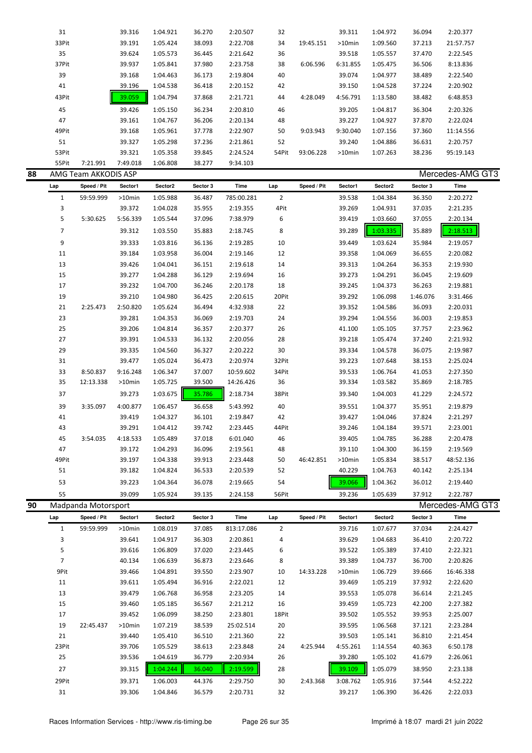| 31    |          | 39.316   | 1:04.921 | 36.270 | 2:20.507 | 32    |           | 39.311    | 1:04.972 | 36.094 | 2:20.377  |
|-------|----------|----------|----------|--------|----------|-------|-----------|-----------|----------|--------|-----------|
| 33Pit |          | 39.191   | 1:05.424 | 38.093 | 2:22.708 | 34    | 19:45.151 | $>10$ min | 1:09.560 | 37.213 | 21:57.757 |
| 35    |          | 39.624   | 1:05.573 | 36.445 | 2:21.642 | 36    |           | 39.518    | 1:05.557 | 37.470 | 2:22.545  |
| 37Pit |          | 39.937   | 1:05.841 | 37.980 | 2:23.758 | 38    | 6:06.596  | 6:31.855  | 1:05.475 | 36.506 | 8:13.836  |
| 39    |          | 39.168   | 1:04.463 | 36.173 | 2:19.804 | 40    |           | 39.074    | 1:04.977 | 38.489 | 2:22.540  |
| 41    |          | 39.196   | 1:04.538 | 36.418 | 2:20.152 | 42    |           | 39.150    | 1:04.528 | 37.224 | 2:20.902  |
| 43Pit |          | 39.059   | 1:04.794 | 37.868 | 2:21.721 | 44    | 4:28.049  | 4:56.791  | 1:13.580 | 38.482 | 6:48.853  |
| 45    |          | 39.426   | 1:05.150 | 36.234 | 2:20.810 | 46    |           | 39.205    | 1:04.817 | 36.304 | 2:20.326  |
| 47    |          | 39.161   | 1:04.767 | 36.206 | 2:20.134 | 48    |           | 39.227    | 1:04.927 | 37.870 | 2:22.024  |
| 49Pit |          | 39.168   | 1:05.961 | 37.778 | 2:22.907 | 50    | 9:03.943  | 9:30.040  | 1:07.156 | 37.360 | 11:14.556 |
| 51    |          | 39.327   | 1:05.298 | 37.236 | 2:21.861 | 52    |           | 39.240    | 1:04.886 | 36.631 | 2:20.757  |
| 53Pit |          | 39.321   | 1:05.358 | 39.845 | 2:24.524 | 54Pit | 93:06.228 | $>10$ min | 1:07.263 | 38.236 | 95:19.143 |
| 55Pit | 7:21.991 | 7:49.018 | 1:06.808 | 38.277 | 9:34.103 |       |           |           |          |        |           |

| 88 |                | AMG Team AKKODIS ASP |           |          |          |            |                |             |           |          |          | Mercedes-AMG GT3 |
|----|----------------|----------------------|-----------|----------|----------|------------|----------------|-------------|-----------|----------|----------|------------------|
|    | Lap            | Speed / Pit          | Sector1   | Sector2  | Sector 3 | Time       | Lap            | Speed / Pit | Sector1   | Sector2  | Sector 3 | Time             |
|    | $\mathbf{1}$   | 59:59.999            | $>10$ min | 1:05.988 | 36.487   | 785:00.281 | $\overline{2}$ |             | 39.538    | 1:04.384 | 36.350   | 2:20.272         |
|    | 3              |                      | 39.372    | 1:04.028 | 35.955   | 2:19.355   | 4Pit           |             | 39.269    | 1:04.931 | 37.035   | 2:21.235         |
|    | 5              | 5:30.625             | 5:56.339  | 1:05.544 | 37.096   | 7:38.979   | 6              |             | 39.419    | 1:03.660 | 37.055   | 2:20.134         |
|    | $\overline{7}$ |                      | 39.312    | 1:03.550 | 35.883   | 2:18.745   | 8              |             | 39.289    | 1:03.335 | 35.889   | 2:18.513         |
|    | 9              |                      | 39.333    | 1:03.816 | 36.136   | 2:19.285   | 10             |             | 39.449    | 1:03.624 | 35.984   | 2:19.057         |
|    | 11             |                      | 39.184    | 1:03.958 | 36.004   | 2:19.146   | 12             |             | 39.358    | 1:04.069 | 36.655   | 2:20.082         |
|    | 13             |                      | 39.426    | 1:04.041 | 36.151   | 2:19.618   | 14             |             | 39.313    | 1:04.264 | 36.353   | 2:19.930         |
|    | 15             |                      | 39.277    | 1:04.288 | 36.129   | 2:19.694   | 16             |             | 39.273    | 1:04.291 | 36.045   | 2:19.609         |
|    | 17             |                      | 39.232    | 1:04.700 | 36.246   | 2:20.178   | 18             |             | 39.245    | 1:04.373 | 36.263   | 2:19.881         |
|    | 19             |                      | 39.210    | 1:04.980 | 36.425   | 2:20.615   | 20Pit          |             | 39.292    | 1:06.098 | 1:46.076 | 3:31.466         |
|    | 21             | 2:25.473             | 2:50.820  | 1:05.624 | 36.494   | 4:32.938   | 22             |             | 39.352    | 1:04.586 | 36.093   | 2:20.031         |
|    | 23             |                      | 39.281    | 1:04.353 | 36.069   | 2:19.703   | 24             |             | 39.294    | 1:04.556 | 36.003   | 2:19.853         |
|    | 25             |                      | 39.206    | 1:04.814 | 36.357   | 2:20.377   | 26             |             | 41.100    | 1:05.105 | 37.757   | 2:23.962         |
|    | 27             |                      | 39.391    | 1:04.533 | 36.132   | 2:20.056   | 28             |             | 39.218    | 1:05.474 | 37.240   | 2:21.932         |
|    | 29             |                      | 39.335    | 1:04.560 | 36.327   | 2:20.222   | 30             |             | 39.334    | 1:04.578 | 36.075   | 2:19.987         |
|    | 31             |                      | 39.477    | 1:05.024 | 36.473   | 2:20.974   | 32Pit          |             | 39.223    | 1:07.648 | 38.153   | 2:25.024         |
|    | 33             | 8:50.837             | 9:16.248  | 1:06.347 | 37.007   | 10:59.602  | 34Pit          |             | 39.533    | 1:06.764 | 41.053   | 2:27.350         |
|    | 35             | 12:13.338            | $>10$ min | 1:05.725 | 39.500   | 14:26.426  | 36             |             | 39.334    | 1:03.582 | 35.869   | 2:18.785         |
|    | 37             |                      | 39.273    | 1:03.675 | 35.786   | 2:18.734   | 38Pit          |             | 39.340    | 1:04.003 | 41.229   | 2:24.572         |
|    | 39             | 3:35.097             | 4:00.877  | 1:06.457 | 36.658   | 5:43.992   | 40             |             | 39.551    | 1:04.377 | 35.951   | 2:19.879         |
|    | 41             |                      | 39.419    | 1:04.327 | 36.101   | 2:19.847   | 42             |             | 39.427    | 1:04.046 | 37.824   | 2:21.297         |
|    | 43             |                      | 39.291    | 1:04.412 | 39.742   | 2:23.445   | 44Pit          |             | 39.246    | 1:04.184 | 39.571   | 2:23.001         |
|    | 45             | 3:54.035             | 4:18.533  | 1:05.489 | 37.018   | 6:01.040   | 46             |             | 39.405    | 1:04.785 | 36.288   | 2:20.478         |
|    | 47             |                      | 39.172    | 1:04.293 | 36.096   | 2:19.561   | 48             |             | 39.110    | 1:04.300 | 36.159   | 2:19.569         |
|    | 49Pit          |                      | 39.197    | 1:04.338 | 39.913   | 2:23.448   | 50             | 46:42.851   | $>10$ min | 1:05.834 | 38.517   | 48:52.136        |
|    | 51             |                      | 39.182    | 1:04.824 | 36.533   | 2:20.539   | 52             |             | 40.229    | 1:04.763 | 40.142   | 2:25.134         |
|    | 53             |                      | 39.223    | 1:04.364 | 36.078   | 2:19.665   | 54             |             | 39.066    | 1:04.362 | 36.012   | 2:19.440         |
|    | 55             |                      | 39.099    | 1:05.924 | 39.135   | 2:24.158   | 56Pit          |             | 39.236    | 1:05.639 | 37.912   | 2:22.787         |
| 90 |                | Madpanda Motorsport  |           |          |          |            |                |             |           |          |          | Mercedes-AMG GT3 |

| Lap            | Speed / Pit | Sector1   | Sector <sub>2</sub> | Sector 3 | Time       | Lap            | Speed / Pit | Sector1   | Sector2  | Sector 3 | Time      |
|----------------|-------------|-----------|---------------------|----------|------------|----------------|-------------|-----------|----------|----------|-----------|
| $\mathbf{1}$   | 59:59.999   | $>10$ min | 1:08.019            | 37.085   | 813:17.086 | $\overline{2}$ |             | 39.716    | 1:07.677 | 37.034   | 2:24.427  |
| 3              |             | 39.641    | 1:04.917            | 36.303   | 2:20.861   | 4              |             | 39.629    | 1:04.683 | 36.410   | 2:20.722  |
| 5              |             | 39.616    | 1:06.809            | 37.020   | 2:23.445   | 6              |             | 39.522    | 1:05.389 | 37.410   | 2:22.321  |
| $\overline{7}$ |             | 40.134    | 1:06.639            | 36.873   | 2:23.646   | 8              |             | 39.389    | 1:04.737 | 36.700   | 2:20.826  |
| 9Pit           |             | 39.466    | 1:04.891            | 39.550   | 2:23.907   | 10             | 14:33.228   | $>10$ min | 1:06.729 | 39.666   | 16:46.338 |
| 11             |             | 39.611    | 1:05.494            | 36.916   | 2:22.021   | 12             |             | 39.469    | 1:05.219 | 37.932   | 2:22.620  |
| 13             |             | 39.479    | 1:06.768            | 36.958   | 2:23.205   | 14             |             | 39.553    | 1:05.078 | 36.614   | 2:21.245  |
| 15             |             | 39.460    | 1:05.185            | 36.567   | 2:21.212   | 16             |             | 39.459    | 1:05.723 | 42.200   | 2:27.382  |
| 17             |             | 39.452    | 1:06.099            | 38.250   | 2:23.801   | 18Pit          |             | 39.502    | 1:05.552 | 39.953   | 2:25.007  |
| 19             | 22:45.437   | $>10$ min | 1:07.219            | 38.539   | 25:02.514  | 20             |             | 39.595    | 1:06.568 | 37.121   | 2:23.284  |
| 21             |             | 39.440    | 1:05.410            | 36.510   | 2:21.360   | 22             |             | 39.503    | 1:05.141 | 36.810   | 2:21.454  |
| 23Pit          |             | 39.706    | 1:05.529            | 38.613   | 2:23.848   | 24             | 4:25.944    | 4:55.261  | 1:14.554 | 40.363   | 6:50.178  |
| 25             |             | 39.536    | 1:04.619            | 36.779   | 2:20.934   | 26             |             | 39.280    | 1:05.102 | 41.679   | 2:26.061  |
| 27             |             | 39.315    | 1:04.244            | 36.040   | 2:19.599   | 28             |             | 39.109    | 1:05.079 | 38.950   | 2:23.138  |
| 29Pit          |             | 39.371    | 1:06.003            | 44.376   | 2:29.750   | 30             | 2:43.368    | 3:08.762  | 1:05.916 | 37.544   | 4:52.222  |
| 31             |             | 39.306    | 1:04.846            | 36.579   | 2:20.731   | 32             |             | 39.217    | 1:06.390 | 36.426   | 2:22.033  |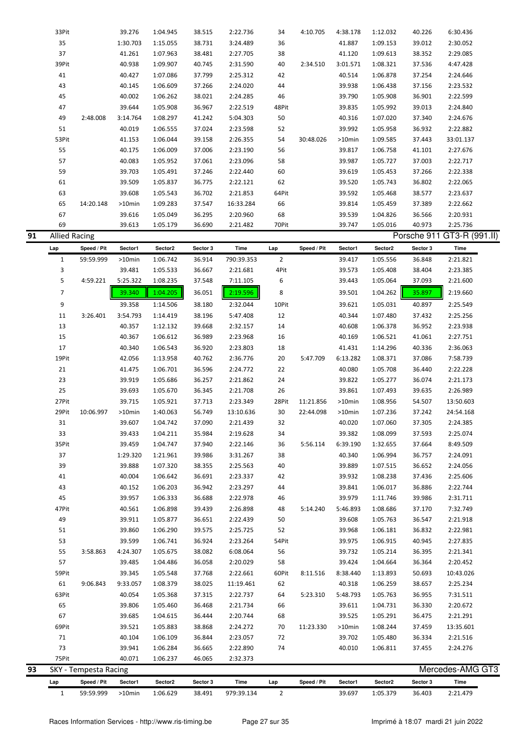|    | $\mathbf{1}$         | 59:59.999             | >10min   | 1:06.629 | 38.491   | 979:39.134 | $\overline{2}$ |             | 39.697   | 1:05.379 | 36.403   | 2:21.479                   |  |
|----|----------------------|-----------------------|----------|----------|----------|------------|----------------|-------------|----------|----------|----------|----------------------------|--|
|    | Lap                  | Speed / Pit           | Sector1  | Sector2  | Sector 3 | Time       | Lap            | Speed / Pit | Sector1  | Sector2  | Sector 3 | Time                       |  |
| 93 |                      | SKY - Tempesta Racing |          |          |          |            |                |             |          |          |          | Mercedes-AMG GT3           |  |
|    | 75Pit                |                       | 40.071   | 1:06.237 | 46.065   | 2:32.373   |                |             |          |          |          |                            |  |
|    | 73                   |                       | 39.941   | 1:06.284 | 36.665   | 2:22.890   | 74             |             | 40.010   | 1:06.811 | 37.455   | 2:24.276                   |  |
|    | 71                   |                       | 40.104   | 1:06.109 | 36.844   | 2:23.057   | 72             |             | 39.702   | 1:05.480 | 36.334   | 2:21.516                   |  |
|    | 69Pit                |                       | 39.521   | 1:05.883 | 38.868   | 2:24.272   | 70             | 11:23.330   | >10min   | 1:08.244 | 37.459   | 13:35.601                  |  |
|    | 67                   |                       | 39.685   | 1:04.615 | 36.444   | 2:20.744   | 68             |             | 39.525   | 1:05.291 | 36.475   | 2:21.291                   |  |
|    | 65                   |                       | 39.806   | 1:05.460 | 36.468   | 2:21.734   | 66             |             | 39.611   | 1:04.731 | 36.330   | 2:20.672                   |  |
|    | 63Pit                |                       | 40.054   | 1:05.368 | 37.315   | 2:22.737   | 64             | 5:23.310    | 5:48.793 | 1:05.763 | 36.955   | 7:31.511                   |  |
|    | 61                   | 9:06.843              | 9:33.057 | 1:08.379 | 38.025   | 11:19.461  | 62             |             | 40.318   | 1:06.259 | 38.657   | 2:25.234                   |  |
|    | 59Pit                |                       | 39.345   | 1:05.548 | 37.768   | 2:22.661   | 60Pit          | 8:11.516    | 8:38.440 | 1:13.893 | 50.693   | 10:43.026                  |  |
|    | 57                   |                       | 39.485   | 1:04.486 | 36.058   | 2:20.029   | 58             |             | 39.424   | 1:04.664 | 36.364   | 2:20.452                   |  |
|    | 55                   | 3:58.863              | 4:24.307 | 1:05.675 | 38.082   | 6:08.064   | 56             |             | 39.732   | 1:05.214 | 36.395   | 2:21.341                   |  |
|    | 53                   |                       | 39.599   | 1:06.741 | 36.924   | 2:23.264   | 54Pit          |             | 39.975   | 1:06.915 | 40.945   | 2:27.835                   |  |
|    | 51                   |                       | 39.860   | 1:06.290 | 39.575   | 2:25.725   | 52             |             | 39.968   | 1:06.181 | 36.832   | 2:22.981                   |  |
|    | 49                   |                       | 39.911   | 1:05.877 | 36.651   | 2:22.439   | 50             |             | 39.608   | 1:05.763 | 36.547   | 2:21.918                   |  |
|    | 47Pit                |                       | 40.561   | 1:06.898 | 39.439   | 2:26.898   | 48             | 5:14.240    | 5:46.893 | 1:08.686 | 37.170   | 7:32.749                   |  |
|    | 45                   |                       | 39.957   | 1:06.333 | 36.688   | 2:22.978   | 46             |             | 39.979   | 1:11.746 | 39.986   | 2:31.711                   |  |
|    | 43                   |                       | 40.152   | 1:06.203 | 36.942   | 2:23.297   | 44             |             | 39.841   | 1:06.017 | 36.886   | 2:22.744                   |  |
|    | 41                   |                       | 40.004   | 1:06.642 | 36.691   | 2:23.337   | 42             |             | 39.932   | 1:08.238 | 37.436   | 2:25.606                   |  |
|    | 39                   |                       | 39.888   | 1:07.320 | 38.355   | 2:25.563   | 40             |             | 39.889   | 1:07.515 | 36.652   | 2:24.056                   |  |
|    | 37                   |                       | 1:29.320 | 1:21.961 | 39.986   | 3:31.267   | 38             |             | 40.340   | 1:06.994 | 36.757   | 2:24.091                   |  |
|    | 35Pit                |                       | 39.459   | 1:04.747 | 37.940   | 2:22.146   | 36             | 5:56.114    | 6:39.190 | 1:32.655 | 37.664   | 8:49.509                   |  |
|    | 33                   |                       | 39.433   | 1:04.211 | 35.984   | 2:19.628   | 34             |             | 39.382   | 1:08.099 | 37.593   |                            |  |
|    | 31                   |                       | 39.607   | 1:04.742 | 37.090   | 2:21.439   | 32             |             | 40.020   | 1:07.060 | 37.305   | 2:24.385<br>2:25.074       |  |
|    | 29Pit                |                       | >10min   | 1:40.063 | 56.749   | 13:10.636  | 30             | 22:44.098   | >10min   | 1:07.236 | 37.242   | 24:54.168                  |  |
|    | 27Pit                | 10:06.997             | 39.715   | 1:05.921 | 37.713   | 2:23.349   | 28Pit          | 11:21.856   | >10min   | 1:08.956 | 54.507   | 13:50.603                  |  |
|    | 25                   |                       |          | 1:05.670 | 36.345   | 2:21.708   | 26             |             | 39.861   | 1:07.493 | 39.635   | 2:26.989                   |  |
|    |                      |                       | 39.693   |          |          |            |                |             |          |          |          |                            |  |
|    | 23                   |                       | 39.919   | 1:05.686 | 36.257   | 2:21.862   | 24             |             | 39.822   | 1:05.277 | 36.074   | 2:21.173                   |  |
|    | 21                   |                       | 41.475   | 1:06.701 | 36.596   | 2:24.772   | 22             |             | 40.080   | 1:05.708 | 36.440   | 2:22.228                   |  |
|    | 19Pit                |                       | 42.056   | 1:13.958 | 40.762   | 2:36.776   | 20             | 5:47.709    | 6:13.282 | 1:08.371 | 37.086   | 7:58.739                   |  |
|    | 17                   |                       | 40.340   | 1:06.543 | 36.920   | 2:23.803   | 18             |             | 41.431   | 1:14.296 | 40.336   | 2:36.063                   |  |
|    | 15                   |                       | 40.367   | 1:06.612 | 36.989   | 2:23.968   | 16             |             | 40.169   | 1:06.521 | 41.061   | 2:27.751                   |  |
|    | 13                   |                       | 40.357   | 1:12.132 | 39.668   | 2:32.157   | 14             |             | 40.608   | 1:06.378 | 36.952   | 2:23.938                   |  |
|    | 11                   | 3:26.401              | 3:54.793 | 1:14.419 | 38.196   | 5:47.408   | 12             |             | 40.344   | 1:07.480 | 37.432   | 2:25.256                   |  |
|    | 9                    |                       | 39.358   | 1:14.506 | 38.180   | 2:32.044   | 10Pit          |             | 39.621   | 1:05.031 | 40.897   | 2:25.549                   |  |
|    | $\overline{7}$       |                       | 39.340   | 1:04.205 | 36.051   | 2:19.596   | 8              |             | 39.501   | 1:04.262 | 35.897   | 2:19.660                   |  |
|    | 5                    | 4:59.221              | 5:25.322 | 1:08.235 | 37.548   | 7:11.105   | 6              |             | 39.443   | 1:05.064 | 37.093   | 2:21.600                   |  |
|    | 3                    |                       | 39.481   | 1:05.533 | 36.667   | 2:21.681   | 4Pit           |             | 39.573   | 1:05.408 | 38.404   | 2:23.385                   |  |
|    | 1                    | 59:59.999             | >10min   | 1:06.742 | 36.914   | 790:39.353 | $\overline{2}$ |             | 39.417   | 1:05.556 | 36.848   | 2:21.821                   |  |
|    | Lap                  | Speed / Pit           | Sector1  | Sector2  | Sector 3 | Time       | Lap            | Speed / Pit | Sector1  | Sector2  | Sector 3 | Time                       |  |
| 91 | <b>Allied Racing</b> |                       |          |          |          |            |                |             |          |          |          | Porsche 911 GT3-R (991.II) |  |
|    | 69                   |                       | 39.613   | 1:05.179 | 36.690   | 2:21.482   | 70Pit          |             | 39.747   | 1:05.016 | 40.973   | 2:25.736                   |  |
|    | 67                   |                       | 39.616   | 1:05.049 | 36.295   | 2:20.960   | 68             |             | 39.539   | 1:04.826 | 36.566   | 2:20.931                   |  |
|    | 65                   | 14:20.148             | >10min   | 1:09.283 | 37.547   | 16:33.284  | 66             |             | 39.814   | 1:05.459 | 37.389   | 2:22.662                   |  |
|    | 63                   |                       | 39.608   | 1:05.543 | 36.702   | 2:21.853   | 64Pit          |             | 39.592   | 1:05.468 | 38.577   | 2:23.637                   |  |
|    | 61                   |                       | 39.509   | 1:05.837 | 36.775   | 2:22.121   | 62             |             | 39.520   | 1:05.743 | 36.802   | 2:22.065                   |  |
|    | 59                   |                       | 39.703   | 1:05.491 | 37.246   | 2:22.440   | 60             |             | 39.619   | 1:05.453 | 37.266   | 2:22.338                   |  |
|    | 57                   |                       | 40.083   | 1:05.952 | 37.061   | 2:23.096   | 58             |             | 39.987   | 1:05.727 | 37.003   | 2:22.717                   |  |
|    | 55                   |                       | 40.175   | 1:06.009 | 37.006   | 2:23.190   | 56             |             | 39.817   | 1:06.758 | 41.101   | 2:27.676                   |  |
|    | 53Pit                |                       | 41.153   | 1:06.044 | 39.158   | 2:26.355   | 54             | 30:48.026   | >10min   | 1:09.585 | 37.443   | 33:01.137                  |  |
|    | 51                   |                       | 40.019   | 1:06.555 | 37.024   | 2:23.598   | 52             |             | 39.992   | 1:05.958 | 36.932   | 2:22.882                   |  |
|    | 49                   | 2:48.008              | 3:14.764 | 1:08.297 | 41.242   | 5:04.303   | 50             |             | 40.316   | 1:07.020 | 37.340   | 2:24.676                   |  |
|    | 47                   |                       | 39.644   | 1:05.908 | 36.967   | 2:22.519   | 48Pit          |             | 39.835   | 1:05.992 | 39.013   | 2:24.840                   |  |
|    | 45                   |                       | 40.002   | 1:06.262 | 38.021   | 2:24.285   | 46             |             | 39.790   | 1:05.908 | 36.901   | 2:22.599                   |  |
|    | 43                   |                       | 40.145   | 1:06.609 | 37.266   | 2:24.020   | 44             |             | 39.938   | 1:06.438 | 37.156   | 2:23.532                   |  |
|    | 41                   |                       | 40.427   | 1:07.086 | 37.799   | 2:25.312   | 42             |             | 40.514   | 1:06.878 | 37.254   | 2:24.646                   |  |
|    | 39Pit                |                       | 40.938   | 1:09.907 | 40.745   | 2:31.590   | 40             | 2:34.510    | 3:01.571 | 1:08.321 | 37.536   | 4:47.428                   |  |
|    | 37                   |                       | 41.261   | 1:07.963 | 38.481   | 2:27.705   | 38             |             | 41.120   | 1:09.613 | 38.352   | 2:29.085                   |  |
|    | 35                   |                       | 1:30.703 | 1:15.055 | 38.731   | 3:24.489   | 36             |             | 41.887   | 1:09.153 | 39.012   | 2:30.052                   |  |
|    | 33Pit                |                       | 39.276   | 1:04.945 | 38.515   | 2:22.736   | 34             | 4:10.705    | 4:38.178 | 1:12.032 | 40.226   | 6:30.436                   |  |
|    |                      |                       |          |          |          |            |                |             |          |          |          |                            |  |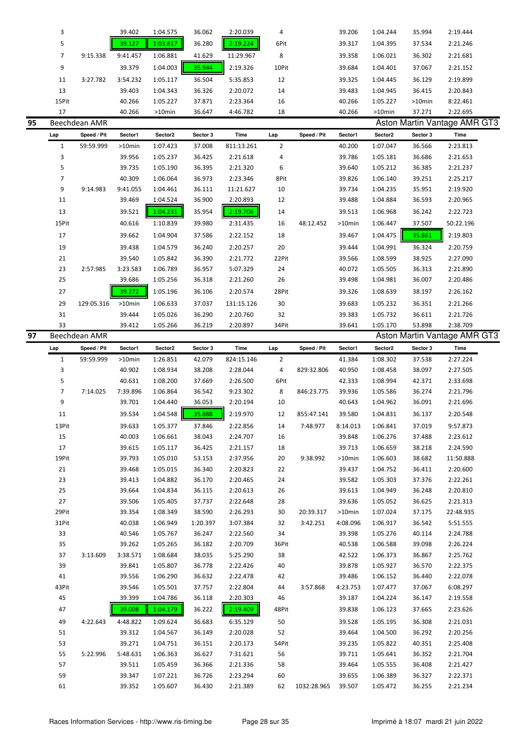|    | 3            |               | 39.402           | 1:04.575             | 36.062           | 2:20.039             | 4        |             | 39.206           | 1:04.244             | 35.994           | 2:19.444                     |
|----|--------------|---------------|------------------|----------------------|------------------|----------------------|----------|-------------|------------------|----------------------|------------------|------------------------------|
|    | 5            |               | 39.127           | 1:03.817             | 36.280           | 2:19.224             | 6Pit     |             | 39.317           | 1:04.395             | 37.534           | 2:21.246                     |
|    | 7            | 9:15.338      | 9:41.457         | 1:06.881             | 41.629           | 11:29.967            | 8        |             | 39.358           | 1:06.021             | 36.302           | 2:21.681                     |
|    | 9            |               | 39.379           | 1:04.003             | 35.944           | 2:19.326             | 10Pit    |             | 39.684           | 1:04.401             | 37.067           | 2:21.152                     |
|    |              |               |                  |                      |                  |                      |          |             |                  |                      |                  |                              |
|    | 11           | 3:27.782      | 3:54.232         | 1:05.117             | 36.504           | 5:35.853             | 12       |             | 39.325           | 1:04.445             | 36.129           | 2:19.899                     |
|    | 13           |               | 39.403           | 1:04.343             | 36.326           | 2:20.072             | 14       |             | 39.483           | 1:04.945             | 36.415           | 2:20.843                     |
|    | 15Pit        |               | 40.266           | 1:05.227             | 37.871           | 2:23.364             | 16       |             | 40.266           | 1:05.227             | >10min           | 8:22.461                     |
|    | 17           |               | 40.266           | >10min               | 36.647           | 4:46.782             | 18       |             | 40.266           | >10min               | 37.271           | 2:22.695                     |
| 95 |              | Beechdean AMR |                  |                      |                  |                      |          |             |                  |                      |                  | Aston Martin Vantage AMR GT3 |
|    | Lap          | Speed / Pit   | Sector1          | Sector2              | Sector 3         | Time                 | Lap      | Speed / Pit | Sector1          | Sector2              | Sector 3         | Time                         |
|    | $\mathbf{1}$ | 59:59.999     | >10min           | 1:07.423             | 37.008           | 811:13.261           | 2        |             | 40.200           | 1:07.047             | 36.566           | 2:23.813                     |
|    | 3            |               | 39.956           | 1:05.237             | 36.425           | 2:21.618             | 4        |             | 39.786           | 1:05.181             | 36.686           | 2:21.653                     |
|    | 5            |               | 39.735           | 1:05.190             | 36.395           | 2:21.320             | 6        |             | 39.640           | 1:05.212             | 36.385           | 2:21.237                     |
|    | 7            |               | 40.309           | 1:06.064             | 36.973           | 2:23.346             | 8Pit     |             | 39.826           | 1:06.140             | 39.251           | 2:25.217                     |
|    | 9            | 9:14.983      | 9:41.055         | 1:04.461             | 36.111           | 11:21.627            | 10       |             | 39.734           | 1:04.235             | 35.951           | 2:19.920                     |
|    | 11           |               | 39.469           | 1:04.524             | 36.900           | 2:20.893             | 12       |             | 39.488           | 1:04.884             | 36.593           | 2:20.965                     |
|    | 13           |               | 39.521           | 1:04.231             | 35.954           | 2:19.706             | 14       |             | 39.513           | 1:06.968             | 36.242           | 2:22.723                     |
|    | 15Pit        |               | 40.616           | 1:10.839             | 39.980           | 2:31.435             | 16       | 48:12.452   | >10min           | 1:06.447             | 37.507           | 50:22.196                    |
|    | 17           |               | 39.662           | 1:04.904             | 37.586           | 2:22.152             | 18       |             | 39.467           | 1:04.475             | 35.861           | 2:19.803                     |
|    | 19           |               | 39.438           | 1:04.579             | 36.240           | 2:20.257             | 20       |             | 39.444           | 1:04.991             | 36.324           | 2:20.759                     |
|    | 21           |               | 39.540           | 1:05.842             | 36.390           | 2:21.772             | 22Pit    |             | 39.566           | 1:08.599             | 38.925           | 2:27.090                     |
|    | 23           | 2:57.985      | 3:23.583         | 1:06.789             | 36.957           | 5:07.329             | 24       |             | 40.072           | 1:05.505             | 36.313           | 2:21.890                     |
|    | 25           |               | 39.686           | 1:05.256             | 36.318           | 2:21.260             | 26       |             | 39.498           | 1:04.981             | 36.007           | 2:20.486                     |
|    | 27           |               | 39.272           | 1:05.196             | 36.106           | 2:20.574             | 28Pit    |             | 39.326           | 1:08.639             | 38.197           | 2:26.162                     |
|    | 29           | 129:05.316    | >10min           | 1:06.633             | 37.037           | 131:15.126           | 30       |             | 39.683           | 1:05.232             | 36.351           | 2:21.266                     |
|    | 31           |               | 39.444           | 1:05.026             | 36.290           | 2:20.760             | 32       |             | 39.383           | 1:05.732             | 36.611           | 2:21.726                     |
|    | 33           |               | 39.412           | 1:05.266             | 36.219           | 2:20.897             | 34Pit    |             | 39.641           | 1:05.170             | 53.898           | 2:38.709                     |
| 97 |              | Beechdean AMR |                  |                      |                  |                      |          |             |                  |                      |                  | Aston Martin Vantage AMR GT3 |
|    | Lap          | Speed / Pit   | Sector1          | Sector2              | Sector 3         | Time                 | Lap      | Speed / Pit | Sector1          | Sector2              | Sector 3         | Time                         |
|    |              |               |                  |                      |                  |                      |          |             |                  |                      |                  |                              |
|    |              |               |                  |                      |                  |                      |          |             |                  |                      |                  |                              |
|    | $\mathbf{1}$ | 59:59.999     | >10min           | 1:26.851             | 42.079           | 824:15.146           | 2        |             | 41.384           | 1:08.302             | 37.538           | 2:27.224                     |
|    | 3            |               | 40.902           | 1:08.934             | 38.208           | 2:28.044             | 4        | 829:32.806  | 40.950           | 1:08.458             | 38.097           | 2:27.505                     |
|    | 5            |               | 40.631           | 1:08.200             | 37.669           | 2:26.500             | 6Pit     |             | 42.333           | 1:08.994             | 42.371           | 2:33.698                     |
|    | 7            | 7:14.025      | 7:39.896         | 1:06.864             | 36.542           | 9:23.302             | 8        | 846:23.775  | 39.936           | 1:05.586             | 36.274           | 2:21.796                     |
|    | 9            |               | 39.701           | 1:04.440             | 36.053           | 2:20.194             | 10       |             | 40.643           | 1:04.962             | 36.091           | 2:21.696                     |
|    | 11           |               | 39.534           | 1:04.548             | 35.888           | 2:19.970             | 12       | 855:47.141  | 39.580           | 1:04.831             | 36.137           | 2:20.548                     |
|    | 13Pit        |               | 39.633           | 1:05.377             | 37.846           | 2:22.856             | 14       | 7:48.977    | 8:14.013         | 1:06.841             | 37.019           | 9:57.873                     |
|    | 15           |               | 40.003           | 1:06.661             | 38.043           | 2:24.707             | 16       |             | 39.848           | 1:06.276             | 37.488           | 2:23.612                     |
|    | 17           |               | 39.615           | 1:05.117             | 36.425           | 2:21.157             | 18       |             | 39.713           | 1:06.659             | 38.218           | 2:24.590                     |
|    | 19Pit        |               | 39.793           | 1:05.010             | 53.153           | 2:37.956             | 20       | 9:38.992    | >10min           | 1:06.603             | 38.682           | 11:50.888                    |
|    | 21           |               | 39.468           | 1:05.015             | 36.340           | 2:20.823             | 22       |             | 39.437           | 1:04.752             | 36.411           | 2:20.600                     |
|    | 23           |               | 39.413           | 1:04.882             | 36.170           | 2:20.465             | 24       |             | 39.582           | 1:05.303             | 37.376           | 2:22.261                     |
|    | 25           |               | 39.664           | 1:04.834             | 36.115           | 2:20.613             | 26       |             | 39.613           | 1:04.949             | 36.248           | 2:20.810                     |
|    | 27           |               | 39.506           | 1:05.405             | 37.737           | 2:22.648             | 28       |             | 39.636           | 1:05.052             | 36.625           | 2:21.313                     |
|    | 29Pit        |               | 39.354           | 1:08.349             | 38.590           | 2:26.293             | 30       | 20:39.317   | >10min           | 1:07.024             | 37.175           | 22:48.935                    |
|    | 31Pit        |               | 40.038           | 1:06.949             | 1:20.397         | 3:07.384             | 32       | 3:42.251    | 4:08.096         | 1:06.917             | 36.542           | 5:51.555                     |
|    | 33           |               | 40.546           | 1:05.767             | 36.247           | 2:22.560             | 34       |             | 39.398           | 1:05.276             | 40.114           | 2:24.788                     |
|    | 35           |               | 39.262           | 1:05.265             | 36.182           | 2:20.709             | 36Pit    |             | 40.538           | 1:06.588             | 39.098           | 2:26.224                     |
|    | 37           | 3:13.609      | 3:38.571         | 1:08.684             | 38.035           | 5:25.290             | 38       |             | 42.522           | 1:06.373             | 36.867           | 2:25.762                     |
|    | 39           |               | 39.841           | 1:05.807             | 36.778           | 2:22.426             | 40       |             | 39.878           | 1:05.927             | 36.570           | 2:22.375                     |
|    | 41           |               | 39.556           | 1:06.290             | 36.632           | 2:22.478             | 42       |             | 39.486           | 1:06.152             | 36.440           | 2:22.078                     |
|    | 43Pit        |               | 39.546           | 1:05.501             | 37.757           | 2:22.804             | 44       | 3:57.868    | 4:23.753         | 1:07.477             | 37.067           | 6:08.297                     |
|    | 45           |               | 39.399           | 1:04.786             | 36.118           | 2:20.303             | 46       |             | 39.187           | 1:04.224             | 36.147           | 2:19.558                     |
|    | 47           |               | 39.008           | 1:04.179             | 36.222           | 2:19.409             | 48Pit    |             | 39.838           | 1:06.123             | 37.665           | 2:23.626                     |
|    | 49           | 4:22.643      | 4:48.822         | 1:09.624             | 36.683           | 6:35.129             | 50       |             | 39.528           | 1:05.195             | 36.308           | 2:21.031                     |
|    | 51           |               | 39.312           | 1:04.567             | 36.149           | 2:20.028             | 52       |             | 39.464           | 1:04.500             | 36.292           | 2:20.256                     |
|    | 53           |               | 39.271           | 1:04.751             | 36.151           | 2:20.173             | 54Pit    |             | 39.235           | 1:05.822             | 40.351           | 2:25.408                     |
|    | 55           | 5:22.996      | 5:48.631         | 1:06.363             | 36.627           | 7:31.621             | 56       |             | 39.711           | 1:05.641             | 36.352           | 2:21.704                     |
|    | 57           |               | 39.511           | 1:05.459             | 36.366           | 2:21.336             | 58       |             | 39.464           | 1:05.555             | 36.408           | 2:21.427                     |
|    | 59<br>61     |               | 39.347<br>39.352 | 1:07.221<br>1:05.607 | 36.726<br>36.430 | 2:23.294<br>2:21.389 | 60<br>62 | 1032:28.965 | 39.655<br>39.507 | 1:06.389<br>1:05.472 | 36.327<br>36.255 | 2:22.371<br>2:21.234         |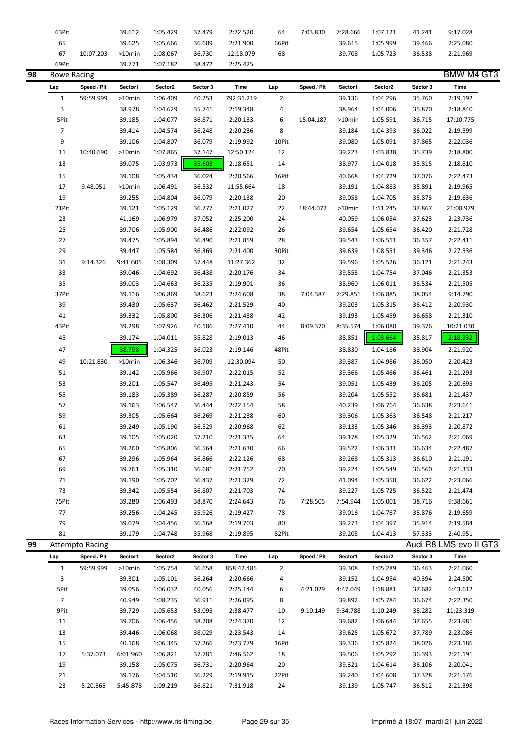|    | 63Pit          |                        | 39.612   | 1:05.429 | 37.479   | 2:22.520   | 64             | 7:03.830    | 7:28.666  | 1:07.121 | 41.241   | 9:17.028               |
|----|----------------|------------------------|----------|----------|----------|------------|----------------|-------------|-----------|----------|----------|------------------------|
|    | 65             |                        | 39.625   | 1:05.666 | 36.609   | 2:21.900   | 66Pit          |             | 39.615    | 1:05.999 | 39.466   | 2:25.080               |
|    | 67             | 10:07.203              | >10min   | 1:08.067 | 36.730   | 12:18.079  | 68             |             | 39.708    | 1:05.723 | 36.538   | 2:21.969               |
|    | 69Pit          |                        | 39.771   | 1:07.182 | 38.472   | 2:25.425   |                |             |           |          |          |                        |
| 98 | Rowe Racing    |                        |          |          |          |            |                |             |           |          |          | <b>BMW M4 GT3</b>      |
|    | Lap            | Speed / Pit            | Sector1  | Sector2  | Sector 3 | Time       | Lap            | Speed / Pit | Sector1   | Sector2  | Sector 3 | <b>Time</b>            |
|    | $\mathbf{1}$   | 59:59.999              | >10min   | 1:06.409 | 40.253   | 792:31.219 | $\overline{2}$ |             | 39.136    | 1:04.296 | 35.760   | 2:19.192               |
|    | $\overline{3}$ |                        | 38.978   | 1:04.629 | 35.741   | 2:19.348   | 4              |             | 38.964    | 1:04.006 | 35.870   | 2:18.840               |
|    | 5Pit           |                        | 39.185   | 1:04.077 | 36.871   | 2:20.133   | 6              | 15:04.187   | >10min    | 1:05.591 | 36.715   | 17:10.775              |
|    | $\overline{7}$ |                        | 39.414   | 1:04.574 | 36.248   | 2:20.236   | 8              |             | 39.184    | 1:04.393 | 36.022   | 2:19.599               |
|    | 9              |                        | 39.106   | 1:04.807 | 36.079   | 2:19.992   | 10Pit          |             | 39.080    | 1:05.091 | 37.865   | 2:22.036               |
|    | 11             | 10:40.690              | >10min   | 1:07.865 | 37.147   | 12:50.124  | 12             |             | 39.223    | 1:03.838 | 35.739   | 2:18.800               |
|    |                |                        |          |          |          |            |                |             |           |          |          |                        |
|    | 13             |                        | 39.075   | 1:03.973 | 35.603   | 2:18.651   | 14             |             | 38.977    | 1:04.018 | 35.815   | 2:18.810               |
|    | 15             |                        | 39.108   | 1:05.434 | 36.024   | 2:20.566   | 16Pit          |             | 40.668    | 1:04.729 | 37.076   | 2:22.473               |
|    | 17             | 9:48.051               | >10min   | 1:06.491 | 36.532   | 11:55.664  | 18             |             | 39.191    | 1:04.883 | 35.891   | 2:19.965               |
|    | 19             |                        | 39.255   | 1:04.804 | 36.079   | 2:20.138   | 20             |             | 39.058    | 1:04.705 | 35.873   | 2:19.636               |
|    | 21Pit          |                        | 39.121   | 1:05.129 | 36.777   | 2:21.027   | 22             | 18:44.072   | $>10$ min | 1:11.245 | 37.867   | 21:00.979              |
|    | 23             |                        | 41.169   | 1:06.979 | 37.052   | 2:25.200   | 24             |             | 40.059    | 1:06.054 | 37.623   | 2:23.736               |
|    | 25             |                        | 39.706   | 1:05.900 | 36.486   | 2:22.092   | 26             |             | 39.654    | 1:05.654 | 36.420   | 2:21.728               |
|    | 27             |                        | 39.475   | 1:05.894 | 36.490   | 2:21.859   | 28             |             | 39.543    | 1:06.511 | 36.357   | 2:22.411               |
|    | 29             |                        | 39.447   | 1:05.584 | 36.369   | 2:21.400   | 30Pit          |             | 39.639    | 1:08.551 | 39.346   | 2:27.536               |
|    | 31             | 9:14.326               | 9:41.605 | 1:08.309 | 37.448   | 11:27.362  | 32             |             | 39.596    | 1:05.526 | 36.121   | 2:21.243               |
|    | 33             |                        | 39.046   | 1:04.692 | 36.438   | 2:20.176   | 34             |             | 39.553    | 1:04.754 | 37.046   | 2:21.353               |
|    | 35             |                        | 39.003   | 1:04.663 | 36.235   | 2:19.901   | 36             |             | 38.960    | 1:06.011 | 36.534   | 2:21.505               |
|    | 37Pit          |                        | 39.116   | 1:06.869 | 38.623   | 2:24.608   | 38             | 7:04.387    | 7:29.851  | 1:06.885 | 38.054   | 9:14.790               |
|    | 39             |                        | 39.430   | 1:05.637 | 36.462   | 2:21.529   | 40             |             | 39.203    | 1:05.315 | 36.412   | 2:20.930               |
|    | 41             |                        | 39.332   | 1:05.800 | 36.306   | 2:21.438   | 42             |             | 39.193    | 1:05.459 | 36.658   | 2:21.310               |
|    | 43Pit          |                        | 39.298   | 1:07.926 | 40.186   | 2:27.410   | 44             | 8:09.370    | 8:35.574  | 1:06.080 | 39.376   | 10:21.030              |
|    | 45             |                        | 39.174   | 1:04.011 | 35.828   | 2:19.013   | 46             |             | 38.851    | 1:03.664 | 35.817   | 2:18.332               |
|    | 47             |                        | 38.798   | 1:04.325 | 36.023   | 2:19.146   | 48Pit          |             | 38.830    | 1:04.186 | 38.904   | 2:21.920               |
|    | 49             | 10:21.830              | >10min   | 1:06.346 | 36.709   | 12:30.094  | 50             |             | 39.387    | 1:04.986 | 36.050   | 2:20.423               |
|    | 51             |                        | 39.142   |          |          |            | 52             |             |           |          |          | 2:21.293               |
|    |                |                        |          | 1:05.966 | 36.907   | 2:22.015   |                |             | 39.366    | 1:05.466 | 36.461   |                        |
|    | 53             |                        | 39.201   | 1:05.547 | 36.495   | 2:21.243   | 54             |             | 39.051    | 1:05.439 | 36.205   | 2:20.695               |
|    | 55             |                        | 39.183   | 1:05.389 | 36.287   | 2:20.859   | 56             |             | 39.204    | 1:05.552 | 36.681   | 2:21.437               |
|    | 57             |                        | 39.163   | 1:06.547 | 36.444   | 2:22.154   | 58             |             | 40.239    | 1:06.764 | 36.638   | 2:23.641               |
|    | 59             |                        | 39.305   | 1:05.664 | 36.269   | 2:21.238   | 60             |             | 39.306    | 1:05.363 | 36.548   | 2:21.217               |
|    | 61             |                        | 39.249   | 1:05.190 | 36.529   | 2:20.968   | 62             |             | 39.133    | 1:05.346 | 36.393   | 2:20.872               |
|    | 63             |                        | 39.105   | 1:05.020 | 37.210   | 2:21.335   | 64             |             | 39.178    | 1:05.329 | 36.562   | 2:21.069               |
|    | 65             |                        | 39.260   | 1:05.806 | 36.564   | 2:21.630   | 66             |             | 39.522    | 1:06.331 | 36.634   | 2:22.487               |
|    | 67             |                        | 39.296   | 1:05.964 | 36.866   | 2:22.126   | 68             |             | 39.268    | 1:05.313 | 36.610   | 2:21.191               |
|    | 69             |                        | 39.761   | 1:05.310 | 36.681   | 2:21.752   | 70             |             | 39.224    | 1:05.549 | 36.560   | 2:21.333               |
|    | 71             |                        | 39.190   | 1:05.702 | 36.437   | 2:21.329   | 72             |             | 41.094    | 1:05.350 | 36.622   | 2:23.066               |
|    | 73             |                        | 39.342   | 1:05.554 | 36.807   | 2:21.703   | 74             |             | 39.227    | 1:05.725 | 36.522   | 2:21.474               |
|    | 75Pit          |                        | 39.280   | 1:06.493 | 38.870   | 2:24.643   | 76             | 7:28.505    | 7:54.944  | 1:05.001 | 38.716   | 9:38.661               |
|    | 77             |                        | 39.256   | 1:04.245 | 35.926   | 2:19.427   | 78             |             | 39.016    | 1:04.767 | 35.876   | 2:19.659               |
|    | 79             |                        | 39.079   | 1:04.456 | 36.168   | 2:19.703   | 80             |             | 39.273    | 1:04.397 | 35.914   | 2:19.584               |
|    | 81             |                        | 39.179   | 1:04.748 | 35.968   | 2:19.895   | 82Pit          |             | 39.205    | 1:04.413 | 57.333   | 2:40.951               |
| 99 |                | <b>Attempto Racing</b> |          |          |          |            |                |             |           |          |          | Audi R8 LMS evo II GT3 |
|    | Lap            | Speed / Pit            | Sector1  | Sector2  | Sector 3 | Time       | Lap            | Speed / Pit | Sector1   | Sector2  | Sector 3 | Time                   |
|    | $\mathbf{1}$   | 59:59.999              | >10min   | 1:05.754 | 36.658   | 858:42.485 | $\overline{2}$ |             | 39.308    | 1:05.289 | 36.463   | 2:21.060               |
|    | 3              |                        | 39.301   | 1:05.101 | 36.264   | 2:20.666   | 4              |             | 39.152    | 1:04.954 | 40.394   | 2:24.500               |
|    | 5Pit           |                        | 39.056   | 1:06.032 | 40.056   | 2:25.144   | 6              | 4:21.029    | 4:47.049  | 1:18.881 | 37.682   | 6:43.612               |
|    | $\overline{7}$ |                        | 40.949   | 1:08.235 | 36.911   | 2:26.095   | 8              |             | 39.892    | 1:05.784 | 36.674   | 2:22.350               |
|    | 9Pit           |                        | 39.729   | 1:05.653 | 53.095   | 2:38.477   | 10             | 9:10.149    | 9:34.788  | 1:10.249 | 38.282   | 11:23.319              |
|    | 11             |                        | 39.706   | 1:06.456 | 38.208   | 2:24.370   | 12             |             | 39.682    | 1:06.644 | 37.655   | 2:23.981               |
|    | 13             |                        | 39.446   | 1:06.068 | 38.029   | 2:23.543   | 14             |             | 39.625    | 1:05.672 | 37.789   | 2:23.086               |
|    | 15             |                        | 40.168   | 1:06.345 | 37.266   | 2:23.779   | 16Pit          |             | 39.336    | 1:05.824 | 38.026   | 2:23.186               |
|    | 17             | 5:37.073               | 6:01.960 | 1:06.821 | 37.781   | 7:46.562   | 18             |             | 39.506    | 1:05.292 | 36.393   | 2:21.191               |
|    | 19             |                        |          |          |          |            | 20             |             |           |          |          |                        |
|    |                |                        | 39.158   | 1:05.075 | 36.731   | 2:20.964   |                |             | 39.321    | 1:04.614 | 36.106   | 2:20.041               |
|    | 21             |                        | 39.176   | 1:04.510 | 36.229   | 2:19.915   | 22Pit          |             | 39.240    | 1:04.608 | 37.328   | 2:21.176               |
|    | 23             | 5:20.365               | 5:45.878 | 1:09.219 | 36.821   | 7:31.918   | 24             |             | 39.139    | 1:05.747 | 36.512   | 2:21.398               |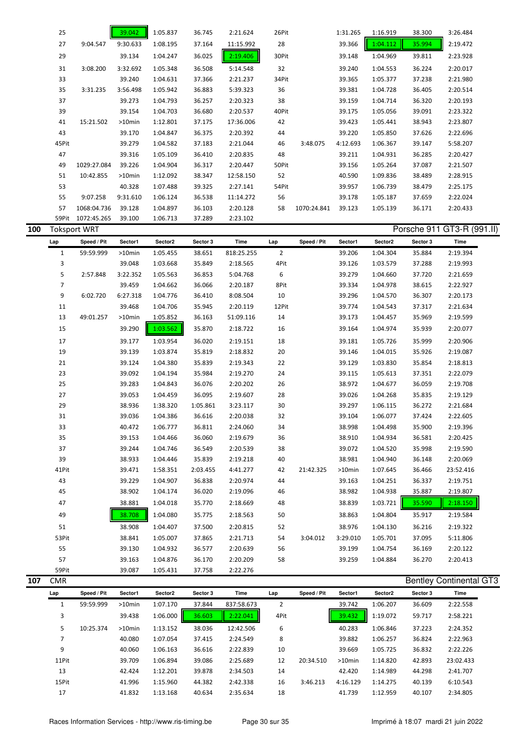|     | 25                  |                          | 39.042   | 1:05.837 | 36.745   | 2:21.624    | 26Pit                 |             | 1:31.265 | 1:16.919 | 38.300   | 3:26.484                       |  |
|-----|---------------------|--------------------------|----------|----------|----------|-------------|-----------------------|-------------|----------|----------|----------|--------------------------------|--|
|     | 27                  | 9:04.547                 | 9:30.633 | 1:08.195 | 37.164   | 11:15.992   | 28                    |             | 39.366   | 1:04.112 | 35.994   | 2:19.472                       |  |
|     | 29                  |                          | 39.134   | 1:04.247 | 36.025   | 2:19.406    | 30Pit                 |             | 39.148   | 1:04.969 | 39.811   | 2:23.928                       |  |
|     | 31                  | 3:08.200                 | 3:32.692 | 1:05.348 | 36.508   | 5:14.548    | 32                    |             | 39.240   | 1:04.553 | 36.224   | 2:20.017                       |  |
|     | 33                  |                          | 39.240   | 1:04.631 | 37.366   | 2:21.237    | 34Pit                 |             | 39.365   | 1:05.377 | 37.238   | 2:21.980                       |  |
|     | 35                  | 3:31.235                 | 3:56.498 | 1:05.942 | 36.883   | 5:39.323    | 36                    |             | 39.381   | 1:04.728 | 36.405   | 2:20.514                       |  |
|     | 37                  |                          | 39.273   | 1:04.793 | 36.257   | 2:20.323    | 38                    |             | 39.159   | 1:04.714 | 36.320   | 2:20.193                       |  |
|     | 39                  |                          | 39.154   | 1:04.703 | 36.680   | 2:20.537    | 40Pit                 |             | 39.175   | 1:05.056 | 39.091   | 2:23.322                       |  |
|     | 41                  | 15:21.502                | >10min   | 1:12.801 | 37.175   | 17:36.006   | 42                    |             | 39.423   | 1:05.441 | 38.943   | 2:23.807                       |  |
|     | 43                  |                          | 39.170   | 1:04.847 | 36.375   | 2:20.392    | 44                    |             | 39.220   | 1:05.850 | 37.626   | 2:22.696                       |  |
|     | 45Pit               |                          | 39.279   | 1:04.582 | 37.183   | 2:21.044    | 46                    | 3:48.075    | 4:12.693 | 1:06.367 | 39.147   | 5:58.207                       |  |
|     | 47                  |                          | 39.316   | 1:05.109 | 36.410   | 2:20.835    | 48                    |             | 39.211   | 1:04.931 | 36.285   | 2:20.427                       |  |
|     | 49                  | 1029:27.084              | 39.226   | 1:04.904 | 36.317   | 2:20.447    | 50Pit                 |             | 39.156   | 1:05.264 | 37.087   | 2:21.507                       |  |
|     | 51                  | 10:42.855                | >10min   | 1:12.092 | 38.347   | 12:58.150   | 52                    |             | 40.590   | 1:09.836 | 38.489   | 2:28.915                       |  |
|     | 53                  |                          | 40.328   | 1:07.488 | 39.325   | 2:27.141    | 54Pit                 |             | 39.957   | 1:06.739 | 38.479   | 2:25.175                       |  |
|     | 55                  | 9:07.258                 | 9:31.610 | 1:06.124 | 36.538   | 11:14.272   | 56                    |             | 39.178   | 1:05.187 | 37.659   | 2:22.024                       |  |
|     | 57                  | 1068:04.736              | 39.128   | 1:04.897 | 36.103   | 2:20.128    | 58                    | 1070:24.841 | 39.123   | 1:05.139 | 36.171   | 2:20.433                       |  |
|     |                     | 59Pit 1072:45.265        | 39.100   | 1:06.713 | 37.289   | 2:23.102    |                       |             |          |          |          |                                |  |
| 100 |                     | <b>Toksport WRT</b>      |          |          |          |             |                       |             |          |          |          | Porsche 911 GT3-R (991.II)     |  |
|     | Lap                 | Speed / Pit              | Sector1  | Sector2  | Sector 3 | Time        | Lap                   | Speed / Pit | Sector1  | Sector2  | Sector 3 | Time                           |  |
|     | $\mathbf{1}$        | 59:59.999                | >10min   | 1:05.455 | 38.651   | 818:25.255  | $\overline{2}$        |             | 39.206   | 1:04.304 | 35.884   | 2:19.394                       |  |
|     | 3                   |                          | 39.048   | 1:03.668 | 35.849   | 2:18.565    | 4Pit                  |             | 39.126   | 1:03.579 | 37.288   | 2:19.993                       |  |
|     | 5                   | 2:57.848                 | 3:22.352 | 1:05.563 | 36.853   | 5:04.768    | 6                     |             | 39.279   | 1:04.660 | 37.720   | 2:21.659                       |  |
|     | 7                   |                          | 39.459   | 1:04.662 | 36.066   | 2:20.187    | 8Pit                  |             | 39.334   | 1:04.978 | 38.615   | 2:22.927                       |  |
|     | 9                   | 6:02.720                 | 6:27.318 | 1:04.776 | 36.410   | 8:08.504    | 10                    |             | 39.296   | 1:04.570 | 36.307   | 2:20.173                       |  |
|     | 11                  |                          | 39.468   | 1:04.706 | 35.945   | 2:20.119    | 12Pit                 |             | 39.774   | 1:04.543 | 37.317   | 2:21.634                       |  |
|     | 13                  | 49:01.257                | >10min   | 1:05.852 | 36.163   | 51:09.116   | 14                    |             | 39.173   | 1:04.457 | 35.969   | 2:19.599                       |  |
|     | 15                  |                          | 39.290   | 1:03.562 | 35.870   | 2:18.722    | 16                    |             | 39.164   | 1:04.974 | 35.939   | 2:20.077                       |  |
|     | 17                  |                          | 39.177   | 1:03.954 | 36.020   | 2:19.151    | 18                    |             | 39.181   | 1:05.726 | 35.999   | 2:20.906                       |  |
|     | 19                  |                          | 39.139   | 1:03.874 | 35.819   | 2:18.832    | 20                    |             | 39.146   | 1:04.015 | 35.926   | 2:19.087                       |  |
|     | 21                  |                          | 39.124   | 1:04.380 | 35.839   | 2:19.343    | 22                    |             | 39.129   | 1:03.830 | 35.854   | 2:18.813                       |  |
|     | 23                  |                          | 39.092   | 1:04.194 | 35.984   | 2:19.270    | 24                    |             | 39.115   | 1:05.613 | 37.351   | 2:22.079                       |  |
|     | 25                  |                          | 39.283   | 1:04.843 | 36.076   | 2:20.202    | 26                    |             | 38.972   | 1:04.677 | 36.059   | 2:19.708                       |  |
|     | 27                  |                          | 39.053   | 1:04.459 | 36.095   | 2:19.607    | 28                    |             | 39.026   | 1:04.268 | 35.835   | 2:19.129                       |  |
|     | 29                  |                          | 38.936   | 1:38.320 | 1:05.861 | 3:23.117    | 30                    |             | 39.297   | 1:06.115 | 36.272   | 2:21.684                       |  |
|     | 31                  |                          | 39.036   | 1:04.386 | 36.616   | 2:20.038    | 32                    |             | 39.104   | 1:06.077 | 37.424   | 2:22.605                       |  |
|     | 33                  |                          | 40.472   | 1:06.777 | 36.811   | 2:24.060    | 34                    |             | 38.998   | 1:04.498 | 35.900   | 2:19.396                       |  |
|     | 35                  |                          | 39.153   | 1:04.466 | 36.060   | 2:19.679    | 36                    |             | 38.910   | 1:04.934 | 36.581   | 2:20.425                       |  |
|     | 37                  |                          | 39.244   | 1:04.746 | 36.549   | 2:20.539    | 38                    |             | 39.072   | 1:04.520 | 35.998   | 2:19.590                       |  |
|     | 39                  |                          | 38.933   | 1:04.446 | 35.839   | 2:19.218    | 40                    |             | 38.981   | 1:04.940 | 36.148   | 2:20.069                       |  |
|     | 41Pit               |                          | 39.471   | 1:58.351 | 2:03.455 | 4:41.277    | 42                    | 21:42.325   | >10min   | 1:07.645 | 36.466   | 23:52.416                      |  |
|     | 43                  |                          | 39.229   | 1:04.907 | 36.838   | 2:20.974    | 44                    |             | 39.163   | 1:04.251 | 36.337   | 2:19.751                       |  |
|     | 45                  |                          | 38.902   | 1:04.174 | 36.020   | 2:19.096    | 46                    |             | 38.982   | 1:04.938 | 35.887   | 2:19.807                       |  |
|     | 47                  |                          | 38.881   | 1:04.018 | 35.770   | 2:18.669    | 48                    |             | 38.839   | 1:03.721 | 35.590   | 2:18.150                       |  |
|     | 49                  |                          | 38.708   | 1:04.080 | 35.775   | 2:18.563    | 50                    |             | 38.863   | 1:04.804 | 35.917   | 2:19.584                       |  |
|     |                     |                          |          |          |          |             |                       |             |          |          |          |                                |  |
|     | 51                  |                          | 38.908   | 1:04.407 | 37.500   | 2:20.815    | 52                    |             | 38.976   | 1:04.130 | 36.216   | 2:19.322                       |  |
|     | 53Pit               |                          | 38.841   | 1:05.007 | 37.865   | 2:21.713    | 54                    | 3:04.012    | 3:29.010 | 1:05.701 | 37.095   | 5:11.806                       |  |
|     | 55                  |                          | 39.130   | 1:04.932 | 36.577   | 2:20.639    | 56                    |             | 39.199   | 1:04.754 | 36.169   | 2:20.122                       |  |
|     | 57<br>59Pit         |                          | 39.163   | 1:04.876 | 36.170   | 2:20.209    | 58                    |             | 39.259   | 1:04.884 | 36.270   | 2:20.413                       |  |
| 107 | <b>CMR</b>          |                          | 39.087   | 1:05.431 | 37.758   | 2:22.276    |                       |             |          |          |          | <b>Bentley Continental GT3</b> |  |
|     |                     |                          | Sector1  | Sector2  | Sector 3 | <b>Time</b> |                       | Speed / Pit | Sector1  | Sector2  | Sector 3 | Time                           |  |
|     | Lap<br>$\mathbf{1}$ | Speed / Pit<br>59:59.999 | >10min   | 1:07.170 | 37.844   | 837:58.673  | Lap<br>$\overline{2}$ |             | 39.742   | 1:06.207 | 36.609   | 2:22.558                       |  |
|     | 3                   |                          | 39.438   | 1:06.000 | 36.603   | 2:22.041    | 4Pit                  |             | 39.432   | 1:19.072 | 59.717   | 2:58.221                       |  |
|     |                     |                          |          |          |          |             |                       |             |          |          |          |                                |  |

|       |           | <b>JJ.4JU</b> | L.UU.UUU | JU.UUJ | 2.22.041  | <b>TIL</b> |           | 33.434    | 1.19.VIL | <i>JJ.ILI</i> | 2.JU.LL   |
|-------|-----------|---------------|----------|--------|-----------|------------|-----------|-----------|----------|---------------|-----------|
| 5     | 10:25.374 | $>10$ min     | 1:13.152 | 38.036 | 12:42.506 | 6          |           | 40.283    | 1:06.846 | 37.223        | 2:24.352  |
|       |           | 40.080        | 1:07.054 | 37.415 | 2:24.549  | 8          |           | 39.882    | 1:06.257 | 36.824        | 2:22.963  |
| 9     |           | 40.060        | 1:06.163 | 36.616 | 2:22.839  | 10         |           | 39.669    | 1:05.725 | 36.832        | 2:22.226  |
| 11Pit |           | 39.709        | 1:06.894 | 39.086 | 2:25.689  | 12         | 20:34.510 | $>10$ min | 1:14.820 | 42.893        | 23:02.433 |
| 13    |           | 42.424        | 1:12.201 | 39.878 | 2:34.503  | 14         |           | 42.420    | 1:14.989 | 44.298        | 2:41.707  |
| 15Pit |           | 41.996        | 1:15.960 | 44.382 | 2:42.338  | 16         | 3:46.213  | 4:16.129  | 1:14.275 | 40.139        | 6:10.543  |
| 17    |           | 41.832        | 1:13.168 | 40.634 | 2:35.634  | 18         |           | 41.739    | 1:12.959 | 40.107        | 2:34.805  |
|       |           |               |          |        |           |            |           |           |          |               |           |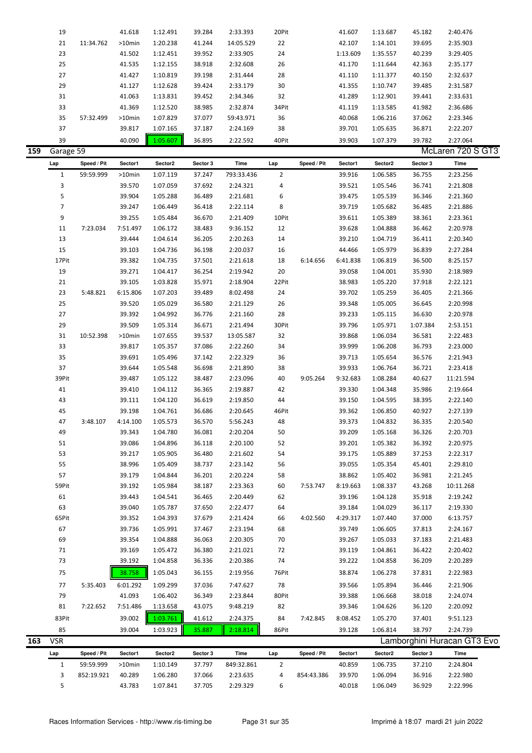|     | 19             |             | 41.618   | 1:12.491 | 39.284   | 2:33.393    | 20Pit          |             | 41.607   | 1:13.687 | 45.182   | 2:40.476                    |
|-----|----------------|-------------|----------|----------|----------|-------------|----------------|-------------|----------|----------|----------|-----------------------------|
|     | 21             | 11:34.762   | >10min   | 1:20.238 | 41.244   | 14:05.529   | 22             |             | 42.107   | 1:14.101 | 39.695   | 2:35.903                    |
|     | 23             |             | 41.502   | 1:12.451 | 39.952   | 2:33.905    | 24             |             | 1:13.609 | 1:35.557 | 40.239   | 3:29.405                    |
|     | 25             |             | 41.535   | 1:12.155 | 38.918   | 2:32.608    | 26             |             | 41.170   | 1:11.644 | 42.363   | 2:35.177                    |
|     |                |             |          |          |          |             |                |             |          |          |          |                             |
|     | 27             |             | 41.427   | 1:10.819 | 39.198   | 2:31.444    | 28             |             | 41.110   | 1:11.377 | 40.150   | 2:32.637                    |
|     | 29             |             | 41.127   | 1:12.628 | 39.424   | 2:33.179    | 30             |             | 41.355   | 1:10.747 | 39.485   | 2:31.587                    |
|     | 31             |             | 41.063   | 1:13.831 | 39.452   | 2:34.346    | 32             |             | 41.289   | 1:12.901 | 39.441   | 2:33.631                    |
|     | 33             |             | 41.369   | 1:12.520 | 38.985   | 2:32.874    | 34Pit          |             | 41.119   | 1:13.585 | 41.982   | 2:36.686                    |
|     | 35             | 57:32.499   | >10min   | 1:07.829 | 37.077   | 59:43.971   | 36             |             | 40.068   | 1:06.216 | 37.062   | 2:23.346                    |
|     | 37             |             | 39.817   | 1:07.165 | 37.187   | 2:24.169    | 38             |             | 39.701   | 1:05.635 | 36.871   | 2:22.207                    |
|     | 39             |             | 40.090   | 1:05.607 | 36.895   | 2:22.592    | 40Pit          |             | 39.903   | 1:07.379 | 39.782   | 2:27.064                    |
| 159 | Garage 59      |             |          |          |          |             |                |             |          |          |          | McLaren 720 S GT3           |
|     | Lap            | Speed / Pit | Sector1  | Sector2  | Sector 3 | <b>Time</b> | Lap            | Speed / Pit | Sector1  | Sector2  | Sector 3 | Time                        |
|     | $\mathbf{1}$   | 59:59.999   | >10min   | 1:07.119 | 37.247   | 793:33.436  | $\overline{2}$ |             | 39.916   | 1:06.585 | 36.755   | 2:23.256                    |
|     | 3              |             | 39.570   | 1:07.059 | 37.692   | 2:24.321    | 4              |             | 39.521   | 1:05.546 | 36.741   | 2:21.808                    |
|     |                |             |          |          |          |             |                |             |          |          |          |                             |
|     | 5              |             | 39.904   | 1:05.288 | 36.489   | 2:21.681    | 6              |             | 39.475   | 1:05.539 | 36.346   | 2:21.360                    |
|     | $\overline{7}$ |             | 39.247   | 1:06.449 | 36.418   | 2:22.114    | 8              |             | 39.719   | 1:05.682 | 36.485   | 2:21.886                    |
|     | 9              |             | 39.255   | 1:05.484 | 36.670   | 2:21.409    | 10Pit          |             | 39.611   | 1:05.389 | 38.361   | 2:23.361                    |
|     | 11             | 7:23.034    | 7:51.497 | 1:06.172 | 38.483   | 9:36.152    | 12             |             | 39.628   | 1:04.888 | 36.462   | 2:20.978                    |
|     | 13             |             | 39.444   | 1:04.614 | 36.205   | 2:20.263    | 14             |             | 39.210   | 1:04.719 | 36.411   | 2:20.340                    |
|     | 15             |             | 39.103   | 1:04.736 | 36.198   | 2:20.037    | 16             |             | 44.466   | 1:05.979 | 36.839   | 2:27.284                    |
|     | 17Pit          |             | 39.382   | 1:04.735 | 37.501   | 2:21.618    | 18             | 6:14.656    | 6:41.838 | 1:06.819 | 36.500   | 8:25.157                    |
|     | 19             |             | 39.271   | 1:04.417 | 36.254   | 2:19.942    | 20             |             | 39.058   | 1:04.001 | 35.930   | 2:18.989                    |
|     | 21             |             | 39.105   | 1:03.828 | 35.971   | 2:18.904    | 22Pit          |             | 38.983   | 1:05.220 | 37.918   | 2:22.121                    |
|     | 23             | 5:48.821    | 6:15.806 | 1:07.203 | 39.489   | 8:02.498    | 24             |             | 39.702   | 1:05.259 | 36.405   | 2:21.366                    |
|     | 25             |             | 39.520   | 1:05.029 | 36.580   | 2:21.129    | 26             |             | 39.348   | 1:05.005 | 36.645   | 2:20.998                    |
|     | 27             |             | 39.392   | 1:04.992 | 36.776   | 2:21.160    | 28             |             | 39.233   | 1:05.115 | 36.630   | 2:20.978                    |
|     | 29             |             | 39.509   | 1:05.314 | 36.671   | 2:21.494    | 30Pit          |             | 39.796   | 1:05.971 | 1:07.384 | 2:53.151                    |
|     | 31             | 10:52.398   | >10min   | 1:07.655 | 39.537   | 13:05.587   | 32             |             | 39.868   | 1:06.034 | 36.581   | 2:22.483                    |
|     | 33             |             | 39.817   | 1:05.357 | 37.086   | 2:22.260    | 34             |             | 39.999   | 1:06.208 | 36.793   | 2:23.000                    |
|     | 35             |             | 39.691   | 1:05.496 | 37.142   | 2:22.329    | 36             |             | 39.713   | 1:05.654 | 36.576   | 2:21.943                    |
|     | 37             |             | 39.644   | 1:05.548 | 36.698   | 2:21.890    | 38             |             | 39.933   | 1:06.764 | 36.721   | 2:23.418                    |
|     | 39Pit          |             | 39.487   | 1:05.122 | 38.487   | 2:23.096    | 40             | 9:05.264    | 9:32.683 | 1:08.284 | 40.627   | 11:21.594                   |
|     | 41             |             |          |          |          |             | 42             |             |          |          |          |                             |
|     |                |             | 39.410   | 1:04.112 | 36.365   | 2:19.887    |                |             | 39.330   | 1:04.348 | 35.986   | 2:19.664                    |
|     | 43             |             | 39.111   | 1:04.120 | 36.619   | 2:19.850    | 44             |             | 39.150   | 1:04.595 | 38.395   | 2:22.140                    |
|     | 45             |             | 39.198   | 1:04.761 | 36.686   | 2:20.645    | 46Pit          |             | 39.362   | 1:06.850 | 40.927   | 2:27.139                    |
|     | 47             | 3:48.107    | 4:14.100 | 1:05.573 | 36.570   | 5:56.243    | 48             |             | 39.373   | 1:04.832 | 36.335   | 2:20.540                    |
|     | 49             |             | 39.343   | 1:04.780 | 36.081   | 2:20.204    | 50             |             | 39.209   | 1:05.168 | 36.326   | 2:20.703                    |
|     | 51             |             | 39.086   | 1:04.896 | 36.118   | 2:20.100    | 52             |             | 39.201   | 1:05.382 | 36.392   | 2:20.975                    |
|     | 53             |             | 39.217   | 1:05.905 | 36.480   | 2:21.602    | 54             |             | 39.175   | 1:05.889 | 37.253   | 2:22.317                    |
|     | 55             |             | 38.996   | 1:05.409 | 38.737   | 2:23.142    | 56             |             | 39.055   | 1:05.354 | 45.401   | 2:29.810                    |
|     | 57             |             | 39.179   | 1:04.844 | 36.201   | 2:20.224    | 58             |             | 38.862   | 1:05.402 | 36.981   | 2:21.245                    |
|     | 59Pit          |             | 39.192   | 1:05.984 | 38.187   | 2:23.363    | 60             | 7:53.747    | 8:19.663 | 1:08.337 | 43.268   | 10:11.268                   |
|     | 61             |             | 39.443   | 1:04.541 | 36.465   | 2:20.449    | 62             |             | 39.196   | 1:04.128 | 35.918   | 2:19.242                    |
|     | 63             |             | 39.040   | 1:05.787 | 37.650   | 2:22.477    | 64             |             | 39.184   | 1:04.029 | 36.117   | 2:19.330                    |
|     | 65Pit          |             | 39.352   | 1:04.393 | 37.679   | 2:21.424    | 66             | 4:02.560    | 4:29.317 | 1:07.440 | 37.000   | 6:13.757                    |
|     | 67             |             | 39.736   | 1:05.991 | 37.467   | 2:23.194    | 68             |             | 39.749   | 1:06.605 | 37.813   | 2:24.167                    |
|     | 69             |             | 39.354   | 1:04.888 | 36.063   | 2:20.305    | 70             |             | 39.267   | 1:05.033 | 37.183   | 2:21.483                    |
|     | 71             |             | 39.169   | 1:05.472 | 36.380   | 2:21.021    | 72             |             | 39.119   | 1:04.861 | 36.422   | 2:20.402                    |
|     | 73             |             | 39.192   | 1:04.858 | 36.336   | 2:20.386    | 74             |             | 39.222   | 1:04.858 | 36.209   | 2:20.289                    |
|     | 75             |             | 38.758   | 1:05.043 | 36.155   | 2:19.956    | 76Pit          |             | 38.874   | 1:06.278 | 37.831   | 2:22.983                    |
|     |                |             |          |          |          |             |                |             |          |          |          |                             |
|     | 77             | 5:35.403    | 6:01.292 | 1:09.299 | 37.036   | 7:47.627    | 78             |             | 39.566   | 1:05.894 | 36.446   | 2:21.906                    |
|     | 79             |             | 41.093   | 1:06.402 | 36.349   | 2:23.844    | 80Pit          |             | 39.388   | 1:06.668 | 38.018   | 2:24.074                    |
|     | 81             | 7:22.652    | 7:51.486 | 1:13.658 | 43.075   | 9:48.219    | 82             |             | 39.346   | 1:04.626 | 36.120   | 2:20.092                    |
|     | 83Pit          |             | 39.002   | 1:03.761 | 41.612   | 2:24.375    | 84             | 7:42.845    | 8:08.452 | 1:05.270 | 37.401   | 9:51.123                    |
|     | 85             |             | 39.004   | 1:03.923 | 35.887   | 2:18.814    | 86Pit          |             | 39.128   | 1:06.814 | 38.797   | 2:24.739                    |
| 163 | <b>VSR</b>     |             |          |          |          |             |                |             |          |          |          | Lamborghini Huracan GT3 Evo |
|     | Lap            | Speed / Pit | Sector1  | Sector2  | Sector 3 | Time        | Lap            | Speed / Pit | Sector1  | Sector2  | Sector 3 | Time                        |
|     | $\mathbf{1}$   | 59:59.999   | >10min   | 1:10.149 | 37.797   | 849:32.861  | $\overline{2}$ |             | 40.859   | 1:06.735 | 37.210   | 2:24.804                    |
|     | 3              | 852:19.921  | 40.289   | 1:06.280 | 37.066   | 2:23.635    | 4              | 854:43.386  | 39.970   | 1:06.094 | 36.916   | 2:22.980                    |
|     | 5              |             | 43.783   | 1:07.841 | 37.705   | 2:29.329    | 6              |             | 40.018   | 1:06.049 | 36.929   | 2:22.996                    |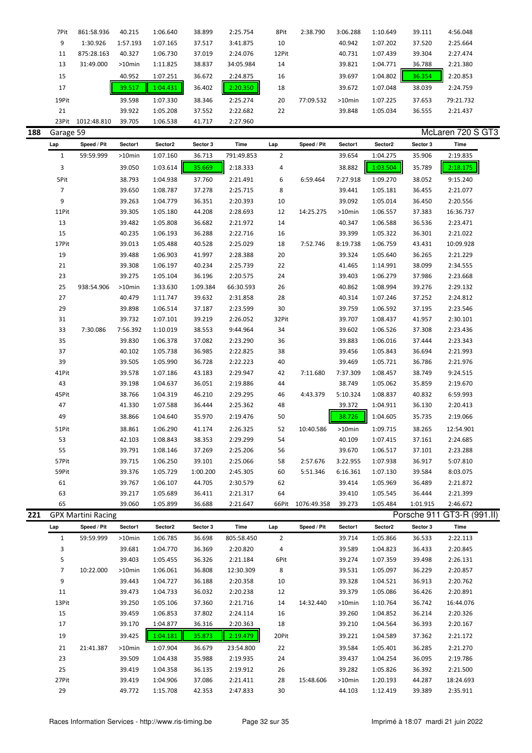| 7Pit  | 861:58.936  | 40.215    | 1:06.640 | 38.899 | 2:25.754  | 8Pit  | 2:38.790  | 3:06.288  | 1:10.649 | 39.111 | 4:56.048  |
|-------|-------------|-----------|----------|--------|-----------|-------|-----------|-----------|----------|--------|-----------|
| 9     | 1:30.926    | 1:57.193  | 1:07.165 | 37.517 | 3:41.875  | 10    |           | 40.942    | 1:07.202 | 37.520 | 2:25.664  |
| 11    | 875:28.163  | 40.327    | 1:06.730 | 37.019 | 2:24.076  | 12Pit |           | 40.731    | 1:07.439 | 39.304 | 2:27.474  |
| 13    | 31:49.000   | $>10$ min | 1:11.825 | 38.837 | 34:05.984 | 14    |           | 39.821    | 1:04.771 | 36.788 | 2:21.380  |
| 15    |             | 40.952    | 1:07.251 | 36.672 | 2:24.875  | 16    |           | 39.697    | 1:04.802 | 36.354 | 2:20.853  |
| 17    |             | 39.517    | 1:04.431 | 36.402 | 2:20.350  | 18    |           | 39.672    | 1:07.048 | 38.039 | 2:24.759  |
| 19Pit |             | 39.598    | 1:07.330 | 38.346 | 2:25.274  | 20    | 77:09.532 | $>10$ min | 1:07.225 | 37.653 | 79:21.732 |
| 21    |             | 39.922    | 1:05.208 | 37.552 | 2:22.682  | 22    |           | 39.848    | 1:05.034 | 36.555 | 2:21.437  |
| 23Pit | 1012:48.810 | 39.705    | 1:06.538 | 41.717 | 2:27.960  |       |           |           |          |        |           |

| d |
|---|
|---|

| 188 | McLaren 720 S GT3<br>Garage 59 |                           |          |          |          |            |                |             |           |          |          |                            |
|-----|--------------------------------|---------------------------|----------|----------|----------|------------|----------------|-------------|-----------|----------|----------|----------------------------|
|     | Lap                            | Speed / Pit               | Sector1  | Sector2  | Sector 3 | Time       | Lap            | Speed / Pit | Sector1   | Sector2  | Sector 3 | Time                       |
|     | $\mathbf{1}$                   | 59:59.999                 | >10min   | 1:07.160 | 36.713   | 791:49.853 | $\overline{2}$ |             | 39.654    | 1:04.275 | 35.906   | 2:19.835                   |
|     | 3                              |                           | 39.050   | 1:03.614 | 35.669   | 2:18.333   | 4              |             | 38.882    | 1:03.504 | 35.789   | 2:18.175                   |
|     | 5Pit                           |                           | 38.793   | 1:04.938 | 37.760   | 2:21.491   | 6              | 6:59.464    | 7:27.918  | 1:09.270 | 38.052   | 9:15.240                   |
|     | $\overline{7}$                 |                           | 39.650   | 1:08.787 | 37.278   | 2:25.715   | 8              |             | 39.441    | 1:05.181 | 36.455   | 2:21.077                   |
|     | 9                              |                           | 39.263   | 1:04.779 | 36.351   | 2:20.393   | 10             |             | 39.092    | 1:05.014 | 36.450   | 2:20.556                   |
|     | 11Pit                          |                           | 39.305   | 1:05.180 | 44.208   | 2:28.693   | 12             | 14:25.275   | >10min    | 1:06.557 | 37.383   | 16:36.737                  |
|     | 13                             |                           | 39.482   | 1:05.808 | 36.682   | 2:21.972   | 14             |             | 40.347    | 1:06.588 | 36.536   | 2:23.471                   |
|     | 15                             |                           | 40.235   | 1:06.193 | 36.288   | 2:22.716   | 16             |             | 39.399    | 1:05.322 | 36.301   | 2:21.022                   |
|     | 17Pit                          |                           | 39.013   | 1:05.488 | 40.528   | 2:25.029   | 18             | 7:52.746    | 8:19.738  | 1:06.759 | 43.431   | 10:09.928                  |
|     | 19                             |                           | 39.488   | 1:06.903 | 41.997   | 2:28.388   | 20             |             | 39.324    | 1:05.640 | 36.265   | 2:21.229                   |
|     | 21                             |                           | 39.308   | 1:06.197 | 40.234   | 2:25.739   | 22             |             | 41.465    | 1:14.991 | 38.099   | 2:34.555                   |
|     | 23                             |                           | 39.275   | 1:05.104 | 36.196   | 2:20.575   | 24             |             | 39.403    | 1:06.279 | 37.986   | 2:23.668                   |
|     | 25                             | 938:54.906                | >10min   | 1:33.630 | 1:09.384 | 66:30.593  | 26             |             | 40.862    | 1:08.994 | 39.276   | 2:29.132                   |
|     | 27                             |                           | 40.479   | 1:11.747 | 39.632   | 2:31.858   | 28             |             | 40.314    | 1:07.246 | 37.252   | 2:24.812                   |
|     | 29                             |                           | 39.898   | 1:06.514 | 37.187   | 2:23.599   | 30             |             | 39.759    | 1:06.592 | 37.195   | 2:23.546                   |
|     | 31                             |                           | 39.732   | 1:07.101 | 39.219   | 2:26.052   | 32Pit          |             | 39.707    | 1:08.437 | 41.957   | 2:30.101                   |
|     | 33                             | 7:30.086                  | 7:56.392 | 1:10.019 | 38.553   | 9:44.964   | 34             |             | 39.602    | 1:06.526 | 37.308   | 2:23.436                   |
|     | 35                             |                           | 39.830   | 1:06.378 | 37.082   | 2:23.290   | 36             |             | 39.883    | 1:06.016 | 37.444   | 2:23.343                   |
|     | 37                             |                           | 40.102   | 1:05.738 | 36.985   | 2:22.825   | 38             |             | 39.456    | 1:05.843 | 36.694   | 2:21.993                   |
|     | 39                             |                           | 39.505   | 1:05.990 | 36.728   | 2:22.223   | 40             |             | 39.469    | 1:05.721 | 36.786   | 2:21.976                   |
|     | 41Pit                          |                           | 39.578   | 1:07.186 | 43.183   | 2:29.947   | 42             | 7:11.680    | 7:37.309  | 1:08.457 | 38.749   | 9:24.515                   |
|     | 43                             |                           | 39.198   | 1:04.637 | 36.051   | 2:19.886   | 44             |             | 38.749    | 1:05.062 | 35.859   | 2:19.670                   |
|     | 45Pit                          |                           | 38.766   | 1:04.319 | 46.210   | 2:29.295   | 46             | 4:43.379    | 5:10.324  | 1:08.837 | 40.832   | 6:59.993                   |
|     | 47                             |                           | 41.330   | 1:07.588 | 36.444   | 2:25.362   | 48             |             | 39.372    | 1:04.911 | 36.130   | 2:20.413                   |
|     | 49                             |                           | 38.866   | 1:04.640 | 35.970   | 2:19.476   | 50             |             | 38.726    | 1:04.605 | 35.735   | 2:19.066                   |
|     | 51Pit                          |                           | 38.861   | 1:06.290 | 41.174   | 2:26.325   | 52             | 10:40.586   | $>10$ min | 1:09.715 | 38.265   | 12:54.901                  |
|     | 53                             |                           | 42.103   | 1:08.843 | 38.353   | 2:29.299   | 54             |             | 40.109    | 1:07.415 | 37.161   | 2:24.685                   |
|     | 55                             |                           | 39.791   | 1:08.146 | 37.269   | 2:25.206   | 56             |             | 39.670    | 1:06.517 | 37.101   | 2:23.288                   |
|     | 57Pit                          |                           | 39.715   | 1:06.250 | 39.101   | 2:25.066   | 58             | 2:57.676    | 3:22.955  | 1:07.938 | 36.917   | 5:07.810                   |
|     | 59Pit                          |                           | 39.376   | 1:05.729 | 1:00.200 | 2:45.305   | 60             | 5:51.346    | 6:16.361  | 1:07.130 | 39.584   | 8:03.075                   |
|     | 61                             |                           | 39.767   | 1:06.107 | 44.705   | 2:30.579   | 62             |             | 39.414    | 1:05.969 | 36.489   | 2:21.872                   |
|     | 63                             |                           | 39.217   | 1:05.689 | 36.411   | 2:21.317   | 64             |             | 39.410    | 1:05.545 | 36.444   | 2:21.399                   |
|     | 65                             |                           | 39.060   | 1:05.899 | 36.688   | 2:21.647   | 66Pit          | 1076:49.358 | 39.273    | 1:05.484 | 1:01.915 | 2:46.672                   |
| 221 |                                | <b>GPX Martini Racing</b> |          |          |          |            |                |             |           |          |          | Porsche 911 GT3-R (991.II) |
|     | l an                           | Speed / Pit               | Sector1  | Sector2  | Sector 3 | Time       | Lap            | Speed / Pit | Sector1   | Sector2  | Sector 3 | Time                       |
|     | $\mathbf{1}$                   | 59:59.999                 | >10min   | 1:06.785 | 36.698   | 805:58.450 | $\overline{2}$ |             | 39.714    | 1:05.866 | 36.533   | 2:22.113                   |
|     | 3                              |                           | 39.681   | 1:04.770 | 36.369   | 2:20.820   | 4              |             | 39.589    | 1:04.823 | 36.433   | 2:20.845                   |
|     | 5                              |                           | 39.403   | 1:05.455 | 36.326   | 2:21.184   | 6Pit           |             | 39.274    | 1:07.359 | 39.498   | 2:26.131                   |
|     | $\overline{7}$                 | 10:22.000                 | >10min   | 1:06.061 | 36.808   | 12:30.309  | 8              |             | 39.531    | 1:05.097 | 36.229   | 2:20.857                   |
|     | 9                              |                           | 39.443   | 1:04.727 | 36.188   | 2:20.358   | 10             |             | 39.328    | 1:04.521 | 36.913   | 2:20.762                   |
|     | 11                             |                           | 39.473   | 1:04.733 | 36.032   | 2:20.238   | 12             |             | 39.379    | 1:05.086 | 36.426   | 2:20.891                   |
|     | 13Pit                          |                           | 39.250   | 1:05.106 | 37.360   | 2:21.716   | 14             | 14:32.440   | >10min    | 1:10.764 | 36.742   | 16:44.076                  |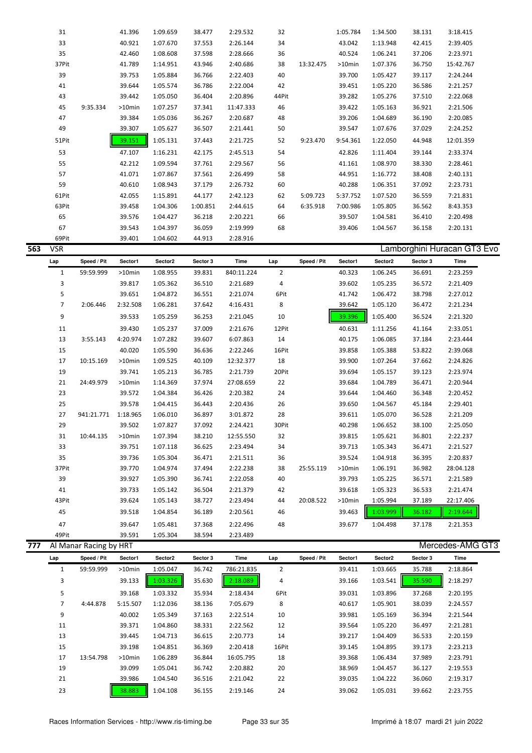| 31    |          | 41.396 | 1:09.659 | 38.477   | 2:29.532  | 32    |           | 1:05.784 | 1:34.500 | 38.131 | 3:18.415  |  |
|-------|----------|--------|----------|----------|-----------|-------|-----------|----------|----------|--------|-----------|--|
| 33    |          | 40.921 | 1:07.670 | 37.553   | 2:26.144  | 34    |           | 43.042   | 1:13.948 | 42.415 | 2:39.405  |  |
| 35    |          | 42.460 | 1:08.608 | 37.598   | 2:28.666  | 36    |           | 40.524   | 1:06.241 | 37.206 | 2:23.971  |  |
| 37Pit |          | 41.789 | 1:14.951 | 43.946   | 2:40.686  | 38    | 13:32.475 | >10min   | 1:07.376 | 36.750 | 15:42.767 |  |
| 39    |          | 39.753 | 1:05.884 | 36.766   | 2:22.403  | 40    |           | 39.700   | 1:05.427 | 39.117 | 2:24.244  |  |
| 41    |          | 39.644 | 1:05.574 | 36.786   | 2:22.004  | 42    |           | 39.451   | 1:05.220 | 36.586 | 2:21.257  |  |
| 43    |          | 39.442 | 1:05.050 | 36.404   | 2:20.896  | 44Pit |           | 39.282   | 1:05.276 | 37.510 | 2:22.068  |  |
| 45    | 9:35.334 | >10min | 1:07.257 | 37.341   | 11:47.333 | 46    |           | 39.422   | 1:05.163 | 36.921 | 2:21.506  |  |
| 47    |          | 39.384 | 1:05.036 | 36.267   | 2:20.687  | 48    |           | 39.206   | 1:04.689 | 36.190 | 2:20.085  |  |
| 49    |          | 39.307 | 1:05.627 | 36.507   | 2:21.441  | 50    |           | 39.547   | 1:07.676 | 37.029 | 2:24.252  |  |
| 51Pit |          | 39.151 | 1:05.131 | 37.443   | 2:21.725  | 52    | 9:23.470  | 9:54.361 | 1:22.050 | 44.948 | 12:01.359 |  |
| 53    |          | 47.107 | 1:16.231 | 42.175   | 2:45.513  | 54    |           | 42.826   | 1:11.404 | 39.144 | 2:33.374  |  |
| 55    |          | 42.212 | 1:09.594 | 37.761   | 2:29.567  | 56    |           | 41.161   | 1:08.970 | 38.330 | 2:28.461  |  |
| 57    |          | 41.071 | 1:07.867 | 37.561   | 2:26.499  | 58    |           | 44.951   | 1:16.772 | 38.408 | 2:40.131  |  |
| 59    |          | 40.610 | 1:08.943 | 37.179   | 2:26.732  | 60    |           | 40.288   | 1:06.351 | 37.092 | 2:23.731  |  |
| 61Pit |          | 42.055 | 1:15.891 | 44.177   | 2:42.123  | 62    | 5:09.723  | 5:37.752 | 1:07.520 | 36.559 | 7:21.831  |  |
| 63Pit |          | 39.458 | 1:04.306 | 1:00.851 | 2:44.615  | 64    | 6:35.918  | 7:00.986 | 1:05.805 | 36.562 | 8:43.353  |  |
| 65    |          | 39.576 | 1:04.427 | 36.218   | 2:20.221  | 66    |           | 39.507   | 1:04.581 | 36.410 | 2:20.498  |  |
| 67    |          | 39.543 | 1:04.397 | 36.059   | 2:19.999  | 68    |           | 39.406   | 1:04.567 | 36.158 | 2:20.131  |  |
| 69Pit |          | 39.401 | 1:04.602 | 44.913   | 2:28.916  |       |           |          |          |        |           |  |

| 563 | <b>VSR</b>     |             |           |          |          |            |                |             |           |          |          | Lamborghini Huracan GT3 Evo |
|-----|----------------|-------------|-----------|----------|----------|------------|----------------|-------------|-----------|----------|----------|-----------------------------|
|     | Lap            | Speed / Pit | Sector1   | Sector2  | Sector 3 | Time       | Lap            | Speed / Pit | Sector1   | Sector2  | Sector 3 | Time                        |
|     | $\mathbf{1}$   | 59:59.999   | $>10$ min | 1:08.955 | 39.831   | 840:11.224 | $\overline{2}$ |             | 40.323    | 1:06.245 | 36.691   | 2:23.259                    |
|     | 3              |             | 39.817    | 1:05.362 | 36.510   | 2:21.689   | 4              |             | 39.602    | 1:05.235 | 36.572   | 2:21.409                    |
|     | 5              |             | 39.651    | 1:04.872 | 36.551   | 2:21.074   | 6Pit           |             | 41.742    | 1:06.472 | 38.798   | 2:27.012                    |
|     | $\overline{7}$ | 2:06.446    | 2:32.508  | 1:06.281 | 37.642   | 4:16.431   | 8              |             | 39.642    | 1:05.120 | 36.472   | 2:21.234                    |
|     | 9              |             | 39.533    | 1:05.259 | 36.253   | 2:21.045   | 10             |             | 39.396    | 1:05.400 | 36.524   | 2:21.320                    |
|     | 11             |             | 39.430    | 1:05.237 | 37.009   | 2:21.676   | 12Pit          |             | 40.631    | 1:11.256 | 41.164   | 2:33.051                    |
|     | 13             | 3:55.143    | 4:20.974  | 1:07.282 | 39.607   | 6:07.863   | 14             |             | 40.175    | 1:06.085 | 37.184   | 2:23.444                    |
|     | 15             |             | 40.020    | 1:05.590 | 36.636   | 2:22.246   | 16Pit          |             | 39.858    | 1:05.388 | 53.822   | 2:39.068                    |
|     | 17             | 10:15.169   | $>10$ min | 1:09.525 | 40.109   | 12:32.377  | 18             |             | 39.900    | 1:07.264 | 37.662   | 2:24.826                    |
|     | 19             |             | 39.741    | 1:05.213 | 36.785   | 2:21.739   | 20Pit          |             | 39.694    | 1:05.157 | 39.123   | 2:23.974                    |
|     | 21             | 24:49.979   | $>10$ min | 1:14.369 | 37.974   | 27:08.659  | 22             |             | 39.684    | 1:04.789 | 36.471   | 2:20.944                    |
|     | 23             |             | 39.572    | 1:04.384 | 36.426   | 2:20.382   | 24             |             | 39.644    | 1:04.460 | 36.348   | 2:20.452                    |
|     | 25             |             | 39.578    | 1:04.415 | 36.443   | 2:20.436   | 26             |             | 39.650    | 1:04.567 | 45.184   | 2:29.401                    |
|     | 27             | 941:21.771  | 1:18.965  | 1:06.010 | 36.897   | 3:01.872   | 28             |             | 39.611    | 1:05.070 | 36.528   | 2:21.209                    |
|     | 29             |             | 39.502    | 1:07.827 | 37.092   | 2:24.421   | 30Pit          |             | 40.298    | 1:06.652 | 38.100   | 2:25.050                    |
|     | 31             | 10:44.135   | $>10$ min | 1:07.394 | 38.210   | 12:55.550  | 32             |             | 39.815    | 1:05.621 | 36.801   | 2:22.237                    |
|     | 33             |             | 39.751    | 1:07.118 | 36.625   | 2:23.494   | 34             |             | 39.713    | 1:05.343 | 36.471   | 2:21.527                    |
|     | 35             |             | 39.736    | 1:05.304 | 36.471   | 2:21.511   | 36             |             | 39.524    | 1:04.918 | 36.395   | 2:20.837                    |
|     | 37Pit          |             | 39.770    | 1:04.974 | 37.494   | 2:22.238   | 38             | 25:55.119   | $>10$ min | 1:06.191 | 36.982   | 28:04.128                   |
|     | 39             |             | 39.927    | 1:05.390 | 36.741   | 2:22.058   | 40             |             | 39.793    | 1:05.225 | 36.571   | 2:21.589                    |
|     | 41             |             | 39.733    | 1:05.142 | 36.504   | 2:21.379   | 42             |             | 39.618    | 1:05.323 | 36.533   | 2:21.474                    |
|     | 43Pit          |             | 39.624    | 1:05.143 | 38.727   | 2:23.494   | 44             | 20:08.522   | $>10$ min | 1:05.994 | 37.189   | 22:17.406                   |
|     | 45             |             | 39.518    | 1:04.854 | 36.189   | 2:20.561   | 46             |             | 39.463    | 1:03.999 | 36.182   | 2:19.644                    |
|     | 47             |             | 39.647    | 1:05.481 | 37.368   | 2:22.496   | 48             |             | 39.677    | 1:04.498 | 37.178   | 2:21.353                    |
|     | 49Pit          |             | 39.591    | 1:05.304 | 38.594   | 2:23.489   |                |             |           |          |          |                             |

| 777 |     | Mercedes-AMG GT3<br>Al Manar Racing by HRT |           |          |          |            |                |             |         |          |          |          |  |  |  |
|-----|-----|--------------------------------------------|-----------|----------|----------|------------|----------------|-------------|---------|----------|----------|----------|--|--|--|
|     | Lap | Speed / Pit                                | Sector1   | Sector2  | Sector 3 | Time       | Lap            | Speed / Pit | Sector1 | Sector2  | Sector 3 | Time     |  |  |  |
|     |     | 59:59.999                                  | $>10$ min | 1:05.047 | 36.742   | 786:21.835 | $\overline{2}$ |             | 39.411  | 1:03.665 | 35.788   | 2:18.864 |  |  |  |
|     | 3   |                                            | 39.133    | 1:03.326 | 35.630   | 2:18.089   | 4              |             | 39.166  | 1:03.541 | 35.590   | 2:18.297 |  |  |  |
|     | 5   |                                            | 39.168    | 1:03.332 | 35.934   | 2:18.434   | 6Pit           |             | 39.031  | 1:03.896 | 37.268   | 2:20.195 |  |  |  |
|     | 7   | 4:44.878                                   | 5:15.507  | 1:12.036 | 38.136   | 7:05.679   | 8              |             | 40.617  | 1:05.901 | 38.039   | 2:24.557 |  |  |  |
|     | 9   |                                            | 40.002    | 1:05.349 | 37.163   | 2:22.514   | 10             |             | 39.981  | 1:05.169 | 36.394   | 2:21.544 |  |  |  |
|     | 11  |                                            | 39.371    | 1:04.860 | 38.331   | 2:22.562   | 12             |             | 39.564  | 1:05.220 | 36.497   | 2:21.281 |  |  |  |
|     | 13  |                                            | 39.445    | 1:04.713 | 36.615   | 2:20.773   | 14             |             | 39.217  | 1:04.409 | 36.533   | 2:20.159 |  |  |  |
|     | 15  |                                            | 39.198    | 1:04.851 | 36.369   | 2:20.418   | 16Pit          |             | 39.145  | 1:04.895 | 39.173   | 2:23.213 |  |  |  |
|     | 17  | 13:54.798                                  | $>10$ min | 1:06.289 | 36.844   | 16:05.795  | 18             |             | 39.368  | 1:06.434 | 37.989   | 2:23.791 |  |  |  |
|     | 19  |                                            | 39.099    | 1:05.041 | 36.742   | 2:20.882   | 20             |             | 38.969  | 1:04.457 | 36.127   | 2:19.553 |  |  |  |
|     | 21  |                                            | 39.986    | 1:04.540 | 36.516   | 2:21.042   | 22             |             | 39.035  | 1:04.222 | 36.060   | 2:19.317 |  |  |  |
|     | 23  |                                            | 38.883    | 1:04.108 | 36.155   | 2:19.146   | 24             |             | 39.062  | 1:05.031 | 39.662   | 2:23.755 |  |  |  |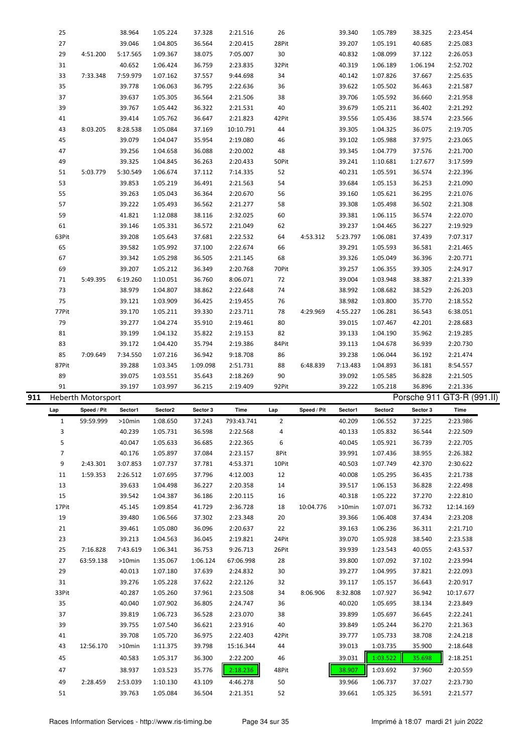| 911 |       | <b>Heberth Motorsport</b> |          |          |          |           |       |          |          |          |          | Porsche 911 GT3-R (991.II) |  |
|-----|-------|---------------------------|----------|----------|----------|-----------|-------|----------|----------|----------|----------|----------------------------|--|
|     | 91    |                           | 39.197   | 1:03.997 | 36.215   | 2:19.409  | 92Pit |          | 39.222   | 1:05.218 | 36.896   | 2:21.336                   |  |
|     | 89    |                           | 39.075   | 1:03.551 | 35.643   | 2:18.269  | 90    |          | 39.092   | 1:05.585 | 36.828   | 2:21.505                   |  |
|     | 87Pit |                           | 39.288   | 1:03.345 | 1:09.098 | 2:51.731  | 88    | 6:48.839 | 7:13.483 | 1:04.893 | 36.181   | 8:54.557                   |  |
|     | 85    | 7:09.649                  | 7:34.550 | 1:07.216 | 36.942   | 9:18.708  | 86    |          | 39.238   | 1:06.044 | 36.192   | 2:21.474                   |  |
|     | 83    |                           | 39.172   | 1:04.420 | 35.794   | 2:19.386  | 84Pit |          | 39.113   | 1:04.678 | 36.939   | 2:20.730                   |  |
|     | 81    |                           | 39.199   | 1:04.132 | 35.822   | 2:19.153  | 82    |          | 39.133   | 1:04.190 | 35.962   | 2:19.285                   |  |
|     | 79    |                           | 39.277   | 1:04.274 | 35.910   | 2:19.461  | 80    |          | 39.015   | 1:07.467 | 42.201   | 2:28.683                   |  |
|     | 77Pit |                           | 39.170   | 1:05.211 | 39.330   | 2:23.711  | 78    | 4:29.969 | 4:55.227 | 1:06.281 | 36.543   | 6:38.051                   |  |
|     | 75    |                           | 39.121   | 1:03.909 | 36.425   | 2:19.455  | 76    |          | 38.982   | 1:03.800 | 35.770   | 2:18.552                   |  |
|     | 73    |                           | 38.979   | 1:04.807 | 38.862   | 2:22.648  | 74    |          | 38.992   | 1:08.682 | 38.529   | 2:26.203                   |  |
|     | 71    | 5:49.395                  | 6:19.260 | 1:10.051 | 36.760   | 8:06.071  | 72    |          | 39.004   | 1:03.948 | 38.387   | 2:21.339                   |  |
|     | 69    |                           | 39.207   | 1:05.212 | 36.349   | 2:20.768  | 70Pit |          | 39.257   | 1:06.355 | 39.305   | 2:24.917                   |  |
|     | 67    |                           | 39.342   | 1:05.298 | 36.505   | 2:21.145  | 68    |          | 39.326   | 1:05.049 | 36.396   | 2:20.771                   |  |
|     | 65    |                           | 39.582   | 1:05.992 | 37.100   | 2:22.674  | 66    |          | 39.291   | 1:05.593 | 36.581   | 2:21.465                   |  |
|     | 63Pit |                           | 39.208   | 1:05.643 | 37.681   | 2:22.532  | 64    | 4:53.312 | 5:23.797 | 1:06.081 | 37.439   | 7:07.317                   |  |
|     | 61    |                           | 39.146   | 1:05.331 | 36.572   | 2:21.049  | 62    |          | 39.237   | 1:04.465 | 36.227   | 2:19.929                   |  |
|     | 59    |                           | 41.821   | 1:12.088 | 38.116   | 2:32.025  | 60    |          | 39.381   | 1:06.115 | 36.574   | 2:22.070                   |  |
|     | 57    |                           | 39.222   | 1:05.493 | 36.562   | 2:21.277  | 58    |          | 39.308   | 1:05.498 | 36.502   | 2:21.308                   |  |
|     | 55    |                           | 39.263   | 1:05.043 | 36.364   | 2:20.670  | 56    |          | 39.160   | 1:05.621 | 36.295   | 2:21.076                   |  |
|     | 53    |                           | 39.853   | 1:05.219 | 36.491   | 2:21.563  | 54    |          | 39.684   | 1:05.153 | 36.253   | 2:21.090                   |  |
|     | 51    | 5:03.779                  | 5:30.549 | 1:06.674 | 37.112   | 7:14.335  | 52    |          | 40.231   | 1:05.591 | 36.574   | 2:22.396                   |  |
|     | 49    |                           | 39.325   | 1:04.845 | 36.263   | 2:20.433  | 50Pit |          | 39.241   | 1:10.681 | 1:27.677 | 3:17.599                   |  |
|     | 47    |                           | 39.256   | 1:04.658 | 36.088   | 2:20.002  | 48    |          | 39.345   | 1:04.779 | 37.576   | 2:21.700                   |  |
|     | 45    |                           | 39.079   | 1:04.047 | 35.954   | 2:19.080  | 46    |          | 39.102   | 1:05.988 | 37.975   | 2:23.065                   |  |
|     | 43    | 8:03.205                  | 8:28.538 | 1:05.084 | 37.169   | 10:10.791 | 44    |          | 39.305   | 1:04.325 | 36.075   | 2:19.705                   |  |
|     | 41    |                           | 39.414   | 1:05.762 | 36.647   | 2:21.823  | 42Pit |          | 39.556   | 1:05.436 | 38.574   | 2:23.566                   |  |
|     | 39    |                           | 39.767   | 1:05.442 | 36.322   | 2:21.531  | 40    |          | 39.679   | 1:05.211 | 36.402   | 2:21.292                   |  |
|     | 37    |                           | 39.637   | 1:05.305 | 36.564   | 2:21.506  | 38    |          | 39.706   | 1:05.592 | 36.660   | 2:21.958                   |  |
|     | 35    |                           | 39.778   | 1:06.063 | 36.795   | 2:22.636  | 36    |          | 39.622   | 1:05.502 | 36.463   | 2:21.587                   |  |
|     | 33    | 7:33.348                  | 7:59.979 | 1:07.162 | 37.557   | 9:44.698  | 34    |          | 40.142   | 1:07.826 | 37.667   | 2:25.635                   |  |
|     | 31    |                           | 40.652   | 1:06.424 | 36.759   | 2:23.835  | 32Pit |          | 40.319   | 1:06.189 | 1:06.194 | 2:52.702                   |  |
|     | 29    | 4:51.200                  | 5:17.565 | 1:09.367 | 38.075   | 7:05.007  | 30    |          | 40.832   | 1:08.099 | 37.122   | 2:26.053                   |  |
|     | 27    |                           | 39.046   | 1:04.805 | 36.564   | 2:20.415  | 28Pit |          | 39.207   | 1:05.191 | 40.685   | 2:25.083                   |  |
|     | 25    |                           | 38.964   | 1:05.224 | 37.328   | 2:21.516  | 26    |          | 39.340   | 1:05.789 | 38.325   | 2:23.454                   |  |
|     |       |                           |          |          |          |           |       |          |          |          |          |                            |  |

| Lap            | Speed / Pit | Sector1   | Sector2  | Sector 3 | Time       | Lap   | Speed / Pit | Sector1   | Sector2  | Sector 3 | Time      |
|----------------|-------------|-----------|----------|----------|------------|-------|-------------|-----------|----------|----------|-----------|
| $\mathbf{1}$   | 59:59.999   | $>10$ min | 1:08.650 | 37.243   | 793:43.741 | 2     |             | 40.209    | 1:06.552 | 37.225   | 2:23.986  |
| 3              |             | 40.239    | 1:05.731 | 36.598   | 2:22.568   | 4     |             | 40.133    | 1:05.832 | 36.544   | 2:22.509  |
| 5              |             | 40.047    | 1:05.633 | 36.685   | 2:22.365   | 6     |             | 40.045    | 1:05.921 | 36.739   | 2:22.705  |
| $\overline{7}$ |             | 40.176    | 1:05.897 | 37.084   | 2:23.157   | 8Pit  |             | 39.991    | 1:07.436 | 38.955   | 2:26.382  |
| 9              | 2:43.301    | 3:07.853  | 1:07.737 | 37.781   | 4:53.371   | 10Pit |             | 40.503    | 1:07.749 | 42.370   | 2:30.622  |
| 11             | 1:59.353    | 2:26.512  | 1:07.695 | 37.796   | 4:12.003   | 12    |             | 40.008    | 1:05.295 | 36.435   | 2:21.738  |
| 13             |             | 39.633    | 1:04.498 | 36.227   | 2:20.358   | 14    |             | 39.517    | 1:06.153 | 36.828   | 2:22.498  |
| 15             |             | 39.542    | 1:04.387 | 36.186   | 2:20.115   | 16    |             | 40.318    | 1:05.222 | 37.270   | 2:22.810  |
| 17Pit          |             | 45.145    | 1:09.854 | 41.729   | 2:36.728   | 18    | 10:04.776   | $>10$ min | 1:07.071 | 36.732   | 12:14.169 |
| 19             |             | 39.480    | 1:06.566 | 37.302   | 2:23.348   | 20    |             | 39.366    | 1:06.408 | 37.434   | 2:23.208  |
| 21             |             | 39.461    | 1:05.080 | 36.096   | 2:20.637   | 22    |             | 39.163    | 1:06.236 | 36.311   | 2:21.710  |
| 23             |             | 39.213    | 1:04.563 | 36.045   | 2:19.821   | 24Pit |             | 39.070    | 1:05.928 | 38.540   | 2:23.538  |
| 25             | 7:16.828    | 7:43.619  | 1:06.341 | 36.753   | 9:26.713   | 26Pit |             | 39.939    | 1:23.543 | 40.055   | 2:43.537  |
| 27             | 63:59.138   | $>10$ min | 1:35.067 | 1:06.124 | 67:06.998  | 28    |             | 39.800    | 1:07.092 | 37.102   | 2:23.994  |
| 29             |             | 40.013    | 1:07.180 | 37.639   | 2:24.832   | 30    |             | 39.277    | 1:04.995 | 37.821   | 2:22.093  |
| 31             |             | 39.276    | 1:05.228 | 37.622   | 2:22.126   | 32    |             | 39.117    | 1:05.157 | 36.643   | 2:20.917  |
| 33Pit          |             | 40.287    | 1:05.260 | 37.961   | 2:23.508   | 34    | 8:06.906    | 8:32.808  | 1:07.927 | 36.942   | 10:17.677 |
| 35             |             | 40.040    | 1:07.902 | 36.805   | 2:24.747   | 36    |             | 40.020    | 1:05.695 | 38.134   | 2:23.849  |
| 37             |             | 39.819    | 1:06.723 | 36.528   | 2:23.070   | 38    |             | 39.899    | 1:05.697 | 36.645   | 2:22.241  |
| 39             |             | 39.755    | 1:07.540 | 36.621   | 2:23.916   | 40    |             | 39.849    | 1:05.244 | 36.270   | 2:21.363  |
| 41             |             | 39.708    | 1:05.720 | 36.975   | 2:22.403   | 42Pit |             | 39.777    | 1:05.733 | 38.708   | 2:24.218  |
| 43             | 12:56.170   | $>10$ min | 1:11.375 | 39.798   | 15:16.344  | 44    |             | 39.013    | 1:03.735 | 35.900   | 2:18.648  |
| 45             |             | 40.583    | 1:05.317 | 36.300   | 2:22.200   | 46    |             | 39.031    | 1:03.522 | 35.698   | 2:18.251  |
| 47             |             | 38.937    | 1:03.523 | 35.776   | 2:18.236   | 48Pit |             | 38.907    | 1:03.692 | 37.960   | 2:20.559  |
| 49             | 2:28.459    | 2:53.039  | 1:10.130 | 43.109   | 4:46.278   | 50    |             | 39.966    | 1:06.737 | 37.027   | 2:23.730  |
| 51             |             | 39.763    | 1:05.084 | 36.504   | 2:21.351   | 52    |             | 39.661    | 1:05.325 | 36.591   | 2:21.577  |